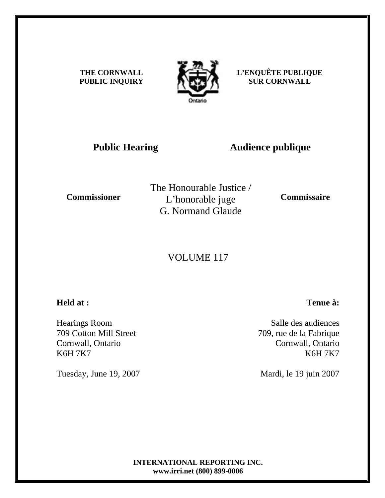**THE CORNWALL PUBLIC INQUIRY**



**L'ENQUÊTE PUBLIQUE SUR CORNWALL** 

### **Public Hearing Audience publique**

**Commissioner** 

The Honourable Justice / L'honorable juge G. Normand Glaude

**Commissaire** 

## VOLUME 117

### **Held at :**

Hearings Room 709 Cotton Mill Street Cornwall, Ontario K6H 7K7

Tuesday, June 19, 2007

# **Tenue à:**

Salle des audiences 709, rue de la Fabrique Cornwall, Ontario K6H 7K7

Mardi, le 19 juin 2007

**INTERNATIONAL REPORTING INC. www.irri.net (800) 899-0006**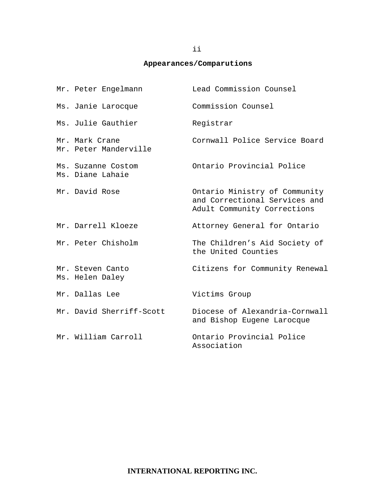#### **Appearances/Comparutions**

| Mr. Peter Engelmann                     | Lead Commission Counsel                                                                       |
|-----------------------------------------|-----------------------------------------------------------------------------------------------|
| Ms. Janie Larocque                      | Commission Counsel                                                                            |
| Ms. Julie Gauthier                      | Registrar                                                                                     |
| Mr. Mark Crane<br>Mr. Peter Manderville | Cornwall Police Service Board                                                                 |
| Ms. Suzanne Costom<br>Ms. Diane Lahaie  | Ontario Provincial Police                                                                     |
| Mr. David Rose                          | Ontario Ministry of Community<br>and Correctional Services and<br>Adult Community Corrections |
| Mr. Darrell Kloeze                      | Attorney General for Ontario                                                                  |
| Mr. Peter Chisholm                      | The Children's Aid Society of<br>the United Counties                                          |
| Mr. Steven Canto<br>Ms. Helen Daley     | Citizens for Community Renewal                                                                |
| Mr. Dallas Lee                          | Victims Group                                                                                 |
| Mr. David Sherriff-Scott                | Diocese of Alexandria-Cornwall<br>and Bishop Eugene Larocque                                  |
| Mr. William Carroll                     | Ontario Provincial Police<br>Association                                                      |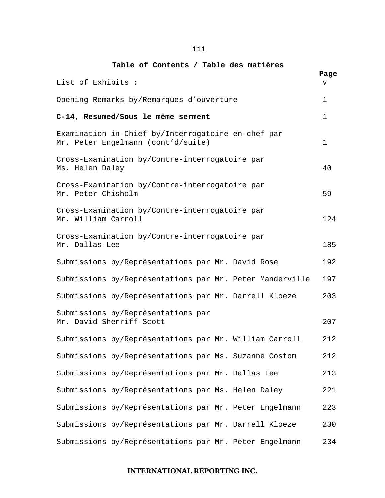#### iii

#### **Table of Contents / Table des matières**

| List of Exhibits :                                                                       | Page<br>v |
|------------------------------------------------------------------------------------------|-----------|
| Opening Remarks by/Remarques d'ouverture                                                 | 1         |
| C-14, Resumed/Sous le même serment                                                       | 1         |
| Examination in-Chief by/Interrogatoire en-chef par<br>Mr. Peter Engelmann (cont'd/suite) | 1         |
| Cross-Examination by/Contre-interrogatoire par<br>Ms. Helen Daley                        | 40        |
| Cross-Examination by/Contre-interrogatoire par<br>Mr. Peter Chisholm                     | 59        |
| Cross-Examination by/Contre-interrogatoire par<br>Mr. William Carroll                    | 124       |
| Cross-Examination by/Contre-interrogatoire par<br>Mr. Dallas Lee                         | 185       |
| Submissions by/Représentations par Mr. David Rose                                        | 192       |
| Submissions by/Représentations par Mr. Peter Manderville                                 | 197       |
| Submissions by/Représentations par Mr. Darrell Kloeze                                    | 203       |
| Submissions by/Représentations par<br>Mr. David Sherriff-Scott                           | 207       |
| Submissions by/Représentations par Mr. William Carroll                                   | 212       |
| Submissions by/Représentations par Ms. Suzanne Costom                                    | 212       |
| Submissions by/Représentations par Mr. Dallas Lee                                        | 213       |
| Submissions by/Représentations par Ms. Helen Daley                                       | 221       |
| Submissions by/Représentations par Mr. Peter Engelmann                                   | 223       |
| Submissions by/Représentations par Mr. Darrell Kloeze                                    | 230       |
| Submissions by/Représentations par Mr. Peter Engelmann                                   | 234       |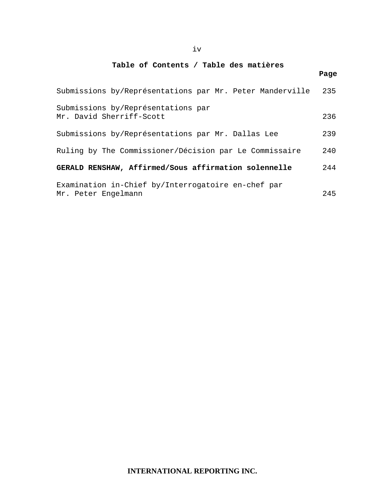#### iv

#### **Table of Contents / Table des matières**

|                                                                           | Page |
|---------------------------------------------------------------------------|------|
| Submissions by/Représentations par Mr. Peter Manderville                  | 235  |
| Submissions by/Représentations par<br>Mr. David Sherriff-Scott            | 236  |
| Submissions by/Représentations par Mr. Dallas Lee                         | 239  |
| Ruling by The Commissioner/Décision par Le Commissaire                    | 240  |
| GERALD RENSHAW, Affirmed/Sous affirmation solennelle                      | 244  |
| Examination in-Chief by/Interrogatoire en-chef par<br>Mr. Peter Engelmann | 245  |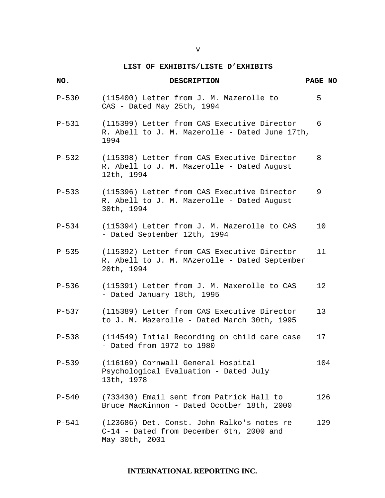#### **LIST OF EXHIBITS/LISTE D'EXHIBITS**

| NO.       | <b>DESCRIPTION</b>                                                                                         | PAGE NO |  |
|-----------|------------------------------------------------------------------------------------------------------------|---------|--|
| $P-530$   | (115400) Letter from J. M. Mazerolle to<br>CAS - Dated May 25th, 1994                                      | 5       |  |
| $P-531$   | (115399) Letter from CAS Executive Director<br>R. Abell to J. M. Mazerolle - Dated June 17th,<br>1994      | 6       |  |
| $P - 532$ | (115398) Letter from CAS Executive Director<br>R. Abell to J. M. Mazerolle - Dated August<br>12th, 1994    | 8       |  |
| $P - 533$ | (115396) Letter from CAS Executive Director<br>R. Abell to J. M. Mazerolle - Dated August<br>30th, 1994    | 9       |  |
| $P-534$   | (115394) Letter from J. M. Mazerolle to CAS<br>- Dated September 12th, 1994                                | 10      |  |
| $P-535$   | (115392) Letter from CAS Executive Director<br>R. Abell to J. M. MAzerolle - Dated September<br>20th, 1994 | 11      |  |
| $P-536$   | (115391) Letter from J. M. Maxerolle to CAS<br>- Dated January 18th, 1995                                  | 12      |  |
| $P-537$   | (115389) Letter from CAS Executive Director<br>to J. M. Mazerolle - Dated March 30th, 1995                 | 13      |  |
| $P-538$   | (114549) Intial Recording on child care case<br>- Dated from 1972 to 1980                                  | 17      |  |
| $P - 539$ | (116169) Cornwall General Hospital<br>Psychological Evaluation - Dated July<br>13th, 1978                  | 104     |  |
| $P - 540$ | (733430) Email sent from Patrick Hall to<br>Bruce MacKinnon - Dated Ocotber 18th, 2000                     | 126     |  |
| $P-541$   | (123686) Det. Const. John Ralko's notes re<br>C-14 - Dated from December 6th, 2000 and<br>May 30th, 2001   | 129     |  |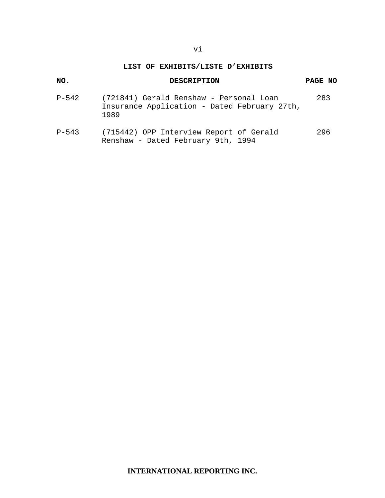#### **LIST OF EXHIBITS/LISTE D'EXHIBITS**

#### **NO. DESCRIPTION PAGE NO**

- P-542 (721841) Gerald Renshaw Personal Loan 283 Insurance Application - Dated February 27th, 1989
- P-543 (715442) OPP Interview Report of Gerald 296 Renshaw - Dated February 9th, 1994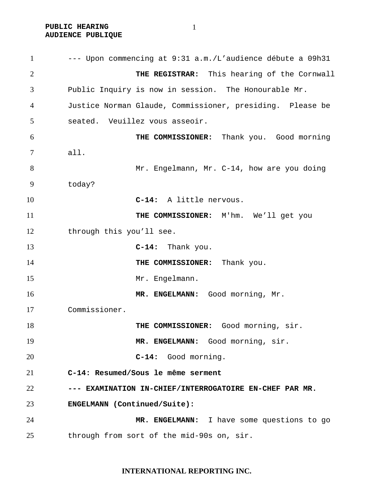**PUBLIC HEARING AUDIENCE PUBLIQUE** 

--- Upon commencing at 9:31 a.m./L'audience débute a 09h31 **THE REGISTRAR:** This hearing of the Cornwall Public Inquiry is now in session. The Honourable Mr. Justice Norman Glaude, Commissioner, presiding. Please be seated. Veuillez vous asseoir. **THE COMMISSIONER:** Thank you. Good morning all. 8 Mr. Engelmann, Mr. C-14, how are you doing today? **C-14:** A little nervous. **THE COMMISSIONER:** M'hm. We'll get you 12 through this you'll see. **C-14:** Thank you. **THE COMMISSIONER:** Thank you. 15 Mr. Engelmann. **MR. ENGELMANN:** Good morning, Mr. Commissioner. **THE COMMISSIONER:** Good morning, sir. 19 MR. ENGELMANN: Good morning, sir. **C-14:** Good morning. **C-14: Resumed/Sous le même serment --- EXAMINATION IN-CHIEF/INTERROGATOIRE EN-CHEF PAR MR. ENGELMANN (Continued/Suite): MR. ENGELMANN:** I have some questions to go through from sort of the mid-90s on, sir.

#### **INTERNATIONAL REPORTING INC.**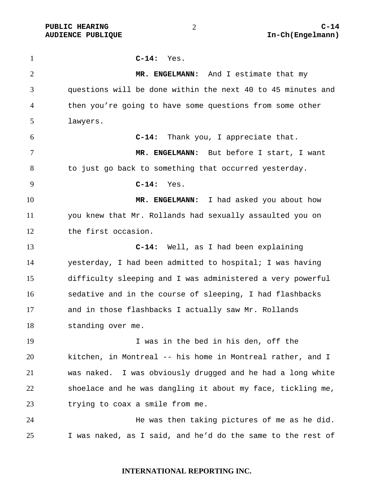**C-14:** Yes. **MR. ENGELMANN:** And I estimate that my questions will be done within the next 40 to 45 minutes and then you're going to have some questions from some other lawyers. **C-14:** Thank you, I appreciate that. **MR. ENGELMANN:** But before I start, I want to just go back to something that occurred yesterday. **C-14:** Yes. **MR. ENGELMANN:** I had asked you about how you knew that Mr. Rollands had sexually assaulted you on the first occasion. **C-14:** Well, as I had been explaining yesterday, I had been admitted to hospital; I was having difficulty sleeping and I was administered a very powerful sedative and in the course of sleeping, I had flashbacks and in those flashbacks I actually saw Mr. Rollands standing over me. I was in the bed in his den, off the kitchen, in Montreal -- his home in Montreal rather, and I was naked. I was obviously drugged and he had a long white shoelace and he was dangling it about my face, tickling me, trying to coax a smile from me. He was then taking pictures of me as he did. I was naked, as I said, and he'd do the same to the rest of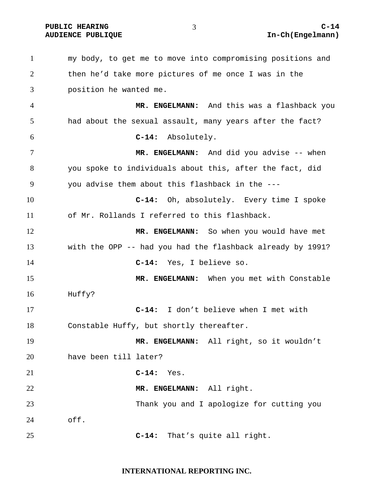my body, to get me to move into compromising positions and then he'd take more pictures of me once I was in the position he wanted me. **MR. ENGELMANN:** And this was a flashback you had about the sexual assault, many years after the fact? **C-14:** Absolutely. 7 MR. ENGELMANN: And did you advise -- when you spoke to individuals about this, after the fact, did you advise them about this flashback in the --- **C-14:** Oh, absolutely. Every time I spoke of Mr. Rollands I referred to this flashback. **MR. ENGELMANN:** So when you would have met with the OPP -- had you had the flashback already by 1991? **C-14:** Yes, I believe so. **MR. ENGELMANN:** When you met with Constable Huffy? **C-14:** I don't believe when I met with Constable Huffy, but shortly thereafter. **MR. ENGELMANN:** All right, so it wouldn't have been till later? **C-14:** Yes. **MR. ENGELMANN:** All right. Thank you and I apologize for cutting you off. **C-14:** That's quite all right.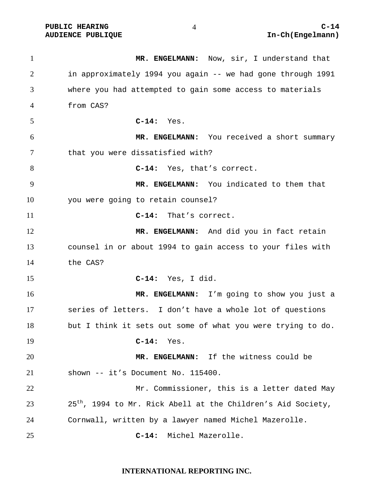**MR. ENGELMANN:** Now, sir, I understand that in approximately 1994 you again -- we had gone through 1991 where you had attempted to gain some access to materials from CAS? **C-14:** Yes. **MR. ENGELMANN:** You received a short summary that you were dissatisfied with? **C-14:** Yes, that's correct. **MR. ENGELMANN:** You indicated to them that you were going to retain counsel? **C-14:** That's correct. **MR. ENGELMANN:** And did you in fact retain counsel in or about 1994 to gain access to your files with the CAS? **C-14:** Yes, I did. **MR. ENGELMANN:** I'm going to show you just a series of letters. I don't have a whole lot of questions but I think it sets out some of what you were trying to do. **C-14:** Yes. **MR. ENGELMANN:** If the witness could be shown -- it's Document No. 115400. Mr. Commissioner, this is a letter dated May  $25<sup>th</sup>$ , 1994 to Mr. Rick Abell at the Children's Aid Society, Cornwall, written by a lawyer named Michel Mazerolle. **C-14:** Michel Mazerolle.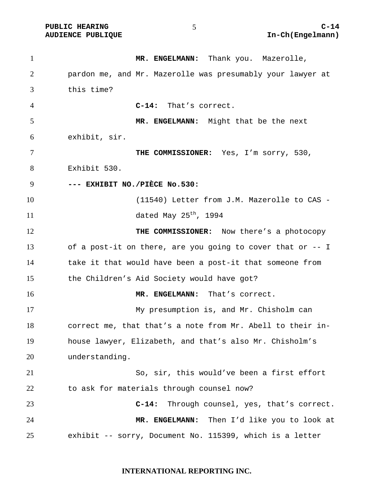1 MR. ENGELMANN: Thank you. Mazerolle, pardon me, and Mr. Mazerolle was presumably your lawyer at this time? **C-14:** That's correct. **MR. ENGELMANN:** Might that be the next exhibit, sir. **THE COMMISSIONER:** Yes, I'm sorry, 530, Exhibit 530. **--- EXHIBIT NO./PIÈCE No.530:**  (11540) Letter from J.M. Mazerolle to CAS -  $\frac{11}{10}$  dated May  $25^{th}$ , 1994 **THE COMMISSIONER:** Now there's a photocopy of a post-it on there, are you going to cover that or -- I take it that would have been a post-it that someone from the Children's Aid Society would have got? **MR. ENGELMANN:** That's correct. My presumption is, and Mr. Chisholm can correct me, that that's a note from Mr. Abell to their in-house lawyer, Elizabeth, and that's also Mr. Chisholm's understanding. So, sir, this would've been a first effort to ask for materials through counsel now? **C-14:** Through counsel, yes, that's correct. **MR. ENGELMANN:** Then I'd like you to look at exhibit -- sorry, Document No. 115399, which is a letter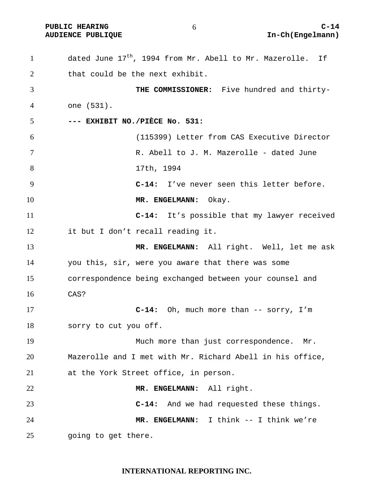**PUBLIC HEARING C-14** 

dated June  $17<sup>th</sup>$ , 1994 from Mr. Abell to Mr. Mazerolle. If that could be the next exhibit. **THE COMMISSIONER:** Five hundred and thirty-one (531). **--- EXHIBIT NO./PIÈCE No. 531:**  (115399) Letter from CAS Executive Director R. Abell to J. M. Mazerolle - dated June 17th, 1994 **C-14:** I've never seen this letter before. **MR. ENGELMANN:** Okay. **C-14:** It's possible that my lawyer received it but I don't recall reading it. **MR. ENGELMANN:** All right. Well, let me ask you this, sir, were you aware that there was some correspondence being exchanged between your counsel and CAS? **C-14:** Oh, much more than -- sorry, I'm sorry to cut you off. Much more than just correspondence. Mr. Mazerolle and I met with Mr. Richard Abell in his office, at the York Street office, in person. **MR. ENGELMANN:** All right. **C-14:** And we had requested these things. **MR. ENGELMANN:** I think -- I think we're going to get there.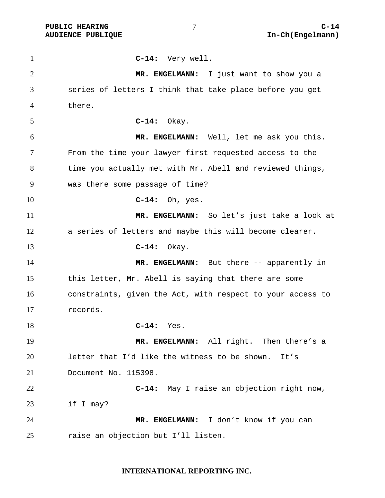**C-14:** Very well. **MR. ENGELMANN:** I just want to show you a series of letters I think that take place before you get there. **C-14:** Okay. **MR. ENGELMANN:** Well, let me ask you this. From the time your lawyer first requested access to the time you actually met with Mr. Abell and reviewed things, was there some passage of time? **C-14:** Oh, yes. **MR. ENGELMANN:** So let's just take a look at a series of letters and maybe this will become clearer. **C-14:** Okay. **MR. ENGELMANN:** But there -- apparently in this letter, Mr. Abell is saying that there are some constraints, given the Act, with respect to your access to records. **C-14:** Yes. **MR. ENGELMANN:** All right. Then there's a letter that I'd like the witness to be shown. It's Document No. 115398. **C-14:** May I raise an objection right now, if I may? **MR. ENGELMANN:** I don't know if you can raise an objection but I'll listen.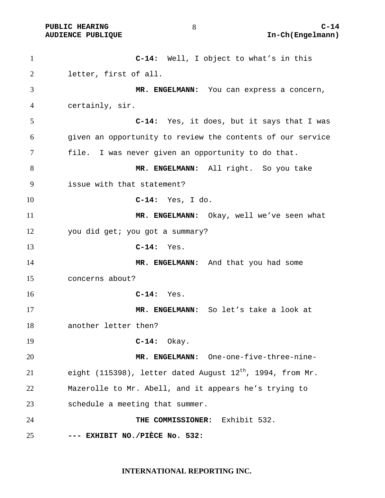**C-14:** Well, I object to what's in this letter, first of all. **MR. ENGELMANN:** You can express a concern, certainly, sir. **C-14:** Yes, it does, but it says that I was given an opportunity to review the contents of our service file. I was never given an opportunity to do that. **MR. ENGELMANN:** All right. So you take issue with that statement? **C-14:** Yes, I do. **MR. ENGELMANN:** Okay, well we've seen what you did get; you got a summary? **C-14:** Yes. 14 MR. ENGELMANN: And that you had some concerns about? **C-14:** Yes. **MR. ENGELMANN:** So let's take a look at another letter then? **C-14:** Okay. **MR. ENGELMANN:** One-one-five-three-nine-21 eight (115398), letter dated August  $12<sup>th</sup>$ , 1994, from Mr. Mazerolle to Mr. Abell, and it appears he's trying to schedule a meeting that summer. **THE COMMISSIONER:** Exhibit 532. **--- EXHIBIT NO./PIÈCE No. 532:**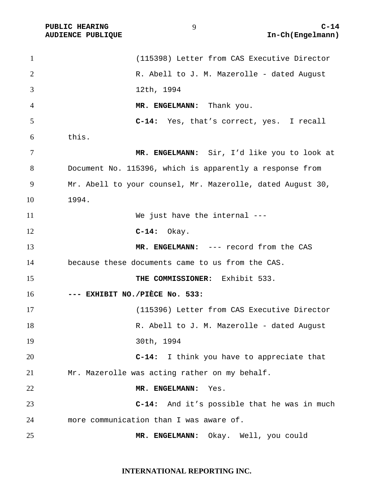**AUDIENCE PUBLIQUE** 

| $\mathbf{1}$   | (115398) Letter from CAS Executive Director                |
|----------------|------------------------------------------------------------|
| $\overline{2}$ | R. Abell to J. M. Mazerolle - dated August                 |
| 3              | 12th, 1994                                                 |
| 4              | MR. ENGELMANN: Thank you.                                  |
| 5              | C-14: Yes, that's correct, yes. I recall                   |
| 6              | this.                                                      |
| $\tau$         | MR. ENGELMANN: Sir, I'd like you to look at                |
| 8              | Document No. 115396, which is apparently a response from   |
| 9              | Mr. Abell to your counsel, Mr. Mazerolle, dated August 30, |
| 10             | 1994.                                                      |
| 11             | We just have the internal ---                              |
| 12             | $C-14:$ Okay.                                              |
| 13             | MR. ENGELMANN: --- record from the CAS                     |
| 14             | because these documents came to us from the CAS.           |
| 15             | THE COMMISSIONER: Exhibit 533.                             |
| 16             | --- EXHIBIT NO./PIÈCE No. 533:                             |
| 17             | (115396) Letter from CAS Executive Director                |
| 18             | R. Abell to J. M. Mazerolle - dated August                 |
| 19             | 30th, 1994                                                 |
| 20             | C-14: I think you have to appreciate that                  |
| 21             | Mr. Mazerolle was acting rather on my behalf.              |
| 22             | MR. ENGELMANN:<br>Yes.                                     |
| 23             | $C-14:$<br>And it's possible that he was in much           |
| 24             | more communication than I was aware of.                    |
| 25             | MR. ENGELMANN: Okay. Well, you could                       |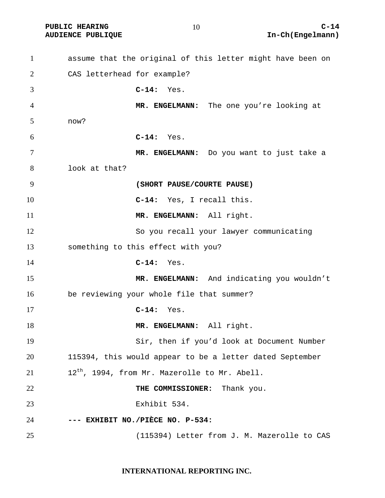**AUDIENCE PUBLIQUE** 

| $\mathbf{1}$ | assume that the original of this letter might have been on |
|--------------|------------------------------------------------------------|
| 2            | CAS letterhead for example?                                |
| 3            | $C-14:$<br>Yes.                                            |
| 4            | MR. ENGELMANN: The one you're looking at                   |
| 5            | now?                                                       |
| 6            | $C-14:$ Yes.                                               |
| 7            | MR. ENGELMANN: Do you want to just take a                  |
| 8            | look at that?                                              |
| 9            | (SHORT PAUSE/COURTE PAUSE)                                 |
| 10           | C-14: Yes, I recall this.                                  |
| 11           | MR. ENGELMANN: All right.                                  |
| 12           | So you recall your lawyer communicating                    |
| 13           | something to this effect with you?                         |
| 14           | $C-14:$ Yes.                                               |
| 15           | MR. ENGELMANN: And indicating you wouldn't                 |
| 16           | be reviewing your whole file that summer?                  |
| 17           | $C-14:$<br>Yes.                                            |
| 18           | MR. ENGELMANN: All right.                                  |
| 19           | Sir, then if you'd look at Document Number                 |
| 20           | 115394, this would appear to be a letter dated September   |
| 21           | 12 <sup>th</sup> , 1994, from Mr. Mazerolle to Mr. Abell.  |
| 22           | THE COMMISSIONER: Thank you.                               |
| 23           | Exhibit 534.                                               |
| 24           | --- EXHIBIT NO./PIÈCE NO. P-534:                           |
| 25           | (115394) Letter from J. M. Mazerolle to CAS                |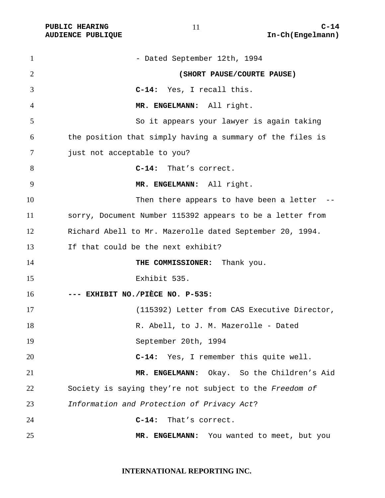| $\mathbf{1}$ | - Dated September 12th, 1994                              |
|--------------|-----------------------------------------------------------|
| 2            | (SHORT PAUSE/COURTE PAUSE)                                |
| 3            | C-14: Yes, I recall this.                                 |
| 4            | MR. ENGELMANN: All right.                                 |
| 5            | So it appears your lawyer is again taking                 |
| 6            | the position that simply having a summary of the files is |
| 7            | just not acceptable to you?                               |
| 8            | C-14: That's correct.                                     |
| 9            | MR. ENGELMANN: All right.                                 |
| 10           | Then there appears to have been a letter --               |
| 11           | sorry, Document Number 115392 appears to be a letter from |
| 12           | Richard Abell to Mr. Mazerolle dated September 20, 1994.  |
| 13           | If that could be the next exhibit?                        |
| 14           | THE COMMISSIONER: Thank you.                              |
| 15           | Exhibit 535.                                              |
| 16           | --- EXHIBIT NO./PIÈCE NO. P-535:                          |
| 17           | (115392) Letter from CAS Executive Director,              |
| 18           | R. Abell, to J. M. Mazerolle - Dated                      |
| 19           | September 20th, 1994                                      |
| 20           | C-14: Yes, I remember this quite well.                    |
| 21           | Okay. So the Children's Aid<br>MR. ENGELMANN:             |
| 22           | Society is saying they're not subject to the Freedom of   |
| 23           | Information and Protection of Privacy Act?                |
| 24           | $C-14:$<br>That's correct.                                |
| 25           | MR. ENGELMANN: You wanted to meet, but you                |

#### **INTERNATIONAL REPORTING INC.**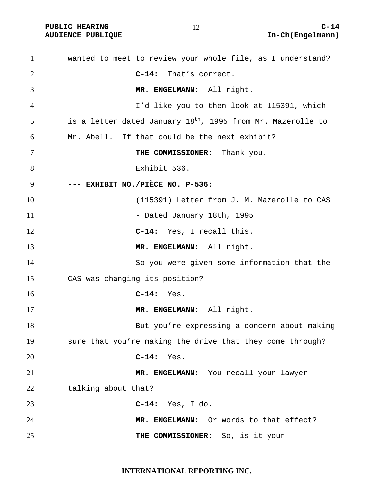**AUDIENCE PUBLIQUE** 

| $\mathbf{1}$ | wanted to meet to review your whole file, as I understand?              |
|--------------|-------------------------------------------------------------------------|
| 2            | C-14: That's correct.                                                   |
| 3            | MR. ENGELMANN: All right.                                               |
| 4            | I'd like you to then look at 115391, which                              |
| 5            | is a letter dated January 18 <sup>th</sup> , 1995 from Mr. Mazerolle to |
| 6            | Mr. Abell. If that could be the next exhibit?                           |
| 7            | THE COMMISSIONER: Thank you.                                            |
| 8            | Exhibit 536.                                                            |
| 9            | --- EXHIBIT NO./PIÈCE NO. P-536:                                        |
| 10           | (115391) Letter from J. M. Mazerolle to CAS                             |
| 11           | - Dated January 18th, 1995                                              |
| 12           | C-14: Yes, I recall this.                                               |
| 13           | MR. ENGELMANN: All right.                                               |
| 14           | So you were given some information that the                             |
| 15           | CAS was changing its position?                                          |
| 16           | $C-14:$ Yes.                                                            |
| 17           | MR. ENGELMANN: All right.                                               |
| 18           | But you're expressing a concern about making                            |
| 19           | sure that you're making the drive that they come through?               |
| 20           | $C-14:$<br>Yes.                                                         |
| 21           | MR. ENGELMANN: You recall your lawyer                                   |
| 22           | talking about that?                                                     |
| 23           | $C-14:$ Yes, I do.                                                      |
| 24           | MR. ENGELMANN: Or words to that effect?                                 |
| 25           | THE COMMISSIONER: So, is it your                                        |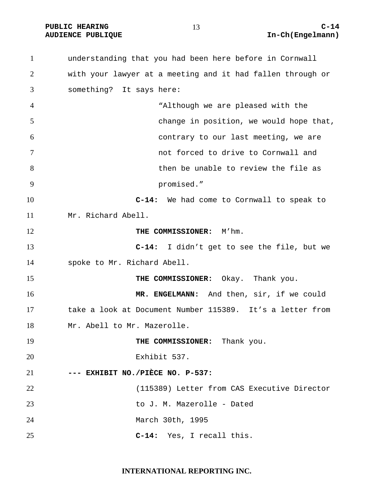**PUBLIC HEARING C-14** 

understanding that you had been here before in Cornwall with your lawyer at a meeting and it had fallen through or something? It says here: "Although we are pleased with the change in position, we would hope that, contrary to our last meeting, we are not forced to drive to Cornwall and then be unable to review the file as promised." **C-14:** We had come to Cornwall to speak to Mr. Richard Abell. **THE COMMISSIONER:** M'hm. **C-14:** I didn't get to see the file, but we spoke to Mr. Richard Abell. **THE COMMISSIONER:** Okay. Thank you. **MR. ENGELMANN:** And then, sir, if we could take a look at Document Number 115389. It's a letter from Mr. Abell to Mr. Mazerolle. **THE COMMISSIONER:** Thank you. Exhibit 537. **--- EXHIBIT NO./PIÈCE NO. P-537:** (115389) Letter from CAS Executive Director to J. M. Mazerolle - Dated March 30th, 1995 **C-14:** Yes, I recall this.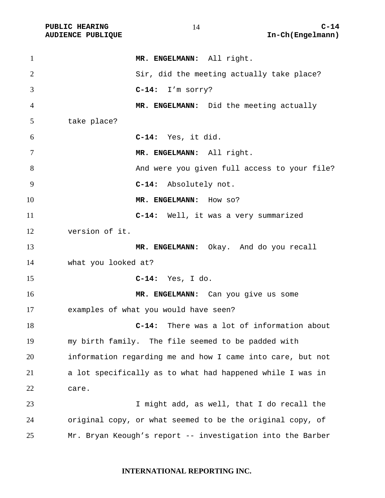**AUDIENCE PUBLIQUE** 

| $\mathbf{1}$   | MR. ENGELMANN: All right.                                  |
|----------------|------------------------------------------------------------|
| $\overline{2}$ | Sir, did the meeting actually take place?                  |
| 3              | C-14: I'm sorry?                                           |
| 4              | MR. ENGELMANN: Did the meeting actually                    |
| 5              | take place?                                                |
| 6              | C-14: Yes, it did.                                         |
| 7              | MR. ENGELMANN: All right.                                  |
| 8              | And were you given full access to your file?               |
| 9              | C-14: Absolutely not.                                      |
| 10             | MR. ENGELMANN: How so?                                     |
| 11             | C-14: Well, it was a very summarized                       |
| 12             | version of it.                                             |
| 13             | MR. ENGELMANN: Okay. And do you recall                     |
| 14             | what you looked at?                                        |
| 15             | $C-14:$ Yes, I do.                                         |
| 16             | MR. ENGELMANN: Can you give us some                        |
| 17             | examples of what you would have seen?                      |
| 18             | C-14: There was a lot of information about                 |
| 19             | my birth family. The file seemed to be padded with         |
| 20             | information regarding me and how I came into care, but not |
| 21             | a lot specifically as to what had happened while I was in  |
| 22             | care.                                                      |
| 23             | I might add, as well, that I do recall the                 |
| 24             | original copy, or what seemed to be the original copy, of  |
| 25             | Mr. Bryan Keough's report -- investigation into the Barber |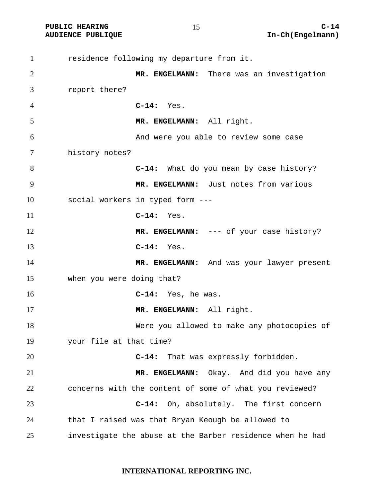residence following my departure from it. **MR. ENGELMANN:** There was an investigation report there? **C-14:** Yes. **MR. ENGELMANN:** All right. And were you able to review some case history notes? **C-14:** What do you mean by case history? **MR. ENGELMANN:** Just notes from various social workers in typed form --- **C-14:** Yes. 12 MR. ENGELMANN: --- of your case history? **C-14:** Yes. 14 MR. ENGELMANN: And was your lawyer present when you were doing that? **C-14:** Yes, he was. **MR. ENGELMANN:** All right. Were you allowed to make any photocopies of your file at that time? **C-14:** That was expressly forbidden. **MR. ENGELMANN:** Okay. And did you have any concerns with the content of some of what you reviewed? **C-14:** Oh, absolutely. The first concern that I raised was that Bryan Keough be allowed to investigate the abuse at the Barber residence when he had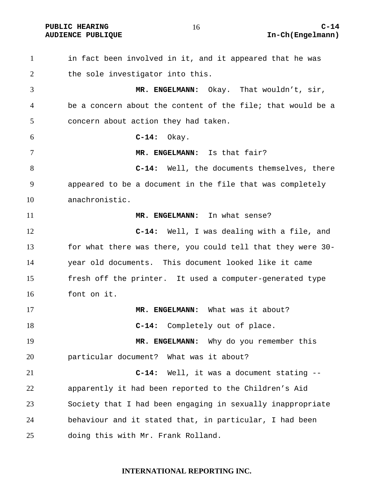**PUBLIC HEARING C-14** 

in fact been involved in it, and it appeared that he was 2 the sole investigator into this. **MR. ENGELMANN:** Okay. That wouldn't, sir, be a concern about the content of the file; that would be a concern about action they had taken. **C-14:** Okay. **MR. ENGELMANN:** Is that fair? **C-14:** Well, the documents themselves, there appeared to be a document in the file that was completely anachronistic. **MR. ENGELMANN:** In what sense? **C-14:** Well, I was dealing with a file, and for what there was there, you could tell that they were 30- year old documents. This document looked like it came fresh off the printer. It used a computer-generated type font on it. **MR. ENGELMANN:** What was it about? **C-14:** Completely out of place. **MR. ENGELMANN:** Why do you remember this particular document? What was it about? **C-14:** Well, it was a document stating -- apparently it had been reported to the Children's Aid Society that I had been engaging in sexually inappropriate behaviour and it stated that, in particular, I had been doing this with Mr. Frank Rolland.

#### **INTERNATIONAL REPORTING INC.**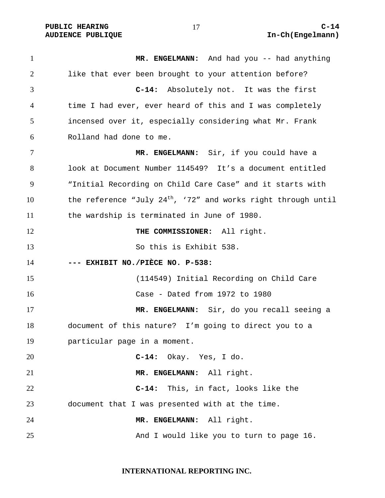1 MR. ENGELMANN: And had you -- had anything like that ever been brought to your attention before? **C-14:** Absolutely not. It was the first time I had ever, ever heard of this and I was completely incensed over it, especially considering what Mr. Frank Rolland had done to me. **MR. ENGELMANN:** Sir, if you could have a look at Document Number 114549? It's a document entitled "Initial Recording on Child Care Case" and it starts with 10 the reference "July  $24<sup>th</sup>$ , '72" and works right through until the wardship is terminated in June of 1980. **THE COMMISSIONER:** All right. So this is Exhibit 538. **--- EXHIBIT NO./PIÈCE NO. P-538:** (114549) Initial Recording on Child Care Case - Dated from 1972 to 1980 **MR. ENGELMANN:** Sir, do you recall seeing a document of this nature? I'm going to direct you to a particular page in a moment. **C-14:** Okay. Yes, I do. **MR. ENGELMANN:** All right. **C-14:** This, in fact, looks like the document that I was presented with at the time. **MR. ENGELMANN:** All right. And I would like you to turn to page 16.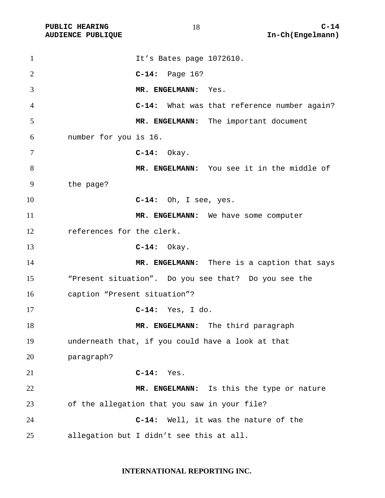**AUDIENCE PUBLIQUE** 

| $\mathbf{1}$   |                              | It's Bates page 1072610.                             |
|----------------|------------------------------|------------------------------------------------------|
| 2              |                              | $C-14:$ Page 16?                                     |
| 3              |                              | MR. ENGELMANN: Yes.                                  |
| $\overline{4}$ |                              | C-14: What was that reference number again?          |
| 5              |                              | MR. ENGELMANN: The important document                |
| 6              | number for you is 16.        |                                                      |
| 7              |                              | $C-14:$ Okay.                                        |
| 8              |                              | MR. ENGELMANN: You see it in the middle of           |
| 9              | the page?                    |                                                      |
| 10             |                              | $C-14:$ Oh, I see, yes.                              |
| 11             |                              | MR. ENGELMANN: We have some computer                 |
| 12             | references for the clerk.    |                                                      |
| 13             |                              | $C-14:$ Okay.                                        |
| 14             |                              | MR. ENGELMANN: There is a caption that says          |
| 15             |                              | "Present situation". Do you see that? Do you see the |
| 16             | caption "Present situation"? |                                                      |
| 17             |                              | $C-14:$ Yes, I do.                                   |
| 18             |                              | MR. ENGELMANN: The third paragraph                   |
| 19             |                              | underneath that, if you could have a look at that    |
| 20             | paragraph?                   |                                                      |
| 21             |                              | $C-14:$<br>Yes.                                      |
| 22             |                              | MR. ENGELMANN: Is this the type or nature            |
| 23             |                              | of the allegation that you saw in your file?         |
| 24             |                              | $C-14:$<br>Well, it was the nature of the            |
| 25             |                              | allegation but I didn't see this at all.             |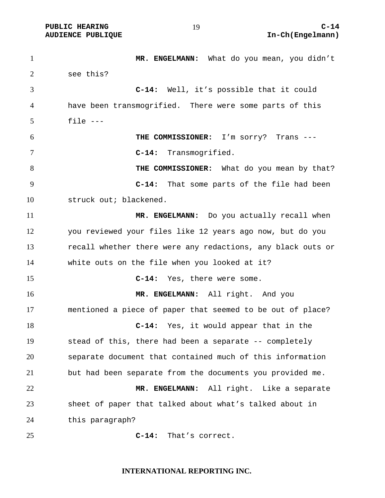1 MR. ENGELMANN: What do you mean, you didn't see this? **C-14:** Well, it's possible that it could have been transmogrified. There were some parts of this file --- **THE COMMISSIONER:** I'm sorry? Trans --- **C-14:** Transmogrified. **THE COMMISSIONER:** What do you mean by that? **C-14:** That some parts of the file had been struck out; blackened. **MR. ENGELMANN:** Do you actually recall when you reviewed your files like 12 years ago now, but do you recall whether there were any redactions, any black outs or white outs on the file when you looked at it? **C-14:** Yes, there were some. **MR. ENGELMANN:** All right. And you mentioned a piece of paper that seemed to be out of place? **C-14:** Yes, it would appear that in the stead of this, there had been a separate -- completely separate document that contained much of this information but had been separate from the documents you provided me. **MR. ENGELMANN:** All right. Like a separate sheet of paper that talked about what's talked about in this paragraph? **C-14:** That's correct.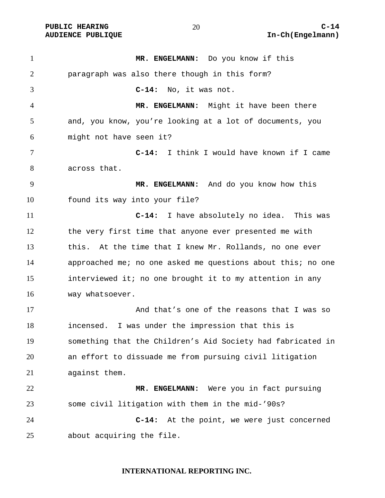**MR. ENGELMANN:** Do you know if this paragraph was also there though in this form? **C-14:** No, it was not. **MR. ENGELMANN:** Might it have been there and, you know, you're looking at a lot of documents, you might not have seen it? **C-14:** I think I would have known if I came across that. **MR. ENGELMANN:** And do you know how this found its way into your file? **C-14:** I have absolutely no idea. This was the very first time that anyone ever presented me with this. At the time that I knew Mr. Rollands, no one ever approached me; no one asked me questions about this; no one interviewed it; no one brought it to my attention in any way whatsoever. And that's one of the reasons that I was so incensed. I was under the impression that this is something that the Children's Aid Society had fabricated in an effort to dissuade me from pursuing civil litigation against them. **MR. ENGELMANN:** Were you in fact pursuing some civil litigation with them in the mid-'90s? **C-14:** At the point, we were just concerned about acquiring the file.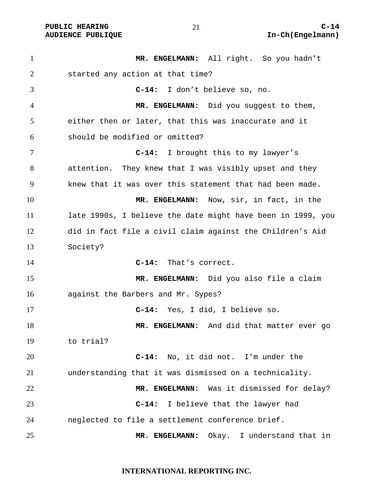**MR. ENGELMANN:** All right. So you hadn't started any action at that time? **C-14:** I don't believe so, no. **MR. ENGELMANN:** Did you suggest to them, either then or later, that this was inaccurate and it should be modified or omitted? **C-14:** I brought this to my lawyer's attention. They knew that I was visibly upset and they knew that it was over this statement that had been made. **MR. ENGELMANN:** Now, sir, in fact, in the late 1990s, I believe the date might have been in 1999, you did in fact file a civil claim against the Children's Aid Society? **C-14:** That's correct. **MR. ENGELMANN:** Did you also file a claim against the Barbers and Mr. Sypes? **C-14:** Yes, I did, I believe so. **MR. ENGELMANN:** And did that matter ever go to trial? **C-14:** No, it did not. I'm under the understanding that it was dismissed on a technicality. **MR. ENGELMANN:** Was it dismissed for delay? **C-14:** I believe that the lawyer had neglected to file a settlement conference brief. **MR. ENGELMANN:** Okay. I understand that in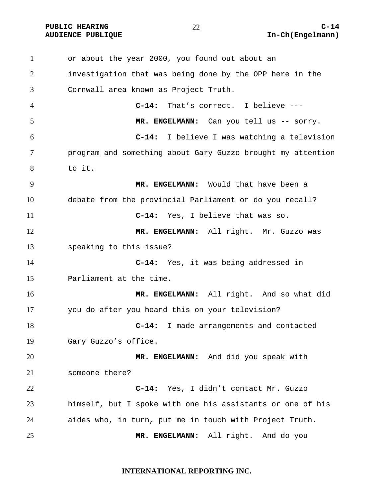or about the year 2000, you found out about an investigation that was being done by the OPP here in the Cornwall area known as Project Truth. **C-14:** That's correct. I believe --- 5 MR. ENGELMANN: Can you tell us -- sorry. **C-14:** I believe I was watching a television program and something about Gary Guzzo brought my attention to it. **MR. ENGELMANN:** Would that have been a debate from the provincial Parliament or do you recall? **C-14:** Yes, I believe that was so. **MR. ENGELMANN:** All right. Mr. Guzzo was speaking to this issue? **C-14:** Yes, it was being addressed in Parliament at the time. **MR. ENGELMANN:** All right. And so what did you do after you heard this on your television? **C-14:** I made arrangements and contacted Gary Guzzo's office. **MR. ENGELMANN:** And did you speak with someone there? **C-14:** Yes, I didn't contact Mr. Guzzo himself, but I spoke with one his assistants or one of his aides who, in turn, put me in touch with Project Truth. **MR. ENGELMANN:** All right. And do you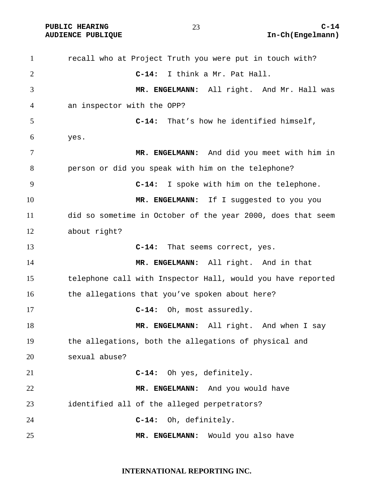1 recall who at Project Truth you were put in touch with? **C-14:** I think a Mr. Pat Hall. **MR. ENGELMANN:** All right. And Mr. Hall was an inspector with the OPP? **C-14:** That's how he identified himself, yes. **MR. ENGELMANN:** And did you meet with him in person or did you speak with him on the telephone? **C-14:** I spoke with him on the telephone. **MR. ENGELMANN:** If I suggested to you you did so sometime in October of the year 2000, does that seem about right? **C-14:** That seems correct, yes. **MR. ENGELMANN:** All right. And in that telephone call with Inspector Hall, would you have reported 16 the allegations that you've spoken about here? **C-14:** Oh, most assuredly. **MR. ENGELMANN:** All right. And when I say the allegations, both the allegations of physical and sexual abuse? **C-14:** Oh yes, definitely. **MR. ENGELMANN:** And you would have identified all of the alleged perpetrators? **C-14:** Oh, definitely. **MR. ENGELMANN:** Would you also have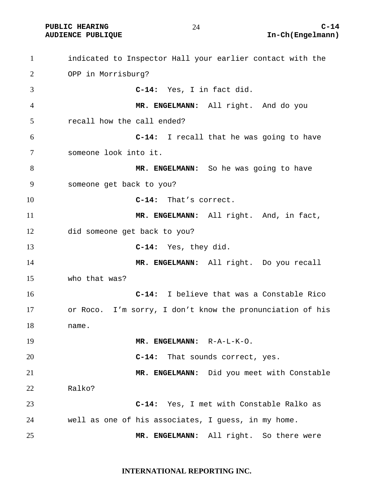indicated to Inspector Hall your earlier contact with the OPP in Morrisburg? **C-14:** Yes, I in fact did. **MR. ENGELMANN:** All right. And do you recall how the call ended? **C-14:** I recall that he was going to have someone look into it. **MR. ENGELMANN:** So he was going to have someone get back to you? **C-14:** That's correct. **MR. ENGELMANN:** All right. And, in fact, did someone get back to you? **C-14:** Yes, they did. **MR. ENGELMANN:** All right. Do you recall who that was? **C-14:** I believe that was a Constable Rico or Roco. I'm sorry, I don't know the pronunciation of his name. **MR. ENGELMANN:** R-A-L-K-O. **C-14:** That sounds correct, yes. **MR. ENGELMANN:** Did you meet with Constable Ralko? **C-14:** Yes, I met with Constable Ralko as well as one of his associates, I guess, in my home. **MR. ENGELMANN:** All right. So there were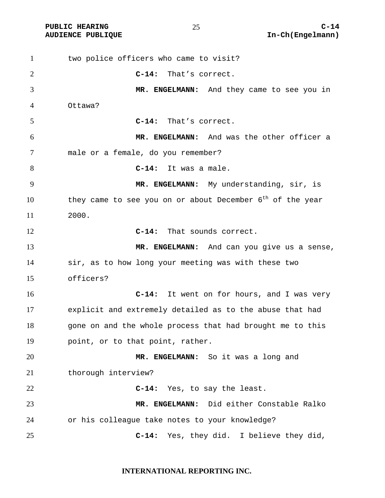two police officers who came to visit? **C-14:** That's correct. **MR. ENGELMANN:** And they came to see you in Ottawa? **C-14:** That's correct. **MR. ENGELMANN:** And was the other officer a male or a female, do you remember? **C-14:** It was a male. **MR. ENGELMANN:** My understanding, sir, is 10 they came to see you on or about December  $6<sup>th</sup>$  of the year 2000. **C-14:** That sounds correct. **MR. ENGELMANN:** And can you give us a sense, sir, as to how long your meeting was with these two officers? **C-14:** It went on for hours, and I was very explicit and extremely detailed as to the abuse that had 18 gone on and the whole process that had brought me to this point, or to that point, rather. **MR. ENGELMANN:** So it was a long and 21 thorough interview? **C-14:** Yes, to say the least. **MR. ENGELMANN:** Did either Constable Ralko or his colleague take notes to your knowledge? **C-14:** Yes, they did. I believe they did,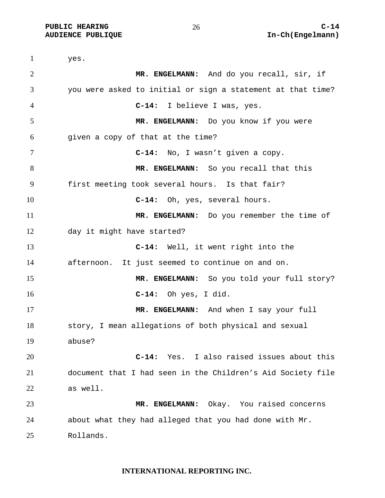PUBLIC HEARING  $\begin{array}{ccc} 26 & 26 \end{array}$  C-14

yes. **MR. ENGELMANN:** And do you recall, sir, if you were asked to initial or sign a statement at that time? **C-14:** I believe I was, yes. **MR. ENGELMANN:** Do you know if you were given a copy of that at the time? **C-14:** No, I wasn't given a copy. **MR. ENGELMANN:** So you recall that this first meeting took several hours. Is that fair? **C-14:** Oh, yes, several hours. **MR. ENGELMANN:** Do you remember the time of day it might have started? **C-14:** Well, it went right into the afternoon. It just seemed to continue on and on. **MR. ENGELMANN:** So you told your full story? **C-14:** Oh yes, I did. 17 MR. ENGELMANN: And when I say your full story, I mean allegations of both physical and sexual abuse? **C-14:** Yes. I also raised issues about this document that I had seen in the Children's Aid Society file as well. **MR. ENGELMANN:** Okay. You raised concerns about what they had alleged that you had done with Mr. Rollands.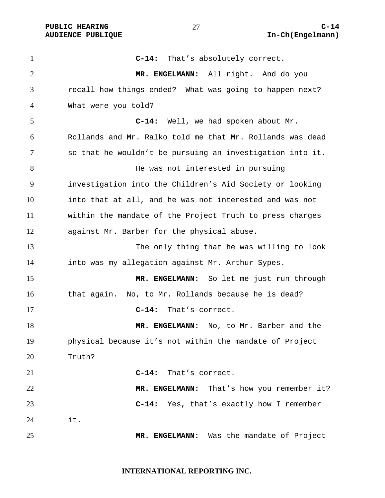**C-14:** That's absolutely correct. **MR. ENGELMANN:** All right. And do you recall how things ended? What was going to happen next? What were you told? **C-14:** Well, we had spoken about Mr. Rollands and Mr. Ralko told me that Mr. Rollands was dead so that he wouldn't be pursuing an investigation into it. 8 Be was not interested in pursuing investigation into the Children's Aid Society or looking into that at all, and he was not interested and was not within the mandate of the Project Truth to press charges against Mr. Barber for the physical abuse. The only thing that he was willing to look into was my allegation against Mr. Arthur Sypes. **MR. ENGELMANN:** So let me just run through 16 that again. No, to Mr. Rollands because he is dead? **C-14:** That's correct. **MR. ENGELMANN:** No, to Mr. Barber and the physical because it's not within the mandate of Project Truth? **C-14:** That's correct. 22 MR. ENGELMANN: That's how you remember it? **C-14:** Yes, that's exactly how I remember it. **MR. ENGELMANN:** Was the mandate of Project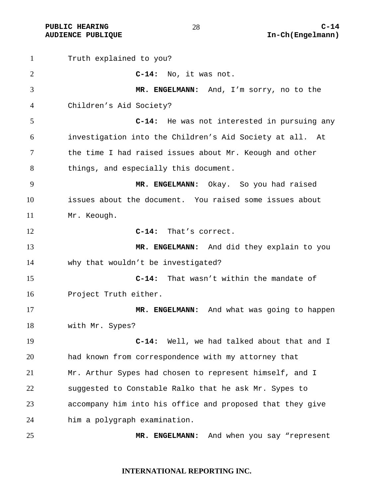**PUBLIC HEARING C-14** 

Truth explained to you? **C-14:** No, it was not. **MR. ENGELMANN:** And, I'm sorry, no to the Children's Aid Society? **C-14:** He was not interested in pursuing any investigation into the Children's Aid Society at all. At the time I had raised issues about Mr. Keough and other things, and especially this document. **MR. ENGELMANN:** Okay. So you had raised issues about the document. You raised some issues about Mr. Keough. **C-14:** That's correct. **MR. ENGELMANN:** And did they explain to you why that wouldn't be investigated? **C-14:** That wasn't within the mandate of Project Truth either. **MR. ENGELMANN:** And what was going to happen with Mr. Sypes? **C-14:** Well, we had talked about that and I had known from correspondence with my attorney that Mr. Arthur Sypes had chosen to represent himself, and I suggested to Constable Ralko that he ask Mr. Sypes to accompany him into his office and proposed that they give him a polygraph examination. **MR. ENGELMANN:** And when you say "represent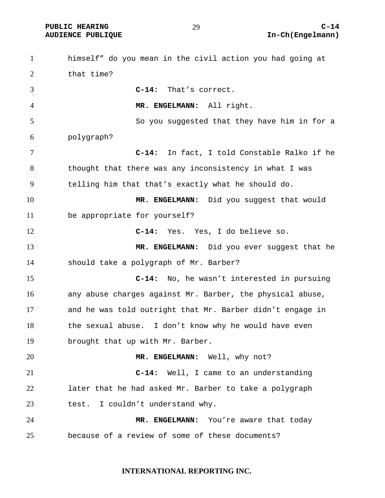himself" do you mean in the civil action you had going at that time? **C-14:** That's correct. **MR. ENGELMANN:** All right. So you suggested that they have him in for a polygraph? **C-14:** In fact, I told Constable Ralko if he thought that there was any inconsistency in what I was telling him that that's exactly what he should do. **MR. ENGELMANN:** Did you suggest that would be appropriate for yourself? **C-14:** Yes. Yes, I do believe so. **MR. ENGELMANN:** Did you ever suggest that he should take a polygraph of Mr. Barber? **C-14:** No, he wasn't interested in pursuing any abuse charges against Mr. Barber, the physical abuse, and he was told outright that Mr. Barber didn't engage in the sexual abuse. I don't know why he would have even brought that up with Mr. Barber. **MR. ENGELMANN:** Well, why not? **C-14:** Well, I came to an understanding later that he had asked Mr. Barber to take a polygraph test. I couldn't understand why. **MR. ENGELMANN:** You're aware that today because of a review of some of these documents?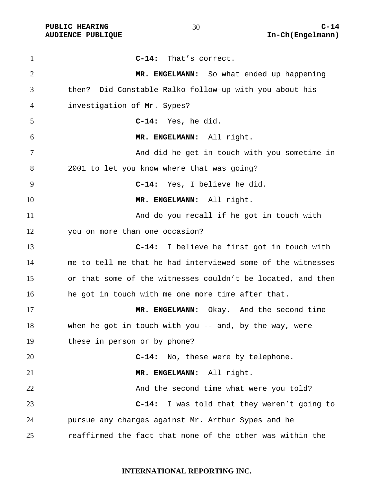**AUDIENCE PUBLIQUE** 

| $\mathbf{1}$   | $C-14:$<br>That's correct.                                  |
|----------------|-------------------------------------------------------------|
| $\overline{2}$ | MR. ENGELMANN: So what ended up happening                   |
| 3              | then? Did Constable Ralko follow-up with you about his      |
| 4              | investigation of Mr. Sypes?                                 |
| 5              | C-14: Yes, he did.                                          |
| 6              | MR. ENGELMANN: All right.                                   |
| 7              | And did he get in touch with you sometime in                |
| 8              | 2001 to let you know where that was going?                  |
| 9              | C-14: Yes, I believe he did.                                |
| 10             | MR. ENGELMANN: All right.                                   |
| 11             | And do you recall if he got in touch with                   |
| 12             | you on more than one occasion?                              |
| 13             | $C-14:$<br>I believe he first got in touch with             |
| 14             | me to tell me that he had interviewed some of the witnesses |
| 15             | or that some of the witnesses couldn't be located, and then |
| 16             | he got in touch with me one more time after that.           |
| 17             | MR. ENGELMANN: Okay. And the second time                    |
| 18             | when he got in touch with you $-$ and, by the way, were     |
| 19             | these in person or by phone?                                |
| 20             | C-14: No, these were by telephone.                          |
| 21             | MR. ENGELMANN: All right.                                   |
| 22             | And the second time what were you told?                     |
| 23             | I was told that they weren't going to<br>$C-14:$            |
| 24             | pursue any charges against Mr. Arthur Sypes and he          |
| 25             | reaffirmed the fact that none of the other was within the   |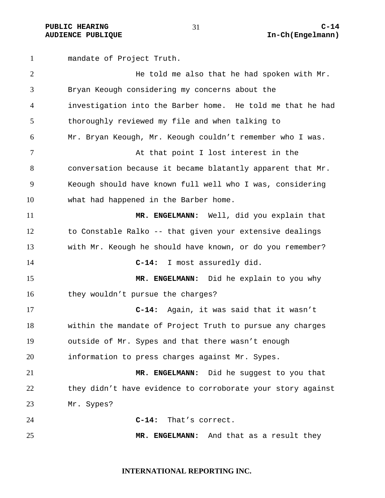mandate of Project Truth. He told me also that he had spoken with Mr. Bryan Keough considering my concerns about the investigation into the Barber home. He told me that he had thoroughly reviewed my file and when talking to Mr. Bryan Keough, Mr. Keough couldn't remember who I was. 7 At that point I lost interest in the conversation because it became blatantly apparent that Mr. Keough should have known full well who I was, considering what had happened in the Barber home. **MR. ENGELMANN:** Well, did you explain that to Constable Ralko -- that given your extensive dealings with Mr. Keough he should have known, or do you remember? **C-14:** I most assuredly did. **MR. ENGELMANN:** Did he explain to you why 16 they wouldn't pursue the charges? **C-14:** Again, it was said that it wasn't within the mandate of Project Truth to pursue any charges outside of Mr. Sypes and that there wasn't enough information to press charges against Mr. Sypes. **MR. ENGELMANN:** Did he suggest to you that 22 they didn't have evidence to corroborate your story against Mr. Sypes? **C-14:** That's correct. **MR. ENGELMANN:** And that as a result they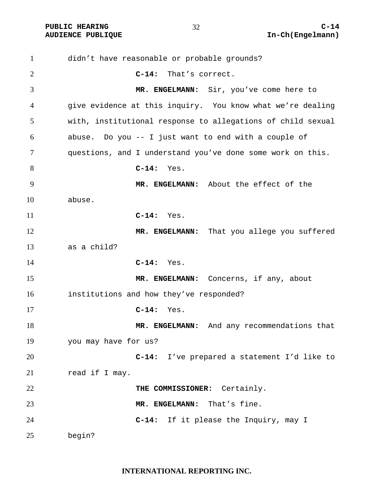**PUBLIC HEARING C-14** 32 C-14

didn't have reasonable or probable grounds? **C-14:** That's correct. **MR. ENGELMANN:** Sir, you've come here to give evidence at this inquiry. You know what we're dealing with, institutional response to allegations of child sexual abuse. Do you -- I just want to end with a couple of questions, and I understand you've done some work on this. **C-14:** Yes. **MR. ENGELMANN:** About the effect of the abuse. **C-14:** Yes. 12 MR. ENGELMANN: That you allege you suffered as a child? **C-14:** Yes. 15 MR. ENGELMANN: Concerns, if any, about institutions and how they've responded? **C-14:** Yes. 18 MR. ENGELMANN: And any recommendations that you may have for us? **C-14:** I've prepared a statement I'd like to 21 read if I may. **THE COMMISSIONER:** Certainly. **MR. ENGELMANN:** That's fine. **C-14:** If it please the Inquiry, may I begin?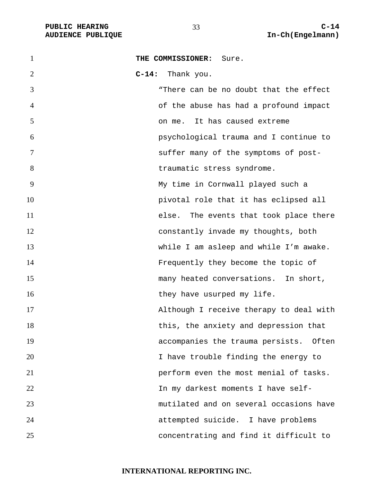| $\mathbf{1}$   | THE COMMISSIONER:<br>Sure.              |
|----------------|-----------------------------------------|
| $\overline{2}$ | C-14: Thank you.                        |
| 3              | "There can be no doubt that the effect  |
| $\overline{4}$ | of the abuse has had a profound impact  |
| 5              | on me. It has caused extreme            |
| 6              | psychological trauma and I continue to  |
| $\tau$         | suffer many of the symptoms of post-    |
| 8              | traumatic stress syndrome.              |
| 9              | My time in Cornwall played such a       |
| 10             | pivotal role that it has eclipsed all   |
| 11             | else. The events that took place there  |
| 12             | constantly invade my thoughts, both     |
| 13             | while I am asleep and while I'm awake.  |
| 14             | Frequently they become the topic of     |
| 15             | many heated conversations. In short,    |
| 16             | they have usurped my life.              |
| 17             | Although I receive therapy to deal with |
| 18             | this, the anxiety and depression that   |
| 19             | accompanies the trauma persists. Often  |
| 20             | I have trouble finding the energy to    |
| 21             | perform even the most menial of tasks.  |
| 22             | In my darkest moments I have self-      |
| 23             | mutilated and on several occasions have |
| 24             | attempted suicide. I have problems      |
| 25             | concentrating and find it difficult to  |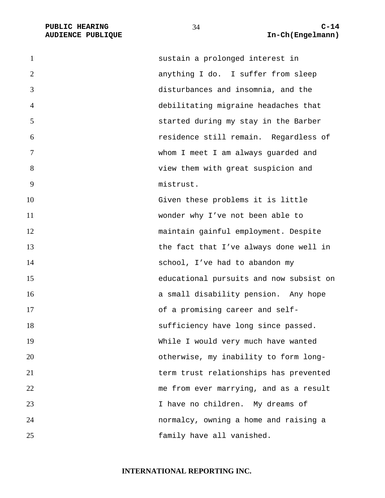| $\mathbf{1}$   | sustain a prolonged interest in         |
|----------------|-----------------------------------------|
| 2              | anything I do. I suffer from sleep      |
| 3              | disturbances and insomnia, and the      |
| $\overline{4}$ | debilitating migraine headaches that    |
| 5              | started during my stay in the Barber    |
| 6              | residence still remain. Regardless of   |
| 7              | whom I meet I am always guarded and     |
| 8              | view them with great suspicion and      |
| 9              | mistrust.                               |
| 10             | Given these problems it is little       |
| 11             | wonder why I've not been able to        |
| 12             | maintain gainful employment. Despite    |
| 13             | the fact that I've always done well in  |
| 14             | school, I've had to abandon my          |
| 15             | educational pursuits and now subsist on |
| 16             | a small disability pension. Any hope    |
| 17             | of a promising career and self-         |
| 18             | sufficiency have long since passed.     |
| 19             | While I would very much have wanted     |
| 20             | otherwise, my inability to form long-   |
| 21             | term trust relationships has prevented  |
| 22             | me from ever marrying, and as a result  |
| 23             | I have no children. My dreams of        |
| 24             | normalcy, owning a home and raising a   |
| 25             | family have all vanished.               |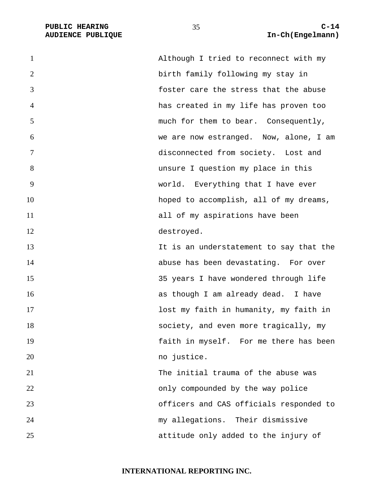| $\mathbf{1}$   | Although I tried to reconnect with my   |
|----------------|-----------------------------------------|
| $\overline{2}$ | birth family following my stay in       |
| 3              | foster care the stress that the abuse   |
| $\overline{4}$ | has created in my life has proven too   |
| 5              | much for them to bear. Consequently,    |
| 6              | we are now estranged. Now, alone, I am  |
| 7              | disconnected from society. Lost and     |
| 8              | unsure I question my place in this      |
| 9              | world. Everything that I have ever      |
| 10             | hoped to accomplish, all of my dreams,  |
| 11             | all of my aspirations have been         |
| 12             | destroyed.                              |
| 13             | It is an understatement to say that the |
| 14             | abuse has been devastating. For over    |
| 15             | 35 years I have wondered through life   |
| 16             | as though I am already dead. I have     |
| 17             | lost my faith in humanity, my faith in  |
| 18             | society, and even more tragically, my   |
| 19             | faith in myself. For me there has been  |
| 20             | no justice.                             |
| 21             | The initial trauma of the abuse was     |
| 22             | only compounded by the way police       |
| 23             | officers and CAS officials responded to |
| 24             | my allegations. Their dismissive        |
| 25             | attitude only added to the injury of    |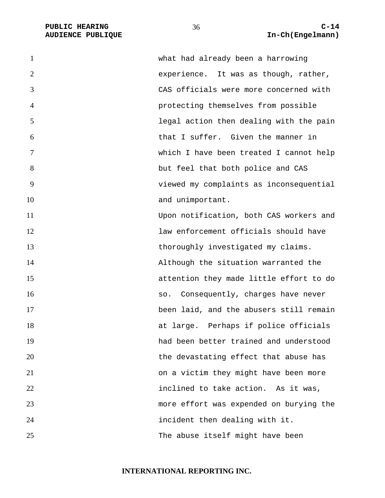| $\mathbf{1}$   | what had already been a harrowing       |
|----------------|-----------------------------------------|
| 2              | experience. It was as though, rather,   |
| 3              | CAS officials were more concerned with  |
| $\overline{4}$ | protecting themselves from possible     |
| 5              | legal action then dealing with the pain |
| 6              | that I suffer. Given the manner in      |
| 7              | which I have been treated I cannot help |
| 8              | but feel that both police and CAS       |
| 9              | viewed my complaints as inconsequential |
| 10             | and unimportant.                        |
| 11             | Upon notification, both CAS workers and |
| 12             | law enforcement officials should have   |
| 13             | thoroughly investigated my claims.      |
| 14             | Although the situation warranted the    |
| 15             | attention they made little effort to do |
| 16             | Consequently, charges have never<br>SO. |
| 17             | been laid, and the abusers still remain |
| 18             | at large. Perhaps if police officials   |
| 19             | had been better trained and understood  |
| 20             | the devastating effect that abuse has   |
| 21             | on a victim they might have been more   |
| 22             | inclined to take action. As it was,     |
| 23             | more effort was expended on burying the |
| 24             | incident then dealing with it.          |
| 25             | The abuse itself might have been        |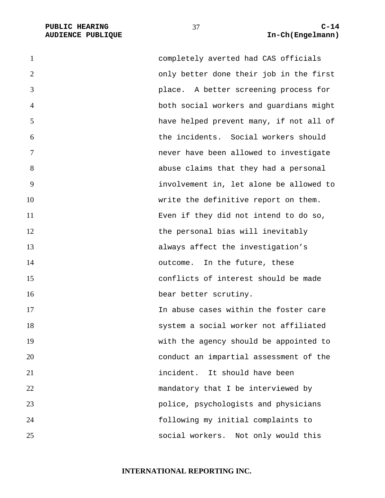PUBLIC HEARING C-14<br>
AUDIENCE PUBLIQUE **C-14**<br>
AUDIENCE PUBLIQUE **COMPUS** 

| 1              | completely averted had CAS officials    |
|----------------|-----------------------------------------|
| $\overline{2}$ | only better done their job in the first |
| 3              | place. A better screening process for   |
| $\overline{4}$ | both social workers and guardians might |
| 5              | have helped prevent many, if not all of |
| 6              | the incidents. Social workers should    |
| 7              | never have been allowed to investigate  |
| 8              | abuse claims that they had a personal   |
| 9              | involvement in, let alone be allowed to |
| 10             | write the definitive report on them.    |
| 11             | Even if they did not intend to do so,   |
| 12             | the personal bias will inevitably       |
| 13             | always affect the investigation's       |
| 14             | outcome. In the future, these           |
| 15             | conflicts of interest should be made    |
| 16             | bear better scrutiny.                   |
| 17             | In abuse cases within the foster care   |
| 18             | system a social worker not affiliated   |
| 19             | with the agency should be appointed to  |
| 20             | conduct an impartial assessment of the  |
| 21             | It should have been<br>incident.        |
| 22             | mandatory that I be interviewed by      |
| 23             | police, psychologists and physicians    |
| 24             | following my initial complaints to      |
| 25             | social workers.<br>Not only would this  |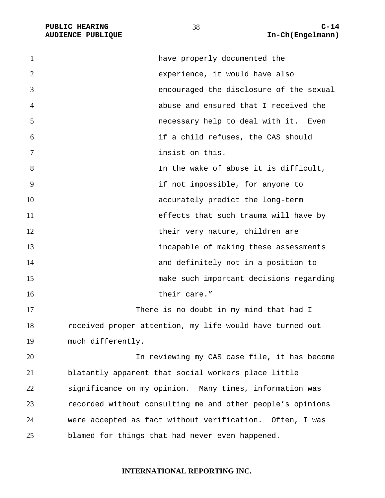| 1              | have properly documented the                               |
|----------------|------------------------------------------------------------|
| $\overline{2}$ | experience, it would have also                             |
| 3              | encouraged the disclosure of the sexual                    |
| $\overline{4}$ | abuse and ensured that I received the                      |
| 5              | necessary help to deal with it. Even                       |
| 6              | if a child refuses, the CAS should                         |
| $\tau$         | insist on this.                                            |
| 8              | In the wake of abuse it is difficult,                      |
| 9              | if not impossible, for anyone to                           |
| 10             | accurately predict the long-term                           |
| 11             | effects that such trauma will have by                      |
| 12             | their very nature, children are                            |
| 13             | incapable of making these assessments                      |
| 14             | and definitely not in a position to                        |
| 15             | make such important decisions regarding                    |
| 16             | their care."                                               |
| 17             | There is no doubt in my mind that had I                    |
| 18             | received proper attention, my life would have turned out   |
| 19             | much differently.                                          |
| 20             | In reviewing my CAS case file, it has become               |
| 21             | blatantly apparent that social workers place little        |
| 22             | significance on my opinion. Many times, information was    |
| 23             | recorded without consulting me and other people's opinions |
| 24             | were accepted as fact without verification. Often, I was   |
| 25             | blamed for things that had never even happened.            |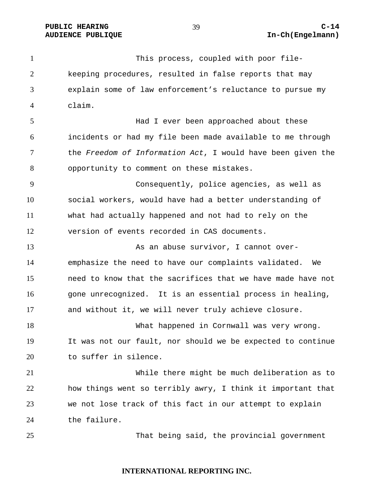This process, coupled with poor file-keeping procedures, resulted in false reports that may explain some of law enforcement's reluctance to pursue my claim.

Had I ever been approached about these incidents or had my file been made available to me through the *Freedom of Information Act*, I would have been given the opportunity to comment on these mistakes.

Consequently, police agencies, as well as social workers, would have had a better understanding of what had actually happened and not had to rely on the version of events recorded in CAS documents.

As an abuse survivor, I cannot over-emphasize the need to have our complaints validated. We need to know that the sacrifices that we have made have not 16 gone unrecognized. It is an essential process in healing, and without it, we will never truly achieve closure.

What happened in Cornwall was very wrong. It was not our fault, nor should we be expected to continue to suffer in silence.

While there might be much deliberation as to how things went so terribly awry, I think it important that we not lose track of this fact in our attempt to explain the failure.

That being said, the provincial government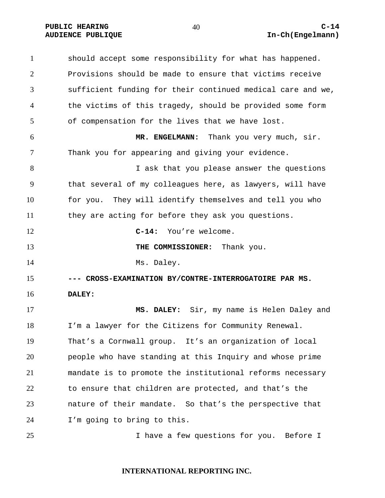should accept some responsibility for what has happened. Provisions should be made to ensure that victims receive sufficient funding for their continued medical care and we, the victims of this tragedy, should be provided some form of compensation for the lives that we have lost. **MR. ENGELMANN:** Thank you very much, sir. Thank you for appearing and giving your evidence. **I** ask that you please answer the questions that several of my colleagues here, as lawyers, will have for you. They will identify themselves and tell you who they are acting for before they ask you questions. **C-14:** You're welcome. 13 THE COMMISSIONER: Thank you. 14 Ms. Daley. **--- CROSS-EXAMINATION BY/CONTRE-INTERROGATOIRE PAR MS. DALEY: MS. DALEY:** Sir, my name is Helen Daley and I'm a lawyer for the Citizens for Community Renewal. That's a Cornwall group. It's an organization of local people who have standing at this Inquiry and whose prime mandate is to promote the institutional reforms necessary to ensure that children are protected, and that's the nature of their mandate. So that's the perspective that I'm going to bring to this. I have a few questions for you. Before I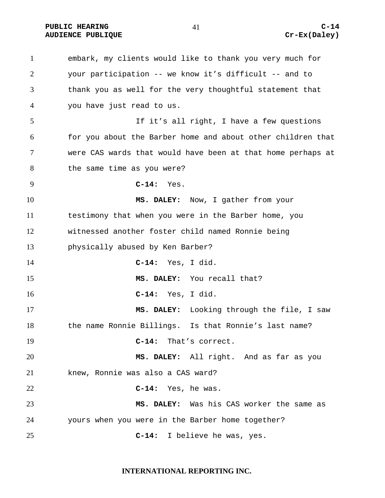PUBLIC HEARING C-14 AUDIENCE PUBLIQUE **CONSTRUCE CREAM** CREAM CREAM CREAM CREAM CREAM CREAM CREAM CREAM CREAM CREAM CREAM CREAM CREAM CREAM CREAM CREAM CREAM CREAM CREAM CREAM CREAM CREAM CREAM CREAM CREAM CREAM CREAM CREAM CREAM CREAM CREAM

embark, my clients would like to thank you very much for your participation -- we know it's difficult -- and to thank you as well for the very thoughtful statement that you have just read to us. If it's all right, I have a few questions for you about the Barber home and about other children that were CAS wards that would have been at that home perhaps at the same time as you were? **C-14:** Yes. **MS. DALEY:** Now, I gather from your testimony that when you were in the Barber home, you witnessed another foster child named Ronnie being physically abused by Ken Barber? **C-14:** Yes, I did. **MS. DALEY:** You recall that? **C-14:** Yes, I did. **MS. DALEY:** Looking through the file, I saw the name Ronnie Billings. Is that Ronnie's last name? **C-14:** That's correct. **MS. DALEY:** All right. And as far as you knew, Ronnie was also a CAS ward? **C-14:** Yes, he was. **MS. DALEY:** Was his CAS worker the same as yours when you were in the Barber home together? **C-14:** I believe he was, yes.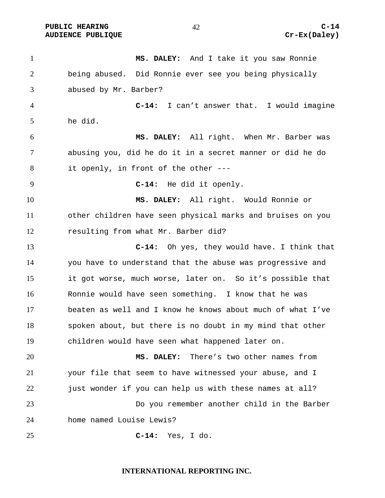PUBLIC HEARING C-14

**MS. DALEY:** And I take it you saw Ronnie being abused. Did Ronnie ever see you being physically abused by Mr. Barber? **C-14:** I can't answer that. I would imagine he did. **MS. DALEY:** All right. When Mr. Barber was abusing you, did he do it in a secret manner or did he do it openly, in front of the other --- **C-14:** He did it openly. **MS. DALEY:** All right. Would Ronnie or other children have seen physical marks and bruises on you resulting from what Mr. Barber did? **C-14:** Oh yes, they would have. I think that you have to understand that the abuse was progressive and it got worse, much worse, later on. So it's possible that Ronnie would have seen something. I know that he was beaten as well and I know he knows about much of what I've spoken about, but there is no doubt in my mind that other children would have seen what happened later on. **MS. DALEY:** There's two other names from your file that seem to have witnessed your abuse, and I 22 just wonder if you can help us with these names at all? Do you remember another child in the Barber home named Louise Lewis? **C-14:** Yes, I do.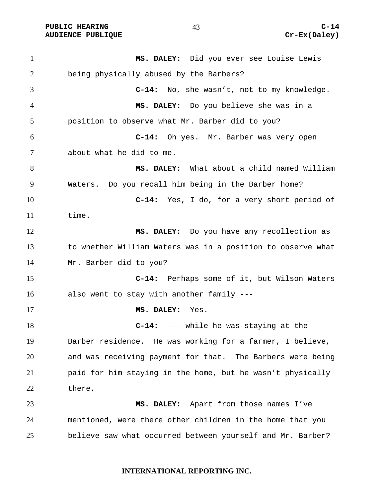PUBLIC HEARING  $^{43}$   $^{0}$   $^{0}$   $^{0}$   $^{0}$   $^{0}$   $^{0}$   $^{0}$   $^{0}$   $^{0}$   $^{0}$   $^{0}$   $^{0}$   $^{0}$   $^{0}$   $^{0}$   $^{0}$   $^{0}$   $^{0}$   $^{0}$   $^{0}$   $^{0}$   $^{0}$   $^{0}$   $^{0}$   $^{0}$   $^{0}$   $^{0}$   $^{0}$   $^{0}$   $^{0}$   $^{0}$   $^{0}$   $^{0}$   $^{$ AUDIENCE PUBLIQUE **CONSUMING CREAM** CREAM CREAM CREAM CREAM CREAM CREAM CREAM CREAM CREAM CREAM CREAM CREAM CREAM CREAM CREAM CREAM CREAM CREAM CREAM CREAM CREAM CREAM CREAM CREAM CREAM CREAM CREAM CREAM CREAM CREAM CREAM

**MS. DALEY:** Did you ever see Louise Lewis being physically abused by the Barbers? **C-14:** No, she wasn't, not to my knowledge. **MS. DALEY:** Do you believe she was in a position to observe what Mr. Barber did to you? **C-14:** Oh yes. Mr. Barber was very open about what he did to me. **MS. DALEY:** What about a child named William Waters. Do you recall him being in the Barber home? **C-14:** Yes, I do, for a very short period of time. **MS. DALEY:** Do you have any recollection as to whether William Waters was in a position to observe what Mr. Barber did to you? **C-14:** Perhaps some of it, but Wilson Waters also went to stay with another family --- **MS. DALEY:** Yes. **C-14:** --- while he was staying at the Barber residence. He was working for a farmer, I believe, and was receiving payment for that. The Barbers were being paid for him staying in the home, but he wasn't physically there. **MS. DALEY:** Apart from those names I've mentioned, were there other children in the home that you believe saw what occurred between yourself and Mr. Barber?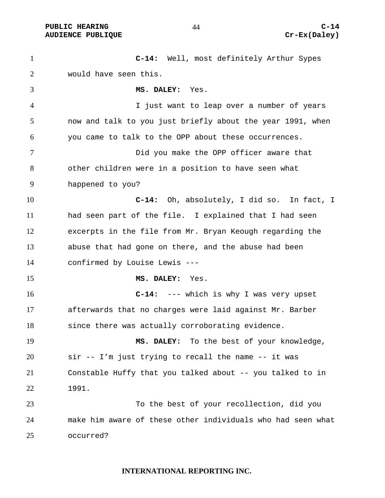**C-14:** Well, most definitely Arthur Sypes would have seen this. **MS. DALEY:** Yes. I just want to leap over a number of years now and talk to you just briefly about the year 1991, when you came to talk to the OPP about these occurrences. Did you make the OPP officer aware that other children were in a position to have seen what happened to you? **C-14:** Oh, absolutely, I did so. In fact, I had seen part of the file. I explained that I had seen excerpts in the file from Mr. Bryan Keough regarding the abuse that had gone on there, and the abuse had been confirmed by Louise Lewis --- **MS. DALEY:** Yes. **C-14:** --- which is why I was very upset afterwards that no charges were laid against Mr. Barber since there was actually corroborating evidence. **MS. DALEY:** To the best of your knowledge, sir -- I'm just trying to recall the name -- it was Constable Huffy that you talked about -- you talked to in 1991. To the best of your recollection, did you make him aware of these other individuals who had seen what occurred?

#### **INTERNATIONAL REPORTING INC.**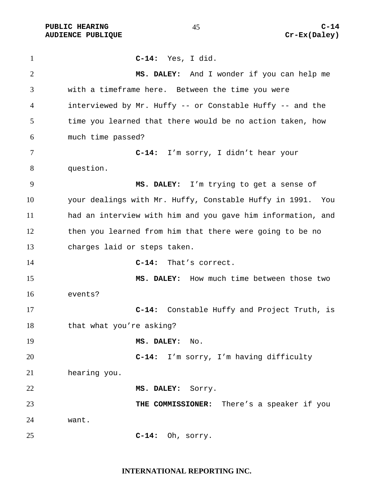PUBLIC HEARING C-14<br>
AUDIENCE PUBLIQUE **COMPUS** (Cr-Ex(Daley) **AUDIENCE PUBLIQUE** 

| $\mathbf{1}$   | $C-14:$<br>Yes, I did.                                        |
|----------------|---------------------------------------------------------------|
| $\overline{2}$ | MS. DALEY: And I wonder if you can help me                    |
| 3              | with a timeframe here. Between the time you were              |
| 4              | interviewed by Mr. Huffy -- or Constable Huffy -- and the     |
| 5              | time you learned that there would be no action taken, how     |
| 6              | much time passed?                                             |
| $\tau$         | C-14: I'm sorry, I didn't hear your                           |
| 8              | question.                                                     |
| 9              | MS. DALEY: I'm trying to get a sense of                       |
| 10             | your dealings with Mr. Huffy, Constable Huffy in 1991.<br>You |
| 11             | had an interview with him and you gave him information, and   |
| 12             | then you learned from him that there were going to be no      |
| 13             | charges laid or steps taken.                                  |
| 14             | That's correct.<br>$C-14:$                                    |
| 15             | MS. DALEY: How much time between those two                    |
| 16             | events?                                                       |
| 17             | Constable Huffy and Project Truth, is<br>$C-14:$              |
| 18             | that what you're asking?                                      |
| 19             | MS. DALEY:<br>No.                                             |
| 20             | C-14: I'm sorry, I'm having difficulty                        |
| 21             | hearing you.                                                  |
| 22             | MS. DALEY: Sorry.                                             |
| 23             | THE COMMISSIONER: There's a speaker if you                    |
| 24             | want.                                                         |
| 25             | $C-14:$<br>Oh, sorry.                                         |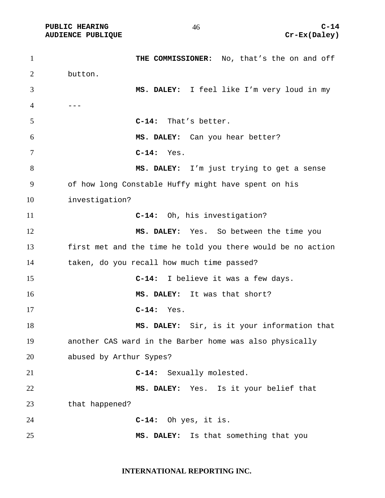PUBLIC HEARING C-14

1 THE COMMISSIONER: No, that's the on and off button. **MS. DALEY:** I feel like I'm very loud in my ---**C-14:** That's better. **MS. DALEY:** Can you hear better? **C-14:** Yes. **MS. DALEY:** I'm just trying to get a sense of how long Constable Huffy might have spent on his investigation? **C-14:** Oh, his investigation? **MS. DALEY:** Yes. So between the time you first met and the time he told you there would be no action taken, do you recall how much time passed? **C-14:** I believe it was a few days. **MS. DALEY:** It was that short? **C-14:** Yes. **MS. DALEY:** Sir, is it your information that another CAS ward in the Barber home was also physically abused by Arthur Sypes? **C-14:** Sexually molested. **MS. DALEY:** Yes. Is it your belief that that happened? **C-14:** Oh yes, it is. **MS. DALEY:** Is that something that you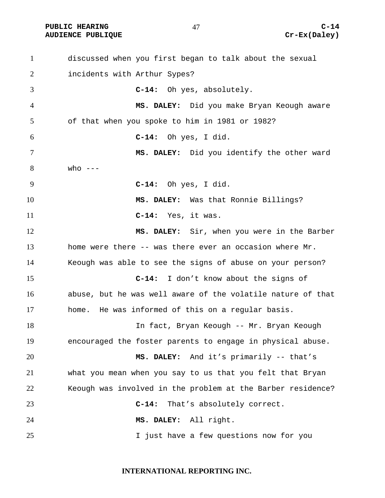PUBLIC HEARING C-14<br>
AUDIENCE PUBLIQUE **COMPUS** (Cr-Ex(Daley) **AUDIENCE PUBLIQUE** 

| $\mathbf{1}$   | discussed when you first began to talk about the sexual     |
|----------------|-------------------------------------------------------------|
| $\overline{2}$ | incidents with Arthur Sypes?                                |
| 3              | C-14: Oh yes, absolutely.                                   |
| 4              | MS. DALEY: Did you make Bryan Keough aware                  |
| 5              | of that when you spoke to him in 1981 or 1982?              |
| 6              | $C-14:$<br>Oh yes, I did.                                   |
| 7              | MS. DALEY: Did you identify the other ward                  |
| 8              | who $---$                                                   |
| 9              | $C-14:$ Oh yes, I did.                                      |
| 10             | MS. DALEY: Was that Ronnie Billings?                        |
| 11             | Yes, it was.<br>$C-14:$                                     |
| 12             | MS. DALEY: Sir, when you were in the Barber                 |
| 13             | home were there -- was there ever an occasion where Mr.     |
| 14             | Keough was able to see the signs of abuse on your person?   |
| 15             | C-14: I don't know about the signs of                       |
| 16             | abuse, but he was well aware of the volatile nature of that |
| 17             | home. He was informed of this on a regular basis.           |
| 18             | In fact, Bryan Keough -- Mr. Bryan Keough                   |
| 19             | encouraged the foster parents to engage in physical abuse.  |
| 20             | MS. DALEY: And it's primarily -- that's                     |
| 21             | what you mean when you say to us that you felt that Bryan   |
| 22             | Keough was involved in the problem at the Barber residence? |
| 23             | That's absolutely correct.<br>$C-14:$                       |
| 24             | MS. DALEY: All right.                                       |
| 25             | I just have a few questions now for you                     |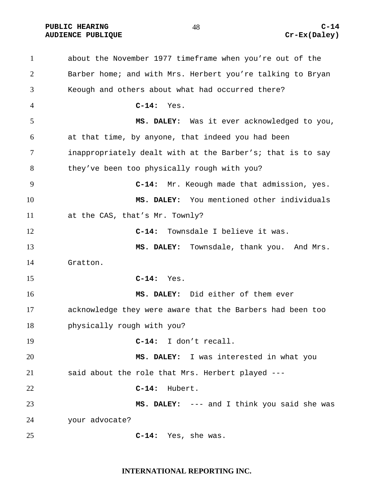PUBLIC HEARING C-14<br>
AUDIENCE PUBLIQUE **COMPUS** (Cr-Ex(Daley) **AUDIENCE PUBLIQUE** 

| 1              | about the November 1977 timeframe when you're out of the   |
|----------------|------------------------------------------------------------|
| $\overline{2}$ | Barber home; and with Mrs. Herbert you're talking to Bryan |
| 3              | Keough and others about what had occurred there?           |
| $\overline{4}$ | $C-14:$<br>Yes.                                            |
| 5              | MS. DALEY: Was it ever acknowledged to you,                |
| 6              | at that time, by anyone, that indeed you had been          |
| 7              | inappropriately dealt with at the Barber's; that is to say |
| 8              | they've been too physically rough with you?                |
| 9              | Mr. Keough made that admission, yes.<br>$C-14:$            |
| 10             | MS. DALEY: You mentioned other individuals                 |
| 11             | at the CAS, that's Mr. Townly?                             |
| 12             | Townsdale I believe it was.<br>$C-14:$                     |
| 13             | MS. DALEY: Townsdale, thank you. And Mrs.                  |
| 14             | Gratton.                                                   |
| 15             | $C-14:$<br>Yes.                                            |
| 16             | MS. DALEY: Did either of them ever                         |
| 17             | acknowledge they were aware that the Barbers had been too  |
| 18             | physically rough with you?                                 |
| 19             | C-14: I don't recall.                                      |
| 20             | MS. DALEY: I was interested in what you                    |
| 21             | said about the role that Mrs. Herbert played ---           |
| 22             | $C-14:$<br>Hubert.                                         |
| 23             | MS. DALEY: --- and I think you said she was                |
| 24             | your advocate?                                             |
| 25             | Yes, she was.<br>$C-14:$                                   |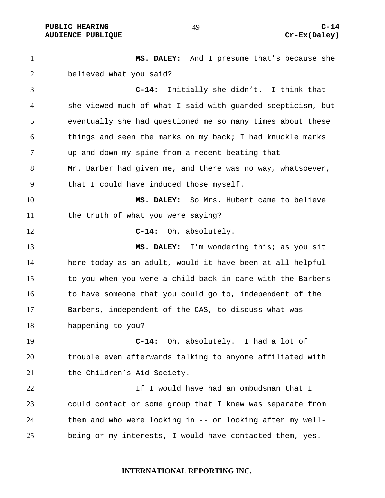PUBLIC HEARING  $^{49}$   $^{49}$   $^{40}$   $^{41}$   $^{42}$   $^{43}$   $^{44}$   $^{45}$   $^{46}$   $^{47}$   $^{48}$   $^{49}$   $^{49}$   $^{49}$   $^{49}$   $^{49}$   $^{49}$   $^{49}$   $^{49}$   $^{49}$   $^{49}$   $^{49}$   $^{49}$   $^{49}$   $^{49}$   $^{49}$   $^{49}$   $^{49}$   $^{49}$   $^{49$ AUDIENCE PUBLIQUE **CONSTRUCE CREAM** CREAM CREAM CREAM CREAM CREAM CREAM CREAM CREAM CREAM CREAM CREAM CREAM CREAM CREAM CREAM CREAM CREAM CREAM CREAM CREAM CREAM CREAM CREAM CREAM CREAM CREAM CREAM CREAM CREAM CREAM CREAM

**MS. DALEY:** And I presume that's because she believed what you said? **C-14:** Initially she didn't. I think that she viewed much of what I said with guarded scepticism, but eventually she had questioned me so many times about these things and seen the marks on my back; I had knuckle marks up and down my spine from a recent beating that Mr. Barber had given me, and there was no way, whatsoever, that I could have induced those myself. **MS. DALEY:** So Mrs. Hubert came to believe the truth of what you were saying? **C-14:** Oh, absolutely. **MS. DALEY:** I'm wondering this; as you sit here today as an adult, would it have been at all helpful to you when you were a child back in care with the Barbers to have someone that you could go to, independent of the Barbers, independent of the CAS, to discuss what was happening to you? **C-14:** Oh, absolutely. I had a lot of trouble even afterwards talking to anyone affiliated with 21 the Children's Aid Society. If I would have had an ombudsman that I could contact or some group that I knew was separate from them and who were looking in -- or looking after my well-being or my interests, I would have contacted them, yes.

#### **INTERNATIONAL REPORTING INC.**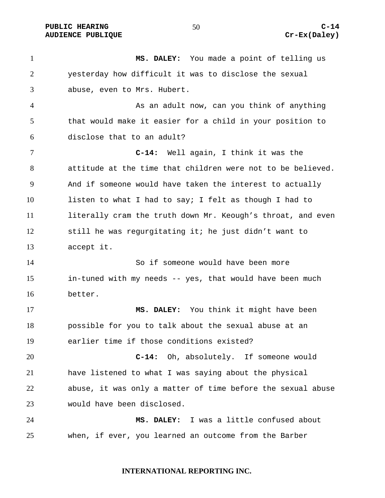PUBLIC HEARING 60 to the set of the set of the set of the set of the set of the set of the set of the set of the set of the set of the set of the set of the set of the set of the set of the set of the set of the set of the AUDIENCE PUBLIQUE **CONSUMING CREAM** CREAM CREAM CREAM CREAM CREAM CREAM CREAM CREAM CREAM CREAM CREAM CREAM CREAM CREAM CREAM CREAM CREAM CREAM CREAM CREAM CREAM CREAM CREAM CREAM CREAM CREAM CREAM CREAM CREAM CREAM CREAM

**MS. DALEY:** You made a point of telling us yesterday how difficult it was to disclose the sexual abuse, even to Mrs. Hubert. As an adult now, can you think of anything that would make it easier for a child in your position to disclose that to an adult? **C-14:** Well again, I think it was the attitude at the time that children were not to be believed. And if someone would have taken the interest to actually listen to what I had to say; I felt as though I had to literally cram the truth down Mr. Keough's throat, and even still he was regurgitating it; he just didn't want to accept it. So if someone would have been more in-tuned with my needs -- yes, that would have been much better. **MS. DALEY:** You think it might have been possible for you to talk about the sexual abuse at an earlier time if those conditions existed? **C-14:** Oh, absolutely. If someone would have listened to what I was saying about the physical abuse, it was only a matter of time before the sexual abuse would have been disclosed. **MS. DALEY:** I was a little confused about when, if ever, you learned an outcome from the Barber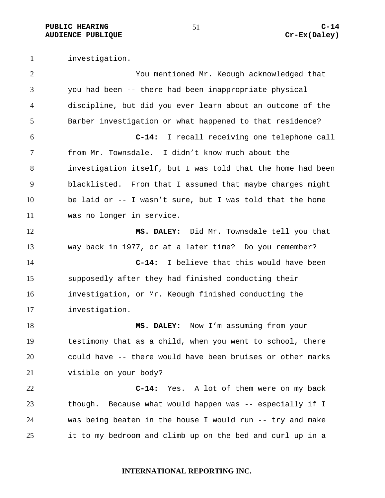PUBLIC HEARING C-14<br>
AUDIENCE PUBLIQUE **COMPUS** Cr-Ex(Daley) **AUDIENCE PUBLIQUE** 

investigation.

| $\overline{2}$ | You mentioned Mr. Keough acknowledged that                  |
|----------------|-------------------------------------------------------------|
| 3              | you had been -- there had been inappropriate physical       |
| 4              | discipline, but did you ever learn about an outcome of the  |
| 5              | Barber investigation or what happened to that residence?    |
| 6              | I recall receiving one telephone call<br>$C-14:$            |
| 7              | from Mr. Townsdale. I didn't know much about the            |
| 8              | investigation itself, but I was told that the home had been |
| 9              | blacklisted. From that I assumed that maybe charges might   |
| 10             | be laid or -- I wasn't sure, but I was told that the home   |
| 11             | was no longer in service.                                   |
| 12             | MS. DALEY: Did Mr. Townsdale tell you that                  |
| 13             | way back in 1977, or at a later time? Do you remember?      |
| 14             | $C-14:$<br>I believe that this would have been              |
| 15             | supposedly after they had finished conducting their         |
| 16             | investigation, or Mr. Keough finished conducting the        |
| 17             | investigation.                                              |
| 18             | MS. DALEY: Now I'm assuming from your                       |
| 19             | testimony that as a child, when you went to school, there   |
| 20             | could have -- there would have been bruises or other marks  |
| 21             | visible on your body?                                       |
| 22             | $C-14:$<br>Yes. A lot of them were on my back               |
| 23             | though. Because what would happen was -- especially if I    |
| 24             | was being beaten in the house I would run -- try and make   |
| 25             | it to my bedroom and climb up on the bed and curl up in a   |

**INTERNATIONAL REPORTING INC.**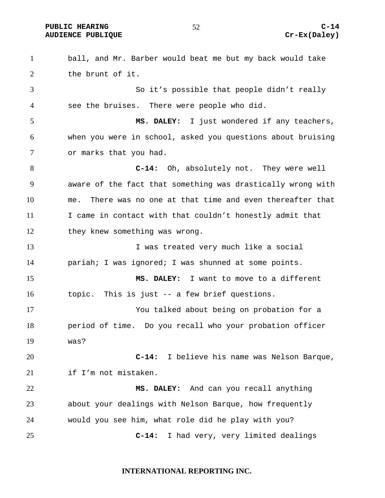PUBLIC HEARING 67 and  $52$  c-14 AUDIENCE PUBLIQUE **CONSUMING CREAM** CREAM CREAM CREAM CREAM CREAM CREAM CREAM CREAM CREAM CREAM CREAM CREAM CREAM CREAM CREAM CREAM CREAM CREAM CREAM CREAM CREAM CREAM CREAM CREAM CREAM CREAM CREAM CREAM CREAM CREAM CREAM

ball, and Mr. Barber would beat me but my back would take the brunt of it. So it's possible that people didn't really see the bruises. There were people who did. **MS. DALEY:** I just wondered if any teachers, when you were in school, asked you questions about bruising or marks that you had. **C-14:** Oh, absolutely not. They were well aware of the fact that something was drastically wrong with me. There was no one at that time and even thereafter that I came in contact with that couldn't honestly admit that they knew something was wrong. 13 13 I was treated very much like a social pariah; I was ignored; I was shunned at some points. **MS. DALEY:** I want to move to a different topic. This is just -- a few brief questions. You talked about being on probation for a period of time. Do you recall who your probation officer was? **C-14:** I believe his name was Nelson Barque, if I'm not mistaken. **MS. DALEY:** And can you recall anything about your dealings with Nelson Barque, how frequently would you see him, what role did he play with you? **C-14:** I had very, very limited dealings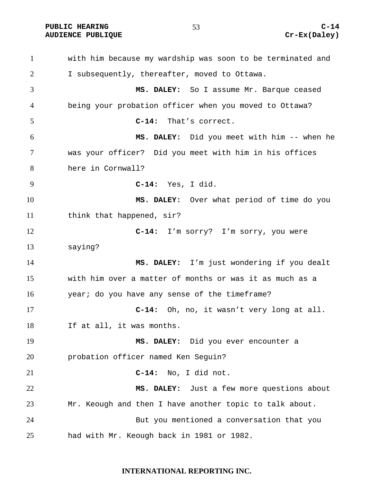PUBLIC HEARING 63 63 C-14

with him because my wardship was soon to be terminated and I subsequently, thereafter, moved to Ottawa. **MS. DALEY:** So I assume Mr. Barque ceased being your probation officer when you moved to Ottawa? **C-14:** That's correct. **MS. DALEY:** Did you meet with him -- when he was your officer? Did you meet with him in his offices here in Cornwall? **C-14:** Yes, I did. **MS. DALEY:** Over what period of time do you 11 think that happened, sir? **C-14:** I'm sorry? I'm sorry, you were saying? **MS. DALEY:** I'm just wondering if you dealt with him over a matter of months or was it as much as a year; do you have any sense of the timeframe? **C-14:** Oh, no, it wasn't very long at all. If at all, it was months. **MS. DALEY:** Did you ever encounter a probation officer named Ken Seguin? **C-14:** No, I did not. **MS. DALEY:** Just a few more questions about Mr. Keough and then I have another topic to talk about. But you mentioned a conversation that you had with Mr. Keough back in 1981 or 1982.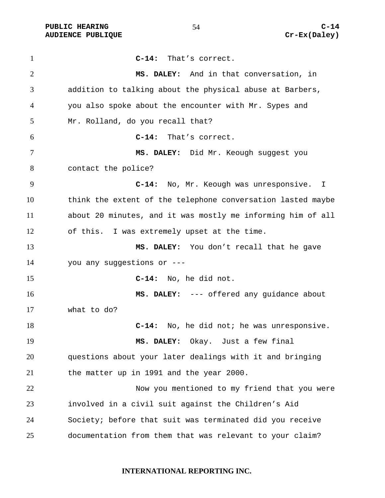PUBLIC HEARING C-14 AUDIENCE PUBLIQUE **CONSUMING CREAM** CREAM CREAM CREAM CREAM CREAM CREAM CREAM CREAM CREAM CREAM CREAM CREAM CREAM CREAM CREAM CREAM CREAM CREAM CREAM CREAM CREAM CREAM CREAM CREAM CREAM CREAM CREAM CREAM CREAM CREAM CREAM

**C-14:** That's correct. **MS. DALEY:** And in that conversation, in addition to talking about the physical abuse at Barbers, you also spoke about the encounter with Mr. Sypes and Mr. Rolland, do you recall that? **C-14:** That's correct. **MS. DALEY:** Did Mr. Keough suggest you contact the police? **C-14:** No, Mr. Keough was unresponsive. I think the extent of the telephone conversation lasted maybe about 20 minutes, and it was mostly me informing him of all of this. I was extremely upset at the time. **MS. DALEY:** You don't recall that he gave you any suggestions or --- **C-14:** No, he did not. **MS. DALEY:** --- offered any guidance about what to do? **C-14:** No, he did not; he was unresponsive. **MS. DALEY:** Okay. Just a few final questions about your later dealings with it and bringing the matter up in 1991 and the year 2000. Now you mentioned to my friend that you were involved in a civil suit against the Children's Aid Society; before that suit was terminated did you receive documentation from them that was relevant to your claim?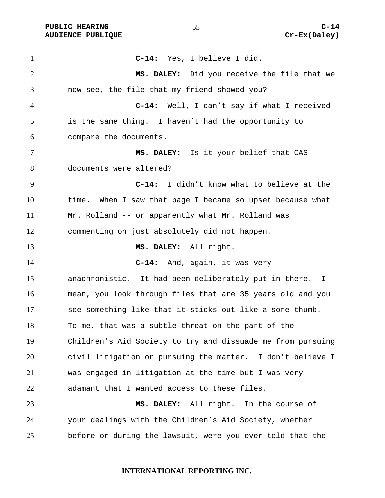**C-14:** Yes, I believe I did. **MS. DALEY:** Did you receive the file that we now see, the file that my friend showed you? **C-14:** Well, I can't say if what I received is the same thing. I haven't had the opportunity to compare the documents. **MS. DALEY:** Is it your belief that CAS documents were altered? **C-14:** I didn't know what to believe at the time. When I saw that page I became so upset because what Mr. Rolland -- or apparently what Mr. Rolland was commenting on just absolutely did not happen. **MS. DALEY:** All right. **C-14:** And, again, it was very anachronistic. It had been deliberately put in there. I mean, you look through files that are 35 years old and you see something like that it sticks out like a sore thumb. To me, that was a subtle threat on the part of the Children's Aid Society to try and dissuade me from pursuing civil litigation or pursuing the matter. I don't believe I was engaged in litigation at the time but I was very adamant that I wanted access to these files. **MS. DALEY:** All right. In the course of your dealings with the Children's Aid Society, whether before or during the lawsuit, were you ever told that the

#### **INTERNATIONAL REPORTING INC.**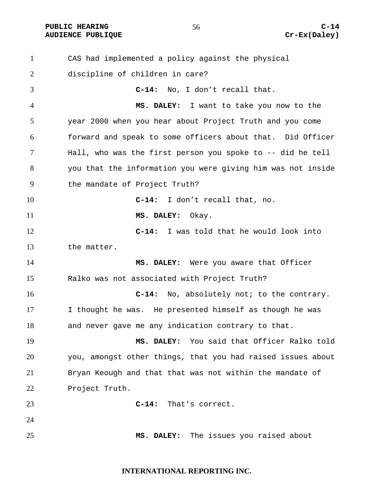**PUBLIC HEARING C-14** 

CAS had implemented a policy against the physical discipline of children in care? **C-14:** No, I don't recall that. **MS. DALEY:** I want to take you now to the year 2000 when you hear about Project Truth and you come forward and speak to some officers about that. Did Officer Hall, who was the first person you spoke to -- did he tell you that the information you were giving him was not inside the mandate of Project Truth? **C-14:** I don't recall that, no. **MS. DALEY:** Okay. **C-14:** I was told that he would look into the matter. **MS. DALEY:** Were you aware that Officer Ralko was not associated with Project Truth? **C-14:** No, absolutely not; to the contrary. I thought he was. He presented himself as though he was and never gave me any indication contrary to that. **MS. DALEY:** You said that Officer Ralko told you, amongst other things, that you had raised issues about Bryan Keough and that that was not within the mandate of Project Truth. **C-14:** That's correct. **MS. DALEY:** The issues you raised about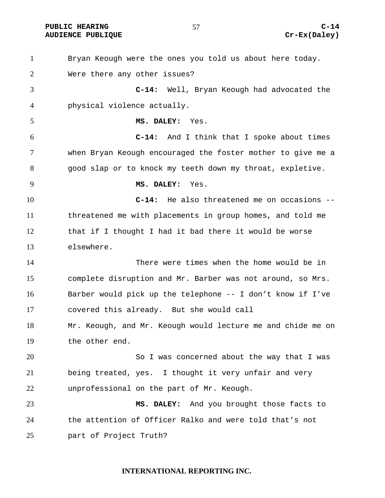# PUBLIC HEARING C-14<br>
AUDIENCE PUBLIQUE **COMPUS** Cr-Ex(Daley)

| $\mathbf{1}$   | Bryan Keough were the ones you told us about here today.    |
|----------------|-------------------------------------------------------------|
| $\overline{2}$ | Were there any other issues?                                |
| 3              | $C-14:$<br>Well, Bryan Keough had advocated the             |
| 4              | physical violence actually.                                 |
| 5              | MS. DALEY: Yes.                                             |
| 6              | $C-14:$<br>And I think that I spoke about times             |
| $\tau$         | when Bryan Keough encouraged the foster mother to give me a |
| 8              | good slap or to knock my teeth down my throat, expletive.   |
| 9              | MS. DALEY:<br>Yes.                                          |
| 10             | He also threatened me on occasions --<br>$C-14:$            |
| 11             | threatened me with placements in group homes, and told me   |
| 12             | that if I thought I had it bad there it would be worse      |
| 13             | elsewhere.                                                  |
| 14             | There were times when the home would be in                  |
| 15             | complete disruption and Mr. Barber was not around, so Mrs.  |
| 16             | Barber would pick up the telephone -- I don't know if I've  |
| 17             | covered this already. But she would call                    |
| 18             | Mr. Keough, and Mr. Keough would lecture me and chide me on |
| 19             | the other end.                                              |
| 20             | So I was concerned about the way that I was                 |
| 21             | being treated, yes. I thought it very unfair and very       |
| 22             | unprofessional on the part of Mr. Keough.                   |
| 23             | MS. DALEY: And you brought those facts to                   |
| 24             | the attention of Officer Ralko and were told that's not     |
| 25             | part of Project Truth?                                      |

# **INTERNATIONAL REPORTING INC.**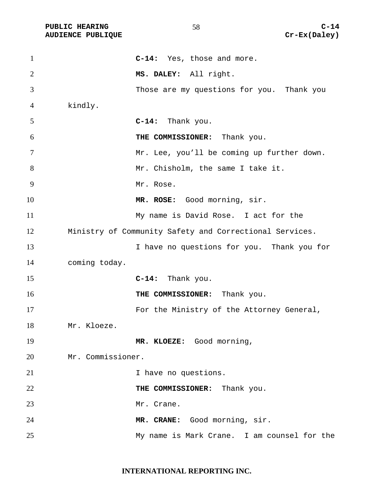| $\mathbf{1}$   |                   | C-14: Yes, those and more.                              |
|----------------|-------------------|---------------------------------------------------------|
| $\overline{2}$ |                   | MS. DALEY: All right.                                   |
| 3              |                   | Those are my questions for you. Thank you               |
| 4              | kindly.           |                                                         |
| 5              |                   | C-14: Thank you.                                        |
| 6              |                   | THE COMMISSIONER: Thank you.                            |
| 7              |                   | Mr. Lee, you'll be coming up further down.              |
| 8              |                   | Mr. Chisholm, the same I take it.                       |
| 9              |                   | Mr. Rose.                                               |
| 10             |                   | MR. ROSE: Good morning, sir.                            |
| 11             |                   | My name is David Rose. I act for the                    |
| 12             |                   | Ministry of Community Safety and Correctional Services. |
| 13             |                   | I have no questions for you. Thank you for              |
| 14             | coming today.     |                                                         |
| 15             |                   | C-14: Thank you.                                        |
| 16             |                   | THE COMMISSIONER: Thank you.                            |
| 17             |                   | For the Ministry of the Attorney General,               |
| 18             | Mr. Kloeze.       |                                                         |
| 19             |                   | MR. KLOEZE: Good morning,                               |
| 20             | Mr. Commissioner. |                                                         |
| 21             |                   | I have no questions.                                    |
| 22             |                   | THE COMMISSIONER: Thank you.                            |
| 23             |                   | Mr. Crane.                                              |
| 24             |                   | MR. CRANE: Good morning, sir.                           |
| 25             |                   | My name is Mark Crane. I am counsel for the             |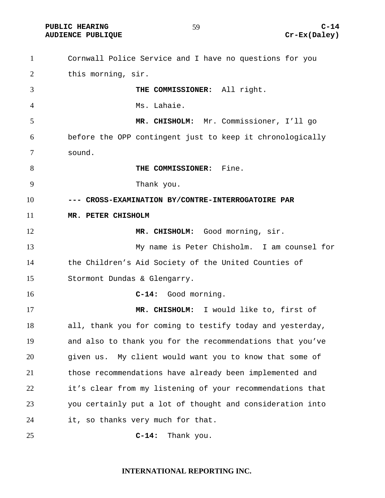**PUBLIC HEARING C-14** 

Cornwall Police Service and I have no questions for you this morning, sir. **THE COMMISSIONER:** All right. Ms. Lahaie. **MR. CHISHOLM:** Mr. Commissioner, I'll go before the OPP contingent just to keep it chronologically sound. **THE COMMISSIONER:** Fine. Thank you. **--- CROSS-EXAMINATION BY/CONTRE-INTERROGATOIRE PAR MR. PETER CHISHOLM**  12 MR. CHISHOLM: Good morning, sir. My name is Peter Chisholm. I am counsel for the Children's Aid Society of the United Counties of Stormont Dundas & Glengarry. **C-14:** Good morning. **MR. CHISHOLM:** I would like to, first of all, thank you for coming to testify today and yesterday, and also to thank you for the recommendations that you've given us. My client would want you to know that some of those recommendations have already been implemented and it's clear from my listening of your recommendations that you certainly put a lot of thought and consideration into it, so thanks very much for that. **C-14:** Thank you.

#### **INTERNATIONAL REPORTING INC.**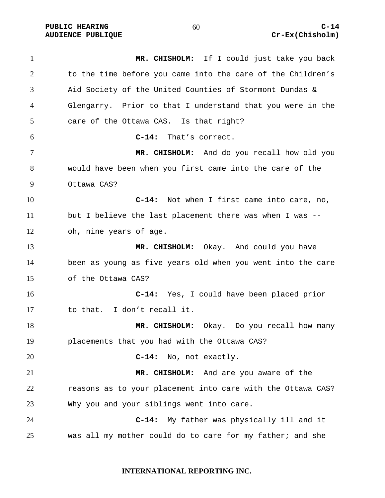PUBLIC HEARING 60 60 C-14

**MR. CHISHOLM:** If I could just take you back to the time before you came into the care of the Children's Aid Society of the United Counties of Stormont Dundas & Glengarry. Prior to that I understand that you were in the care of the Ottawa CAS. Is that right? **C-14:** That's correct. **MR. CHISHOLM:** And do you recall how old you would have been when you first came into the care of the Ottawa CAS? **C-14:** Not when I first came into care, no, but I believe the last placement there was when I was -- oh, nine years of age. **MR. CHISHOLM:** Okay. And could you have been as young as five years old when you went into the care of the Ottawa CAS? **C-14:** Yes, I could have been placed prior to that. I don't recall it. **MR. CHISHOLM:** Okay. Do you recall how many placements that you had with the Ottawa CAS? **C-14:** No, not exactly. **MR. CHISHOLM:** And are you aware of the reasons as to your placement into care with the Ottawa CAS? Why you and your siblings went into care. **C-14:** My father was physically ill and it was all my mother could do to care for my father; and she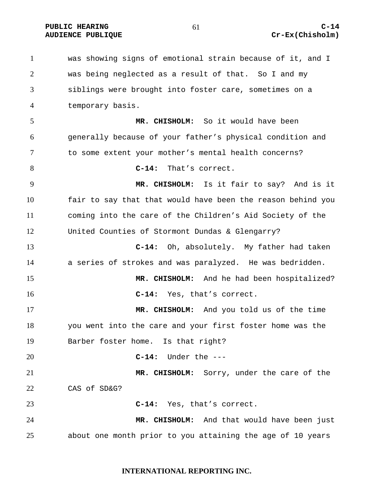PUBLIC HEARING 61 61 C-14

# **AUDIENCE PUBLIQUE CREAMENT CREAMENT CREAMENT CREAMENT CREAMENT CREAMENT CREAMENT CREAMENT CREAMENT CREAMENT CREAMENT CREAMENT CREAMENT CREAMENT CREAMENT CREAMENT CREAMENT CREAMENT CREAMENT CREAMENT CREAMENT CREAMENT CREAM**

was showing signs of emotional strain because of it, and I was being neglected as a result of that. So I and my siblings were brought into foster care, sometimes on a temporary basis. **MR. CHISHOLM:** So it would have been generally because of your father's physical condition and to some extent your mother's mental health concerns? **C-14:** That's correct. **MR. CHISHOLM:** Is it fair to say? And is it fair to say that that would have been the reason behind you coming into the care of the Children's Aid Society of the United Counties of Stormont Dundas & Glengarry? **C-14:** Oh, absolutely. My father had taken a series of strokes and was paralyzed. He was bedridden. **MR. CHISHOLM:** And he had been hospitalized? **C-14:** Yes, that's correct. **MR. CHISHOLM:** And you told us of the time you went into the care and your first foster home was the Barber foster home. Is that right? **C-14:** Under the --- **MR. CHISHOLM:** Sorry, under the care of the CAS of SD&G? **C-14:** Yes, that's correct. **MR. CHISHOLM:** And that would have been just about one month prior to you attaining the age of 10 years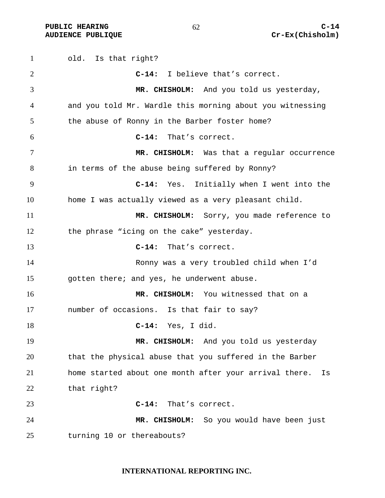PUBLIC HEARING 62 62 C-14

old. Is that right? **C-14:** I believe that's correct. **MR. CHISHOLM:** And you told us yesterday, and you told Mr. Wardle this morning about you witnessing the abuse of Ronny in the Barber foster home? **C-14:** That's correct. **MR. CHISHOLM:** Was that a regular occurrence in terms of the abuse being suffered by Ronny? **C-14:** Yes. Initially when I went into the home I was actually viewed as a very pleasant child. **MR. CHISHOLM:** Sorry, you made reference to the phrase "icing on the cake" yesterday. **C-14:** That's correct. Ronny was a very troubled child when I'd gotten there; and yes, he underwent abuse. **MR. CHISHOLM:** You witnessed that on a number of occasions. Is that fair to say? **C-14:** Yes, I did. **MR. CHISHOLM:** And you told us yesterday that the physical abuse that you suffered in the Barber home started about one month after your arrival there. Is that right? **C-14:** That's correct. **MR. CHISHOLM:** So you would have been just turning 10 or thereabouts?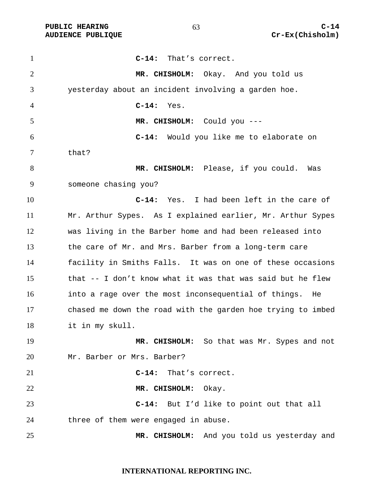| $\mathbf{1}$ | $C-14:$<br>That's correct.                                  |
|--------------|-------------------------------------------------------------|
| 2            | MR. CHISHOLM: Okay. And you told us                         |
| 3            | yesterday about an incident involving a garden hoe.         |
| 4            | $C-14:$<br>Yes.                                             |
| 5            | MR. CHISHOLM: Could you ---                                 |
| 6            | $C-14:$<br>Would you like me to elaborate on                |
| 7            | that?                                                       |
| 8            | MR. CHISHOLM: Please, if you could. Was                     |
| 9            | someone chasing you?                                        |
| 10           | C-14: Yes. I had been left in the care of                   |
| 11           | Mr. Arthur Sypes. As I explained earlier, Mr. Arthur Sypes  |
| 12           | was living in the Barber home and had been released into    |
| 13           | the care of Mr. and Mrs. Barber from a long-term care       |
| 14           | facility in Smiths Falls. It was on one of these occasions  |
| 15           | that -- I don't know what it was that was said but he flew  |
| 16           | into a rage over the most inconsequential of things. He     |
| 17           | chased me down the road with the garden hoe trying to imbed |
| 18           | it in my skull.                                             |
| 19           | MR. CHISHOLM: So that was Mr. Sypes and not                 |
| 20           | Mr. Barber or Mrs. Barber?                                  |
| 21           | $C-14:$<br>That's correct.                                  |
| 22           | MR. CHISHOLM: Okay.                                         |
| 23           | C-14: But I'd like to point out that all                    |
| 24           | three of them were engaged in abuse.                        |
| 25           | MR. CHISHOLM: And you told us yesterday and                 |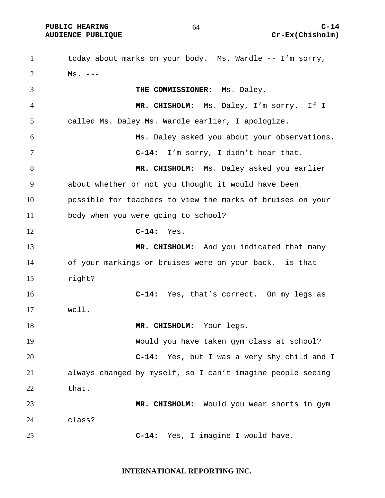PUBLIC HEARING 64 C-14

today about marks on your body. Ms. Wardle -- I'm sorry,  $2 \text{ Ms.} \text{ --}$ **THE COMMISSIONER:** Ms. Daley. **MR. CHISHOLM:** Ms. Daley, I'm sorry. If I called Ms. Daley Ms. Wardle earlier, I apologize. Ms. Daley asked you about your observations. **C-14:** I'm sorry, I didn't hear that. **MR. CHISHOLM:** Ms. Daley asked you earlier about whether or not you thought it would have been possible for teachers to view the marks of bruises on your body when you were going to school? **C-14:** Yes. **MR. CHISHOLM:** And you indicated that many of your markings or bruises were on your back. is that right? **C-14:** Yes, that's correct. On my legs as well. 18 MR. CHISHOLM: Your legs. Would you have taken gym class at school? **C-14:** Yes, but I was a very shy child and I always changed by myself, so I can't imagine people seeing 22 that. **MR. CHISHOLM:** Would you wear shorts in gym class? **C-14:** Yes, I imagine I would have.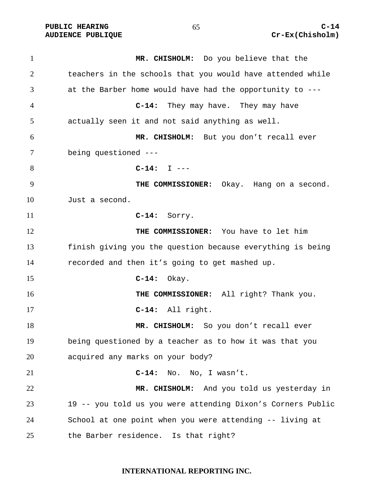**PUBLIC HEARING C-14** 

**MR. CHISHOLM:** Do you believe that the teachers in the schools that you would have attended while at the Barber home would have had the opportunity to --- **C-14:** They may have. They may have actually seen it and not said anything as well. **MR. CHISHOLM:** But you don't recall ever being questioned --- **C-14:** I --- **THE COMMISSIONER:** Okay. Hang on a second. Just a second. **C-14:** Sorry. **THE COMMISSIONER:** You have to let him finish giving you the question because everything is being recorded and then it's going to get mashed up. **C-14:** Okay. **THE COMMISSIONER:** All right? Thank you. **C-14:** All right. 18 MR. CHISHOLM: So you don't recall ever being questioned by a teacher as to how it was that you acquired any marks on your body? **C-14:** No. No, I wasn't. **MR. CHISHOLM:** And you told us yesterday in 19 -- you told us you were attending Dixon's Corners Public School at one point when you were attending -- living at the Barber residence. Is that right?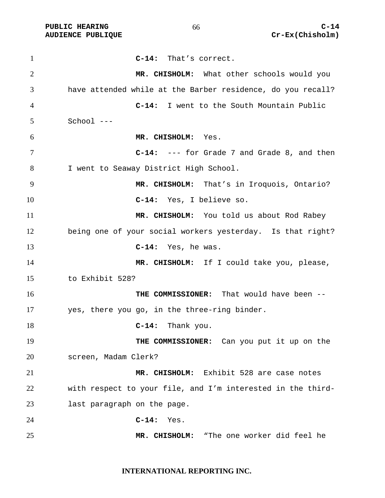| $\mathbf{1}$   | That's correct.<br>$C-14:$                                  |
|----------------|-------------------------------------------------------------|
| $\overline{2}$ | MR. CHISHOLM: What other schools would you                  |
| 3              | have attended while at the Barber residence, do you recall? |
| 4              | C-14: I went to the South Mountain Public                   |
| 5              | School ---                                                  |
| 6              | MR. CHISHOLM: Yes.                                          |
| 7              | C-14: --- for Grade 7 and Grade 8, and then                 |
| 8              | I went to Seaway District High School.                      |
| 9              | MR. CHISHOLM: That's in Iroquois, Ontario?                  |
| 10             | C-14: Yes, I believe so.                                    |
| 11             | MR. CHISHOLM: You told us about Rod Rabey                   |
| 12             | being one of your social workers yesterday. Is that right?  |
| 13             | $C-14:$ Yes, he was.                                        |
| 14             | MR. CHISHOLM: If I could take you, please,                  |
| 15             | to Exhibit 528?                                             |
| 16             | THE COMMISSIONER: That would have been --                   |
| 17             | yes, there you go, in the three-ring binder.                |
| 18             | $C-14:$<br>Thank you.                                       |
| 19             | THE COMMISSIONER: Can you put it up on the                  |
| 20             | screen, Madam Clerk?                                        |
| 21             | MR. CHISHOLM: Exhibit 528 are case notes                    |
| 22             | with respect to your file, and I'm interested in the third- |
| 23             | last paragraph on the page.                                 |
| 24             | $C-14:$<br>Yes.                                             |
| 25             | "The one worker did feel he<br>MR. CHISHOLM:                |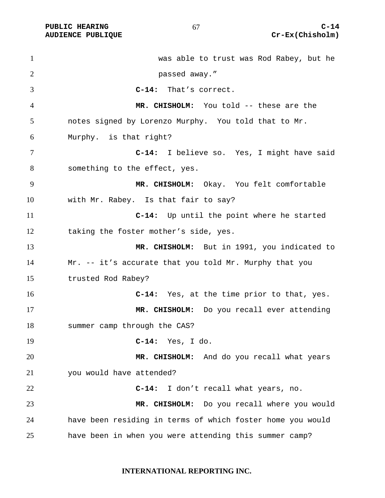was able to trust was Rod Rabey, but he passed away." **C-14:** That's correct. **MR. CHISHOLM:** You told -- these are the notes signed by Lorenzo Murphy. You told that to Mr. Murphy. is that right? **C-14:** I believe so. Yes, I might have said 8 something to the effect, yes. **MR. CHISHOLM:** Okay. You felt comfortable with Mr. Rabey. Is that fair to say? **C-14:** Up until the point where he started taking the foster mother's side, yes. **MR. CHISHOLM:** But in 1991, you indicated to Mr. -- it's accurate that you told Mr. Murphy that you trusted Rod Rabey? **C-14:** Yes, at the time prior to that, yes. **MR. CHISHOLM:** Do you recall ever attending summer camp through the CAS? **C-14:** Yes, I do. **MR. CHISHOLM:** And do you recall what years you would have attended? **C-14:** I don't recall what years, no. **MR. CHISHOLM:** Do you recall where you would have been residing in terms of which foster home you would have been in when you were attending this summer camp?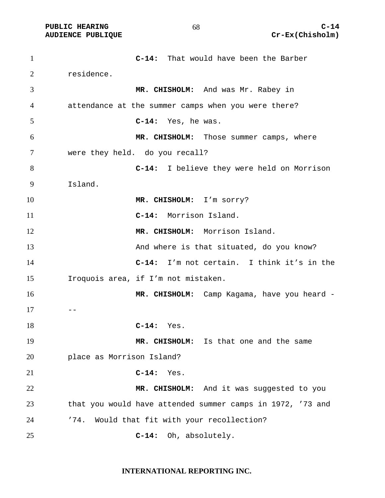**C-14:** That would have been the Barber residence. **MR. CHISHOLM:** And was Mr. Rabey in attendance at the summer camps when you were there? **C-14:** Yes, he was. **MR. CHISHOLM:** Those summer camps, where were they held. do you recall? **C-14:** I believe they were held on Morrison Island. **MR. CHISHOLM:** I'm sorry? **C-14:** Morrison Island. 12 MR. CHISHOLM: Morrison Island. And where is that situated, do you know? **C-14:** I'm not certain. I think it's in the Iroquois area, if I'm not mistaken. **MR. CHISHOLM:** Camp Kagama, have you heard -  $17 - -$ **C-14:** Yes. **MR. CHISHOLM:** Is that one and the same place as Morrison Island? **C-14:** Yes. **MR. CHISHOLM:** And it was suggested to you that you would have attended summer camps in 1972, '73 and 24 '74. Would that fit with your recollection? **C-14:** Oh, absolutely.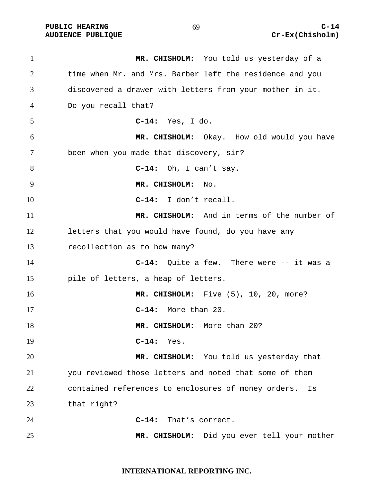**AUDIENCE PUBLIQUE** 

| $\mathbf{1}$ | MR. CHISHOLM: You told us yesterday of a                  |
|--------------|-----------------------------------------------------------|
| 2            | time when Mr. and Mrs. Barber left the residence and you  |
| 3            | discovered a drawer with letters from your mother in it.  |
| 4            | Do you recall that?                                       |
| 5            | $C-14:$ Yes, I do.                                        |
| 6            | MR. CHISHOLM: Okay. How old would you have                |
| 7            | been when you made that discovery, sir?                   |
| 8            | $C-14$ : Oh, I can't say.                                 |
| 9            | MR. CHISHOLM: No.                                         |
| 10           | $C-14: I don't recall.$                                   |
| 11           | MR. CHISHOLM: And in terms of the number of               |
| 12           | letters that you would have found, do you have any        |
| 13           | recollection as to how many?                              |
| 14           | $C-14$ : Quite a few. There were $-$ it was a             |
| 15           | pile of letters, a heap of letters.                       |
| 16           | MR. CHISHOLM: Five (5), 10, 20, more?                     |
| 17           | C-14: More than 20.                                       |
| 18           | MR. CHISHOLM: More than 20?                               |
| 19           | $C-14:$ Yes.                                              |
| 20           | MR. CHISHOLM: You told us yesterday that                  |
| 21           | you reviewed those letters and noted that some of them    |
| 22           | contained references to enclosures of money orders.<br>Is |
| 23           | that right?                                               |
| 24           | $C-14:$<br>That's correct.                                |
| 25           | MR. CHISHOLM: Did you ever tell your mother               |

**INTERNATIONAL REPORTING INC.**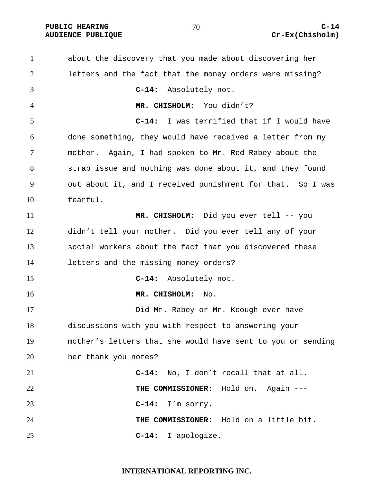# AUDIENCE PUBLIQUE **COMPUSS CREAM COMPUSS CREAM CREAM CREAM CREAM CREAM**

about the discovery that you made about discovering her letters and the fact that the money orders were missing? **C-14:** Absolutely not. **MR. CHISHOLM:** You didn't? **C-14:** I was terrified that if I would have done something, they would have received a letter from my mother. Again, I had spoken to Mr. Rod Rabey about the strap issue and nothing was done about it, and they found out about it, and I received punishment for that. So I was fearful. **MR. CHISHOLM:** Did you ever tell -- you didn't tell your mother. Did you ever tell any of your social workers about the fact that you discovered these letters and the missing money orders? **C-14:** Absolutely not. **MR. CHISHOLM:** No. Did Mr. Rabey or Mr. Keough ever have discussions with you with respect to answering your mother's letters that she would have sent to you or sending her thank you notes? **C-14:** No, I don't recall that at all. **THE COMMISSIONER:** Hold on. Again --- **C-14:** I'm sorry. **THE COMMISSIONER:** Hold on a little bit. **C-14:** I apologize.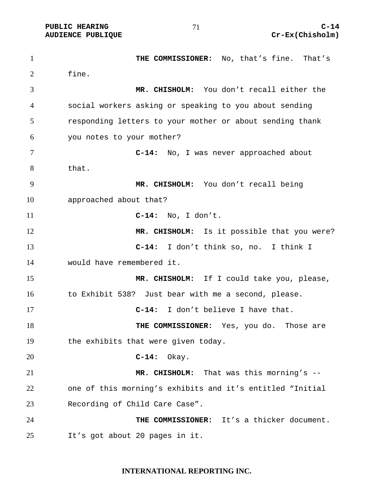**THE COMMISSIONER:** No, that's fine. That's fine. **MR. CHISHOLM:** You don't recall either the social workers asking or speaking to you about sending responding letters to your mother or about sending thank you notes to your mother? **C-14:** No, I was never approached about that. **MR. CHISHOLM:** You don't recall being approached about that? **C-14:** No, I don't. **MR. CHISHOLM:** Is it possible that you were? **C-14:** I don't think so, no. I think I would have remembered it. **MR. CHISHOLM:** If I could take you, please, 16 to Exhibit 538? Just bear with me a second, please. **C-14:** I don't believe I have that. **THE COMMISSIONER:** Yes, you do. Those are the exhibits that were given today. **C-14:** Okay. **MR. CHISHOLM:** That was this morning's -- one of this morning's exhibits and it's entitled "Initial Recording of Child Care Case". **THE COMMISSIONER:** It's a thicker document. It's got about 20 pages in it.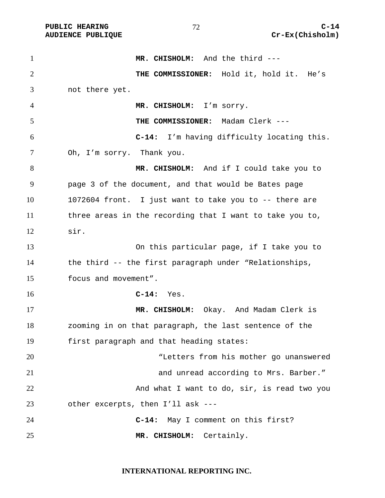**MR. CHISHOLM:** And the third --- **THE COMMISSIONER:** Hold it, hold it. He's not there yet. **MR. CHISHOLM:** I'm sorry. **THE COMMISSIONER:** Madam Clerk --- **C-14:** I'm having difficulty locating this. Oh, I'm sorry. Thank you. **MR. CHISHOLM:** And if I could take you to page 3 of the document, and that would be Bates page 1072604 front. I just want to take you to -- there are three areas in the recording that I want to take you to, sir. On this particular page, if I take you to the third -- the first paragraph under "Relationships, focus and movement". **C-14:** Yes. **MR. CHISHOLM:** Okay. And Madam Clerk is zooming in on that paragraph, the last sentence of the first paragraph and that heading states: "Letters from his mother go unanswered and unread according to Mrs. Barber." 22 And what I want to do, sir, is read two you other excerpts, then I'll ask --- **C-14:** May I comment on this first? **MR. CHISHOLM:** Certainly.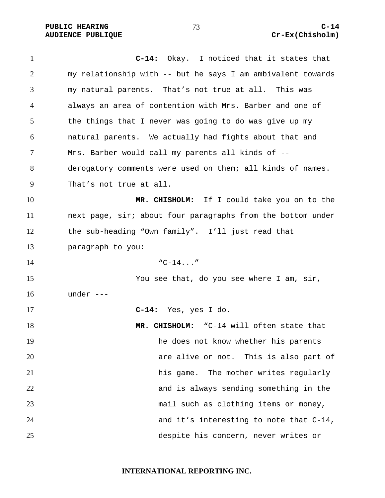**C-14:** Okay. I noticed that it states that my relationship with -- but he says I am ambivalent towards my natural parents. That's not true at all. This was always an area of contention with Mrs. Barber and one of the things that I never was going to do was give up my natural parents. We actually had fights about that and Mrs. Barber would call my parents all kinds of -- derogatory comments were used on them; all kinds of names. That's not true at all. **MR. CHISHOLM:** If I could take you on to the next page, sir; about four paragraphs from the bottom under the sub-heading "Own family". I'll just read that paragraph to you:  $14 \, \text{C}-14.1 \, \text{m}$ You see that, do you see where I am, sir, under --- **C-14:** Yes, yes I do. **MR. CHISHOLM:** "C-14 will often state that he does not know whether his parents are alive or not. This is also part of his game. The mother writes regularly and is always sending something in the mail such as clothing items or money, and it's interesting to note that C-14, despite his concern, never writes or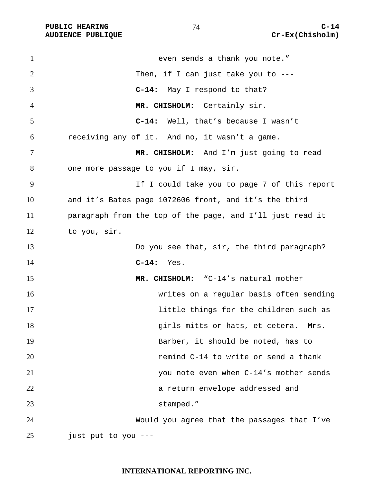**AUDIENCE PUBLIQUE** 

| $\mathbf{1}$   | even sends a thank you note."                             |
|----------------|-----------------------------------------------------------|
| $\overline{2}$ | Then, if I can just take you to $---$                     |
| 3              | C-14: May I respond to that?                              |
| 4              | MR. CHISHOLM: Certainly sir.                              |
| 5              | $C-14:$<br>Well, that's because I wasn't                  |
| 6              | receiving any of it. And no, it wasn't a game.            |
| 7              | MR. CHISHOLM: And I'm just going to read                  |
| 8              | one more passage to you if I may, sir.                    |
| 9              | If I could take you to page 7 of this report              |
| 10             | and it's Bates page 1072606 front, and it's the third     |
| 11             | paragraph from the top of the page, and I'll just read it |
| 12             | to you, sir.                                              |
| 13             | Do you see that, sir, the third paragraph?                |
| 14             | $C-14:$<br>Yes.                                           |
| 15             | MR. CHISHOLM: "C-14's natural mother                      |
| 16             | writes on a regular basis often sending                   |
| 17             | little things for the children such as                    |
| 18             | girls mitts or hats, et cetera. Mrs.                      |
| 19             | Barber, it should be noted, has to                        |
| 20             | remind C-14 to write or send a thank                      |
| 21             | you note even when C-14's mother sends                    |
| 22             | a return envelope addressed and                           |
| 23             | stamped."                                                 |
| 24             | Would you agree that the passages that I've               |
| 25             | just put to you ---                                       |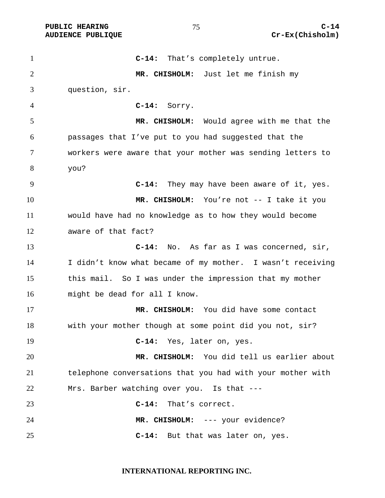**C-14:** That's completely untrue. **MR. CHISHOLM:** Just let me finish my question, sir. **C-14:** Sorry. **MR. CHISHOLM:** Would agree with me that the passages that I've put to you had suggested that the workers were aware that your mother was sending letters to you? **C-14:** They may have been aware of it, yes. **MR. CHISHOLM:** You're not -- I take it you would have had no knowledge as to how they would become aware of that fact? **C-14:** No. As far as I was concerned, sir, I didn't know what became of my mother. I wasn't receiving this mail. So I was under the impression that my mother might be dead for all I know. **MR. CHISHOLM:** You did have some contact with your mother though at some point did you not, sir? **C-14:** Yes, later on, yes. **MR. CHISHOLM:** You did tell us earlier about telephone conversations that you had with your mother with Mrs. Barber watching over you. Is that --- **C-14:** That's correct. **MR. CHISHOLM:** --- your evidence? **C-14:** But that was later on, yes.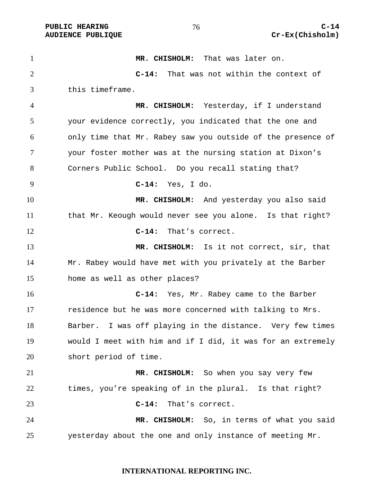PUBLIC HEARING and  $76$  c-14

**MR. CHISHOLM:** That was later on. **C-14:** That was not within the context of this timeframe. **MR. CHISHOLM:** Yesterday, if I understand your evidence correctly, you indicated that the one and only time that Mr. Rabey saw you outside of the presence of your foster mother was at the nursing station at Dixon's Corners Public School. Do you recall stating that? **C-14:** Yes, I do. **MR. CHISHOLM:** And yesterday you also said that Mr. Keough would never see you alone. Is that right? **C-14:** That's correct. **MR. CHISHOLM:** Is it not correct, sir, that Mr. Rabey would have met with you privately at the Barber home as well as other places? **C-14:** Yes, Mr. Rabey came to the Barber residence but he was more concerned with talking to Mrs. Barber. I was off playing in the distance. Very few times would I meet with him and if I did, it was for an extremely short period of time. **MR. CHISHOLM:** So when you say very few times, you're speaking of in the plural. Is that right? **C-14:** That's correct. **MR. CHISHOLM:** So, in terms of what you said yesterday about the one and only instance of meeting Mr.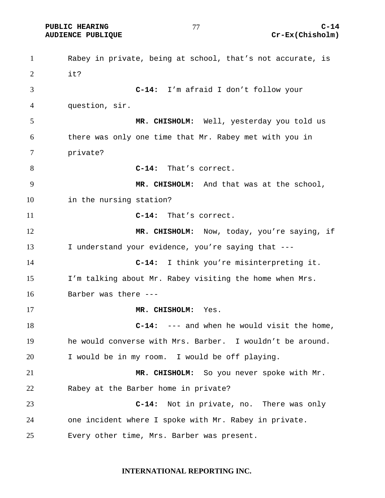PUBLIC HEARING  $\overline{C}$ -14  $\overline{C}$ 

Rabey in private, being at school, that's not accurate, is  $2 \quad i \rightarrow$ **C-14:** I'm afraid I don't follow your question, sir. **MR. CHISHOLM:** Well, yesterday you told us there was only one time that Mr. Rabey met with you in private? **C-14:** That's correct. **MR. CHISHOLM:** And that was at the school, in the nursing station? **C-14:** That's correct. **MR. CHISHOLM:** Now, today, you're saying, if 13 I understand your evidence, you're saying that ---**C-14:** I think you're misinterpreting it. I'm talking about Mr. Rabey visiting the home when Mrs. Barber was there --- **MR. CHISHOLM:** Yes. **C-14:** --- and when he would visit the home, he would converse with Mrs. Barber. I wouldn't be around. I would be in my room. I would be off playing. **MR. CHISHOLM:** So you never spoke with Mr. Rabey at the Barber home in private? **C-14:** Not in private, no. There was only one incident where I spoke with Mr. Rabey in private. Every other time, Mrs. Barber was present.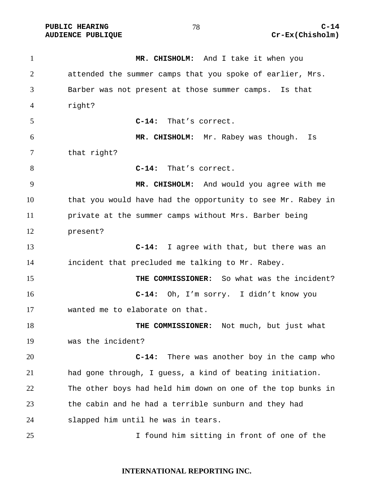**AUDIENCE PUBLIQUE** 

| $\mathbf{1}$ | MR. CHISHOLM: And I take it when you                        |
|--------------|-------------------------------------------------------------|
| 2            | attended the summer camps that you spoke of earlier, Mrs.   |
| 3            | Barber was not present at those summer camps. Is that       |
| 4            | right?                                                      |
| 5            | C-14: That's correct.                                       |
| 6            | MR. CHISHOLM: Mr. Rabey was though.<br>Is                   |
| 7            | that right?                                                 |
| 8            | C-14: That's correct.                                       |
| 9            | MR. CHISHOLM: And would you agree with me                   |
| 10           | that you would have had the opportunity to see Mr. Rabey in |
| 11           | private at the summer camps without Mrs. Barber being       |
| 12           | present?                                                    |
| 13           | C-14: I agree with that, but there was an                   |
| 14           | incident that precluded me talking to Mr. Rabey.            |
| 15           | THE COMMISSIONER: So what was the incident?                 |
| 16           | C-14: Oh, I'm sorry. I didn't know you                      |
| 17           | wanted me to elaborate on that.                             |
| 18           | THE COMMISSIONER: Not much, but just what                   |
| 19           | was the incident?                                           |
| 20           | There was another boy in the camp who<br>$C-14:$            |
| 21           | had gone through, I guess, a kind of beating initiation.    |
| 22           | The other boys had held him down on one of the top bunks in |
| 23           | the cabin and he had a terrible sunburn and they had        |
| 24           | slapped him until he was in tears.                          |
| 25           | I found him sitting in front of one of the                  |

# **INTERNATIONAL REPORTING INC.**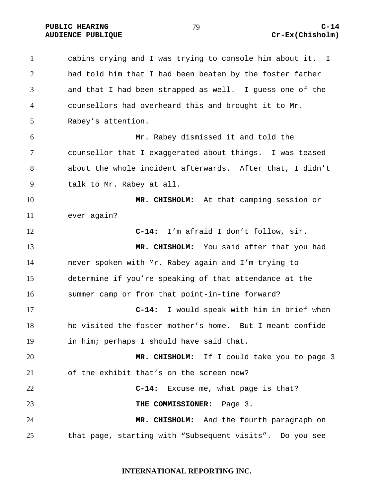# AUDIENCE PUBLIQUE **COMPUSS CREAM COMPUSS CREAM CREAM CREAM CREAM CREAM**

cabins crying and I was trying to console him about it. I had told him that I had been beaten by the foster father and that I had been strapped as well. I guess one of the counsellors had overheard this and brought it to Mr. Rabey's attention. Mr. Rabey dismissed it and told the counsellor that I exaggerated about things. I was teased about the whole incident afterwards. After that, I didn't talk to Mr. Rabey at all. **MR. CHISHOLM:** At that camping session or ever again? **C-14:** I'm afraid I don't follow, sir. **MR. CHISHOLM:** You said after that you had never spoken with Mr. Rabey again and I'm trying to determine if you're speaking of that attendance at the summer camp or from that point-in-time forward? **C-14:** I would speak with him in brief when he visited the foster mother's home. But I meant confide in him; perhaps I should have said that. **MR. CHISHOLM:** If I could take you to page 3 of the exhibit that's on the screen now? **C-14:** Excuse me, what page is that? **THE COMMISSIONER:** Page 3. **MR. CHISHOLM:** And the fourth paragraph on that page, starting with "Subsequent visits". Do you see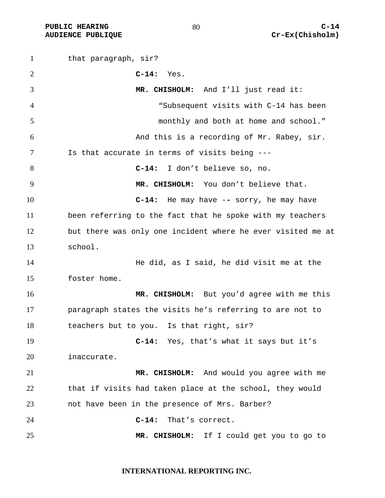that paragraph, sir? **C-14:** Yes. **MR. CHISHOLM:** And I'll just read it: "Subsequent visits with C-14 has been monthly and both at home and school." And this is a recording of Mr. Rabey, sir. Is that accurate in terms of visits being --- **C-14:** I don't believe so, no. **MR. CHISHOLM:** You don't believe that. **C-14:** He may have -**-** sorry, he may have been referring to the fact that he spoke with my teachers but there was only one incident where he ever visited me at school. He did, as I said, he did visit me at the foster home. **MR. CHISHOLM:** But you'd agree with me this paragraph states the visits he's referring to are not to teachers but to you. Is that right, sir? **C-14:** Yes, that's what it says but it's inaccurate. **MR. CHISHOLM:** And would you agree with me that if visits had taken place at the school, they would not have been in the presence of Mrs. Barber? **C-14:** That's correct. **MR. CHISHOLM:** If I could get you to go to

# **INTERNATIONAL REPORTING INC.**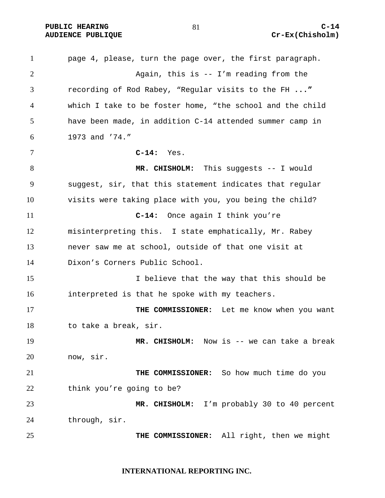PUBLIC HEARING  $\begin{array}{ccc} 81 & 0 & 0 \\ 0 & 0 & 0 \\ 0 & 0 & 0 \end{array}$  C-14

page 4, please, turn the page over, the first paragraph. Again, this is -- I'm reading from the recording of Rod Rabey, "Regular visits to the FH **..."**  which I take to be foster home, "the school and the child have been made, in addition C-14 attended summer camp in 1973 and '74." **C-14:** Yes. **MR. CHISHOLM:** This suggests -- I would suggest, sir, that this statement indicates that regular visits were taking place with you, you being the child? **C-14:** Once again I think you're misinterpreting this.I state emphatically, Mr. Rabey never saw me at school, outside of that one visit at Dixon's Corners Public School. 15 I believe that the way that this should be interpreted is that he spoke with my teachers. **THE COMMISSIONER:** Let me know when you want to take a break, sir. **MR. CHISHOLM:** Now is -- we can take a break now, sir. **THE COMMISSIONER:** So how much time do you think you're going to be? **MR. CHISHOLM:** I'm probably 30 to 40 percent through, sir. **THE COMMISSIONER:** All right, then we might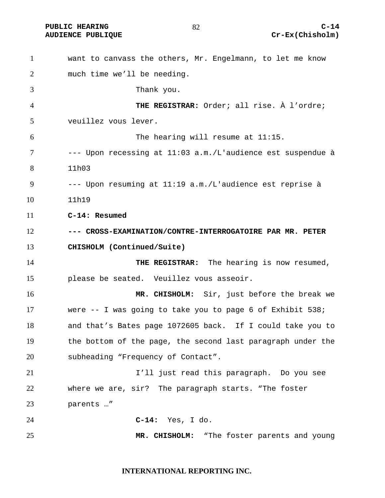PUBLIC HEARING  $\begin{array}{ccc} 82 & 82 \end{array}$  C-14

want to canvass the others, Mr. Engelmann, to let me know much time we'll be needing. Thank you. **THE REGISTRAR:** Order; all rise. À l'ordre; veuillez vous lever. The hearing will resume at 11:15. --- Upon recessing at 11:03 a.m./L'audience est suspendue à 11h03 --- Upon resuming at 11:19 a.m./L'audience est reprise à 11h19 **C-14: Resumed --- CROSS-EXAMINATION/CONTRE-INTERROGATOIRE PAR MR. PETER CHISHOLM (Continued/Suite) THE REGISTRAR:** The hearing is now resumed, please be seated. Veuillez vous asseoir. **MR. CHISHOLM:** Sir, just before the break we were -- I was going to take you to page 6 of Exhibit 538; and that's Bates page 1072605 back. If I could take you to the bottom of the page, the second last paragraph under the subheading "Frequency of Contact". I'll just read this paragraph. Do you see where we are, sir? The paragraph starts. "The foster parents …" **C-14:** Yes, I do. **MR. CHISHOLM:** "The foster parents and young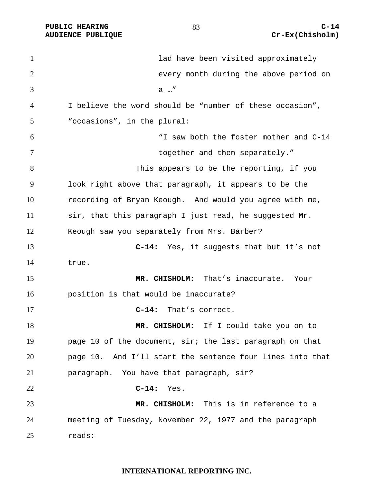1 ad have been visited approximately every month during the above period on a …" I believe the word should be "number of these occasion", "occasions", in the plural: "I saw both the foster mother and C-14 7 together and then separately." This appears to be the reporting, if you look right above that paragraph, it appears to be the recording of Bryan Keough. And would you agree with me, sir, that this paragraph I just read, he suggested Mr. Keough saw you separately from Mrs. Barber? **C-14:** Yes, it suggests that but it's not true. **MR. CHISHOLM:** That's inaccurate. Your position is that would be inaccurate? **C-14:** That's correct. **MR. CHISHOLM:** If I could take you on to page 10 of the document, sir; the last paragraph on that page 10. And I'll start the sentence four lines into that paragraph. You have that paragraph, sir? **C-14:** Yes. **MR. CHISHOLM:** This is in reference to a meeting of Tuesday, November 22, 1977 and the paragraph reads: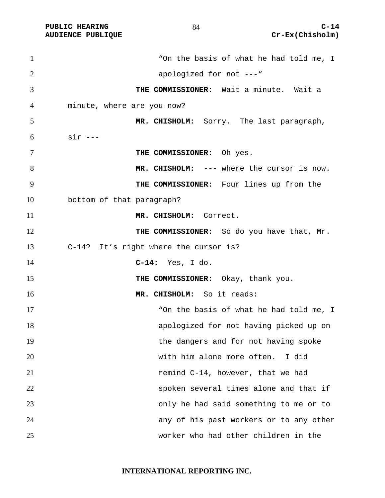**AUDIENCE PUBLIQUE** 

| $\mathbf{1}$ | "On the basis of what he had told me, I    |
|--------------|--------------------------------------------|
| 2            | apologized for not ---"                    |
| 3            | THE COMMISSIONER: Wait a minute. Wait a    |
| 4            | minute, where are you now?                 |
| 5            | MR. CHISHOLM: Sorry. The last paragraph,   |
| 6            | $sir$ ---                                  |
| 7            | THE COMMISSIONER: Oh yes.                  |
| 8            | MR. CHISHOLM: --- where the cursor is now. |
| 9            | THE COMMISSIONER: Four lines up from the   |
| 10           | bottom of that paragraph?                  |
| 11           | MR. CHISHOLM: Correct.                     |
| 12           | THE COMMISSIONER: So do you have that, Mr. |
| 13           | C-14? It's right where the cursor is?      |
| 14           | $C-14:$ Yes, I do.                         |
| 15           | THE COMMISSIONER: Okay, thank you.         |
| 16           | MR. CHISHOLM: So it reads:                 |
| 17           | "On the basis of what he had told me, I    |
| 18           | apologized for not having picked up on     |
| 19           | the dangers and for not having spoke       |
| 20           | with him alone more often.<br>I did        |
| 21           | remind C-14, however, that we had          |
| 22           | spoken several times alone and that if     |
| 23           | only he had said something to me or to     |
| 24           | any of his past workers or to any other    |
| 25           | worker who had other children in the       |

**INTERNATIONAL REPORTING INC.**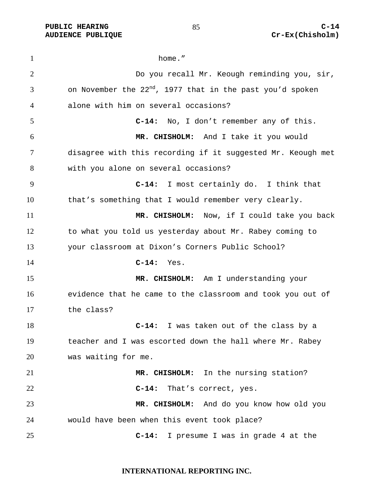1 home." Do you recall Mr. Keough reminding you, sir, 3 6 6 0 0 0 0 0 0 0 0 0 0 1 0 1977 that in the past you'd spoken alone with him on several occasions? **C-14:** No, I don't remember any of this. **MR. CHISHOLM:** And I take it you would disagree with this recording if it suggested Mr. Keough met with you alone on several occasions? **C-14:** I most certainly do. I think that that's something that I would remember very clearly. **MR. CHISHOLM:** Now, if I could take you back to what you told us yesterday about Mr. Rabey coming to your classroom at Dixon's Corners Public School? **C-14:** Yes. **MR. CHISHOLM:** Am I understanding your evidence that he came to the classroom and took you out of the class? **C-14:** I was taken out of the class by a teacher and I was escorted down the hall where Mr. Rabey was waiting for me. **MR. CHISHOLM:** In the nursing station? **C-14:** That's correct, yes. **MR. CHISHOLM:** And do you know how old you would have been when this event took place? **C-14:** I presume I was in grade 4 at the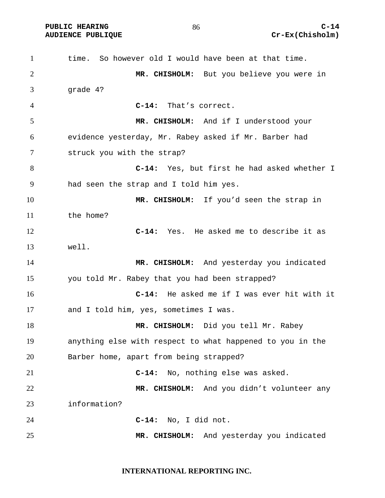time. So however old I would have been at that time. **MR. CHISHOLM:** But you believe you were in grade 4? **C-14:** That's correct. **MR. CHISHOLM:** And if I understood your evidence yesterday, Mr. Rabey asked if Mr. Barber had struck you with the strap? **C-14:** Yes, but first he had asked whether I had seen the strap and I told him yes. **MR. CHISHOLM:** If you'd seen the strap in the home? **C-14:** Yes. He asked me to describe it as well. **MR. CHISHOLM:** And yesterday you indicated you told Mr. Rabey that you had been strapped? **C-14:** He asked me if I was ever hit with it and I told him, yes, sometimes I was. **MR. CHISHOLM:** Did you tell Mr. Rabey anything else with respect to what happened to you in the Barber home, apart from being strapped? **C-14:** No, nothing else was asked. **MR. CHISHOLM:** And you didn't volunteer any information? **C-14:** No, I did not. **MR. CHISHOLM:** And yesterday you indicated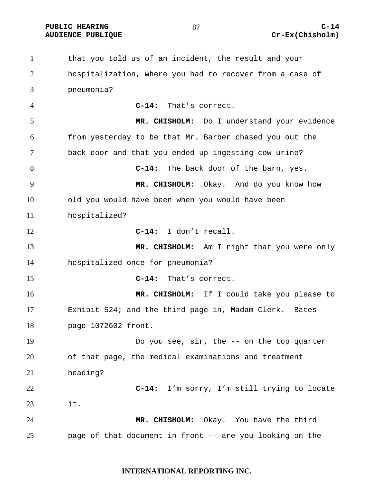PUBLIC HEARING  $^{87}$   $^{87}$   $^{87}$   $^{87}$   $^{87}$   $^{87}$   $^{87}$   $^{87}$   $^{87}$   $^{87}$   $^{87}$   $^{87}$   $^{87}$   $^{87}$   $^{87}$   $^{87}$   $^{87}$   $^{87}$   $^{87}$   $^{87}$   $^{87}$   $^{87}$   $^{87}$   $^{87}$   $^{87}$   $^{87}$   $^{87}$   $^{87}$   $^{87}$   $^{87$ 

that you told us of an incident, the result and your hospitalization, where you had to recover from a case of pneumonia? **C-14:** That's correct. **MR. CHISHOLM:** Do I understand your evidence from yesterday to be that Mr. Barber chased you out the back door and that you ended up ingesting cow urine? **C-14:** The back door of the barn, yes. **MR. CHISHOLM:** Okay. And do you know how old you would have been when you would have been hospitalized? **C-14:** I don't recall. **MR. CHISHOLM:** Am I right that you were only hospitalized once for pneumonia? **C-14:** That's correct. **MR. CHISHOLM:** If I could take you please to Exhibit 524; and the third page in, Madam Clerk. Bates page 1072602 front. Do you see, sir, the -- on the top quarter of that page, the medical examinations and treatment heading? **C-14:** I'm sorry, I'm still trying to locate it. **MR. CHISHOLM:** Okay. You have the third page of that document in front -- are you looking on the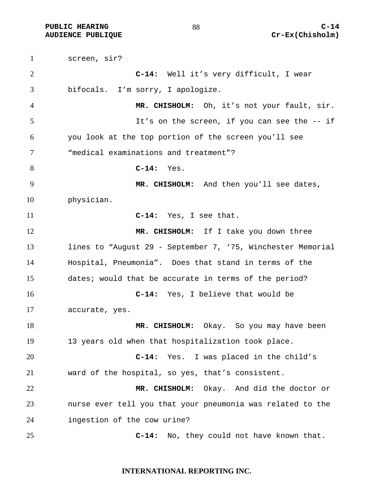screen, sir? **C-14:** Well it's very difficult, I wear bifocals. I'm sorry, I apologize. **MR. CHISHOLM:** Oh, it's not your fault, sir. It's on the screen, if you can see the -- if you look at the top portion of the screen you'll see "medical examinations and treatment"? **C-14:** Yes. **MR. CHISHOLM:** And then you'll see dates, physician. **C-14:** Yes, I see that. 12 MR. CHISHOLM: If I take you down three lines to "August 29 - September 7, '75, Winchester Memorial Hospital, Pneumonia". Does that stand in terms of the dates; would that be accurate in terms of the period? **C-14:** Yes, I believe that would be accurate, yes. **MR. CHISHOLM:** Okay. So you may have been 13 years old when that hospitalization took place. **C-14:** Yes. I was placed in the child's ward of the hospital, so yes, that's consistent. **MR. CHISHOLM:** Okay. And did the doctor or nurse ever tell you that your pneumonia was related to the ingestion of the cow urine? **C-14:** No, they could not have known that.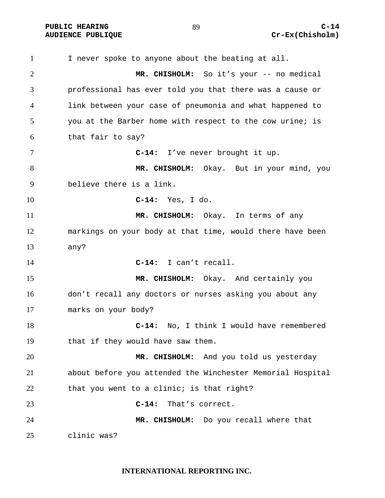I never spoke to anyone about the beating at all. **MR. CHISHOLM:** So it's your -- no medical professional has ever told you that there was a cause or link between your case of pneumonia and what happened to you at the Barber home with respect to the cow urine; is that fair to say? **C-14:** I've never brought it up. **MR. CHISHOLM:** Okay. But in your mind, you believe there is a link. **C-14:** Yes, I do. **MR. CHISHOLM:** Okay. In terms of any markings on your body at that time, would there have been any? **C-14:** I can't recall. **MR. CHISHOLM:** Okay. And certainly you don't recall any doctors or nurses asking you about any marks on your body? **C-14:** No, I think I would have remembered that if they would have saw them. **MR. CHISHOLM:** And you told us yesterday about before you attended the Winchester Memorial Hospital 22 that you went to a clinic; is that right? **C-14:** That's correct. **MR. CHISHOLM:** Do you recall where that clinic was?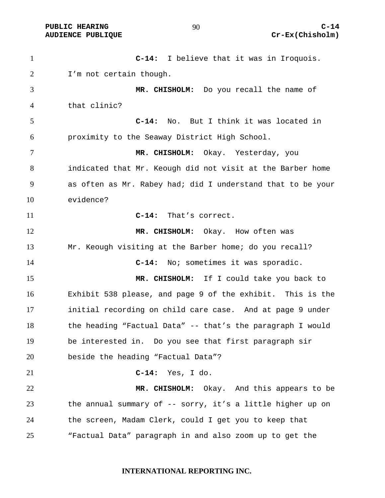PUBLIC HEARING extended to the c-14

**C-14:** I believe that it was in Iroquois. I'm not certain though. **MR. CHISHOLM:** Do you recall the name of that clinic? **C-14:** No. But I think it was located in proximity to the Seaway District High School. **MR. CHISHOLM:** Okay. Yesterday, you indicated that Mr. Keough did not visit at the Barber home as often as Mr. Rabey had; did I understand that to be your evidence? **C-14:** That's correct. 12 MR. CHISHOLM: Okay. How often was Mr. Keough visiting at the Barber home; do you recall? **C-14:** No; sometimes it was sporadic. **MR. CHISHOLM:** If I could take you back to Exhibit 538 please, and page 9 of the exhibit. This is the initial recording on child care case. And at page 9 under the heading "Factual Data" -- that's the paragraph I would be interested in. Do you see that first paragraph sir beside the heading "Factual Data"? **C-14:** Yes, I do. **MR. CHISHOLM:** Okay. And this appears to be the annual summary of -- sorry, it's a little higher up on the screen, Madam Clerk, could I get you to keep that "Factual Data" paragraph in and also zoom up to get the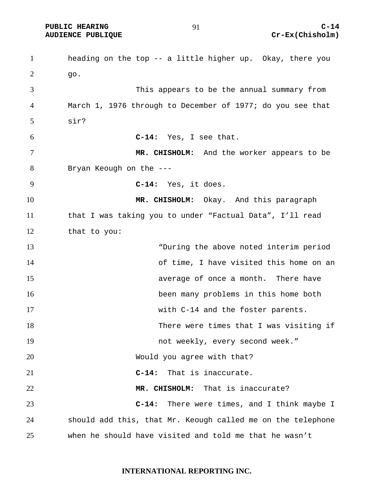heading on the top -- a little higher up. Okay, there you go. This appears to be the annual summary from March 1, 1976 through to December of 1977; do you see that sir? **C-14:** Yes, I see that. **MR. CHISHOLM:** And the worker appears to be Bryan Keough on the --- **C-14:** Yes, it does. **MR. CHISHOLM:** Okay. And this paragraph that I was taking you to under "Factual Data", I'll read that to you: "During the above noted interim period of time, I have visited this home on an average of once a month. There have been many problems in this home both with C-14 and the foster parents. There were times that I was visiting if 19 not weekly, every second week." 20 Would you agree with that? **C-14:** That is inaccurate. **MR. CHISHOLM:** That is inaccurate? **C-14:** There were times, and I think maybe I should add this, that Mr. Keough called me on the telephone when he should have visited and told me that he wasn't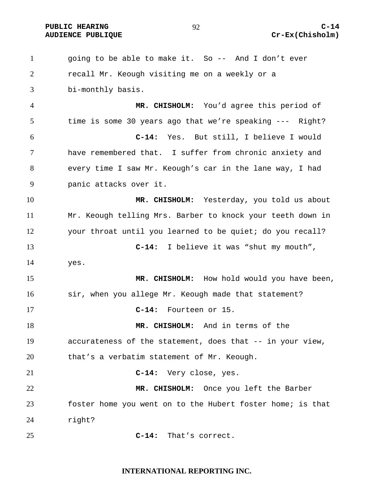going to be able to make it. So -- And I don't ever recall Mr. Keough visiting me on a weekly or a bi-monthly basis. **MR. CHISHOLM:** You'd agree this period of time is some 30 years ago that we're speaking --- Right? **C-14:** Yes. But still, I believe I would have remembered that. I suffer from chronic anxiety and every time I saw Mr. Keough's car in the lane way, I had panic attacks over it. **MR. CHISHOLM:** Yesterday, you told us about Mr. Keough telling Mrs. Barber to knock your teeth down in your throat until you learned to be quiet; do you recall? **C-14:** I believe it was "shut my mouth", yes. **MR. CHISHOLM:** How hold would you have been, 16 sir, when you allege Mr. Keough made that statement? **C-14:** Fourteen or 15. **MR. CHISHOLM:** And in terms of the accurateness of the statement, does that -- in your view, that's a verbatim statement of Mr. Keough. **C-14:** Very close, yes. **MR. CHISHOLM:** Once you left the Barber foster home you went on to the Hubert foster home; is that right? **C-14:** That's correct.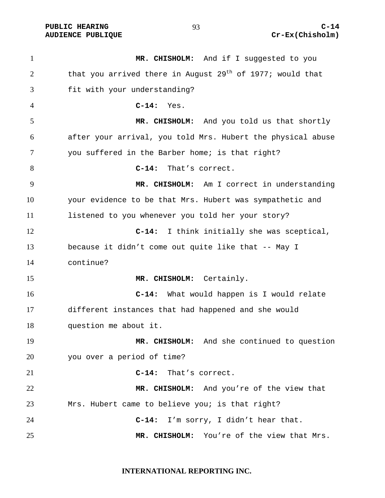PUBLIC HEARING  $^{93}$   $^{14}$ 

**MR. CHISHOLM:** And if I suggested to you 2 that you arrived there in August 29<sup>th</sup> of 1977; would that fit with your understanding? **C-14:** Yes. **MR. CHISHOLM:** And you told us that shortly after your arrival, you told Mrs. Hubert the physical abuse you suffered in the Barber home; is that right? **C-14:** That's correct. **MR. CHISHOLM:** Am I correct in understanding your evidence to be that Mrs. Hubert was sympathetic and listened to you whenever you told her your story? **C-14:** I think initially she was sceptical, because it didn't come out quite like that -- May I continue? **MR. CHISHOLM:** Certainly. **C-14:** What would happen is I would relate different instances that had happened and she would question me about it. **MR. CHISHOLM:** And she continued to question you over a period of time? **C-14:** That's correct. **MR. CHISHOLM:** And you're of the view that Mrs. Hubert came to believe you; is that right? **C-14:** I'm sorry, I didn't hear that. **MR. CHISHOLM:** You're of the view that Mrs.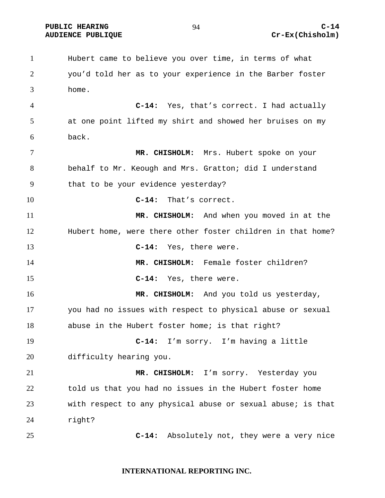PUBLIC HEARING Q C-14

Hubert came to believe you over time, in terms of what you'd told her as to your experience in the Barber foster home. **C-14:** Yes, that's correct. I had actually at one point lifted my shirt and showed her bruises on my back. **MR. CHISHOLM:** Mrs. Hubert spoke on your behalf to Mr. Keough and Mrs. Gratton; did I understand that to be your evidence yesterday? **C-14:** That's correct. **MR. CHISHOLM:** And when you moved in at the Hubert home, were there other foster children in that home? **C-14:** Yes, there were. **MR. CHISHOLM:** Female foster children? **C-14:** Yes, there were. **MR. CHISHOLM:** And you told us yesterday, you had no issues with respect to physical abuse or sexual abuse in the Hubert foster home; is that right? **C-14:** I'm sorry. I'm having a little difficulty hearing you. **MR. CHISHOLM:** I'm sorry. Yesterday you told us that you had no issues in the Hubert foster home with respect to any physical abuse or sexual abuse; is that right? **C-14:** Absolutely not, they were a very nice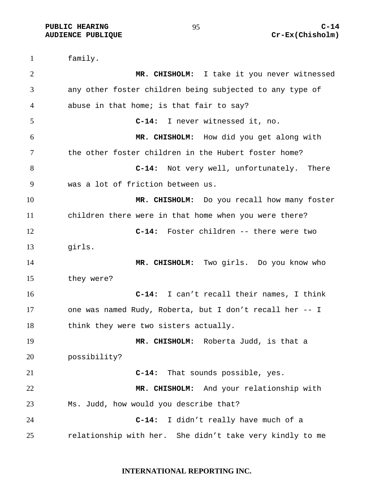family. **MR. CHISHOLM:** I take it you never witnessed any other foster children being subjected to any type of abuse in that home; is that fair to say? **C-14:** I never witnessed it, no. **MR. CHISHOLM:** How did you get along with the other foster children in the Hubert foster home? **C-14:** Not very well, unfortunately. There was a lot of friction between us. **MR. CHISHOLM:** Do you recall how many foster children there were in that home when you were there? **C-14:** Foster children -- there were two girls. **MR. CHISHOLM:** Two girls. Do you know who they were? **C-14:** I can't recall their names, I think one was named Rudy, Roberta, but I don't recall her -- I 18 think they were two sisters actually. **MR. CHISHOLM:** Roberta Judd, is that a possibility? **C-14:** That sounds possible, yes. **MR. CHISHOLM:** And your relationship with Ms. Judd, how would you describe that? **C-14:** I didn't really have much of a relationship with her. She didn't take very kindly to me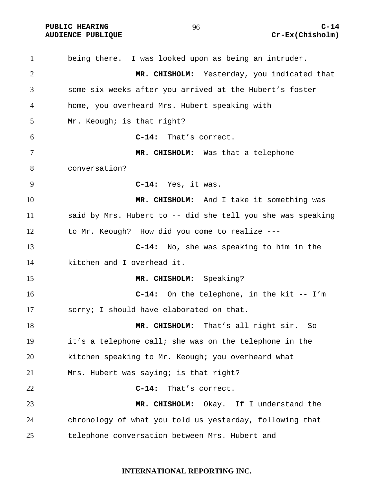being there. I was looked upon as being an intruder. **MR. CHISHOLM:** Yesterday, you indicated that some six weeks after you arrived at the Hubert's foster home, you overheard Mrs. Hubert speaking with Mr. Keough; is that right? **C-14:** That's correct. **MR. CHISHOLM:** Was that a telephone conversation? **C-14:** Yes, it was. **MR. CHISHOLM:** And I take it something was said by Mrs. Hubert to -- did she tell you she was speaking to Mr. Keough? How did you come to realize --- **C-14:** No, she was speaking to him in the kitchen and I overhead it. **MR. CHISHOLM:** Speaking? **C-14:** On the telephone, in the kit -- I'm sorry; I should have elaborated on that. **MR. CHISHOLM:** That's all right sir. So it's a telephone call; she was on the telephone in the kitchen speaking to Mr. Keough; you overheard what Mrs. Hubert was saying; is that right? **C-14:** That's correct. **MR. CHISHOLM:** Okay. If I understand the chronology of what you told us yesterday, following that telephone conversation between Mrs. Hubert and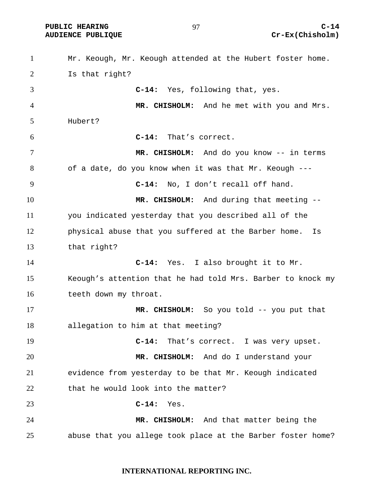PUBLIC HEARING  $Q7$  and  $Q-14$ 

# AUDIENCE PUBLIQUE **COMPUTE CREAM** CREAM CREAM CREAM CREAM CREAM CREAM CREAM CREAM CREAM CREAM CREAM CREAM CREAM CREAM CREAM CREAM CREAM CREAM CREAM CREAM CREAM CREAM CREAM CREAM CREAM CREAM CREAM CREAM CREAM CREAM CREAM CR

Mr. Keough, Mr. Keough attended at the Hubert foster home. Is that right? **C-14:** Yes, following that, yes. **MR. CHISHOLM:** And he met with you and Mrs. Hubert? **C-14:** That's correct. **MR. CHISHOLM:** And do you know -- in terms of a date, do you know when it was that Mr. Keough --- **C-14:** No, I don't recall off hand. **MR. CHISHOLM:** And during that meeting -- you indicated yesterday that you described all of the physical abuse that you suffered at the Barber home. Is that right? **C-14:** Yes. I also brought it to Mr. Keough's attention that he had told Mrs. Barber to knock my teeth down my throat. **MR. CHISHOLM:** So you told -- you put that allegation to him at that meeting? **C-14:** That's correct. I was very upset. **MR. CHISHOLM:** And do I understand your evidence from yesterday to be that Mr. Keough indicated 22 that he would look into the matter? **C-14:** Yes. **MR. CHISHOLM:** And that matter being the abuse that you allege took place at the Barber foster home?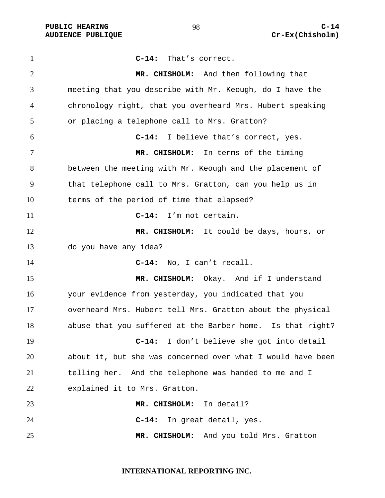**C-14:** That's correct. **MR. CHISHOLM:** And then following that meeting that you describe with Mr. Keough, do I have the chronology right, that you overheard Mrs. Hubert speaking or placing a telephone call to Mrs. Gratton? **C-14:** I believe that's correct, yes. **MR. CHISHOLM:** In terms of the timing between the meeting with Mr. Keough and the placement of that telephone call to Mrs. Gratton, can you help us in terms of the period of time that elapsed? **C-14:** I'm not certain. **MR. CHISHOLM:** It could be days, hours, or do you have any idea? **C-14:** No, I can't recall. **MR. CHISHOLM:** Okay. And if I understand your evidence from yesterday, you indicated that you overheard Mrs. Hubert tell Mrs. Gratton about the physical abuse that you suffered at the Barber home. Is that right? **C-14:** I don't believe she got into detail about it, but she was concerned over what I would have been telling her. And the telephone was handed to me and I explained it to Mrs. Gratton. **MR. CHISHOLM:** In detail? **C-14:** In great detail, yes. **MR. CHISHOLM:** And you told Mrs. Gratton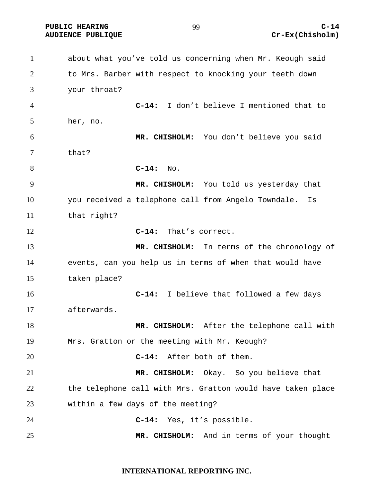about what you've told us concerning when Mr. Keough said to Mrs. Barber with respect to knocking your teeth down your throat? **C-14:** I don't believe I mentioned that to her, no. **MR. CHISHOLM:** You don't believe you said that? **C-14:** No. **MR. CHISHOLM:** You told us yesterday that you received a telephone call from Angelo Towndale. Is that right? **C-14:** That's correct. **MR. CHISHOLM:** In terms of the chronology of events, can you help us in terms of when that would have taken place? **C-14:** I believe that followed a few days afterwards. **MR. CHISHOLM:** After the telephone call with Mrs. Gratton or the meeting with Mr. Keough? **C-14:** After both of them. **MR. CHISHOLM:** Okay. So you believe that the telephone call with Mrs. Gratton would have taken place within a few days of the meeting? **C-14:** Yes, it's possible. **MR. CHISHOLM:** And in terms of your thought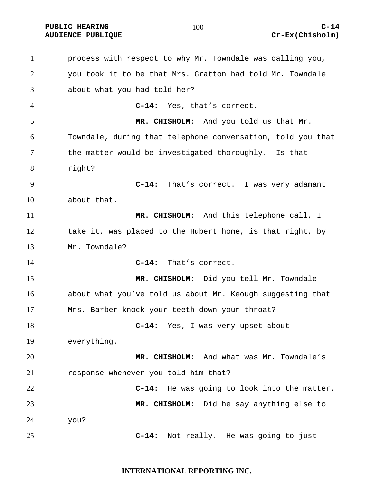process with respect to why Mr. Towndale was calling you, you took it to be that Mrs. Gratton had told Mr. Towndale about what you had told her? **C-14:** Yes, that's correct. **MR. CHISHOLM:** And you told us that Mr. Towndale, during that telephone conversation, told you that the matter would be investigated thoroughly. Is that right? **C-14:** That's correct. I was very adamant about that. **MR. CHISHOLM:** And this telephone call, I take it, was placed to the Hubert home, is that right, by Mr. Towndale? **C-14:** That's correct. **MR. CHISHOLM:** Did you tell Mr. Towndale about what you've told us about Mr. Keough suggesting that Mrs. Barber knock your teeth down your throat? **C-14:** Yes, I was very upset about everything. **MR. CHISHOLM:** And what was Mr. Towndale's response whenever you told him that? **C-14:** He was going to look into the matter. **MR. CHISHOLM:** Did he say anything else to you? **C-14:** Not really. He was going to just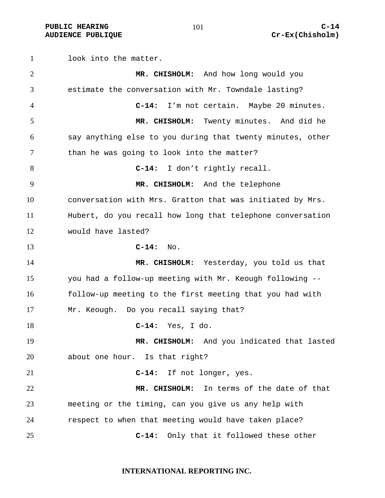look into the matter. **MR. CHISHOLM:** And how long would you estimate the conversation with Mr. Towndale lasting? **C-14:** I'm not certain. Maybe 20 minutes. **MR. CHISHOLM:** Twenty minutes. And did he say anything else to you during that twenty minutes, other 7 than he was going to look into the matter? **C-14:** I don't rightly recall. **MR. CHISHOLM:** And the telephone conversation with Mrs. Gratton that was initiated by Mrs. Hubert, do you recall how long that telephone conversation would have lasted? **C-14:** No. **MR. CHISHOLM:** Yesterday, you told us that you had a follow-up meeting with Mr. Keough following -- follow-up meeting to the first meeting that you had with Mr. Keough. Do you recall saying that? **C-14:** Yes, I do. **MR. CHISHOLM:** And you indicated that lasted about one hour. Is that right? **C-14:** If not longer, yes. **MR. CHISHOLM:** In terms of the date of that meeting or the timing, can you give us any help with respect to when that meeting would have taken place? **C-14:** Only that it followed these other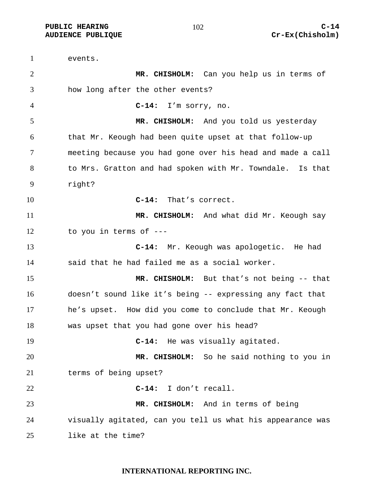events. **MR. CHISHOLM:** Can you help us in terms of how long after the other events? **C-14:** I'm sorry, no. **MR. CHISHOLM:** And you told us yesterday that Mr. Keough had been quite upset at that follow-up meeting because you had gone over his head and made a call to Mrs. Gratton and had spoken with Mr. Towndale. Is that right? **C-14:** That's correct. **MR. CHISHOLM:** And what did Mr. Keough say to you in terms of --- **C-14:** Mr. Keough was apologetic. He had said that he had failed me as a social worker. **MR. CHISHOLM:** But that's not being -- that doesn't sound like it's being -- expressing any fact that he's upset. How did you come to conclude that Mr. Keough was upset that you had gone over his head? **C-14:** He was visually agitated. **MR. CHISHOLM:** So he said nothing to you in terms of being upset? **C-14:** I don't recall. **MR. CHISHOLM:** And in terms of being visually agitated, can you tell us what his appearance was like at the time?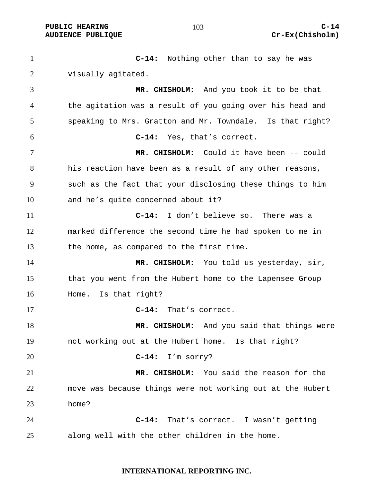**PUBLIC HEARING C-14** 

**C-14:** Nothing other than to say he was visually agitated. **MR. CHISHOLM:** And you took it to be that the agitation was a result of you going over his head and speaking to Mrs. Gratton and Mr. Towndale. Is that right? **C-14:** Yes, that's correct. **MR. CHISHOLM:** Could it have been -- could his reaction have been as a result of any other reasons, such as the fact that your disclosing these things to him and he's quite concerned about it? **C-14:** I don't believe so. There was a marked difference the second time he had spoken to me in the home, as compared to the first time. **MR. CHISHOLM:** You told us yesterday, sir, that you went from the Hubert home to the Lapensee Group Home. Is that right? **C-14:** That's correct. **MR. CHISHOLM:** And you said that things were not working out at the Hubert home. Is that right? **C-14:** I'm sorry? **MR. CHISHOLM:** You said the reason for the move was because things were not working out at the Hubert home? **C-14:** That's correct. I wasn't getting along well with the other children in the home.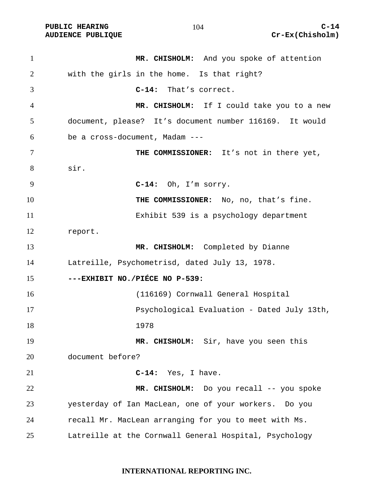**MR. CHISHOLM:** And you spoke of attention with the girls in the home. Is that right? **C-14:** That's correct. **MR. CHISHOLM:** If I could take you to a new document, please? It's document number 116169. It would be a cross-document, Madam --- **THE COMMISSIONER:** It's not in there yet, sir. **C-14:** Oh, I'm sorry. 10 THE COMMISSIONER: No, no, that's fine. Exhibit 539 is a psychology department report. **MR. CHISHOLM:** Completed by Dianne Latreille, Psychometrisd, dated July 13, 1978. **---EXHIBIT NO./PIÉCE NO P-539:**  (116169) Cornwall General Hospital Psychological Evaluation - Dated July 13th, 1978 **MR. CHISHOLM:** Sir, have you seen this document before? **C-14:** Yes, I have. **MR. CHISHOLM:** Do you recall -- you spoke yesterday of Ian MacLean, one of your workers. Do you recall Mr. MacLean arranging for you to meet with Ms. Latreille at the Cornwall General Hospital, Psychology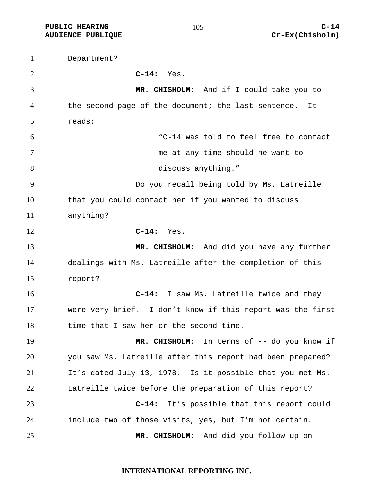Department? **C-14:** Yes. **MR. CHISHOLM:** And if I could take you to the second page of the document; the last sentence. It reads: "C-14 was told to feel free to contact me at any time should he want to discuss anything." Do you recall being told by Ms. Latreille that you could contact her if you wanted to discuss anything? **C-14:** Yes. **MR. CHISHOLM:** And did you have any further dealings with Ms. Latreille after the completion of this report? **C-14:** I saw Ms. Latreille twice and they were very brief. I don't know if this report was the first 18 time that I saw her or the second time. **MR. CHISHOLM:** In terms of -- do you know if you saw Ms. Latreille after this report had been prepared? It's dated July 13, 1978. Is it possible that you met Ms. Latreille twice before the preparation of this report? **C-14:** It's possible that this report could include two of those visits, yes, but I'm not certain. **MR. CHISHOLM:** And did you follow-up on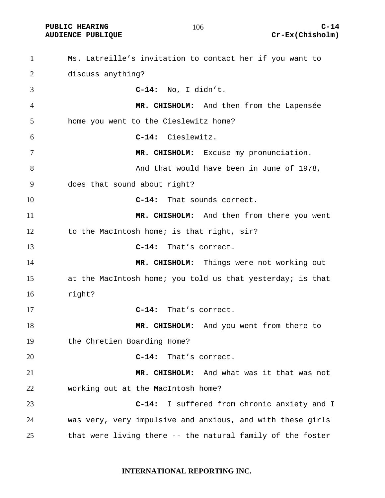#### 

Ms. Latreille's invitation to contact her if you want to discuss anything? **C-14:** No, I didn't. **MR. CHISHOLM:** And then from the Lapensée home you went to the Cieslewitz home? **C-14:** Cieslewitz. **MR. CHISHOLM:** Excuse my pronunciation. 8 and that would have been in June of 1978, does that sound about right? **C-14:** That sounds correct. **MR. CHISHOLM:** And then from there you went 12 to the MacIntosh home; is that right, sir? **C-14:** That's correct. 14 MR. CHISHOLM: Things were not working out at the MacIntosh home; you told us that yesterday; is that right? **C-14:** That's correct. **MR. CHISHOLM:** And you went from there to the Chretien Boarding Home? **C-14:** That's correct. **MR. CHISHOLM:** And what was it that was not working out at the MacIntosh home? **C-14:** I suffered from chronic anxiety and I was very, very impulsive and anxious, and with these girls that were living there -- the natural family of the foster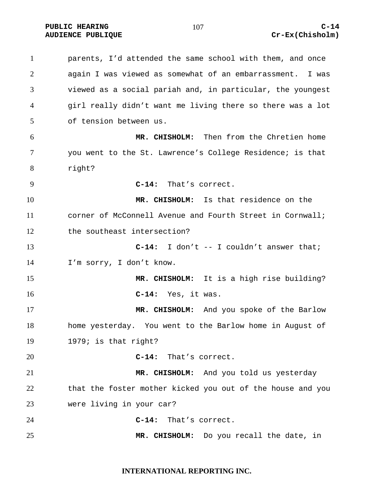parents, I'd attended the same school with them, and once again I was viewed as somewhat of an embarrassment. I was viewed as a social pariah and, in particular, the youngest girl really didn't want me living there so there was a lot of tension between us. **MR. CHISHOLM:** Then from the Chretien home you went to the St. Lawrence's College Residence; is that right? **C-14:** That's correct. **MR. CHISHOLM:** Is that residence on the corner of McConnell Avenue and Fourth Street in Cornwall; 12 the southeast intersection? **C-14:** I don't -- I couldn't answer that; I'm sorry, I don't know. **MR. CHISHOLM:** It is a high rise building? **C-14:** Yes, it was. **MR. CHISHOLM:** And you spoke of the Barlow home yesterday. You went to the Barlow home in August of 1979; is that right? **C-14:** That's correct. **MR. CHISHOLM:** And you told us yesterday that the foster mother kicked you out of the house and you were living in your car? **C-14:** That's correct. **MR. CHISHOLM:** Do you recall the date, in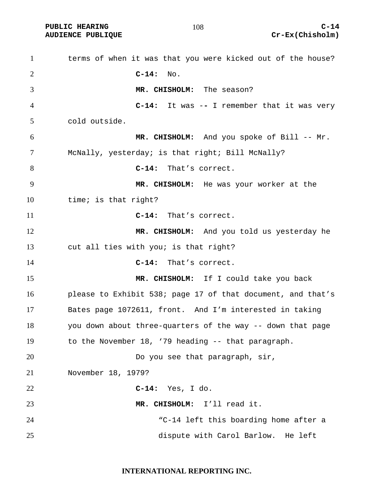| $\mathbf{1}$   | terms of when it was that you were kicked out of the house? |
|----------------|-------------------------------------------------------------|
| 2              | $C-14:$<br>No.                                              |
| 3              | MR. CHISHOLM: The season?                                   |
| $\overline{4}$ | $C-14$ : It was $-$ I remember that it was very             |
| 5              | cold outside.                                               |
| 6              | MR. CHISHOLM: And you spoke of Bill -- Mr.                  |
| 7              | McNally, yesterday; is that right; Bill McNally?            |
| 8              | That's correct.<br>$C-14:$                                  |
| 9              | MR. CHISHOLM: He was your worker at the                     |
| 10             | time; is that right?                                        |
| 11             | $C-14:$<br>That's correct.                                  |
| 12             | MR. CHISHOLM: And you told us yesterday he                  |
| 13             | cut all ties with you; is that right?                       |
| 14             | $C-14:$<br>That's correct.                                  |
| 15             | MR. CHISHOLM: If I could take you back                      |
| 16             | please to Exhibit 538; page 17 of that document, and that's |
| 17             | Bates page 1072611, front. And I'm interested in taking     |
| 18             | you down about three-quarters of the way -- down that page  |
| 19             | to the November 18, '79 heading -- that paragraph.          |
| 20             | Do you see that paragraph, sir,                             |
| 21             | November 18, 1979?                                          |
| 22             | $C-14:$ Yes, I do.                                          |
| 23             | MR. CHISHOLM: I'll read it.                                 |
| 24             | "C-14 left this boarding home after a                       |
| 25             | dispute with Carol Barlow. He left                          |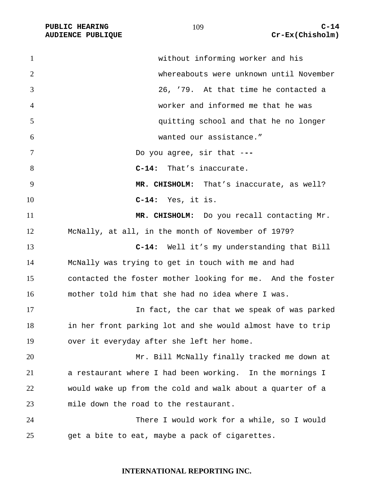| $\mathbf{1}$ | without informing worker and his                           |
|--------------|------------------------------------------------------------|
| 2            | whereabouts were unknown until November                    |
| 3            | 26, '79. At that time he contacted a                       |
| 4            | worker and informed me that he was                         |
| 5            | quitting school and that he no longer                      |
| 6            | wanted our assistance."                                    |
| 7            | Do you agree, sir that ---                                 |
| 8            | That's inaccurate.<br>$C-14:$                              |
| 9            | MR. CHISHOLM: That's inaccurate, as well?                  |
| 10           | $C-14:$ Yes, it is.                                        |
| 11           | MR. CHISHOLM: Do you recall contacting Mr.                 |
| 12           | McNally, at all, in the month of November of 1979?         |
| 13           | Well it's my understanding that Bill<br>$C-14:$            |
| 14           | McNally was trying to get in touch with me and had         |
| 15           | contacted the foster mother looking for me. And the foster |
| 16           | mother told him that she had no idea where I was.          |
| 17           | In fact, the car that we speak of was parked               |
| 18           | in her front parking lot and she would almost have to trip |
| 19           | over it everyday after she left her home.                  |
| 20           | Mr. Bill McNally finally tracked me down at                |
| 21           | a restaurant where I had been working. In the mornings I   |
| 22           | would wake up from the cold and walk about a quarter of a  |
| 23           | mile down the road to the restaurant.                      |
| 24           | There I would work for a while, so I would                 |
| 25           | get a bite to eat, maybe a pack of cigarettes.             |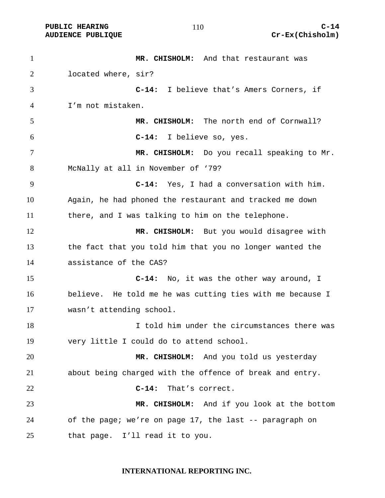| $\mathbf{1}$ | MR. CHISHOLM: And that restaurant was                     |
|--------------|-----------------------------------------------------------|
| 2            | located where, sir?                                       |
| 3            | C-14: I believe that's Amers Corners, if                  |
| 4            | I'm not mistaken.                                         |
| 5            | MR. CHISHOLM: The north end of Cornwall?                  |
| 6            | I believe so, yes.<br>$C-14:$                             |
| 7            | MR. CHISHOLM: Do you recall speaking to Mr.               |
| 8            | McNally at all in November of '79?                        |
| 9            | C-14: Yes, I had a conversation with him.                 |
| 10           | Again, he had phoned the restaurant and tracked me down   |
| 11           | there, and I was talking to him on the telephone.         |
| 12           | MR. CHISHOLM: But you would disagree with                 |
| 13           | the fact that you told him that you no longer wanted the  |
| 14           | assistance of the CAS?                                    |
| 15           | C-14: No, it was the other way around, I                  |
| 16           | believe. He told me he was cutting ties with me because I |
| 17           | wasn't attending school.                                  |
| 18           | I told him under the circumstances there was              |
| 19           | very little I could do to attend school.                  |
| 20           | MR. CHISHOLM: And you told us yesterday                   |
| 21           | about being charged with the offence of break and entry.  |
| 22           | That's correct.<br>$C-14:$                                |
| 23           | MR. CHISHOLM: And if you look at the bottom               |
| 24           | of the page; we're on page 17, the last -- paragraph on   |
| 25           | that page. I'll read it to you.                           |

# **INTERNATIONAL REPORTING INC.**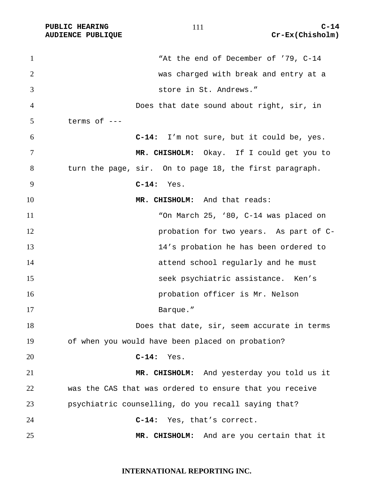1 The end of December of '79, C-14 was charged with break and entry at a store in St. Andrews." Does that date sound about right, sir, in terms of  $---$ **C-14:** I'm not sure, but it could be, yes. **MR. CHISHOLM:** Okay. If I could get you to turn the page, sir. On to page 18, the first paragraph. **C-14:** Yes. **MR. CHISHOLM:** And that reads: "On March 25, '80, C-14 was placed on probation for two years. As part of C-13 14's probation he has been ordered to attend school regularly and he must seek psychiatric assistance. Ken's probation officer is Mr. Nelson 17 Barque." Does that date, sir, seem accurate in terms of when you would have been placed on probation? **C-14:** Yes. **MR. CHISHOLM:** And yesterday you told us it was the CAS that was ordered to ensure that you receive psychiatric counselling, do you recall saying that? **C-14:** Yes, that's correct. **MR. CHISHOLM:** And are you certain that it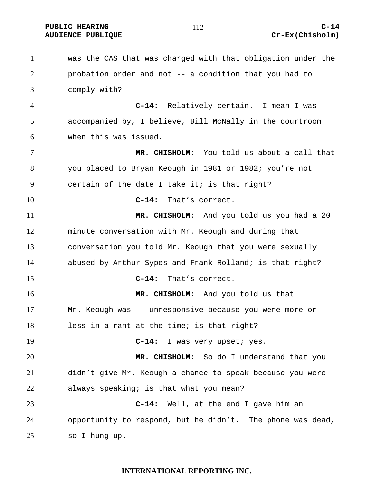#### PUBLIC HEARING C-14 AUDIENCE PUBLIQUE **COMPUTE CREAM** CREAM CREAM CREAM CREAM CREAM CREAM CREAM CREAM CREAM CREAM CREAM CREAM CREAM CREAM CREAM CREAM CREAM CREAM CREAM CREAM CREAM CREAM CREAM CREAM CREAM CREAM CREAM CREAM CREAM CREAM CREAM CR

was the CAS that was charged with that obligation under the probation order and not -- a condition that you had to comply with? **C-14:** Relatively certain. I mean I was accompanied by, I believe, Bill McNally in the courtroom when this was issued. **MR. CHISHOLM:** You told us about a call that you placed to Bryan Keough in 1981 or 1982; you're not certain of the date I take it; is that right? **C-14:** That's correct. **MR. CHISHOLM:** And you told us you had a 20 minute conversation with Mr. Keough and during that conversation you told Mr. Keough that you were sexually abused by Arthur Sypes and Frank Rolland; is that right? **C-14:** That's correct. **MR. CHISHOLM:** And you told us that Mr. Keough was -- unresponsive because you were more or less in a rant at the time; is that right? **C-14:** I was very upset; yes. **MR. CHISHOLM:** So do I understand that you didn't give Mr. Keough a chance to speak because you were always speaking; is that what you mean? **C-14:** Well, at the end I gave him an opportunity to respond, but he didn't. The phone was dead, so I hung up.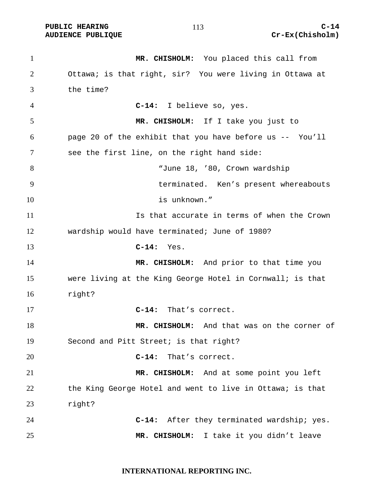**PUBLIC HEARING C-14 C-14** 

**MR. CHISHOLM:** You placed this call from Ottawa; is that right, sir? You were living in Ottawa at the time? **C-14:** I believe so, yes. **MR. CHISHOLM:** If I take you just to page 20 of the exhibit that you have before us -- You'll see the first line, on the right hand side: "June 18, '80, Crown wardship terminated. Ken's present whereabouts 10 is unknown." Is that accurate in terms of when the Crown wardship would have terminated; June of 1980? **C-14:** Yes. **MR. CHISHOLM:** And prior to that time you were living at the King George Hotel in Cornwall; is that right? **C-14:** That's correct. **MR. CHISHOLM:** And that was on the corner of Second and Pitt Street; is that right? **C-14:** That's correct. **MR. CHISHOLM:** And at some point you left 22 the King George Hotel and went to live in Ottawa; is that right? **C-14:** After they terminated wardship; yes. **MR. CHISHOLM:** I take it you didn't leave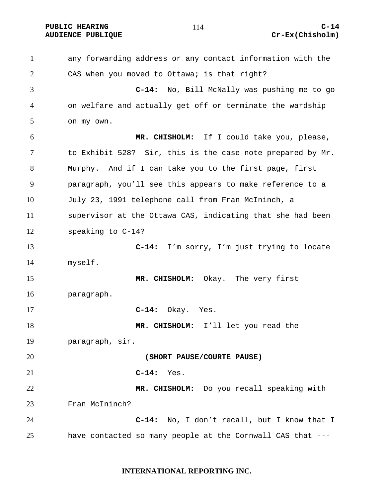PUBLIC HEARING C-14

any forwarding address or any contact information with the CAS when you moved to Ottawa; is that right? **C-14:** No, Bill McNally was pushing me to go on welfare and actually get off or terminate the wardship on my own. **MR. CHISHOLM:** If I could take you, please, to Exhibit 528? Sir, this is the case note prepared by Mr. Murphy. And if I can take you to the first page, first paragraph, you'll see this appears to make reference to a July 23, 1991 telephone call from Fran McIninch, a supervisor at the Ottawa CAS, indicating that she had been speaking to C-14? **C-14:** I'm sorry, I'm just trying to locate myself. **MR. CHISHOLM:** Okay. The very first paragraph. **C-14:** Okay. Yes. **MR. CHISHOLM:** I'll let you read the paragraph, sir. **(SHORT PAUSE/COURTE PAUSE) C-14:** Yes. **MR. CHISHOLM:** Do you recall speaking with Fran McIninch? **C-14:** No, I don't recall, but I know that I have contacted so many people at the Cornwall CAS that ---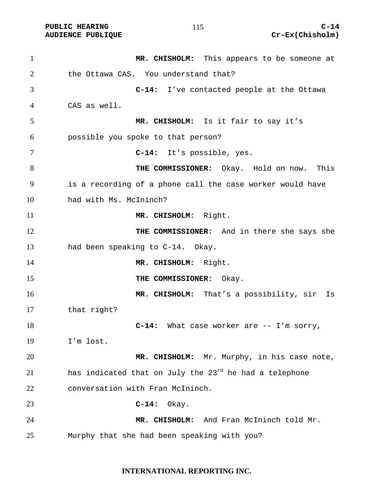| $\mathbf{1}$   | MR. CHISHOLM: This appears to be someone at                        |
|----------------|--------------------------------------------------------------------|
| $\overline{2}$ | the Ottawa CAS. You understand that?                               |
| 3              | C-14: I've contacted people at the Ottawa                          |
| 4              | CAS as well.                                                       |
| 5              | MR. CHISHOLM: Is it fair to say it's                               |
| 6              | possible you spoke to that person?                                 |
| 7              | C-14: It's possible, yes.                                          |
| 8              | THE COMMISSIONER: Okay. Hold on now. This                          |
| 9              | is a recording of a phone call the case worker would have          |
| 10             | had with Ms. McIninch?                                             |
| 11             | MR. CHISHOLM: Right.                                               |
| 12             | THE COMMISSIONER: And in there she says she                        |
| 13             | had been speaking to C-14. Okay.                                   |
| 14             | MR. CHISHOLM: Right.                                               |
| 15             | THE COMMISSIONER: Okay.                                            |
| 16             | MR. CHISHOLM: That's a possibility, sir<br>Is                      |
| 17             | that right?                                                        |
| 18             | C-14: What case worker are -- I'm sorry,                           |
| 19             | I'm lost.                                                          |
| 20             | MR. CHISHOLM: Mr. Murphy, in his case note,                        |
| 21             | has indicated that on July the 23 <sup>rd</sup> he had a telephone |
| 22             | conversation with Fran McIninch.                                   |
| 23             | $C-14:$<br>Okay.                                                   |
| 24             | MR. CHISHOLM: And Fran McIninch told Mr.                           |
| 25             | Murphy that she had been speaking with you?                        |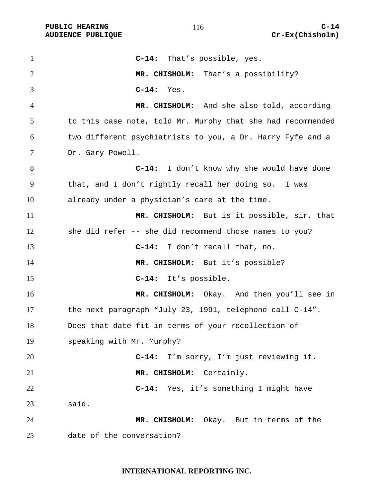**C-14:** That's possible, yes. **MR. CHISHOLM:** That's a possibility? **C-14:** Yes. **MR. CHISHOLM:** And she also told, according to this case note, told Mr. Murphy that she had recommended two different psychiatrists to you, a Dr. Harry Fyfe and a Dr. Gary Powell. **C-14:** I don't know why she would have done that, and I don't rightly recall her doing so. I was already under a physician's care at the time. **MR. CHISHOLM:** But is it possible, sir, that she did refer -- she did recommend those names to you? **C-14:** I don't recall that, no. 14 MR. CHISHOLM: But it's possible? **C-14:** It's possible. **MR. CHISHOLM:** Okay. And then you'll see in the next paragraph "July 23, 1991, telephone call C-14". Does that date fit in terms of your recollection of speaking with Mr. Murphy? **C-14:** I'm sorry, I'm just reviewing it. **MR. CHISHOLM:** Certainly. **C-14:** Yes, it's something I might have said. **MR. CHISHOLM:** Okay. But in terms of the date of the conversation?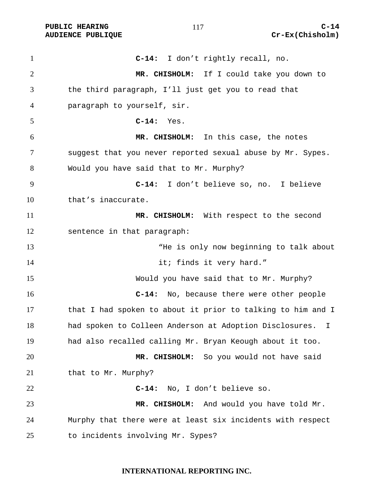PUBLIC HEARING C-14

**C-14:** I don't rightly recall, no. **MR. CHISHOLM:** If I could take you down to the third paragraph, I'll just get you to read that paragraph to yourself, sir. **C-14:** Yes. **MR. CHISHOLM:** In this case, the notes suggest that you never reported sexual abuse by Mr. Sypes. Would you have said that to Mr. Murphy? **C-14:** I don't believe so, no. I believe that's inaccurate. **MR. CHISHOLM:** With respect to the second sentence in that paragraph: 13 The is only now beginning to talk about 14 it; finds it very hard." Would you have said that to Mr. Murphy? **C-14:** No, because there were other people 17 that I had spoken to about it prior to talking to him and I had spoken to Colleen Anderson at Adoption Disclosures. I had also recalled calling Mr. Bryan Keough about it too. **MR. CHISHOLM:** So you would not have said 21 that to Mr. Murphy? **C-14:** No, I don't believe so. **MR. CHISHOLM:** And would you have told Mr. Murphy that there were at least six incidents with respect to incidents involving Mr. Sypes?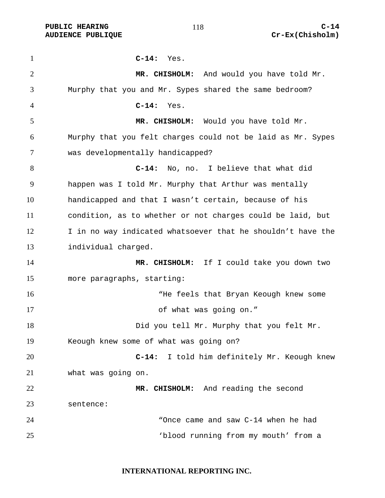**C-14:** Yes. **MR. CHISHOLM:** And would you have told Mr. Murphy that you and Mr. Sypes shared the same bedroom? **C-14:** Yes. **MR. CHISHOLM:** Would you have told Mr. Murphy that you felt charges could not be laid as Mr. Sypes was developmentally handicapped? **C-14:** No, no. I believe that what did happen was I told Mr. Murphy that Arthur was mentally handicapped and that I wasn't certain, because of his condition, as to whether or not charges could be laid, but 12 I in no way indicated whatsoever that he shouldn't have the individual charged. **MR. CHISHOLM:** If I could take you down two more paragraphs, starting: 16 The feels that Bryan Keough knew some of what was going on." Did you tell Mr. Murphy that you felt Mr. Keough knew some of what was going on? **C-14:** I told him definitely Mr. Keough knew what was going on. **MR. CHISHOLM:** And reading the second sentence: "Once came and saw C-14 when he had 'blood running from my mouth' from a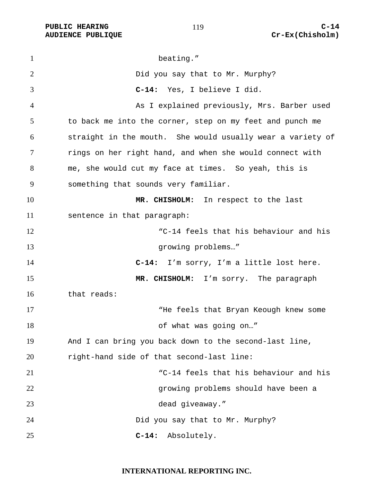#### 

1 beating." Did you say that to Mr. Murphy? **C-14:** Yes, I believe I did. As I explained previously, Mrs. Barber used to back me into the corner, step on my feet and punch me straight in the mouth. She would usually wear a variety of rings on her right hand, and when she would connect with me, she would cut my face at times. So yeah, this is something that sounds very familiar. **MR. CHISHOLM:** In respect to the last sentence in that paragraph: "C-14 feels that his behaviour and his 13 growing problems..." **C-14:** I'm sorry, I'm a little lost here. **MR. CHISHOLM:** I'm sorry. The paragraph that reads: 17 The feels that Bryan Keough knew some 18 of what was going on..." And I can bring you back down to the second-last line, right-hand side of that second-last line: "C-14 feels that his behaviour and his growing problems should have been a dead giveaway." Did you say that to Mr. Murphy? **C-14:** Absolutely.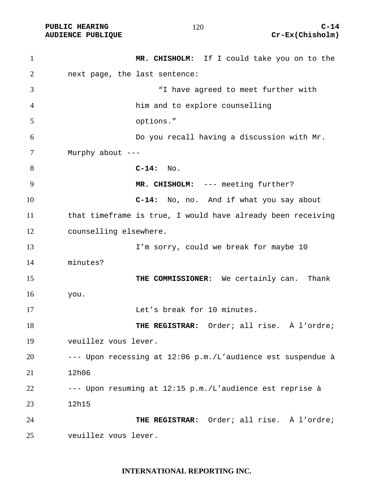| $\mathbf{1}$ |                        | MR. CHISHOLM: If I could take you on to the                 |
|--------------|------------------------|-------------------------------------------------------------|
| 2            |                        | next page, the last sentence:                               |
| 3            |                        | "I have agreed to meet further with                         |
| 4            |                        | him and to explore counselling                              |
| 5            |                        | options."                                                   |
| 6            |                        | Do you recall having a discussion with Mr.                  |
| 7            | Murphy about ---       |                                                             |
| 8            |                        | $C-14:$ No.                                                 |
| 9            |                        | MR. CHISHOLM: --- meeting further?                          |
| 10           |                        | No, no. And if what you say about<br>$C-14:$                |
| 11           |                        | that timeframe is true, I would have already been receiving |
| 12           | counselling elsewhere. |                                                             |
| 13           |                        | I'm sorry, could we break for maybe 10                      |
| 14           | minutes?               |                                                             |
| 15           |                        | THE COMMISSIONER: We certainly can. Thank                   |
| 16           | you.                   |                                                             |
| 17           |                        | Let's break for 10 minutes.                                 |
| 18           |                        | THE REGISTRAR: Order; all rise. À l'ordre;                  |
| 19           | veuillez vous lever.   |                                                             |
| 20           |                        | --- Upon recessing at 12:06 p.m./L'audience est suspendue à |
| 21           | 12h06                  |                                                             |
| 22           |                        | --- Upon resuming at 12:15 p.m./L'audience est reprise à    |
| 23           | 12h15                  |                                                             |
| 24           |                        | THE REGISTRAR: Order; all rise. À l'ordre;                  |
| 25           | veuillez vous lever.   |                                                             |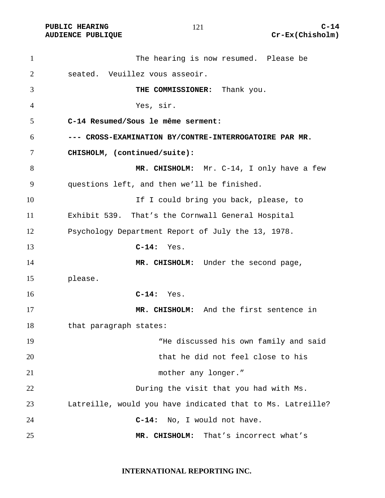| $\mathbf{1}$   | The hearing is now resumed. Please be                      |
|----------------|------------------------------------------------------------|
| $\overline{2}$ | seated. Veuillez vous asseoir.                             |
| 3              | THE COMMISSIONER: Thank you.                               |
| $\overline{4}$ | Yes, sir.                                                  |
| 5              | C-14 Resumed/Sous le même serment:                         |
| 6              | --- CROSS-EXAMINATION BY/CONTRE-INTERROGATOIRE PAR MR.     |
| 7              | CHISHOLM, (continued/suite):                               |
| 8              | MR. CHISHOLM: Mr. C-14, I only have a few                  |
| 9              | questions left, and then we'll be finished.                |
| 10             | If I could bring you back, please, to                      |
| 11             | Exhibit 539. That's the Cornwall General Hospital          |
| 12             | Psychology Department Report of July the 13, 1978.         |
| 13             | $C-14:$ Yes.                                               |
| 14             | MR. CHISHOLM: Under the second page,                       |
| 15             | please.                                                    |
| 16             | $C-14:$ Yes.                                               |
| 17             | MR. CHISHOLM: And the first sentence in                    |
| 18             | that paragraph states:                                     |
| 19             | "He discussed his own family and said                      |
| 20             | that he did not feel close to his                          |
| 21             | mother any longer."                                        |
| 22             | During the visit that you had with Ms.                     |
| 23             | Latreille, would you have indicated that to Ms. Latreille? |
| 24             | $C-14:$<br>No, I would not have.                           |
| 25             | MR. CHISHOLM:<br>That's incorrect what's                   |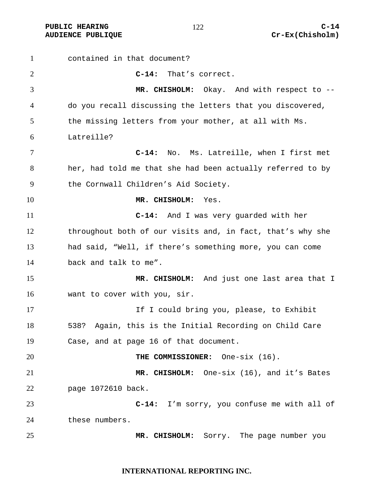contained in that document? **C-14:** That's correct. **MR. CHISHOLM:** Okay. And with respect to -- do you recall discussing the letters that you discovered, the missing letters from your mother, at all with Ms. Latreille? **C-14:** No. Ms. Latreille, when I first met her, had told me that she had been actually referred to by the Cornwall Children's Aid Society. **MR. CHISHOLM:** Yes. **C-14:** And I was very guarded with her throughout both of our visits and, in fact, that's why she had said, "Well, if there's something more, you can come back and talk to me". **MR. CHISHOLM:** And just one last area that I want to cover with you, sir. 17 17 If I could bring you, please, to Exhibit 538? Again, this is the Initial Recording on Child Care Case, and at page 16 of that document. **THE COMMISSIONER:** One-six (16). **MR. CHISHOLM:** One-six (16), and it's Bates page 1072610 back. **C-14:** I'm sorry, you confuse me with all of these numbers. **MR. CHISHOLM:** Sorry. The page number you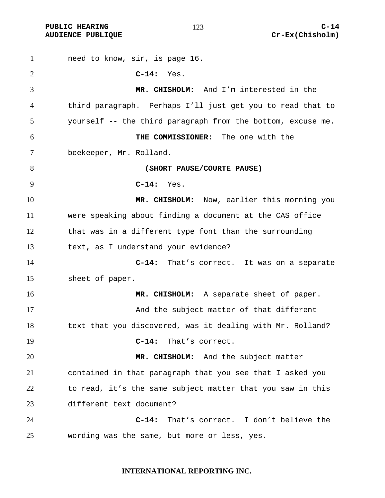need to know, sir, is page 16. **C-14:** Yes. **MR. CHISHOLM:** And I'm interested in the third paragraph. Perhaps I'll just get you to read that to yourself -- the third paragraph from the bottom, excuse me. **THE COMMISSIONER:** The one with the beekeeper, Mr. Rolland. **(SHORT PAUSE/COURTE PAUSE) C-14:** Yes. **MR. CHISHOLM:** Now, earlier this morning you were speaking about finding a document at the CAS office that was in a different type font than the surrounding text, as I understand your evidence? **C-14:** That's correct. It was on a separate sheet of paper. **MR. CHISHOLM:** A separate sheet of paper. And the subject matter of that different 18 text that you discovered, was it dealing with Mr. Rolland? **C-14:** That's correct. **MR. CHISHOLM:** And the subject matter contained in that paragraph that you see that I asked you to read, it's the same subject matter that you saw in this different text document? **C-14:** That's correct. I don't believe the wording was the same, but more or less, yes.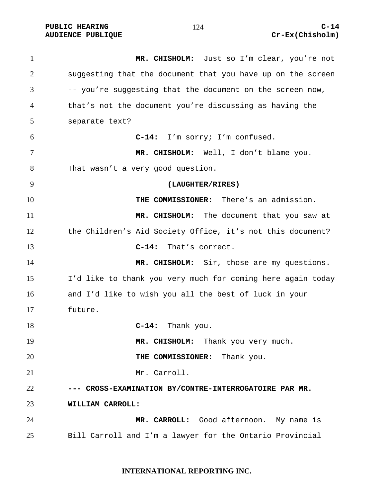PUBLIC HEARING and  $124$  c-14

**MR. CHISHOLM:** Just so I'm clear, you're not suggesting that the document that you have up on the screen -- you're suggesting that the document on the screen now, that's not the document you're discussing as having the separate text? **C-14:** I'm sorry; I'm confused. **MR. CHISHOLM:** Well, I don't blame you. That wasn't a very good question. **(LAUGHTER/RIRES) THE COMMISSIONER:** There's an admission. **MR. CHISHOLM:** The document that you saw at the Children's Aid Society Office, it's not this document? **C-14:** That's correct. **MR. CHISHOLM:** Sir, those are my questions. I'd like to thank you very much for coming here again today and I'd like to wish you all the best of luck in your future. **C-14:** Thank you. 19 MR. CHISHOLM: Thank you very much. **THE COMMISSIONER:** Thank you. Mr. Carroll. **--- CROSS-EXAMINATION BY/CONTRE-INTERROGATOIRE PAR MR. WILLIAM CARROLL: MR. CARROLL:** Good afternoon. My name is Bill Carroll and I'm a lawyer for the Ontario Provincial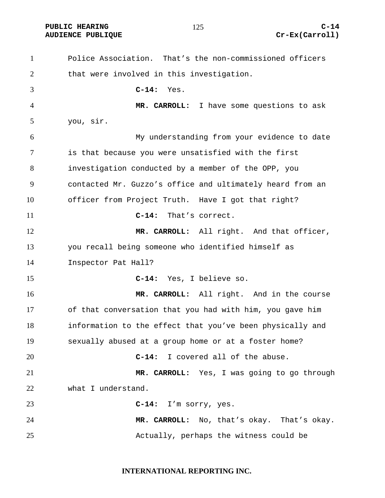# **AUDIENCE PUBLIQUE Cr-Ex(Carroll)**

Police Association. That's the non-commissioned officers 2 that were involved in this investigation. **C-14:** Yes. **MR. CARROLL:** I have some questions to ask you, sir. My understanding from your evidence to date is that because you were unsatisfied with the first investigation conducted by a member of the OPP, you contacted Mr. Guzzo's office and ultimately heard from an officer from Project Truth. Have I got that right? **C-14:** That's correct. 12 MR. CARROLL: All right. And that officer, you recall being someone who identified himself as Inspector Pat Hall? **C-14:** Yes, I believe so. **MR. CARROLL:** All right. And in the course of that conversation that you had with him, you gave him information to the effect that you've been physically and sexually abused at a group home or at a foster home? **C-14:** I covered all of the abuse. **MR. CARROLL:** Yes, I was going to go through what I understand. **C-14:** I'm sorry, yes. **MR. CARROLL:** No, that's okay. That's okay. Actually, perhaps the witness could be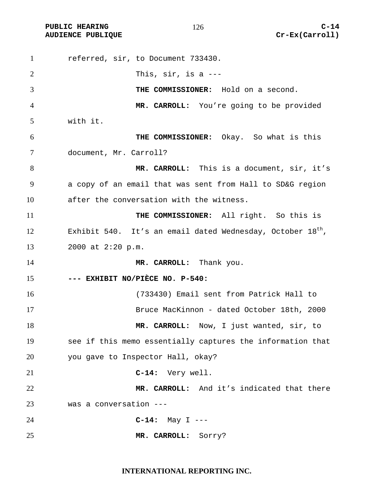| $\mathbf{1}$   | referred, sir, to Document 733430.                              |
|----------------|-----------------------------------------------------------------|
| 2              | This, $\sin$ , is a ---                                         |
| 3              | THE COMMISSIONER: Hold on a second.                             |
| $\overline{4}$ | MR. CARROLL: You're going to be provided                        |
| 5              | with it.                                                        |
| 6              | THE COMMISSIONER: Okay. So what is this                         |
| 7              | document, Mr. Carroll?                                          |
| 8              | MR. CARROLL: This is a document, sir, it's                      |
| 9              | a copy of an email that was sent from Hall to SD&G region       |
| 10             | after the conversation with the witness.                        |
| 11             | THE COMMISSIONER: All right. So this is                         |
| 12             | Exhibit 540. It's an email dated Wednesday, October $18^{th}$ , |
| 13             | 2000 at 2:20 p.m.                                               |
| 14             | MR. CARROLL: Thank you.                                         |
| 15             | --- EXHIBIT NO/PIÈCE NO. P-540:                                 |
| 16             | (733430) Email sent from Patrick Hall to                        |
| 17             | Bruce MacKinnon - dated October 18th, 2000                      |
| 18             | MR. CARROLL: Now, I just wanted, sir, to                        |
| 19             | see if this memo essentially captures the information that      |
| 20             | you gave to Inspector Hall, okay?                               |
| 21             | C-14: Very well.                                                |
| 22             | MR. CARROLL: And it's indicated that there                      |
| 23             | was a conversation ---                                          |
| 24             | $C-14:$ May I ---                                               |
| 25             | MR. CARROLL:<br>Sorry?                                          |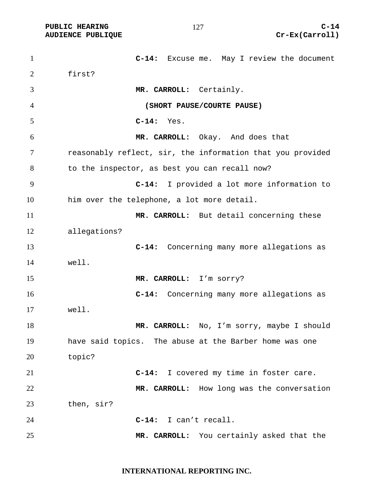**C-14:** Excuse me. May I review the document first? **MR. CARROLL:** Certainly. **(SHORT PAUSE/COURTE PAUSE) C-14:** Yes. **MR. CARROLL:** Okay. And does that reasonably reflect, sir, the information that you provided to the inspector, as best you can recall now? **C-14:** I provided a lot more information to him over the telephone, a lot more detail. **MR. CARROLL:** But detail concerning these allegations? **C-14:** Concerning many more allegations as well. **MR. CARROLL:** I'm sorry? **C-14:** Concerning many more allegations as well. 18 MR. CARROLL: No, I'm sorry, maybe I should have said topics. The abuse at the Barber home was one topic? **C-14:** I covered my time in foster care. **MR. CARROLL:** How long was the conversation then, sir? **C-14:** I can't recall. **MR. CARROLL:** You certainly asked that the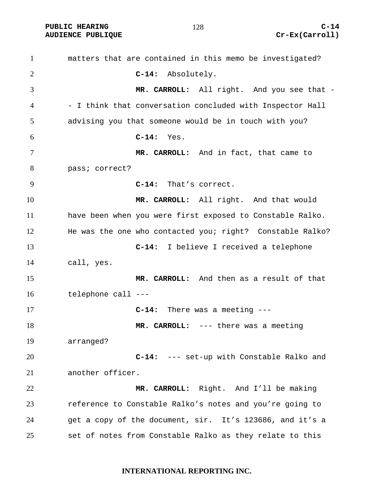matters that are contained in this memo be investigated? **C-14:** Absolutely. **MR. CARROLL:** All right. And you see that - - I think that conversation concluded with Inspector Hall advising you that someone would be in touch with you? **C-14:** Yes. **MR. CARROLL:** And in fact, that came to pass; correct? **C-14:** That's correct. **MR. CARROLL:** All right. And that would have been when you were first exposed to Constable Ralko. He was the one who contacted you; right? Constable Ralko? **C-14:** I believe I received a telephone call, yes. **MR. CARROLL:** And then as a result of that telephone call --- **C-14:** There was a meeting --- **MR. CARROLL:** --- there was a meeting arranged? **C-14:** --- set-up with Constable Ralko and another officer. **MR. CARROLL:** Right. And I'll be making reference to Constable Ralko's notes and you're going to get a copy of the document, sir. It's 123686, and it's a set of notes from Constable Ralko as they relate to this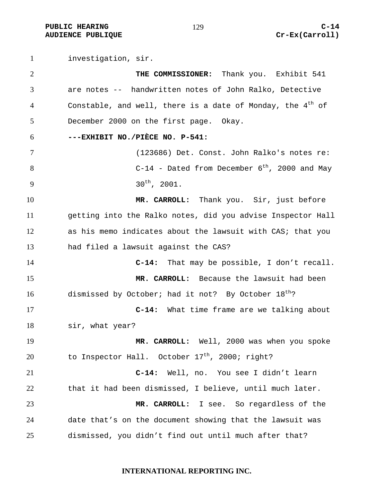**PUBLIC HEARING C-14 AUDIENCE PUBLIQUE Cr-Ex(Carroll)** 

investigation, sir. **THE COMMISSIONER:** Thank you. Exhibit 541 are notes -- handwritten notes of John Ralko, Detective 4 Constable, and well, there is a date of Monday, the  $4<sup>th</sup>$  of December 2000 on the first page. Okay. **---EXHIBIT NO./PIÈCE NO. P-541:**  (123686) Det. Const. John Ralko's notes re:  $8 \t\t C-14$  - Dated from December 6<sup>th</sup>, 2000 and May  $30^{\text{th}}$ , 2001. **MR. CARROLL:** Thank you. Sir, just before getting into the Ralko notes, did you advise Inspector Hall as his memo indicates about the lawsuit with CAS; that you had filed a lawsuit against the CAS? **C-14:** That may be possible, I don't recall. **MR. CARROLL:** Because the lawsuit had been 16 dismissed by October; had it not? By October  $18^{th}$ ? **C-14:** What time frame are we talking about sir, what year? **MR. CARROLL:** Well, 2000 was when you spoke 20 to Inspector Hall. October  $17<sup>th</sup>$ , 2000; right? **C-14:** Well, no. You see I didn't learn that it had been dismissed, I believe, until much later. **MR. CARROLL:** I see. So regardless of the date that's on the document showing that the lawsuit was dismissed, you didn't find out until much after that?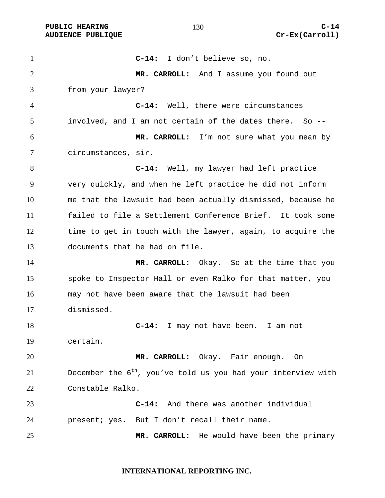**C-14:** I don't believe so, no. **MR. CARROLL:** And I assume you found out from your lawyer? **C-14:** Well, there were circumstances involved, and I am not certain of the dates there. So -- **MR. CARROLL:** I'm not sure what you mean by circumstances, sir. **C-14:** Well, my lawyer had left practice very quickly, and when he left practice he did not inform me that the lawsuit had been actually dismissed, because he failed to file a Settlement Conference Brief. It took some 12 time to get in touch with the lawyer, again, to acquire the documents that he had on file. **MR. CARROLL:** Okay. So at the time that you spoke to Inspector Hall or even Ralko for that matter, you may not have been aware that the lawsuit had been dismissed. **C-14:** I may not have been. I am not certain. **MR. CARROLL:** Okay. Fair enough. On December the  $6<sup>th</sup>$ , you've told us you had your interview with Constable Ralko. **C-14:** And there was another individual present; yes. But I don't recall their name. **MR. CARROLL:** He would have been the primary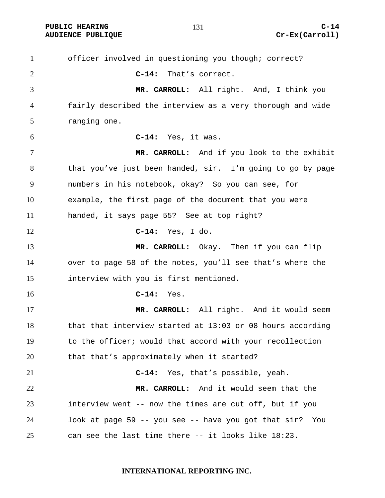officer involved in questioning you though; correct? **C-14:** That's correct. **MR. CARROLL:** All right. And, I think you fairly described the interview as a very thorough and wide ranging one. **C-14:** Yes, it was. **MR. CARROLL:** And if you look to the exhibit that you've just been handed, sir. I'm going to go by page numbers in his notebook, okay? So you can see, for example, the first page of the document that you were handed, it says page 55? See at top right? **C-14:** Yes, I do. **MR. CARROLL:** Okay. Then if you can flip over to page 58 of the notes, you'll see that's where the interview with you is first mentioned. **C-14:** Yes. **MR. CARROLL:** All right. And it would seem that that interview started at 13:03 or 08 hours according to the officer; would that accord with your recollection that that's approximately when it started? **C-14:** Yes, that's possible, yeah. **MR. CARROLL:** And it would seem that the interview went -- now the times are cut off, but if you look at page 59 -- you see -- have you got that sir? You can see the last time there -- it looks like 18:23.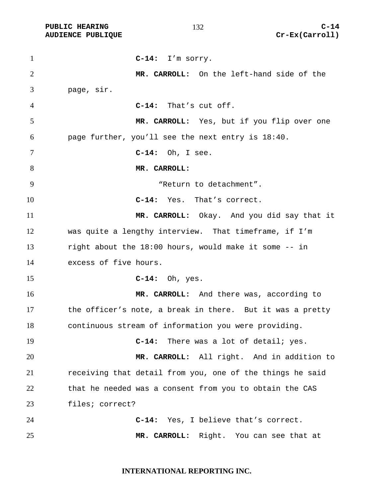**C-14:** I'm sorry. **MR. CARROLL:** On the left-hand side of the page, sir. **C-14:** That's cut off. **MR. CARROLL:** Yes, but if you flip over one page further, you'll see the next entry is 18:40. **C-14:** Oh, I see. **MR. CARROLL:** "Return to detachment". **C-14:** Yes. That's correct. **MR. CARROLL:** Okay. And you did say that it was quite a lengthy interview. That timeframe, if I'm right about the 18:00 hours, would make it some -- in excess of five hours. **C-14:** Oh, yes. **MR. CARROLL:** And there was, according to the officer's note, a break in there. But it was a pretty continuous stream of information you were providing. **C-14:** There was a lot of detail; yes. **MR. CARROLL:** All right. And in addition to receiving that detail from you, one of the things he said that he needed was a consent from you to obtain the CAS files; correct? **C-14:** Yes, I believe that's correct. **MR. CARROLL:** Right. You can see that at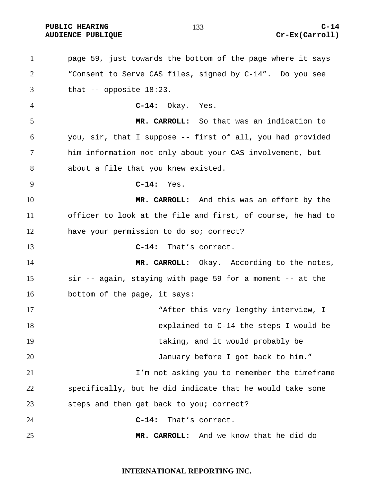page 59, just towards the bottom of the page where it says "Consent to Serve CAS files, signed by C-14". Do you see that -- opposite 18:23. **C-14:** Okay. Yes. **MR. CARROLL:** So that was an indication to you, sir, that I suppose -- first of all, you had provided him information not only about your CAS involvement, but about a file that you knew existed. **C-14:** Yes. **MR. CARROLL:** And this was an effort by the officer to look at the file and first, of course, he had to have your permission to do so; correct? **C-14:** That's correct. **MR. CARROLL:** Okay. According to the notes, sir -- again, staying with page 59 for a moment -- at the bottom of the page, it says: 17 The Matter this very lengthy interview, I explained to C-14 the steps I would be taking, and it would probably be January before I got back to him." I'm not asking you to remember the timeframe specifically, but he did indicate that he would take some steps and then get back to you; correct? **C-14:** That's correct. **MR. CARROLL:** And we know that he did do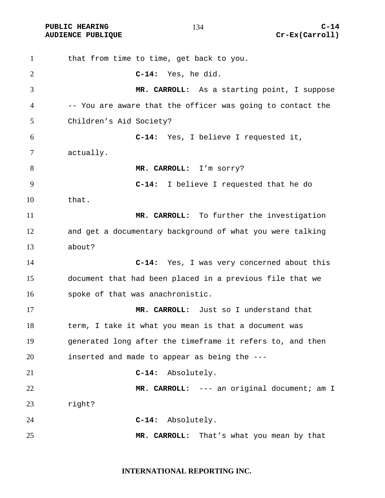| $\mathbf{1}$   | that from time to time, get back to you.                   |
|----------------|------------------------------------------------------------|
| $\overline{2}$ | C-14: Yes, he did.                                         |
| 3              | MR. CARROLL: As a starting point, I suppose                |
| 4              | -- You are aware that the officer was going to contact the |
| 5              | Children's Aid Society?                                    |
| 6              | C-14: Yes, I believe I requested it,                       |
| 7              | actually.                                                  |
| 8              | MR. CARROLL: I'm sorry?                                    |
| 9              | $C-14:$<br>I believe I requested that he do                |
| 10             | that.                                                      |
| 11             | MR. CARROLL: To further the investigation                  |
| 12             | and get a documentary background of what you were talking  |
| 13             | about?                                                     |
| 14             | C-14: Yes, I was very concerned about this                 |
| 15             | document that had been placed in a previous file that we   |
| 16             | spoke of that was anachronistic.                           |
| 17             | MR. CARROLL: Just so I understand that                     |
| 18             | term, I take it what you mean is that a document was       |
| 19             | generated long after the timeframe it refers to, and then  |
| 20             | inserted and made to appear as being the ---               |
| 21             | Absolutely.<br>$C-14:$                                     |
| 22             | MR. CARROLL: --- an original document; am I                |
| 23             | right?                                                     |
| 24             | C-14: Absolutely.                                          |
| 25             | MR. CARROLL: That's what you mean by that                  |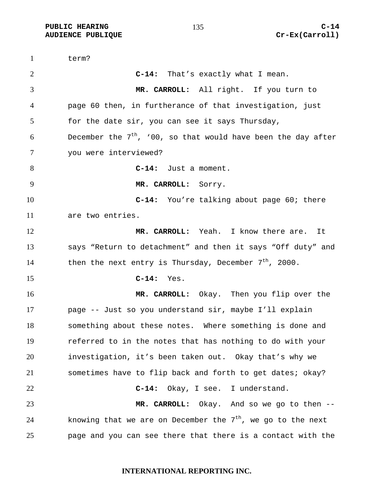term? **C-14:** That's exactly what I mean. **MR. CARROLL:** All right. If you turn to page 60 then, in furtherance of that investigation, just for the date sir, you can see it says Thursday, 6 becember the  $7<sup>th</sup>$ , '00, so that would have been the day after you were interviewed? **C-14:** Just a moment. **MR. CARROLL:** Sorry. **C-14:** You're talking about page 60; there are two entries. **MR. CARROLL:** Yeah. I know there are. It says "Return to detachment" and then it says "Off duty" and 14 then the next entry is Thursday, December  $7<sup>th</sup>$ , 2000. **C-14:** Yes. **MR. CARROLL:** Okay. Then you flip over the page -- Just so you understand sir, maybe I'll explain something about these notes. Where something is done and referred to in the notes that has nothing to do with your investigation, it's been taken out. Okay that's why we sometimes have to flip back and forth to get dates; okay? **C-14:** Okay, I see. I understand. **MR. CARROLL:** Okay. And so we go to then --  $\mu$  knowing that we are on December the  $7<sup>th</sup>$ , we go to the next page and you can see there that there is a contact with the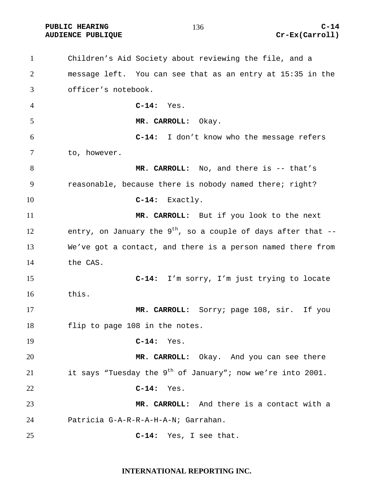Children's Aid Society about reviewing the file, and a message left. You can see that as an entry at 15:35 in the officer's notebook. **C-14:** Yes. **MR. CARROLL:** Okay. **C-14:** I don't know who the message refers to, however. 8 MR. CARROLL: No, and there is -- that's reasonable, because there is nobody named there; right? **C-14:** Exactly. **MR. CARROLL:** But if you look to the next 12 entry, on January the  $9^{th}$ , so a couple of days after that --We've got a contact, and there is a person named there from the CAS. **C-14:** I'm sorry, I'm just trying to locate this. **MR. CARROLL:** Sorry; page 108, sir. If you flip to page 108 in the notes. **C-14:** Yes. **MR. CARROLL:** Okay. And you can see there 21 it says "Tuesday the  $9^{th}$  of January"; now we're into 2001. **C-14:** Yes. **MR. CARROLL:** And there is a contact with a Patricia G-A-R-R-A-H-A-N; Garrahan. **C-14:** Yes, I see that.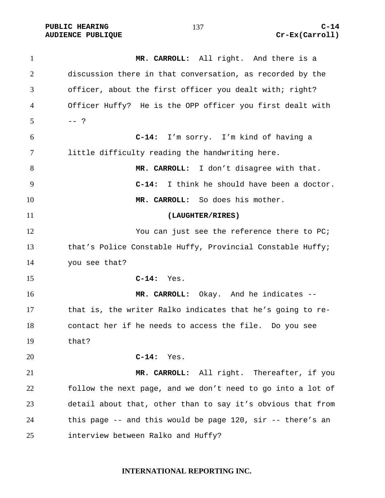**MR. CARROLL:** All right. And there is a discussion there in that conversation, as recorded by the officer, about the first officer you dealt with; right? Officer Huffy? He is the OPP officer you first dealt with  $5 - - ?$ **C-14:** I'm sorry. I'm kind of having a little difficulty reading the handwriting here. **MR. CARROLL:** I don't disagree with that. **C-14:** I think he should have been a doctor. **MR. CARROLL:** So does his mother. **(LAUGHTER/RIRES)**  12 You can just see the reference there to PC; that's Police Constable Huffy, Provincial Constable Huffy; you see that? **C-14:** Yes. **MR. CARROLL:** Okay. And he indicates -- that is, the writer Ralko indicates that he's going to re-contact her if he needs to access the file. Do you see that? **C-14:** Yes. **MR. CARROLL:** All right. Thereafter, if you follow the next page, and we don't need to go into a lot of detail about that, other than to say it's obvious that from this page -- and this would be page 120, sir -- there's an interview between Ralko and Huffy?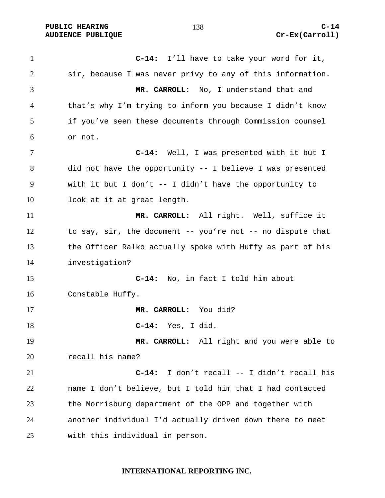**C-14:** I'll have to take your word for it, sir, because I was never privy to any of this information. **MR. CARROLL:** No, I understand that and that's why I'm trying to inform you because I didn't know if you've seen these documents through Commission counsel or not. **C-14:** Well, I was presented with it but I did not have the opportunity -**-** I believe I was presented with it but I don't -- I didn't have the opportunity to look at it at great length. **MR. CARROLL:** All right. Well, suffice it to say, sir, the document -- you're not -- no dispute that the Officer Ralko actually spoke with Huffy as part of his investigation? **C-14:** No, in fact I told him about Constable Huffy. **MR. CARROLL:** You did? **C-14:** Yes, I did. **MR. CARROLL:** All right and you were able to recall his name? **C-14:** I don't recall -- I didn't recall his name I don't believe, but I told him that I had contacted the Morrisburg department of the OPP and together with another individual I'd actually driven down there to meet with this individual in person.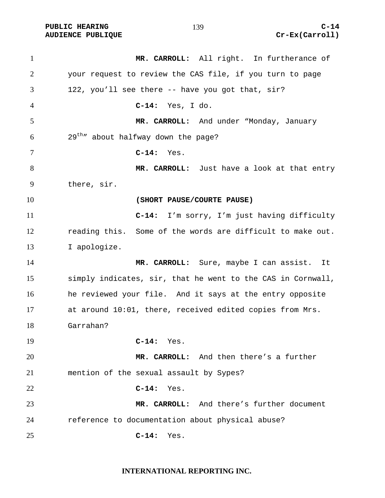| $\mathbf{1}$   | MR. CARROLL: All right. In furtherance of                   |
|----------------|-------------------------------------------------------------|
| $\overline{2}$ | your request to review the CAS file, if you turn to page    |
| 3              | 122, you'll see there -- have you got that, sir?            |
| 4              | $C-14:$<br>Yes, I do.                                       |
| 5              | MR. CARROLL: And under "Monday, January                     |
| 6              | $29^{\text{th}}$ " about halfway down the page?             |
| 7              | $C-14:$<br>Yes.                                             |
| 8              | MR. CARROLL: Just have a look at that entry                 |
| 9              | there, sir.                                                 |
| 10             | (SHORT PAUSE/COURTE PAUSE)                                  |
| 11             | C-14: I'm sorry, I'm just having difficulty                 |
| 12             | reading this. Some of the words are difficult to make out.  |
| 13             | I apologize.                                                |
| 14             | MR. CARROLL: Sure, maybe I can assist. It                   |
| 15             | simply indicates, sir, that he went to the CAS in Cornwall, |
| 16             | he reviewed your file. And it says at the entry opposite    |
| 17             | at around 10:01, there, received edited copies from Mrs.    |
| 18             | Garrahan?                                                   |
| 19             | $C-14:$ Yes.                                                |
| 20             | MR. CARROLL: And then there's a further                     |
| 21             | mention of the sexual assault by Sypes?                     |
| 22             | $C-14:$<br>Yes.                                             |
| 23             | MR. CARROLL: And there's further document                   |
| 24             | reference to documentation about physical abuse?            |
| 25             | $C-14:$<br>Yes.                                             |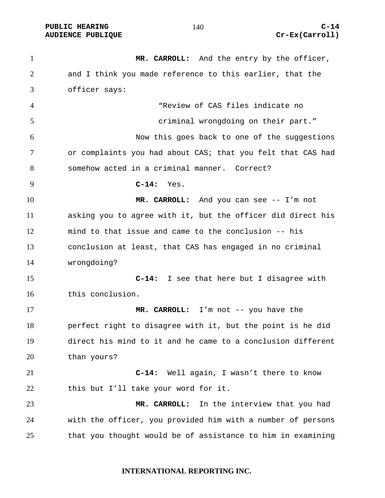PUBLIC HEARING  $140$   $C-14$ **AUDIENCE PUBLIQUE Cr-Ex(Carroll)** 

**MR. CARROLL:** And the entry by the officer, and I think you made reference to this earlier, that the officer says: "Review of CAS files indicate no criminal wrongdoing on their part." Now this goes back to one of the suggestions or complaints you had about CAS; that you felt that CAS had somehow acted in a criminal manner. Correct? **C-14:** Yes. **MR. CARROLL:** And you can see -- I'm not asking you to agree with it, but the officer did direct his mind to that issue and came to the conclusion -- his conclusion at least, that CAS has engaged in no criminal wrongdoing? **C-14:** I see that here but I disagree with this conclusion. **MR. CARROLL:** I'm not -- you have the perfect right to disagree with it, but the point is he did direct his mind to it and he came to a conclusion different than yours? **C-14:** Well again, I wasn't there to know this but I'll take your word for it. **MR. CARROLL:** In the interview that you had with the officer, you provided him with a number of persons that you thought would be of assistance to him in examining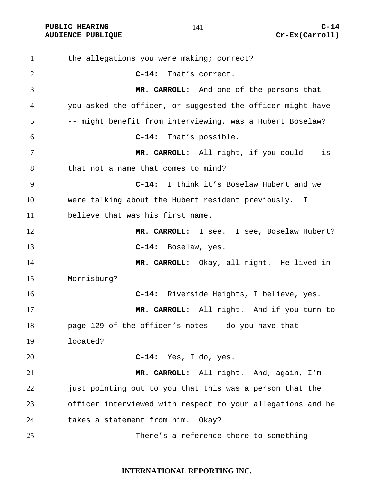PUBLIC HEARING C-14

**AUDIENCE PUBLIQUE Cr-Ex(Carroll)** 

1 the allegations you were making; correct? **C-14:** That's correct. **MR. CARROLL:** And one of the persons that you asked the officer, or suggested the officer might have -- might benefit from interviewing, was a Hubert Boselaw? **C-14:** That's possible. **MR. CARROLL:** All right, if you could -- is that not a name that comes to mind? **C-14:** I think it's Boselaw Hubert and we were talking about the Hubert resident previously. I believe that was his first name. **MR. CARROLL:** I see. I see, Boselaw Hubert? **C-14:** Boselaw, yes. **MR. CARROLL:** Okay, all right. He lived in Morrisburg? **C-14:** Riverside Heights, I believe, yes. **MR. CARROLL:** All right. And if you turn to page 129 of the officer's notes -- do you have that located? **C-14:** Yes, I do, yes. **MR. CARROLL:** All right. And, again, I'm just pointing out to you that this was a person that the officer interviewed with respect to your allegations and he takes a statement from him. Okay? There's a reference there to something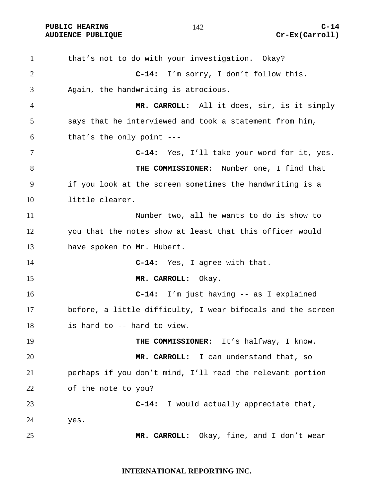PUBLIC HEARING C-14

1 that's not to do with your investigation. Okay? **C-14:** I'm sorry, I don't follow this. Again, the handwriting is atrocious. **MR. CARROLL:** All it does, sir, is it simply says that he interviewed and took a statement from him, that's the only point ---**C-14:** Yes, I'll take your word for it, yes. **THE COMMISSIONER:** Number one, I find that if you look at the screen sometimes the handwriting is a little clearer. Number two, all he wants to do is show to you that the notes show at least that this officer would have spoken to Mr. Hubert. **C-14:** Yes, I agree with that. **MR. CARROLL:** Okay. **C-14:** I'm just having -- as I explained before, a little difficulty, I wear bifocals and the screen is hard to -- hard to view. **THE COMMISSIONER:** It's halfway, I know. **MR. CARROLL:** I can understand that, so perhaps if you don't mind, I'll read the relevant portion of the note to you? **C-14:** I would actually appreciate that, yes. **MR. CARROLL:** Okay, fine, and I don't wear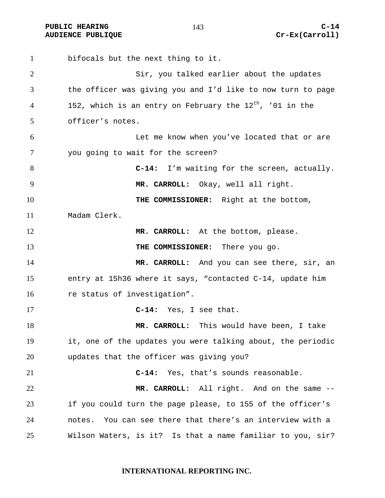**PUBLIC HEARING C-14 C-14** 

bifocals but the next thing to it. Sir, you talked earlier about the updates the officer was giving you and I'd like to now turn to page 4 152, which is an entry on February the  $12<sup>th</sup>$ , '01 in the officer's notes. Let me know when you've located that or are you going to wait for the screen? **C-14:** I'm waiting for the screen, actually. **MR. CARROLL:** Okay, well all right. **THE COMMISSIONER:** Right at the bottom, Madam Clerk. **MR. CARROLL:** At the bottom, please. **THE COMMISSIONER:** There you go. **MR. CARROLL:** And you can see there, sir, an entry at 15h36 where it says, "contacted C-14, update him 16 re status of investigation". **C-14:** Yes, I see that. **MR. CARROLL:** This would have been, I take it, one of the updates you were talking about, the periodic updates that the officer was giving you? **C-14:** Yes, that's sounds reasonable. **MR. CARROLL:** All right. And on the same -- if you could turn the page please, to 155 of the officer's notes. You can see there that there's an interview with a Wilson Waters, is it? Is that a name familiar to you, sir?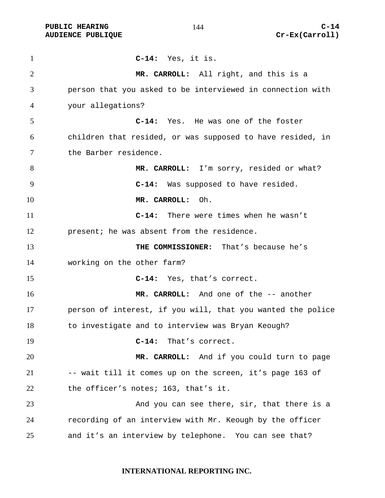| $\mathbf{1}$ | $C-14:$ Yes, it is.                                         |
|--------------|-------------------------------------------------------------|
| 2            | MR. CARROLL: All right, and this is a                       |
| 3            | person that you asked to be interviewed in connection with  |
| 4            | your allegations?                                           |
| 5            | C-14: Yes. He was one of the foster                         |
| 6            | children that resided, or was supposed to have resided, in  |
| 7            | the Barber residence.                                       |
| 8            | MR. CARROLL: I'm sorry, resided or what?                    |
| 9            | C-14: Was supposed to have resided.                         |
| 10           | MR. CARROLL: Oh.                                            |
| 11           | There were times when he wasn't<br>$C-14:$                  |
| 12           | present; he was absent from the residence.                  |
| 13           | THE COMMISSIONER: That's because he's                       |
| 14           | working on the other farm?                                  |
| 15           | C-14: Yes, that's correct.                                  |
| 16           | MR. CARROLL: And one of the -- another                      |
| 17           | person of interest, if you will, that you wanted the police |
| 18           | to investigate and to interview was Bryan Keough?           |
| 19           | $C-14:$<br>That's correct.                                  |
| 20           | MR. CARROLL: And if you could turn to page                  |
| 21           | -- wait till it comes up on the screen, it's page 163 of    |
| 22           | the officer's notes; 163, that's it.                        |
| 23           | And you can see there, sir, that there is a                 |
| 24           | recording of an interview with Mr. Keough by the officer    |
| 25           | and it's an interview by telephone. You can see that?       |

# **INTERNATIONAL REPORTING INC.**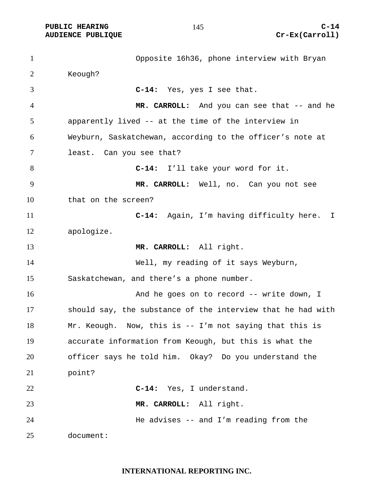PUBLIC HEARING and  $145$  c-14

Opposite 16h36, phone interview with Bryan Keough? **C-14:** Yes, yes I see that. **MR. CARROLL:** And you can see that -- and he apparently lived -- at the time of the interview in Weyburn, Saskatchewan, according to the officer's note at least. Can you see that? **C-14:** I'll take your word for it. **MR. CARROLL:** Well, no. Can you not see that on the screen? **C-14:** Again, I'm having difficulty here. I apologize. **MR. CARROLL:** All right. Well, my reading of it says Weyburn, Saskatchewan, and there's a phone number. 16 And he goes on to record -- write down, I should say, the substance of the interview that he had with Mr. Keough. Now, this is -- I'm not saying that this is accurate information from Keough, but this is what the officer says he told him. Okay? Do you understand the point? **C-14:** Yes, I understand. **MR. CARROLL:** All right. He advises -- and I'm reading from the document: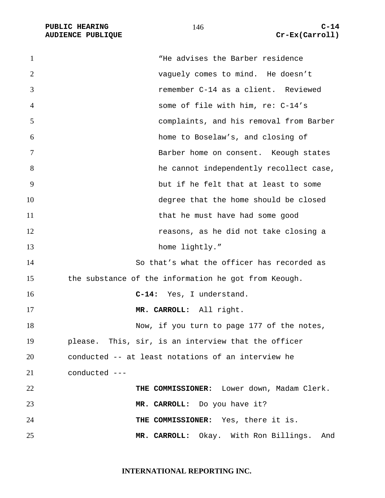PUBLIC HEARING C-14<br>
AUDIENCE PUBLIQUE **COMPUS** (Carroll) **AUDIENCE PUBLIQUE** 

| $\mathbf{1}$   | "He advises the Barber residence                     |
|----------------|------------------------------------------------------|
| $\overline{2}$ | vaguely comes to mind. He doesn't                    |
| 3              | remember C-14 as a client. Reviewed                  |
| $\overline{4}$ | some of file with him, re: C-14's                    |
| 5              | complaints, and his removal from Barber              |
| 6              | home to Boselaw's, and closing of                    |
| $\tau$         | Barber home on consent. Keough states                |
| 8              | he cannot independently recollect case,              |
| 9              | but if he felt that at least to some                 |
| 10             | degree that the home should be closed                |
| 11             | that he must have had some good                      |
| 12             | reasons, as he did not take closing a                |
| 13             | home lightly."                                       |
| 14             | So that's what the officer has recorded as           |
| 15             | the substance of the information he got from Keough. |
| 16             | C-14: Yes, I understand.                             |
| 17             | MR. CARROLL: All right.                              |
| 18             | Now, if you turn to page 177 of the notes,           |
| 19             | please. This, sir, is an interview that the officer  |
| 20             | conducted -- at least notations of an interview he   |
| 21             | conducted ---                                        |
| 22             | THE COMMISSIONER: Lower down, Madam Clerk.           |
| 23             | MR. CARROLL: Do you have it?                         |
| 24             | THE COMMISSIONER: Yes, there it is.                  |
| 25             | MR. CARROLL: Okay. With Ron Billings. And            |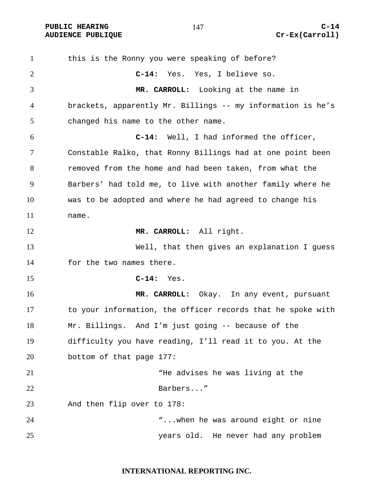PUBLIC HEARING C-14

this is the Ronny you were speaking of before? **C-14:** Yes. Yes, I believe so. **MR. CARROLL:** Looking at the name in brackets, apparently Mr. Billings -- my information is he's changed his name to the other name. **C-14:** Well, I had informed the officer, Constable Ralko, that Ronny Billings had at one point been removed from the home and had been taken, from what the Barbers' had told me, to live with another family where he was to be adopted and where he had agreed to change his name. **MR. CARROLL:** All right. Well, that then gives an explanation I guess for the two names there. **C-14:** Yes. **MR. CARROLL:** Okay. In any event, pursuant to your information, the officer records that he spoke with Mr. Billings. And I'm just going -- because of the difficulty you have reading, I'll read it to you. At the bottom of that page 177: "He advises he was living at the Barbers..." And then flip over to 178: "...when he was around eight or nine years old. He never had any problem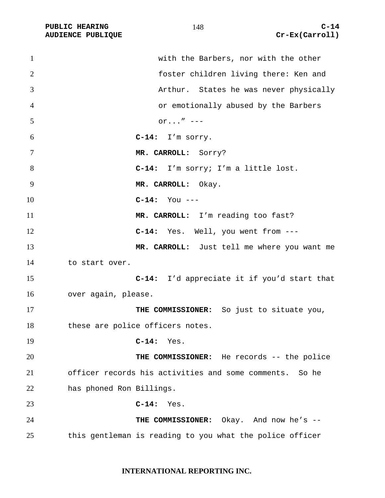| $\mathbf{1}$   | with the Barbers, nor with the other                     |
|----------------|----------------------------------------------------------|
| $\overline{2}$ | foster children living there: Ken and                    |
| 3              | Arthur. States he was never physically                   |
| 4              | or emotionally abused by the Barbers                     |
| 5              | $or'' ---$                                               |
| 6              | $C-14: I'm$ sorry.                                       |
| 7              | MR. CARROLL: Sorry?                                      |
| 8              | C-14: I'm sorry; I'm a little lost.                      |
| 9              | MR. CARROLL: Okay.                                       |
| 10             | $C-14:$ You ---                                          |
| 11             | MR. CARROLL: I'm reading too fast?                       |
| 12             | C-14: Yes. Well, you went from ---                       |
| 13             | MR. CARROLL: Just tell me where you want me              |
| 14             | to start over.                                           |
| 15             | <b>C-14:</b> I'd appreciate it if you'd start that       |
| 16             | over again, please.                                      |
| 17             | THE COMMISSIONER: So just to situate you,                |
| 18             | these are police officers notes.                         |
| 19             | $C-14:$ Yes.                                             |
| 20             | THE COMMISSIONER: He records -- the police               |
| 21             | officer records his activities and some comments. So he  |
| 22             | has phoned Ron Billings.                                 |
| 23             | $C-14:$ Yes.                                             |
| 24             | THE COMMISSIONER: Okay. And now he's --                  |
| 25             | this gentleman is reading to you what the police officer |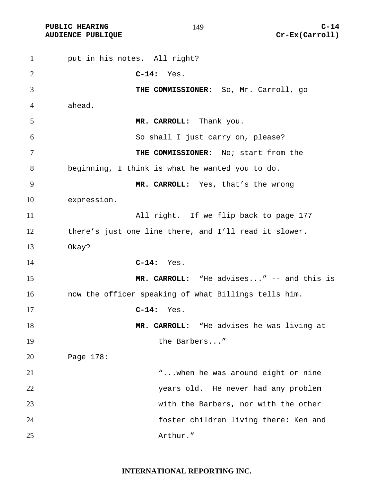**PUBLIC HEARING C-14 AUDIENCE PUBLIQUE Cr-Ex(Carroll)** 

put in his notes. All right? **C-14:** Yes. **THE COMMISSIONER:** So, Mr. Carroll, go ahead. **MR. CARROLL:** Thank you. So shall I just carry on, please? **THE COMMISSIONER:** No; start from the beginning, I think is what he wanted you to do. **MR. CARROLL:** Yes, that's the wrong expression. All right. If we flip back to page 177 there's just one line there, and I'll read it slower. Okay? **C-14:** Yes. **MR. CARROLL:** "He advises..." -- and this is now the officer speaking of what Billings tells him. **C-14:** Yes. **MR. CARROLL:** "He advises he was living at 19 the Barbers..." Page 178: "...when he was around eight or nine years old. He never had any problem with the Barbers, nor with the other foster children living there: Ken and Arthur."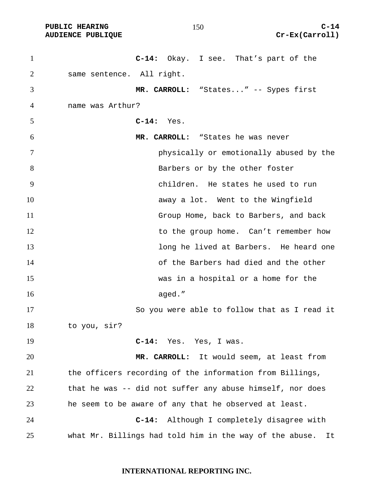**PUBLIC HEARING C-14 AUDIENCE PUBLIQUE Cr-Ex(Carroll)** 

**C-14:** Okay. I see. That's part of the same sentence. All right. **MR. CARROLL:** "States..." -- Sypes first name was Arthur? **C-14:** Yes. **MR. CARROLL:** "States he was never physically or emotionally abused by the 8 Barbers or by the other foster children. He states he used to run away a lot. Went to the Wingfield Group Home, back to Barbers, and back 12 to the group home. Can't remember how long he lived at Barbers. He heard one of the Barbers had died and the other was in a hospital or a home for the 16 aged." So you were able to follow that as I read it to you, sir? **C-14:** Yes. Yes, I was. **MR. CARROLL:** It would seem, at least from the officers recording of the information from Billings, that he was -- did not suffer any abuse himself, nor does he seem to be aware of any that he observed at least. **C-14:** Although I completely disagree with what Mr. Billings had told him in the way of the abuse. It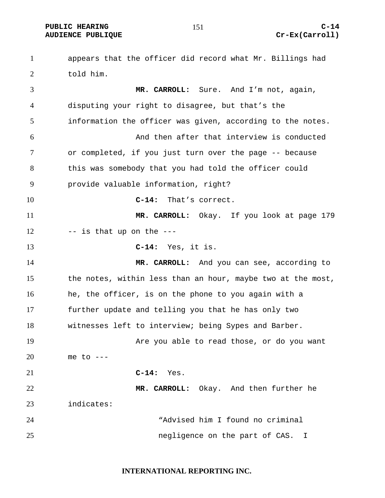appears that the officer did record what Mr. Billings had told him. **MR. CARROLL:** Sure. And I'm not, again, disputing your right to disagree, but that's the information the officer was given, according to the notes. And then after that interview is conducted or completed, if you just turn over the page -- because this was somebody that you had told the officer could provide valuable information, right? **C-14:** That's correct. **MR. CARROLL:** Okay. If you look at page 179 -- is that up on the --- **C-14:** Yes, it is. **MR. CARROLL:** And you can see, according to the notes, within less than an hour, maybe two at the most, 16 he, the officer, is on the phone to you again with a further update and telling you that he has only two witnesses left to interview; being Sypes and Barber. Are you able to read those, or do you want me to ---**C-14:** Yes. **MR. CARROLL:** Okay. And then further he indicates: "Advised him I found no criminal negligence on the part of CAS. I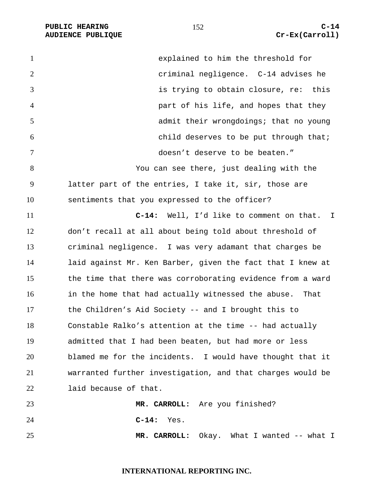| $\mathbf{1}$   | explained to him the threshold for                         |
|----------------|------------------------------------------------------------|
| $\overline{2}$ | criminal negligence. C-14 advises he                       |
| 3              | is trying to obtain closure, re: this                      |
| $\overline{4}$ | part of his life, and hopes that they                      |
| 5              | admit their wrongdoings; that no young                     |
| 6              | child deserves to be put through that;                     |
| 7              | doesn't deserve to be beaten."                             |
| 8              | You can see there, just dealing with the                   |
| 9              | latter part of the entries, I take it, sir, those are      |
| 10             | sentiments that you expressed to the officer?              |
| 11             | Well, I'd like to comment on that. I<br>$C-14:$            |
| 12             | don't recall at all about being told about threshold of    |
| 13             | criminal negligence. I was very adamant that charges be    |
| 14             | laid against Mr. Ken Barber, given the fact that I knew at |
| 15             | the time that there was corroborating evidence from a ward |
| 16             | in the home that had actually witnessed the abuse.<br>That |
| 17             | the Children's Aid Society -- and I brought this to        |
| 18             | Constable Ralko's attention at the time -- had actually    |
| 19             | admitted that I had been beaten, but had more or less      |
| 20             | blamed me for the incidents. I would have thought that it  |
| 21             | warranted further investigation, and that charges would be |
| 22             | laid because of that.                                      |
| 23             | MR. CARROLL: Are you finished?                             |
| 24             | $C-14:$<br>Yes.                                            |
| 25             | MR. CARROLL:<br>Okay. What I wanted -- what I              |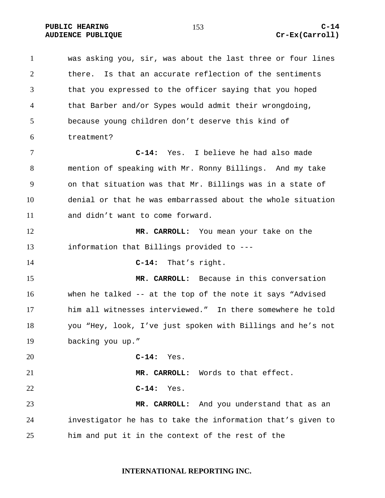**PUBLIC HEARING C-14 AUDIENCE PUBLIQUE Cr-Ex(Carroll)** 

was asking you, sir, was about the last three or four lines there. Is that an accurate reflection of the sentiments that you expressed to the officer saying that you hoped that Barber and/or Sypes would admit their wrongdoing, because young children don't deserve this kind of treatment? **C-14:** Yes. I believe he had also made mention of speaking with Mr. Ronny Billings. And my take on that situation was that Mr. Billings was in a state of denial or that he was embarrassed about the whole situation and didn't want to come forward. **MR. CARROLL:** You mean your take on the information that Billings provided to --- **C-14:** That's right. **MR. CARROLL:** Because in this conversation when he talked -- at the top of the note it says "Advised him all witnesses interviewed." In there somewhere he told you "Hey, look, I've just spoken with Billings and he's not backing you up." **C-14:** Yes. **MR. CARROLL:** Words to that effect. **C-14:** Yes. **MR. CARROLL:** And you understand that as an investigator he has to take the information that's given to him and put it in the context of the rest of the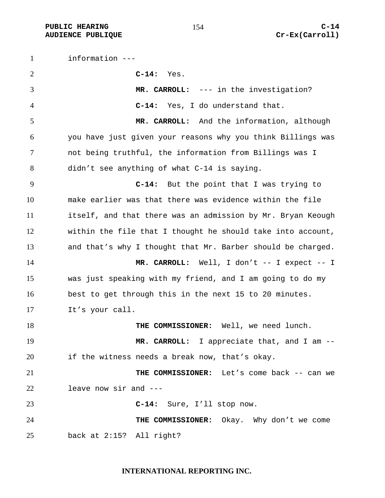information --- **C-14:** Yes. **MR. CARROLL:** --- in the investigation? **C-14:** Yes, I do understand that. **MR. CARROLL:** And the information, although you have just given your reasons why you think Billings was not being truthful, the information from Billings was I didn't see anything of what C-14 is saying. **C-14:** But the point that I was trying to make earlier was that there was evidence within the file itself, and that there was an admission by Mr. Bryan Keough within the file that I thought he should take into account, and that's why I thought that Mr. Barber should be charged. 14 MR. CARROLL: Well, I don't -- I expect -- I was just speaking with my friend, and I am going to do my best to get through this in the next 15 to 20 minutes. It's your call. **THE COMMISSIONER:** Well, we need lunch. 19 MR. CARROLL: I appreciate that, and I am --if the witness needs a break now, that's okay. **THE COMMISSIONER:** Let's come back -- can we leave now sir and --- **C-14:** Sure, I'll stop now. **THE COMMISSIONER:** Okay. Why don't we come back at 2:15? All right?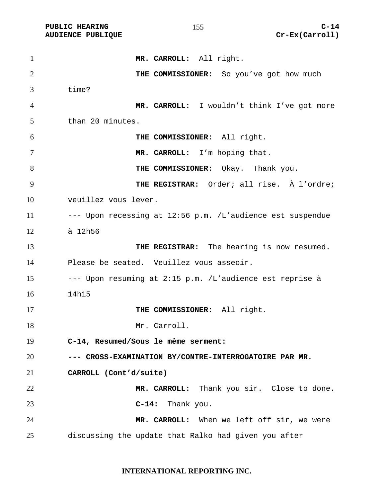| $\mathbf{1}$   | MR. CARROLL: All right.                                    |
|----------------|------------------------------------------------------------|
| $\overline{2}$ | THE COMMISSIONER: So you've got how much                   |
| 3              | time?                                                      |
| 4              | MR. CARROLL: I wouldn't think I've got more                |
| 5              | than 20 minutes.                                           |
| 6              | THE COMMISSIONER: All right.                               |
| 7              | MR. CARROLL: I'm hoping that.                              |
| 8              | THE COMMISSIONER: Okay. Thank you.                         |
| 9              | THE REGISTRAR: Order; all rise. À l'ordre;                 |
| 10             | veuillez vous lever.                                       |
| 11             | --- Upon recessing at 12:56 p.m. /L'audience est suspendue |
| 12             | à 12h56                                                    |
| 13             | THE REGISTRAR: The hearing is now resumed.                 |
| 14             | Please be seated. Veuillez vous asseoir.                   |
| 15             | --- Upon resuming at 2:15 p.m. /L'audience est reprise à   |
| 16             | 14h15                                                      |
| 17             | THE COMMISSIONER: All right.                               |
| 18             | Mr. Carroll.                                               |
| 19             | C-14, Resumed/Sous le même serment:                        |
| 20             | --- CROSS-EXAMINATION BY/CONTRE-INTERROGATOIRE PAR MR.     |
| 21             | CARROLL (Cont'd/suite)                                     |
| 22             | MR. CARROLL: Thank you sir. Close to done.                 |
| 23             | Thank you.<br>$C-14:$                                      |
| 24             | MR. CARROLL: When we left off sir, we were                 |
| 25             | discussing the update that Ralko had given you after       |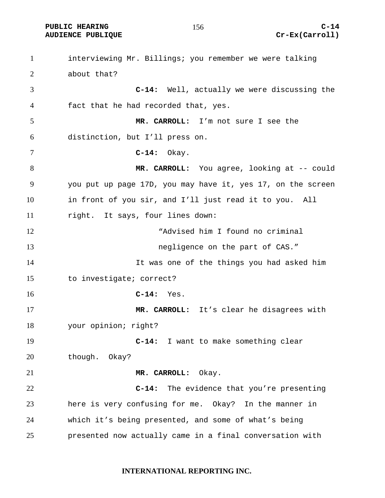# **AUDIENCE PUBLIQUE Cr-Ex(Carroll)**

interviewing Mr. Billings; you remember we were talking about that? **C-14:** Well, actually we were discussing the fact that he had recorded that, yes. **MR. CARROLL:** I'm not sure I see the distinction, but I'll press on. **C-14:** Okay. 8 MR. CARROLL: You agree, looking at -- could you put up page 17D, you may have it, yes 17, on the screen in front of you sir, and I'll just read it to you. All right. It says, four lines down: "Advised him I found no criminal negligence on the part of CAS." It was one of the things you had asked him to investigate; correct? **C-14:** Yes. **MR. CARROLL:** It's clear he disagrees with your opinion; right? **C-14:** I want to make something clear though. Okay? **MR. CARROLL:** Okay. **C-14:** The evidence that you're presenting here is very confusing for me. Okay? In the manner in which it's being presented, and some of what's being presented now actually came in a final conversation with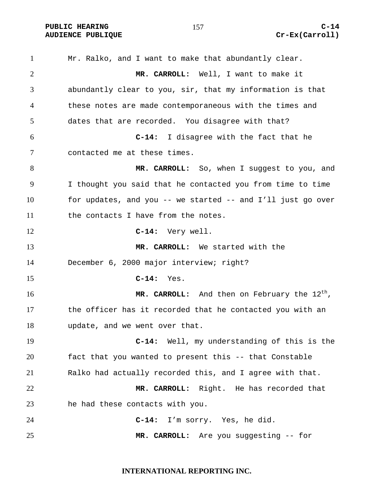# **AUDIENCE PUBLIQUE Cr-Ex(Carroll)**

Mr. Ralko, and I want to make that abundantly clear. **MR. CARROLL:** Well, I want to make it abundantly clear to you, sir, that my information is that these notes are made contemporaneous with the times and dates that are recorded. You disagree with that? **C-14:** I disagree with the fact that he contacted me at these times. **MR. CARROLL:** So, when I suggest to you, and I thought you said that he contacted you from time to time for updates, and you -- we started -- and I'll just go over 11 the contacts I have from the notes. **C-14:** Very well. **MR. CARROLL:** We started with the December 6, 2000 major interview; right? **C-14:** Yes. **MR. CARROLL:** And then on February the 12<sup>th</sup>, the officer has it recorded that he contacted you with an update, and we went over that. **C-14:** Well, my understanding of this is the fact that you wanted to present this -- that Constable Ralko had actually recorded this, and I agree with that. **MR. CARROLL:** Right. He has recorded that he had these contacts with you. **C-14:** I'm sorry. Yes, he did. **MR. CARROLL:** Are you suggesting -- for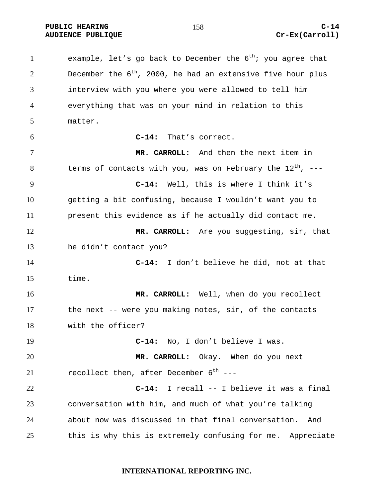1 example, let's go back to December the  $6<sup>th</sup>$ ; you agree that 2 December the  $6<sup>th</sup>$ , 2000, he had an extensive five hour plus interview with you where you were allowed to tell him everything that was on your mind in relation to this matter. **C-14:** That's correct. **MR. CARROLL:** And then the next item in 8 terms of contacts with you, was on February the  $12^{th}$ , ---**C-14:** Well, this is where I think it's getting a bit confusing, because I wouldn't want you to present this evidence as if he actually did contact me. **MR. CARROLL:** Are you suggesting, sir, that he didn't contact you? **C-14:** I don't believe he did, not at that time. **MR. CARROLL:** Well, when do you recollect the next -- were you making notes, sir, of the contacts with the officer? **C-14:** No, I don't believe I was. **MR. CARROLL:** Okay. When do you next 21 recollect then, after December  $6^{th}$  ---**C-14:** I recall -- I believe it was a final conversation with him, and much of what you're talking about now was discussed in that final conversation. And this is why this is extremely confusing for me. Appreciate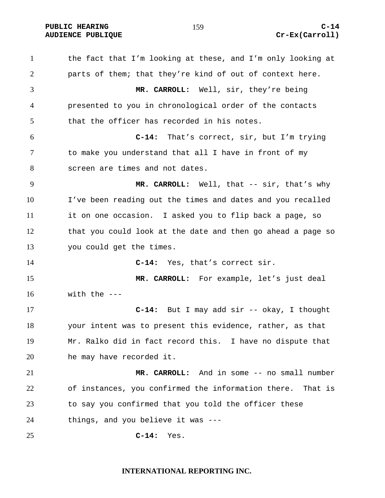# **AUDIENCE PUBLIQUE Cr-Ex(Carroll)**

the fact that I'm looking at these, and I'm only looking at parts of them; that they're kind of out of context here. **MR. CARROLL:** Well, sir, they're being presented to you in chronological order of the contacts that the officer has recorded in his notes. **C-14:** That's correct, sir, but I'm trying to make you understand that all I have in front of my screen are times and not dates. **MR. CARROLL:** Well, that -- sir, that's why I've been reading out the times and dates and you recalled it on one occasion. I asked you to flip back a page, so that you could look at the date and then go ahead a page so you could get the times. **C-14:** Yes, that's correct sir. **MR. CARROLL:** For example, let's just deal with the  $---$ **C-14:** But I may add sir -- okay, I thought your intent was to present this evidence, rather, as that Mr. Ralko did in fact record this. I have no dispute that he may have recorded it. **MR. CARROLL:** And in some -- no small number of instances, you confirmed the information there. That is to say you confirmed that you told the officer these things, and you believe it was --- **C-14:** Yes.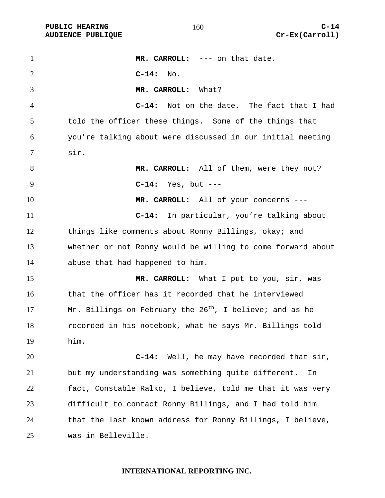1 MR. CARROLL: --- on that date. **C-14:** No. **MR. CARROLL:** What? **C-14:** Not on the date. The fact that I had told the officer these things. Some of the things that you're talking about were discussed in our initial meeting sir. 8 MR. CARROLL: All of them, were they not? **C-14:** Yes, but --- **MR. CARROLL:** All of your concerns --- **C-14:** In particular, you're talking about things like comments about Ronny Billings, okay; and whether or not Ronny would be willing to come forward about abuse that had happened to him. **MR. CARROLL:** What I put to you, sir, was that the officer has it recorded that he interviewed 17 Mr. Billings on February the  $26<sup>th</sup>$ , I believe; and as he recorded in his notebook, what he says Mr. Billings told him. **C-14:** Well, he may have recorded that sir, but my understanding was something quite different. In fact, Constable Ralko, I believe, told me that it was very difficult to contact Ronny Billings, and I had told him that the last known address for Ronny Billings, I believe, was in Belleville.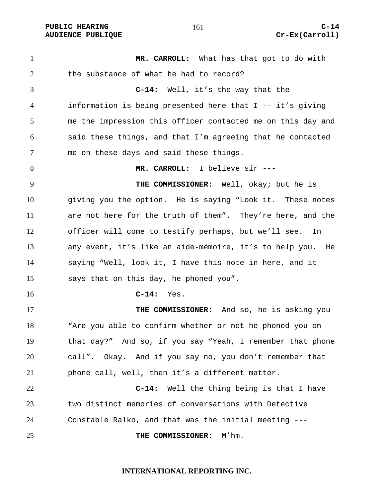1 MR. CARROLL: What has that got to do with 2 the substance of what he had to record? **C-14:** Well, it's the way that the information is being presented here that I -- it's giving me the impression this officer contacted me on this day and said these things, and that I'm agreeing that he contacted me on these days and said these things. **MR. CARROLL:** I believe sir --- **THE COMMISSIONER:** Well, okay; but he is giving you the option. He is saying "Look it. These notes are not here for the truth of them". They're here, and the officer will come to testify perhaps, but we'll see. In any event, it's like an aide-mémoire, it's to help you. He saying "Well, look it, I have this note in here, and it says that on this day, he phoned you". **C-14:** Yes. **THE COMMISSIONER:** And so, he is asking you "Are you able to confirm whether or not he phoned you on that day?" And so, if you say "Yeah, I remember that phone call". Okay. And if you say no, you don't remember that phone call, well, then it's a different matter. **C-14:** Well the thing being is that I have two distinct memories of conversations with Detective Constable Ralko, and that was the initial meeting --- **THE COMMISSIONER:** M'hm.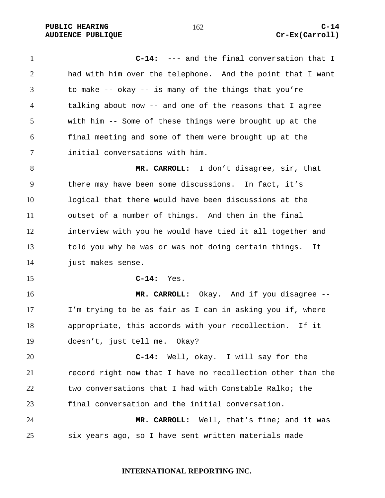**PUBLIC HEARING 162** 162 **C-14 AUDIENCE PUBLIQUE Cr-Ex(Carroll)** 

**C-14:** --- and the final conversation that I had with him over the telephone. And the point that I want to make -- okay -- is many of the things that you're talking about now -- and one of the reasons that I agree with him -- Some of these things were brought up at the final meeting and some of them were brought up at the initial conversations with him.

**MR. CARROLL:** I don't disagree, sir, that there may have been some discussions. In fact, it's logical that there would have been discussions at the outset of a number of things. And then in the final interview with you he would have tied it all together and told you why he was or was not doing certain things. It just makes sense.

**C-14:** Yes.

**MR. CARROLL:** Okay. And if you disagree -- I'm trying to be as fair as I can in asking you if, where appropriate, this accords with your recollection. If it doesn't, just tell me. Okay?

**C-14:** Well, okay. I will say for the record right now that I have no recollection other than the two conversations that I had with Constable Ralko; the final conversation and the initial conversation.

**MR. CARROLL:** Well, that's fine; and it was six years ago, so I have sent written materials made

**INTERNATIONAL REPORTING INC.**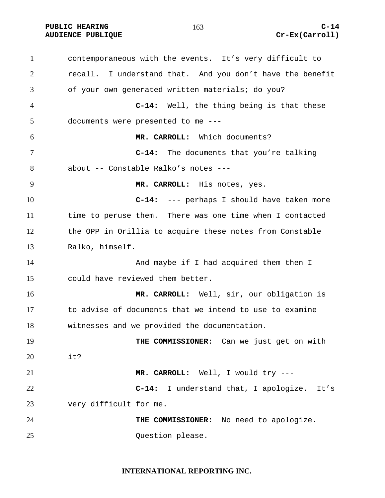# **AUDIENCE PUBLIQUE Cr-Ex(Carroll)**

contemporaneous with the events. It's very difficult to recall. I understand that. And you don't have the benefit of your own generated written materials; do you? **C-14:** Well, the thing being is that these documents were presented to me --- **MR. CARROLL:** Which documents? **C-14:** The documents that you're talking about -- Constable Ralko's notes --- **MR. CARROLL:** His notes, yes. **C-14:** --- perhaps I should have taken more time to peruse them. There was one time when I contacted the OPP in Orillia to acquire these notes from Constable Ralko, himself. 14 And maybe if I had acquired them then I could have reviewed them better. **MR. CARROLL:** Well, sir, our obligation is to advise of documents that we intend to use to examine witnesses and we provided the documentation. **THE COMMISSIONER:** Can we just get on with it? **MR. CARROLL:** Well, I would try --- **C-14:** I understand that, I apologize. It's very difficult for me. **THE COMMISSIONER:** No need to apologize. Question please.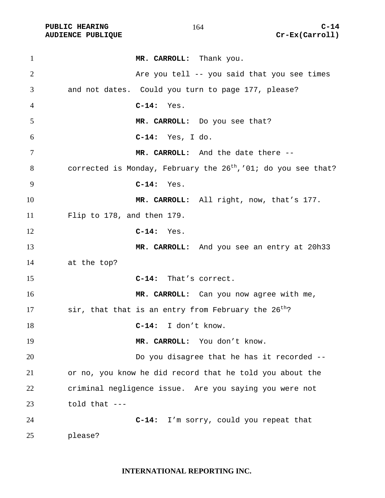| $\mathbf{1}$   | MR. CARROLL: Thank you.                                             |
|----------------|---------------------------------------------------------------------|
| $\overline{2}$ | Are you tell -- you said that you see times                         |
| 3              | and not dates. Could you turn to page 177, please?                  |
| 4              | $C-14:$<br>Yes.                                                     |
| 5              | MR. CARROLL: Do you see that?                                       |
| 6              | $C-14:$ Yes, I do.                                                  |
| 7              | MR. CARROLL: And the date there --                                  |
| 8              | corrected is Monday, February the $26^{th}$ , '01; do you see that? |
| 9              | $C-14:$<br>Yes.                                                     |
| 10             | MR. CARROLL: All right, now, that's 177.                            |
| 11             | Flip to 178, and then 179.                                          |
| 12             | $C-14:$ Yes.                                                        |
| 13             | MR. CARROLL: And you see an entry at 20h33                          |
| 14             | at the top?                                                         |
| 15             | C-14: That's correct.                                               |
| 16             | MR. CARROLL: Can you now agree with me,                             |
| 17             | sir, that that is an entry from February the 26 <sup>th</sup> ?     |
| 18             | I don't know.<br>$C-14:$                                            |
| 19             | MR. CARROLL: You don't know.                                        |
| 20             | Do you disagree that he has it recorded --                          |
| 21             | or no, you know he did record that he told you about the            |
| 22             | criminal negligence issue. Are you saying you were not              |
| 23             | told that $---$                                                     |
| 24             | I'm sorry, could you repeat that<br>$C-14:$                         |
| 25             | please?                                                             |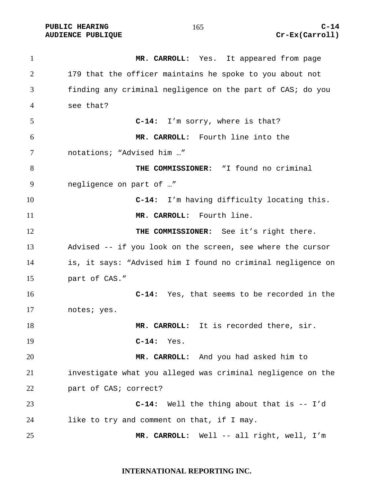**MR. CARROLL:** Yes. It appeared from page 179 that the officer maintains he spoke to you about not finding any criminal negligence on the part of CAS; do you see that? **C-14:** I'm sorry, where is that? **MR. CARROLL:** Fourth line into the notations; "Advised him …" **THE COMMISSIONER:** "I found no criminal negligence on part of …" **C-14:** I'm having difficulty locating this. **MR. CARROLL:** Fourth line. **THE COMMISSIONER:** See it's right there. Advised -- if you look on the screen, see where the cursor is, it says: "Advised him I found no criminal negligence on part of CAS." **C-14:** Yes, that seems to be recorded in the notes; yes. **MR. CARROLL:** It is recorded there, sir. **C-14:** Yes. **MR. CARROLL:** And you had asked him to investigate what you alleged was criminal negligence on the part of CAS; correct? **C-14:** Well the thing about that is -- I'd like to try and comment on that, if I may. **MR. CARROLL:** Well -- all right, well, I'm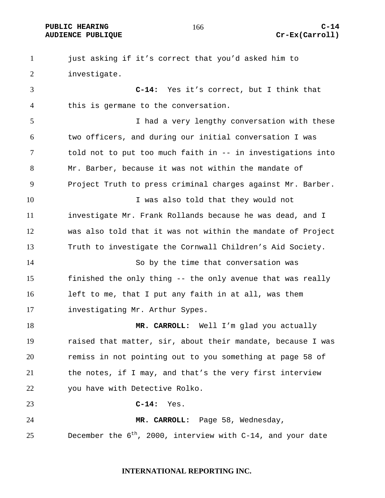# **AUDIENCE PUBLIQUE Cr-Ex(Carroll)**

just asking if it's correct that you'd asked him to investigate. **C-14:** Yes it's correct, but I think that this is germane to the conversation. I had a very lengthy conversation with these two officers, and during our initial conversation I was told not to put too much faith in -- in investigations into Mr. Barber, because it was not within the mandate of Project Truth to press criminal charges against Mr. Barber. 10 10 I was also told that they would not

investigate Mr. Frank Rollands because he was dead, and I was also told that it was not within the mandate of Project Truth to investigate the Cornwall Children's Aid Society.

So by the time that conversation was finished the only thing -- the only avenue that was really left to me, that I put any faith in at all, was them investigating Mr. Arthur Sypes.

**MR. CARROLL:** Well I'm glad you actually raised that matter, sir, about their mandate, because I was remiss in not pointing out to you something at page 58 of the notes, if I may, and that's the very first interview you have with Detective Rolko.

**C-14:** Yes.

**MR. CARROLL:** Page 58, Wednesday, December the  $6^{th}$ , 2000, interview with C-14, and your date

### **INTERNATIONAL REPORTING INC.**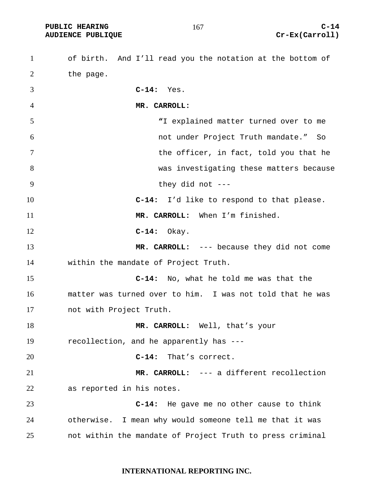PUBLIC HEARING C-14<br>
AUDIENCE PUBLIQUE **COMPUS** (Carroll)

| $\mathbf{1}$   | of birth. And I'll read you the notation at the bottom of |
|----------------|-----------------------------------------------------------|
| $\overline{2}$ | the page.                                                 |
| 3              | $C-14:$ Yes.                                              |
| $\overline{4}$ | MR. CARROLL:                                              |
| 5              | "I explained matter turned over to me                     |
| 6              | not under Project Truth mandate." So                      |
| 7              | the officer, in fact, told you that he                    |
| 8              | was investigating these matters because                   |
| 9              | they did not $---$                                        |
| 10             | I'd like to respond to that please.<br>$C-14:$            |
| 11             | MR. CARROLL: When I'm finished.                           |
| 12             | Okay.<br>$C-14:$                                          |
| 13             | MR. CARROLL: --- because they did not come                |
| 14             | within the mandate of Project Truth.                      |
| 15             | $C-14:$<br>No, what he told me was that the               |
| 16             | matter was turned over to him. I was not told that he was |
| 17             | not with Project Truth.                                   |
| 18             | MR. CARROLL: Well, that's your                            |
| 19             | recollection, and he apparently has ---                   |
| 20             | That's correct.<br>$C-14:$                                |
| 21             | MR. CARROLL: --- a different recollection                 |
| 22             | as reported in his notes.                                 |
| 23             | He gave me no other cause to think<br>$C-14:$             |
| 24             | otherwise. I mean why would someone tell me that it was   |
| 25             | not within the mandate of Project Truth to press criminal |

### **INTERNATIONAL REPORTING INC.**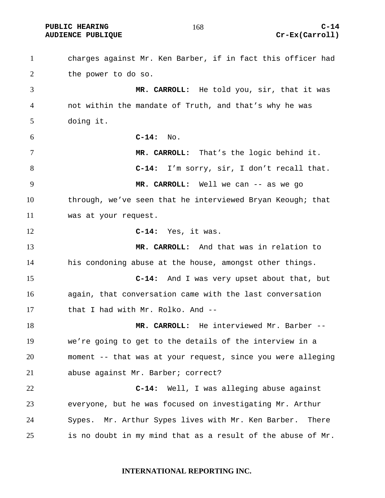charges against Mr. Ken Barber, if in fact this officer had the power to do so. **MR. CARROLL:** He told you, sir, that it was not within the mandate of Truth, and that's why he was doing it. **C-14:** No. **MR. CARROLL:** That's the logic behind it. **C-14:** I'm sorry, sir, I don't recall that. **MR. CARROLL:** Well we can -- as we go through, we've seen that he interviewed Bryan Keough; that was at your request. **C-14:** Yes, it was. **MR. CARROLL:** And that was in relation to his condoning abuse at the house, amongst other things. **C-14:** And I was very upset about that, but again, that conversation came with the last conversation that I had with Mr. Rolko. And -- **MR. CARROLL:** He interviewed Mr. Barber -- we're going to get to the details of the interview in a moment -- that was at your request, since you were alleging abuse against Mr. Barber; correct? **C-14:** Well, I was alleging abuse against everyone, but he was focused on investigating Mr. Arthur Sypes. Mr. Arthur Sypes lives with Mr. Ken Barber. There is no doubt in my mind that as a result of the abuse of Mr.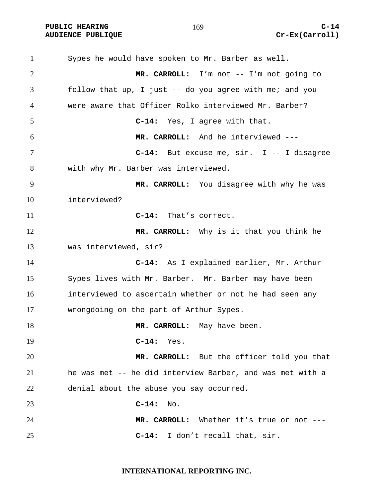Sypes he would have spoken to Mr. Barber as well. **MR. CARROLL:** I'm not -- I'm not going to follow that up, I just -- do you agree with me; and you were aware that Officer Rolko interviewed Mr. Barber? **C-14:** Yes, I agree with that. **MR. CARROLL:** And he interviewed --- **C-14:** But excuse me, sir. I -- I disagree with why Mr. Barber was interviewed. **MR. CARROLL:** You disagree with why he was interviewed? **C-14:** That's correct. **MR. CARROLL:** Why is it that you think he was interviewed, sir? **C-14:** As I explained earlier, Mr. Arthur Sypes lives with Mr. Barber. Mr. Barber may have been interviewed to ascertain whether or not he had seen any wrongdoing on the part of Arthur Sypes. 18 MR. **CARROLL:** May have been. **C-14:** Yes. **MR. CARROLL:** But the officer told you that he was met -- he did interview Barber, and was met with a denial about the abuse you say occurred. **C-14:** No. **MR. CARROLL:** Whether it's true or not --- **C-14:** I don't recall that, sir.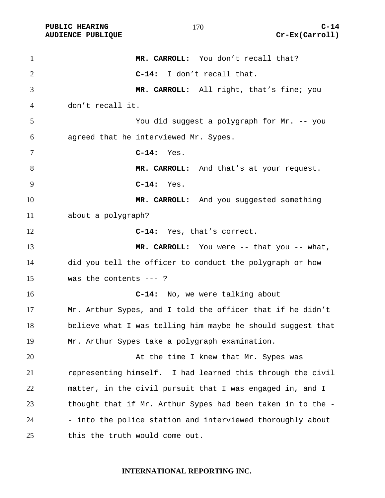| $\mathbf{1}$   | MR. CARROLL: You don't recall that?                         |
|----------------|-------------------------------------------------------------|
| $\overline{2}$ | C-14: I don't recall that.                                  |
| 3              | MR. CARROLL: All right, that's fine; you                    |
| 4              | don't recall it.                                            |
| 5              | You did suggest a polygraph for Mr. -- you                  |
| 6              | agreed that he interviewed Mr. Sypes.                       |
| 7              | $C-14:$<br>Yes.                                             |
| 8              | MR. CARROLL: And that's at your request.                    |
| 9              | $C-14:$ Yes.                                                |
| 10             | MR. CARROLL: And you suggested something                    |
| 11             | about a polygraph?                                          |
| 12             | C-14: Yes, that's correct.                                  |
| 13             | MR. CARROLL: You were -- that you -- what,                  |
| 14             | did you tell the officer to conduct the polygraph or how    |
| 15             | was the contents $---$ ?                                    |
| 16             | C-14: No, we were talking about                             |
| 17             | Mr. Arthur Sypes, and I told the officer that if he didn't  |
| 18             | believe what I was telling him maybe he should suggest that |
| 19             | Mr. Arthur Sypes take a polygraph examination.              |
| 20             | At the time I knew that Mr. Sypes was                       |
| 21             | representing himself. I had learned this through the civil  |
| 22             | matter, in the civil pursuit that I was engaged in, and I   |
| 23             | thought that if Mr. Arthur Sypes had been taken in to the - |
| 24             | - into the police station and interviewed thoroughly about  |
| 25             | this the truth would come out.                              |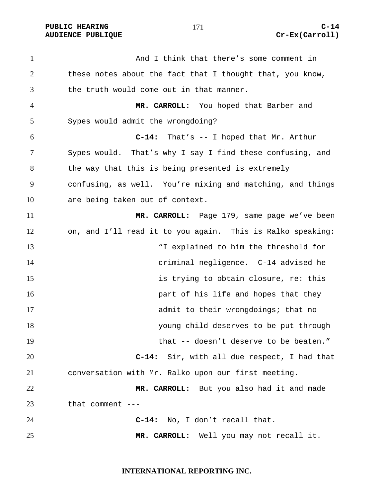PUBLIC HEARING C-14

And I think that there's some comment in these notes about the fact that I thought that, you know, the truth would come out in that manner. **MR. CARROLL:** You hoped that Barber and Sypes would admit the wrongdoing? **C-14:** That's -- I hoped that Mr. Arthur Sypes would. That's why I say I find these confusing, and the way that this is being presented is extremely confusing, as well. You're mixing and matching, and things are being taken out of context. **MR. CARROLL:** Page 179, same page we've been on, and I'll read it to you again. This is Ralko speaking: "I explained to him the threshold for criminal negligence. C-14 advised he is trying to obtain closure, re: this **part of his life and hopes that they** admit to their wrongdoings; that no young child deserves to be put through that -- doesn't deserve to be beaten." **C-14:** Sir, with all due respect, I had that conversation with Mr. Ralko upon our first meeting. **MR. CARROLL:** But you also had it and made that comment --- **C-14:** No, I don't recall that. **MR. CARROLL:** Well you may not recall it.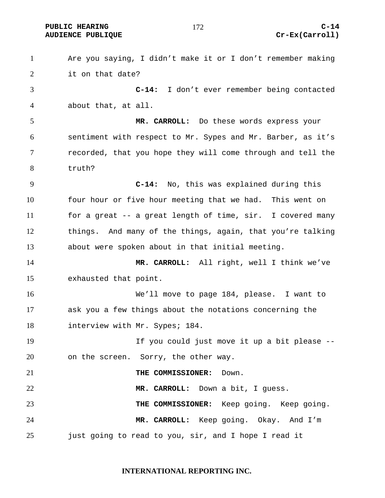PUBLIC HEARING and  $172$  c-14

Are you saying, I didn't make it or I don't remember making it on that date? **C-14:** I don't ever remember being contacted about that, at all. **MR. CARROLL:** Do these words express your sentiment with respect to Mr. Sypes and Mr. Barber, as it's recorded, that you hope they will come through and tell the truth? **C-14:** No, this was explained during this four hour or five hour meeting that we had. This went on for a great -- a great length of time, sir. I covered many things. And many of the things, again, that you're talking about were spoken about in that initial meeting. **MR. CARROLL:** All right, well I think we've exhausted that point. We'll move to page 184, please. I want to ask you a few things about the notations concerning the 18 interview with Mr. Sypes; 184. 19 19 If you could just move it up a bit please  $-$ on the screen. Sorry, the other way. **THE COMMISSIONER:** Down. **MR. CARROLL:** Down a bit, I guess. **THE COMMISSIONER:** Keep going. Keep going. **MR. CARROLL:** Keep going. Okay. And I'm just going to read to you, sir, and I hope I read it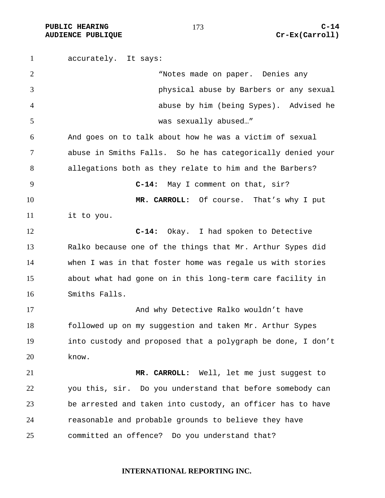accurately. It says: "Notes made on paper. Denies any physical abuse by Barbers or any sexual abuse by him (being Sypes). Advised he was sexually abused…" And goes on to talk about how he was a victim of sexual abuse in Smiths Falls. So he has categorically denied your allegations both as they relate to him and the Barbers? **C-14:** May I comment on that, sir? **MR. CARROLL:** Of course. That's why I put it to you. **C-14:** Okay. I had spoken to Detective Ralko because one of the things that Mr. Arthur Sypes did when I was in that foster home was regale us with stories about what had gone on in this long-term care facility in Smiths Falls. 17 And why Detective Ralko wouldn't have followed up on my suggestion and taken Mr. Arthur Sypes into custody and proposed that a polygraph be done, I don't know. **MR. CARROLL:** Well, let me just suggest to you this, sir. Do you understand that before somebody can be arrested and taken into custody, an officer has to have reasonable and probable grounds to believe they have committed an offence? Do you understand that?

#### **INTERNATIONAL REPORTING INC.**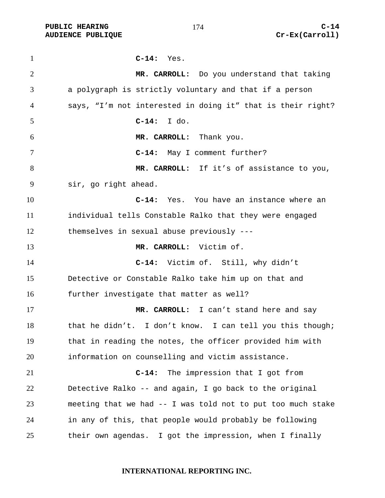| $\mathbf{1}$   | $C-14:$<br>Yes.                                             |
|----------------|-------------------------------------------------------------|
| $\overline{2}$ | MR. CARROLL: Do you understand that taking                  |
| 3              | a polygraph is strictly voluntary and that if a person      |
| 4              | says, "I'm not interested in doing it" that is their right? |
| 5              | I do.<br>$C-14:$                                            |
| 6              | MR. CARROLL: Thank you.                                     |
| 7              | C-14: May I comment further?                                |
| 8              | MR. CARROLL: If it's of assistance to you,                  |
| 9              | sir, go right ahead.                                        |
| 10             | C-14: Yes. You have an instance where an                    |
| 11             | individual tells Constable Ralko that they were engaged     |
| 12             | themselves in sexual abuse previously ---                   |
| 13             | MR. CARROLL: Victim of.                                     |
| 14             | C-14: Victim of. Still, why didn't                          |
| 15             | Detective or Constable Ralko take him up on that and        |
| 16             | further investigate that matter as well?                    |
| 17             | MR. CARROLL: I can't stand here and say                     |
| 18             | that he didn't. I don't know. I can tell you this though;   |
| 19             | that in reading the notes, the officer provided him with    |
| 20             | information on counselling and victim assistance.           |
| 21             | $C-14:$<br>The impression that I got from                   |
| 22             | Detective Ralko -- and again, I go back to the original     |
| 23             | meeting that we had -- I was told not to put too much stake |
| 24             | in any of this, that people would probably be following     |
| 25             | their own agendas. I got the impression, when I finally     |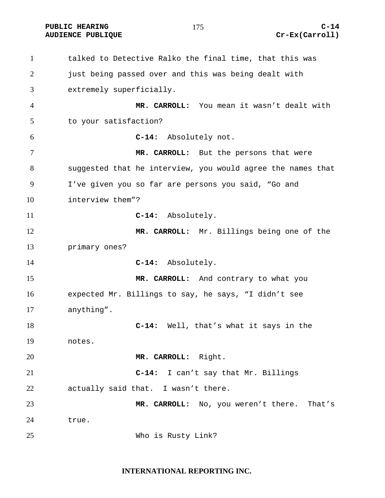**PUBLIC HEARING C-14** 

talked to Detective Ralko the final time, that this was 2 just being passed over and this was being dealt with extremely superficially. **MR. CARROLL:** You mean it wasn't dealt with to your satisfaction? **C-14:** Absolutely not. **MR. CARROLL:** But the persons that were suggested that he interview, you would agree the names that I've given you so far are persons you said, "Go and interview them"? **C-14:** Absolutely. **MR. CARROLL:** Mr. Billings being one of the primary ones? **C-14:** Absolutely. **MR. CARROLL:** And contrary to what you expected Mr. Billings to say, he says, "I didn't see anything". **C-14:** Well, that's what it says in the notes. **MR. CARROLL:** Right. **C-14:** I can't say that Mr. Billings actually said that. I wasn't there. **MR. CARROLL:** No, you weren't there. That's true. Who is Rusty Link?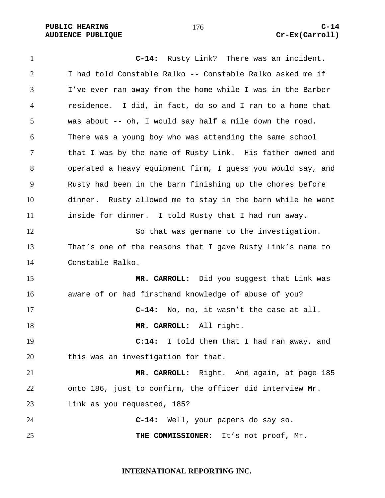**PUBLIC HEARING C-14** 

**C-14:** Rusty Link? There was an incident. I had told Constable Ralko -- Constable Ralko asked me if I've ever ran away from the home while I was in the Barber residence. I did, in fact, do so and I ran to a home that was about -- oh, I would say half a mile down the road. There was a young boy who was attending the same school that I was by the name of Rusty Link. His father owned and operated a heavy equipment firm, I guess you would say, and Rusty had been in the barn finishing up the chores before dinner. Rusty allowed me to stay in the barn while he went inside for dinner. I told Rusty that I had run away. So that was germane to the investigation. That's one of the reasons that I gave Rusty Link's name to Constable Ralko. **MR. CARROLL:** Did you suggest that Link was aware of or had firsthand knowledge of abuse of you? **C-14:** No, no, it wasn't the case at all. **MR. CARROLL:** All right. **C:14:** I told them that I had ran away, and this was an investigation for that. **MR. CARROLL:** Right. And again, at page 185 onto 186, just to confirm, the officer did interview Mr. Link as you requested, 185? **C-14:** Well, your papers do say so. **THE COMMISSIONER:** It's not proof, Mr.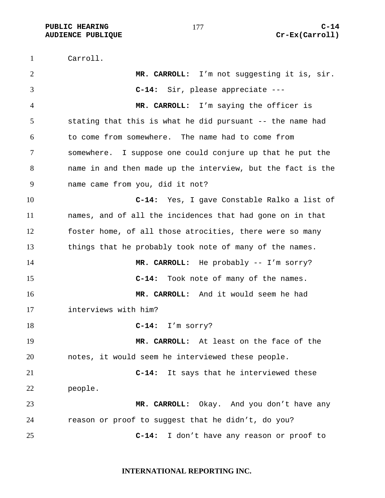Carroll.

**MR. CARROLL:** I'm not suggesting it is, sir. **C-14:** Sir, please appreciate --- **MR. CARROLL:** I'm saying the officer is stating that this is what he did pursuant -- the name had to come from somewhere. The name had to come from somewhere. I suppose one could conjure up that he put the name in and then made up the interview, but the fact is the name came from you, did it not? **C-14:** Yes, I gave Constable Ralko a list of names, and of all the incidences that had gone on in that foster home, of all those atrocities, there were so many things that he probably took note of many of the names. 14 MR. CARROLL: He probably -- I'm sorry? **C-14:** Took note of many of the names. **MR. CARROLL:** And it would seem he had interviews with him? **C-14:** I'm sorry? **MR. CARROLL:** At least on the face of the notes, it would seem he interviewed these people. **C-14:** It says that he interviewed these people. **MR. CARROLL:** Okay. And you don't have any reason or proof to suggest that he didn't, do you? **C-14:** I don't have any reason or proof to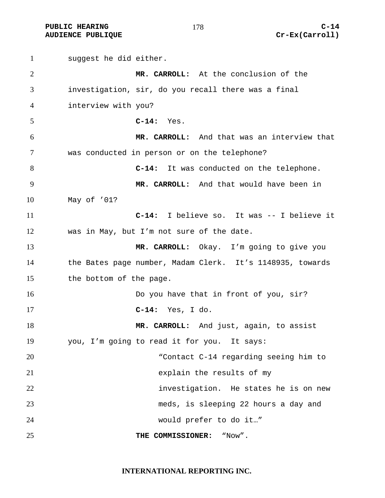**PUBLIC HEARING C-14** 

## **AUDIENCE PUBLIQUE Cr-Ex(Carroll)**

suggest he did either. **MR. CARROLL:** At the conclusion of the investigation, sir, do you recall there was a final interview with you? **C-14:** Yes. **MR. CARROLL:** And that was an interview that was conducted in person or on the telephone? **C-14:** It was conducted on the telephone. **MR. CARROLL:** And that would have been in May of '01? **C-14:** I believe so. It was -- I believe it was in May, but I'm not sure of the date. **MR. CARROLL:** Okay. I'm going to give you the Bates page number, Madam Clerk. It's 1148935, towards the bottom of the page. **Do you have that in front of you, sir? C-14:** Yes, I do. **MR. CARROLL:** And just, again, to assist you, I'm going to read it for you. It says: "Contact C-14 regarding seeing him to explain the results of my investigation. He states he is on new meds, is sleeping 22 hours a day and would prefer to do it…" **THE COMMISSIONER:** "Now".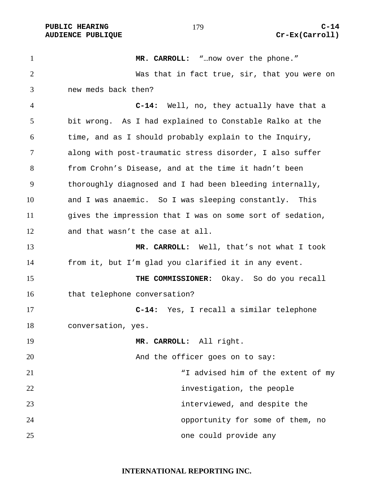**PUBLIC HEARING C-14** 

**MR. CARROLL:** "…now over the phone." Was that in fact true, sir, that you were on new meds back then? **C-14:** Well, no, they actually have that a bit wrong. As I had explained to Constable Ralko at the time, and as I should probably explain to the Inquiry, along with post-traumatic stress disorder, I also suffer from Crohn's Disease, and at the time it hadn't been thoroughly diagnosed and I had been bleeding internally, and I was anaemic. So I was sleeping constantly. This 11 gives the impression that I was on some sort of sedation, and that wasn't the case at all. **MR. CARROLL:** Well, that's not what I took from it, but I'm glad you clarified it in any event. **THE COMMISSIONER:** Okay. So do you recall 16 that telephone conversation? **C-14:** Yes, I recall a similar telephone conversation, yes. **MR. CARROLL:** All right. 20 And the officer goes on to say: 21 The extent of my Tadvised him of the extent of my **investigation**, the people interviewed, and despite the opportunity for some of them, no one could provide any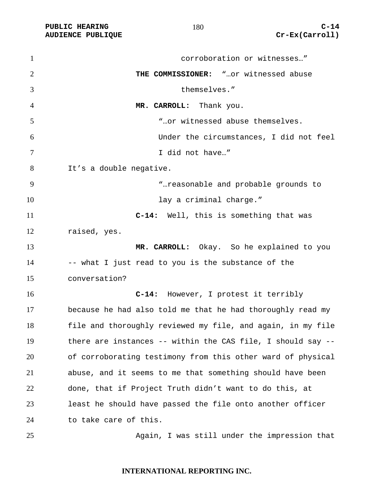PUBLIC HEARING C-14<br>
AUDIENCE PUBLIQUE **COMPUS** (Carroll) **AUDIENCE PUBLIQUE** 

| $\mathbf{1}$   | corroboration or witnesses"                                    |
|----------------|----------------------------------------------------------------|
| $\overline{2}$ | THE COMMISSIONER: " or witnessed abuse                         |
| 3              | themselves."                                                   |
| 4              | MR. CARROLL: Thank you.                                        |
| 5              | " or witnessed abuse themselves.                               |
| 6              | Under the circumstances, I did not feel                        |
| 7              | I did not have"                                                |
| 8              | It's a double negative.                                        |
| 9              | " reasonable and probable grounds to                           |
| 10             | lay a criminal charge."                                        |
| 11             | C-14: Well, this is something that was                         |
| 12             | raised, yes.                                                   |
| 13             | MR. CARROLL: Okay. So he explained to you                      |
| 14             | -- what I just read to you is the substance of the             |
| 15             | conversation?                                                  |
| 16             | However, I protest it terribly<br>$C-14:$                      |
| 17             | because he had also told me that he had thoroughly read my     |
| 18             | file and thoroughly reviewed my file, and again, in my file    |
| 19             | there are instances -- within the CAS file, I should say $-$ - |
| 20             | of corroborating testimony from this other ward of physical    |
| 21             | abuse, and it seems to me that something should have been      |
| 22             | done, that if Project Truth didn't want to do this, at         |
| 23             | least he should have passed the file onto another officer      |
| 24             | to take care of this.                                          |
|                |                                                                |

Again, I was still under the impression that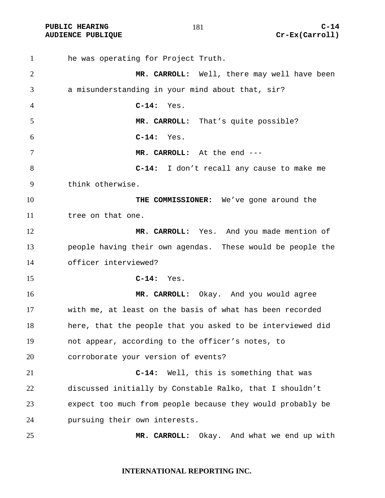**AUDIENCE PUBLIQUE** 

| $\mathbf{1}$   | he was operating for Project Truth.                        |
|----------------|------------------------------------------------------------|
| $\overline{2}$ | MR. CARROLL: Well, there may well have been                |
| 3              | a misunderstanding in your mind about that, sir?           |
| $\overline{4}$ | $C-14:$<br>Yes.                                            |
| 5              | MR. CARROLL: That's quite possible?                        |
| 6              | $C-14:$<br>Yes.                                            |
| $\tau$         | MR. CARROLL: At the end ---                                |
| 8              | C-14: I don't recall any cause to make me                  |
| 9              | think otherwise.                                           |
| 10             | THE COMMISSIONER: We've gone around the                    |
| 11             | tree on that one.                                          |
| 12             | MR. CARROLL: Yes. And you made mention of                  |
| 13             | people having their own agendas. These would be people the |
| 14             | officer interviewed?                                       |
| 15             | $C-14:$ Yes.                                               |
| 16             | MR. CARROLL: Okay. And you would agree                     |
| 17             | with me, at least on the basis of what has been recorded   |
| 18             | here, that the people that you asked to be interviewed did |
| 19             | not appear, according to the officer's notes, to           |
| 20             | corroborate your version of events?                        |
| 21             | Well, this is something that was<br>$C-14:$                |
| 22             | discussed initially by Constable Ralko, that I shouldn't   |
| 23             | expect too much from people because they would probably be |
| 24             | pursuing their own interests.                              |
| 25             | MR. CARROLL: Okay. And what we end up with                 |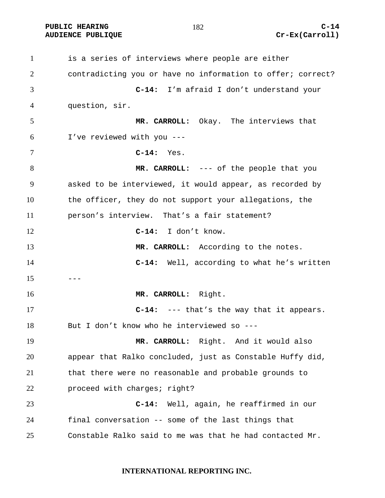**PUBLIC HEARING C-14** 

is a series of interviews where people are either contradicting you or have no information to offer; correct? **C-14:** I'm afraid I don't understand your question, sir. **MR. CARROLL:** Okay. The interviews that I've reviewed with you --- **C-14:** Yes. **MR. CARROLL:** --- of the people that you asked to be interviewed, it would appear, as recorded by the officer, they do not support your allegations, the person's interview. That's a fair statement? **C-14:** I don't know. **MR. CARROLL:** According to the notes. **C-14:** Well, according to what he's written ---**MR. CARROLL:** Right. **C-14:** --- that's the way that it appears. But I don't know who he interviewed so --- **MR. CARROLL:** Right. And it would also appear that Ralko concluded, just as Constable Huffy did, that there were no reasonable and probable grounds to 22 proceed with charges; right? **C-14:** Well, again, he reaffirmed in our final conversation -- some of the last things that Constable Ralko said to me was that he had contacted Mr.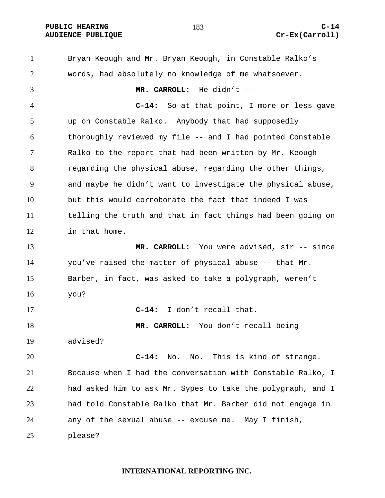**PUBLIC HEARING C-14** 

### **AUDIENCE PUBLIQUE Cr-Ex(Carroll)**

Bryan Keough and Mr. Bryan Keough, in Constable Ralko's words, had absolutely no knowledge of me whatsoever. **MR. CARROLL:** He didn't --- **C-14:** So at that point, I more or less gave up on Constable Ralko. Anybody that had supposedly thoroughly reviewed my file -- and I had pointed Constable Ralko to the report that had been written by Mr. Keough regarding the physical abuse, regarding the other things, and maybe he didn't want to investigate the physical abuse, but this would corroborate the fact that indeed I was telling the truth and that in fact things had been going on in that home. **MR. CARROLL:** You were advised, sir -- since you've raised the matter of physical abuse -- that Mr. Barber, in fact, was asked to take a polygraph, weren't you? **C-14:** I don't recall that. **MR. CARROLL:** You don't recall being advised? **C-14:** No. No. This is kind of strange. Because when I had the conversation with Constable Ralko, I had asked him to ask Mr. Sypes to take the polygraph, and I had told Constable Ralko that Mr. Barber did not engage in any of the sexual abuse -- excuse me. May I finish, please?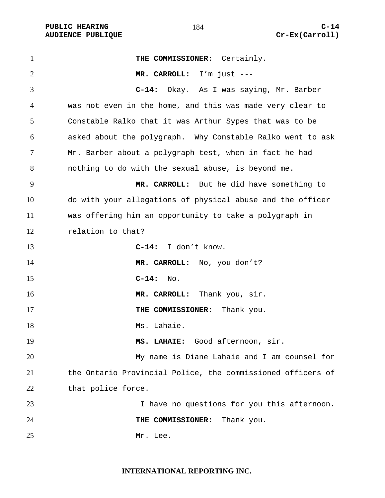PUBLIC HEARING and  $184$  c-14 **AUDIENCE PUBLIQUE Cr-Ex(Carroll)** 

**THE COMMISSIONER:** Certainly. **MR. CARROLL:** I'm just --- **C-14:** Okay. As I was saying, Mr. Barber was not even in the home, and this was made very clear to Constable Ralko that it was Arthur Sypes that was to be asked about the polygraph. Why Constable Ralko went to ask Mr. Barber about a polygraph test, when in fact he had nothing to do with the sexual abuse, is beyond me. **MR. CARROLL:** But he did have something to do with your allegations of physical abuse and the officer was offering him an opportunity to take a polygraph in relation to that? **C-14:** I don't know. **MR. CARROLL:** No, you don't? **C-14:** No. **MR. CARROLL:** Thank you, sir. **THE COMMISSIONER:** Thank you. 18 Ms. Lahaie. **MS. LAHAIE:** Good afternoon, sir. My name is Diane Lahaie and I am counsel for the Ontario Provincial Police, the commissioned officers of 22 that police force. I have no questions for you this afternoon. **THE COMMISSIONER:** Thank you. 25 Mr. Lee.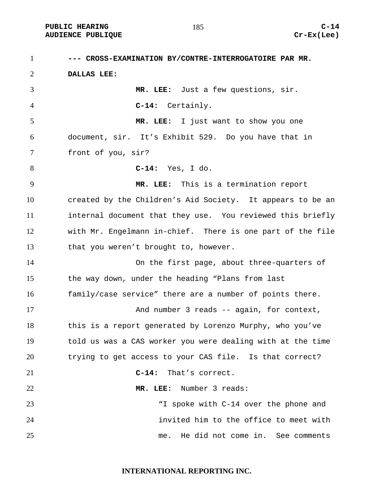**--- CROSS-EXAMINATION BY/CONTRE-INTERROGATOIRE PAR MR. DALLAS LEE: MR. LEE:** Just a few questions, sir. **C-14:** Certainly. **MR. LEE:** I just want to show you one document, sir. It's Exhibit 529. Do you have that in front of you, sir? **C-14:** Yes, I do. **MR. LEE:** This is a termination report created by the Children's Aid Society. It appears to be an internal document that they use. You reviewed this briefly with Mr. Engelmann in-chief. There is one part of the file that you weren't brought to, however. On the first page, about three-quarters of the way down, under the heading "Plans from last family/case service" there are a number of points there. 17 And number 3 reads -- again, for context, this is a report generated by Lorenzo Murphy, who you've told us was a CAS worker you were dealing with at the time trying to get access to your CAS file. Is that correct? **C-14:** That's correct. **MR. LEE:** Number 3 reads: "I spoke with C-14 over the phone and invited him to the office to meet with me. He did not come in. See comments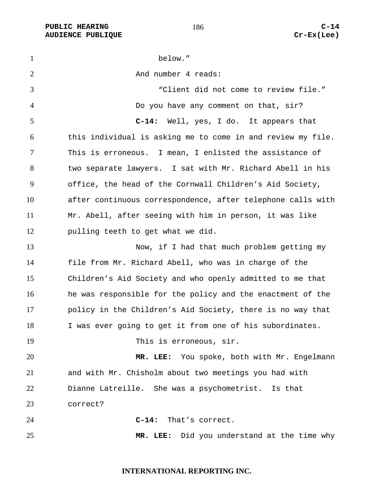1 below." 2 And number 4 reads: "Client did not come to review file." Do you have any comment on that, sir? **C-14:** Well, yes, I do. It appears that this individual is asking me to come in and review my file. This is erroneous. I mean, I enlisted the assistance of two separate lawyers. I sat with Mr. Richard Abell in his office, the head of the Cornwall Children's Aid Society, after continuous correspondence, after telephone calls with Mr. Abell, after seeing with him in person, it was like pulling teeth to get what we did. 13 Now, if I had that much problem getting my file from Mr. Richard Abell, who was in charge of the Children's Aid Society and who openly admitted to me that he was responsible for the policy and the enactment of the policy in the Children's Aid Society, there is no way that I was ever going to get it from one of his subordinates. 19 This is erroneous, sir. **MR. LEE:** You spoke, both with Mr. Engelmann and with Mr. Chisholm about two meetings you had with Dianne Latreille. She was a psychometrist. Is that correct? **C-14:** That's correct. **MR. LEE:** Did you understand at the time why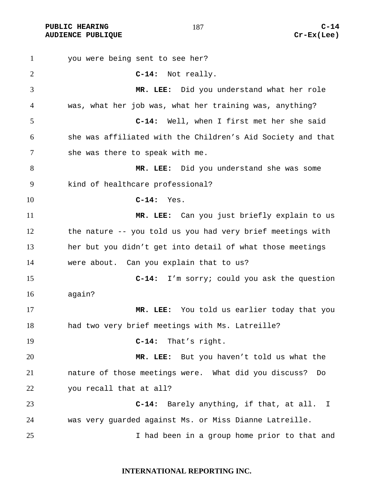you were being sent to see her? **C-14:** Not really. **MR. LEE:** Did you understand what her role was, what her job was, what her training was, anything? **C-14:** Well, when I first met her she said she was affiliated with the Children's Aid Society and that she was there to speak with me. **MR. LEE:** Did you understand she was some kind of healthcare professional? **C-14:** Yes. **MR. LEE:** Can you just briefly explain to us the nature -- you told us you had very brief meetings with her but you didn't get into detail of what those meetings were about. Can you explain that to us? **C-14:** I'm sorry; could you ask the question again? **MR. LEE:** You told us earlier today that you 18 had two very brief meetings with Ms. Latreille? **C-14:** That's right. **MR. LEE:** But you haven't told us what the nature of those meetings were. What did you discuss? Do you recall that at all? **C-14:** Barely anything, if that, at all. I was very guarded against Ms. or Miss Dianne Latreille. I had been in a group home prior to that and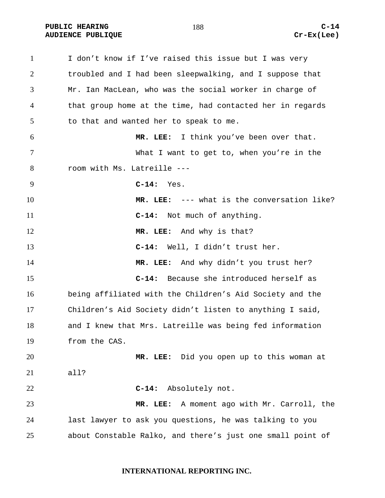1 I don't know if I've raised this issue but I was very troubled and I had been sleepwalking, and I suppose that Mr. Ian MacLean, who was the social worker in charge of that group home at the time, had contacted her in regards to that and wanted her to speak to me. **MR. LEE:** I think you've been over that. What I want to get to, when you're in the room with Ms. Latreille --- **C-14:** Yes. **MR. LEE:** --- what is the conversation like? **C-14:** Not much of anything. **MR. LEE:** And why is that? **C-14:** Well, I didn't trust her. **MR. LEE:** And why didn't you trust her? **C-14:** Because she introduced herself as being affiliated with the Children's Aid Society and the Children's Aid Society didn't listen to anything I said, and I knew that Mrs. Latreille was being fed information from the CAS. **MR. LEE:** Did you open up to this woman at all? **C-14:** Absolutely not. **MR. LEE:** A moment ago with Mr. Carroll, the last lawyer to ask you questions, he was talking to you about Constable Ralko, and there's just one small point of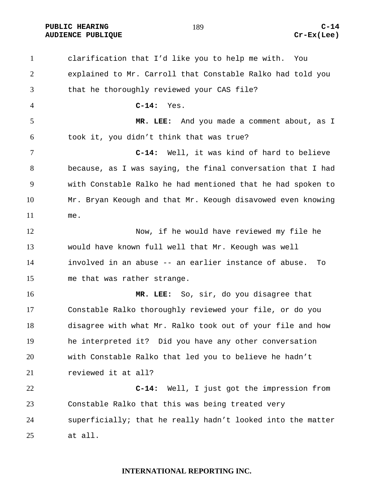PUBLIC HEARING C-14<br>
AUDIENCE PUBLIQUE **CONSTRUSS (EXECUTED AUDIENCE PUBLIQUE AUDIENCE PUBLIQUE** 

| $\mathbf{1}$   | clarification that I'd like you to help me with.<br>You     |
|----------------|-------------------------------------------------------------|
| $\overline{2}$ | explained to Mr. Carroll that Constable Ralko had told you  |
| 3              | that he thoroughly reviewed your CAS file?                  |
| 4              | $C-14:$<br>Yes.                                             |
| 5              | MR. LEE: And you made a comment about, as I                 |
| 6              | took it, you didn't think that was true?                    |
| 7              | Well, it was kind of hard to believe<br>$C-14:$             |
| 8              | because, as I was saying, the final conversation that I had |
| 9              | with Constable Ralko he had mentioned that he had spoken to |
| 10             | Mr. Bryan Keough and that Mr. Keough disavowed even knowing |
| 11             | me.                                                         |
| 12             | Now, if he would have reviewed my file he                   |
| 13             | would have known full well that Mr. Keough was well         |
| 14             | involved in an abuse -- an earlier instance of abuse.<br>To |
| 15             | me that was rather strange.                                 |
| 16             | MR. LEE: So, sir, do you disagree that                      |
| 17             | Constable Ralko thoroughly reviewed your file, or do you    |
| 18             | disagree with what Mr. Ralko took out of your file and how  |
| 19             | he interpreted it? Did you have any other conversation      |
| 20             | with Constable Ralko that led you to believe he hadn't      |
| 21             | reviewed it at all?                                         |
| 22             | $C-14:$<br>Well, I just got the impression from             |
| 23             | Constable Ralko that this was being treated very            |
| 24             | superficially; that he really hadn't looked into the matter |
| 25             | at all.                                                     |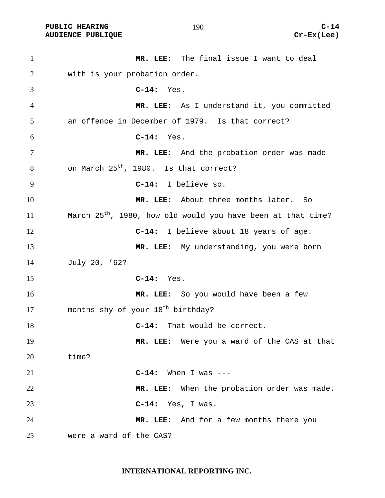PUBLIC HEARING C-14<br>
AUDIENCE PUBLIQUE **COMPUS** (C-14 **COMPUS) AUDIENCE PUBLIQUE** 

| $\mathbf{1}$ | MR. LEE: The final issue I want to deal                                  |
|--------------|--------------------------------------------------------------------------|
| 2            | with is your probation order.                                            |
| 3            | $C-14:$ Yes.                                                             |
| 4            | MR. LEE: As I understand it, you committed                               |
| 5            | an offence in December of 1979. Is that correct?                         |
| 6            | $C-14:$<br>Yes.                                                          |
| $\tau$       | MR. LEE: And the probation order was made                                |
| 8            | on March 25 <sup>th</sup> , 1980. Is that correct?                       |
| 9            | C-14: I believe so.                                                      |
| 10           | MR. LEE: About three months later. So                                    |
| 11           | March 25 <sup>th</sup> , 1980, how old would you have been at that time? |
| 12           | C-14: I believe about 18 years of age.                                   |
| 13           | MR. LEE: My understanding, you were born                                 |
| 14           | July 20, '62?                                                            |
| 15           | $C-14:$ Yes.                                                             |
| 16           | MR. LEE: So you would have been a few                                    |
| 17           | months shy of your 18 <sup>th</sup> birthday?                            |
| 18           | That would be correct.<br>$C-14:$                                        |
| 19           | MR. LEE: Were you a ward of the CAS at that                              |
| 20           | time?                                                                    |
| 21           | $C-14$ : When I was ---                                                  |
| 22           | MR. LEE: When the probation order was made.                              |
| 23           | $C-14:$ Yes, I was.                                                      |
| 24           | MR. LEE: And for a few months there you                                  |
| 25           | were a ward of the CAS?                                                  |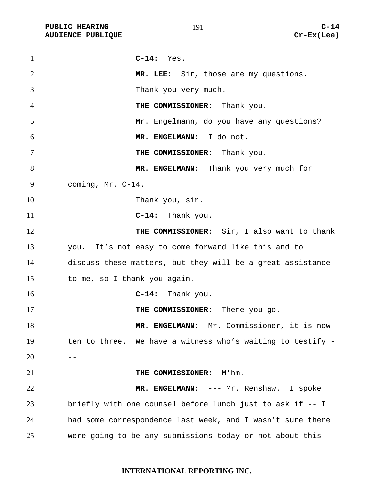**C-14:** Yes. **MR. LEE:** Sir, those are my questions. Thank you very much. **THE COMMISSIONER:** Thank you. Mr. Engelmann, do you have any questions? **MR. ENGELMANN:** I do not. **THE COMMISSIONER:** Thank you. **MR. ENGELMANN:** Thank you very much for coming, Mr. C-14. 10 Thank you, sir. **C-14:** Thank you. **THE COMMISSIONER:** Sir, I also want to thank you. It's not easy to come forward like this and to discuss these matters, but they will be a great assistance to me, so I thank you again. **C-14:** Thank you. **THE COMMISSIONER:** There you go. **MR. ENGELMANN:** Mr. Commissioner, it is now ten to three. We have a witness who's waiting to testify - --**THE COMMISSIONER:** M'hm. **MR. ENGELMANN:** --- Mr. Renshaw. I spoke briefly with one counsel before lunch just to ask if -- I had some correspondence last week, and I wasn't sure there were going to be any submissions today or not about this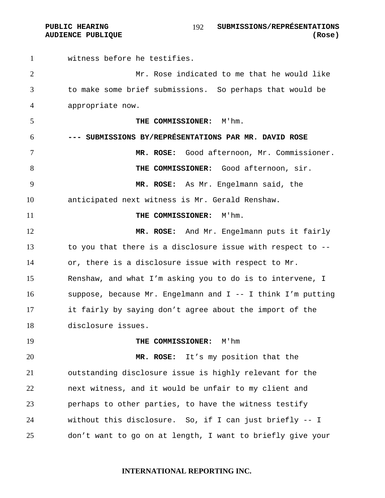witness before he testifies. Mr. Rose indicated to me that he would like to make some brief submissions. So perhaps that would be appropriate now. **THE COMMISSIONER:** M'hm. **--- SUBMISSIONS BY/REPRÉSENTATIONS PAR MR. DAVID ROSE MR. ROSE:** Good afternoon, Mr. Commissioner. **THE COMMISSIONER:** Good afternoon, sir. **MR. ROSE:** As Mr. Engelmann said, the anticipated next witness is Mr. Gerald Renshaw. **THE COMMISSIONER:** M'hm. **MR. ROSE:** And Mr. Engelmann puts it fairly to you that there is a disclosure issue with respect to -- or, there is a disclosure issue with respect to Mr. Renshaw, and what I'm asking you to do is to intervene, I suppose, because Mr. Engelmann and I -- I think I'm putting it fairly by saying don't agree about the import of the disclosure issues. **THE COMMISSIONER:** M'hm **MR. ROSE:** It's my position that the outstanding disclosure issue is highly relevant for the next witness, and it would be unfair to my client and perhaps to other parties, to have the witness testify without this disclosure. So, if I can just briefly -- I don't want to go on at length, I want to briefly give your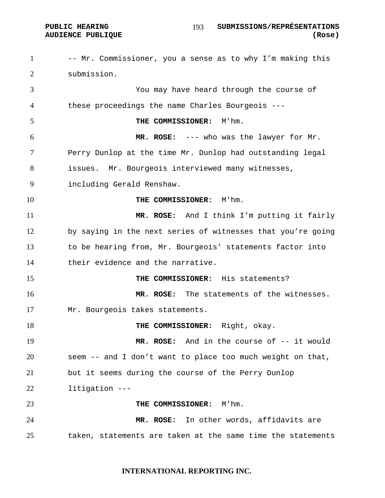#### **PUBLIC HEARING SUBMISSIONS/REPRÉSENTATIONS AUDIENCE PUBLIQUE (Rose)**

1 -- Mr. Commissioner, you a sense as to why I'm making this submission. You may have heard through the course of these proceedings the name Charles Bourgeois --- **THE COMMISSIONER:** M'hm. **MR. ROSE:** --- who was the lawyer for Mr. Perry Dunlop at the time Mr. Dunlop had outstanding legal issues. Mr. Bourgeois interviewed many witnesses, including Gerald Renshaw. **THE COMMISSIONER:** M'hm. **MR. ROSE:** And I think I'm putting it fairly by saying in the next series of witnesses that you're going to be hearing from, Mr. Bourgeois' statements factor into their evidence and the narrative. **THE COMMISSIONER:** His statements? **MR. ROSE:** The statements of the witnesses. Mr. Bourgeois takes statements. **THE COMMISSIONER:** Right, okay. **MR. ROSE:** And in the course of -- it would seem -- and I don't want to place too much weight on that, but it seems during the course of the Perry Dunlop litigation --- **THE COMMISSIONER:** M'hm. **MR. ROSE:** In other words, affidavits are taken, statements are taken at the same time the statements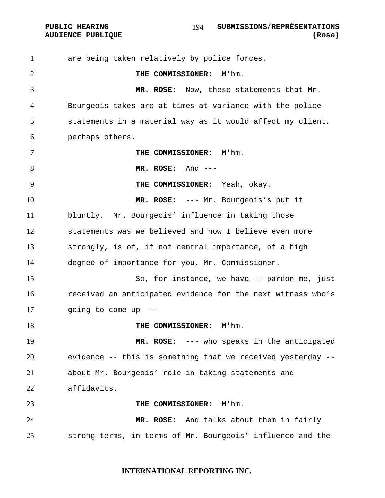PUBLIC HEARING **SUBMISSIONS/REPRÉSENTATIONS AUDIENCE PUBLIQUE (Rose)**  

are being taken relatively by police forces. **THE COMMISSIONER:** M'hm. **MR. ROSE:** Now, these statements that Mr. Bourgeois takes are at times at variance with the police statements in a material way as it would affect my client, perhaps others. **THE COMMISSIONER:** M'hm. **MR. ROSE:** And --- **THE COMMISSIONER:** Yeah, okay. **MR. ROSE:** --- Mr. Bourgeois's put it bluntly. Mr. Bourgeois' influence in taking those statements was we believed and now I believe even more strongly, is of, if not central importance, of a high degree of importance for you, Mr. Commissioner. So, for instance, we have -- pardon me, just received an anticipated evidence for the next witness who's going to come up --- **THE COMMISSIONER:** M'hm. **MR. ROSE:** --- who speaks in the anticipated evidence -- this is something that we received yesterday -- about Mr. Bourgeois' role in taking statements and affidavits. **THE COMMISSIONER:** M'hm. **MR. ROSE:** And talks about them in fairly strong terms, in terms of Mr. Bourgeois' influence and the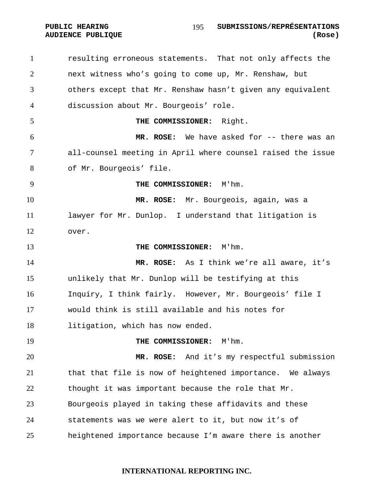resulting erroneous statements. That not only affects the next witness who's going to come up, Mr. Renshaw, but others except that Mr. Renshaw hasn't given any equivalent discussion about Mr. Bourgeois' role. **THE COMMISSIONER:** Right. **MR. ROSE:** We have asked for -- there was an all-counsel meeting in April where counsel raised the issue of Mr. Bourgeois' file. **THE COMMISSIONER:** M'hm. **MR. ROSE:** Mr. Bourgeois, again, was a lawyer for Mr. Dunlop. I understand that litigation is over. **THE COMMISSIONER:** M'hm. **MR. ROSE:** As I think we're all aware, it's unlikely that Mr. Dunlop will be testifying at this Inquiry, I think fairly. However, Mr. Bourgeois' file I would think is still available and his notes for litigation, which has now ended. **THE COMMISSIONER:** M'hm. **MR. ROSE:** And it's my respectful submission that that file is now of heightened importance. We always thought it was important because the role that Mr. Bourgeois played in taking these affidavits and these statements was we were alert to it, but now it's of heightened importance because I'm aware there is another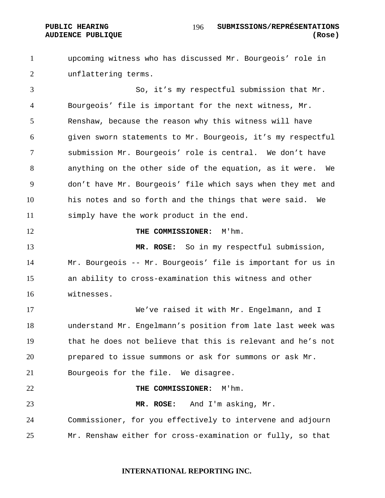#### **PUBLIC HEARING SUBMISSIONS/REPRÉSENTATIONS AUDIENCE PUBLIQUE (Rose)**

upcoming witness who has discussed Mr. Bourgeois' role in unflattering terms.

So, it's my respectful submission that Mr. Bourgeois' file is important for the next witness, Mr. Renshaw, because the reason why this witness will have given sworn statements to Mr. Bourgeois, it's my respectful submission Mr. Bourgeois' role is central. We don't have anything on the other side of the equation, as it were. We don't have Mr. Bourgeois' file which says when they met and his notes and so forth and the things that were said. We simply have the work product in the end.

**THE COMMISSIONER:** M'hm.

**MR. ROSE:** So in my respectful submission, Mr. Bourgeois -- Mr. Bourgeois' file is important for us in an ability to cross-examination this witness and other witnesses.

We've raised it with Mr. Engelmann, and I understand Mr. Engelmann's position from late last week was that he does not believe that this is relevant and he's not prepared to issue summons or ask for summons or ask Mr.

Bourgeois for the file. We disagree.

**THE COMMISSIONER:** M'hm.

**MR. ROSE:** And I'm asking, Mr. Commissioner, for you effectively to intervene and adjourn

Mr. Renshaw either for cross-examination or fully, so that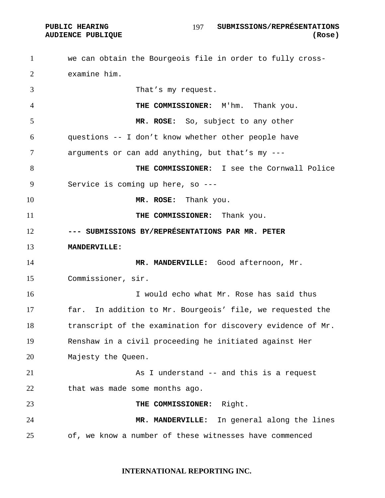we can obtain the Bourgeois file in order to fully cross-examine him. That's my request. **THE COMMISSIONER:** M'hm. Thank you. **MR. ROSE:** So, subject to any other questions -- I don't know whether other people have arguments or can add anything, but that's my --- **THE COMMISSIONER:** I see the Cornwall Police Service is coming up here, so --- **MR. ROSE:** Thank you. **THE COMMISSIONER:** Thank you. **--- SUBMISSIONS BY/REPRÉSENTATIONS PAR MR. PETER MANDERVILLE: MR. MANDERVILLE:** Good afternoon, Mr. Commissioner, sir. I would echo what Mr. Rose has said thus far. In addition to Mr. Bourgeois' file, we requested the 18 transcript of the examination for discovery evidence of Mr. Renshaw in a civil proceeding he initiated against Her Majesty the Queen. 21 As I understand -- and this is a request that was made some months ago. **THE COMMISSIONER:** Right. **MR. MANDERVILLE:** In general along the lines of, we know a number of these witnesses have commenced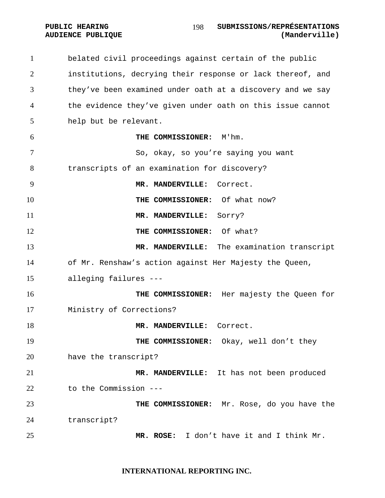# belated civil proceedings against certain of the public institutions, decrying their response or lack thereof, and they've been examined under oath at a discovery and we say the evidence they've given under oath on this issue cannot help but be relevant. **THE COMMISSIONER:** M'hm. So, okay, so you're saying you want transcripts of an examination for discovery? **MR. MANDERVILLE:** Correct. **THE COMMISSIONER:** Of what now? **MR. MANDERVILLE:** Sorry? **THE COMMISSIONER:** Of what? **MR. MANDERVILLE:** The examination transcript of Mr. Renshaw's action against Her Majesty the Queen, alleging failures --- **THE COMMISSIONER:** Her majesty the Queen for Ministry of Corrections? 18 MR. MANDERVILLE: Correct. **THE COMMISSIONER:** Okay, well don't they have the transcript? **MR. MANDERVILLE:** It has not been produced to the Commission --- **THE COMMISSIONER:** Mr. Rose, do you have the transcript? **MR. ROSE:** I don't have it and I think Mr.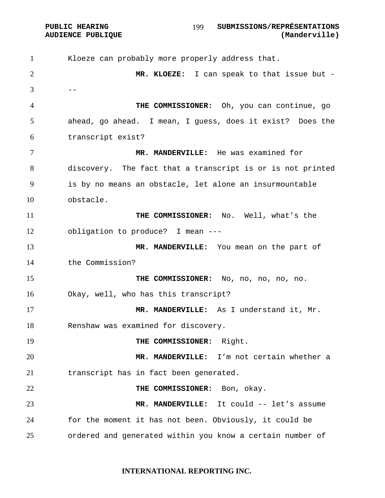Kloeze can probably more properly address that. **MR. KLOEZE:** I can speak to that issue but -  $3 \qquad --$ **THE COMMISSIONER:** Oh, you can continue, go ahead, go ahead. I mean, I guess, does it exist? Does the transcript exist? **MR. MANDERVILLE:** He was examined for discovery. The fact that a transcript is or is not printed is by no means an obstacle, let alone an insurmountable obstacle. **THE COMMISSIONER:** No. Well, what's the obligation to produce? I mean --- **MR. MANDERVILLE:** You mean on the part of the Commission? **THE COMMISSIONER:** No, no, no, no, no. Okay, well, who has this transcript? **MR. MANDERVILLE:** As I understand it, Mr. Renshaw was examined for discovery. 19 THE COMMISSIONER: Right. **MR. MANDERVILLE:** I'm not certain whether a transcript has in fact been generated. **THE COMMISSIONER:** Bon, okay. **MR. MANDERVILLE:** It could -- let's assume for the moment it has not been. Obviously, it could be ordered and generated within you know a certain number of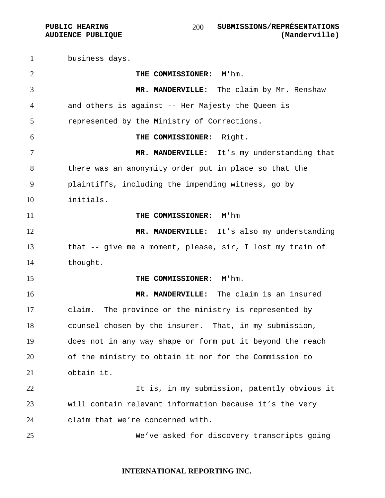business days. **THE COMMISSIONER:** M'hm. **MR. MANDERVILLE:** The claim by Mr. Renshaw and others is against -- Her Majesty the Queen is represented by the Ministry of Corrections. **THE COMMISSIONER:** Right. **MR. MANDERVILLE:** It's my understanding that there was an anonymity order put in place so that the plaintiffs, including the impending witness, go by initials. **THE COMMISSIONER:** M'hm 12 MR. MANDERVILLE: It's also my understanding that -- give me a moment, please, sir, I lost my train of thought. **THE COMMISSIONER:** M'hm. **MR. MANDERVILLE:** The claim is an insured claim. The province or the ministry is represented by counsel chosen by the insurer. That, in my submission, does not in any way shape or form put it beyond the reach of the ministry to obtain it nor for the Commission to obtain it. It is, in my submission, patently obvious it will contain relevant information because it's the very claim that we're concerned with. We've asked for discovery transcripts going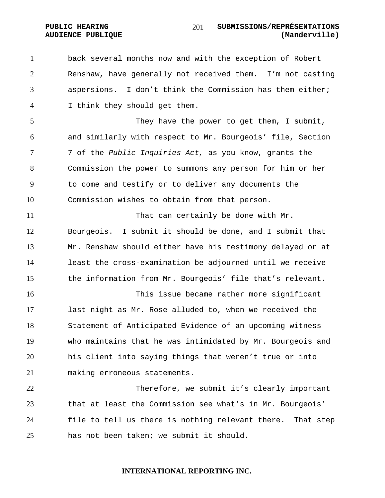back several months now and with the exception of Robert Renshaw, have generally not received them. I'm not casting aspersions. I don't think the Commission has them either; I think they should get them.

5 They have the power to get them, I submit, and similarly with respect to Mr. Bourgeois' file, Section 7 of the *Public Inquiries Act,* as you know, grants the Commission the power to summons any person for him or her to come and testify or to deliver any documents the Commission wishes to obtain from that person.

11 That can certainly be done with Mr. Bourgeois. I submit it should be done, and I submit that Mr. Renshaw should either have his testimony delayed or at least the cross-examination be adjourned until we receive the information from Mr. Bourgeois' file that's relevant.

This issue became rather more significant last night as Mr. Rose alluded to, when we received the Statement of Anticipated Evidence of an upcoming witness who maintains that he was intimidated by Mr. Bourgeois and his client into saying things that weren't true or into making erroneous statements.

Therefore, we submit it's clearly important that at least the Commission see what's in Mr. Bourgeois' file to tell us there is nothing relevant there. That step has not been taken; we submit it should.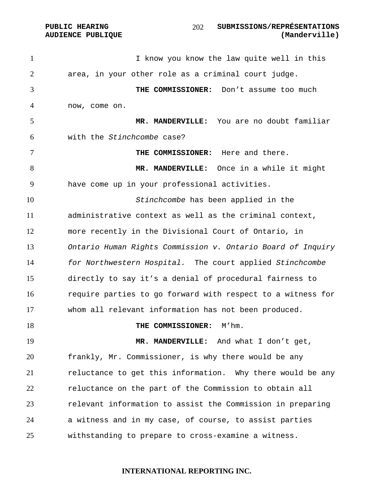**PUBLIC HEARING SUBMISSIONS/REPRÉSENTATIONS AUDIENCE PUBLIQUE (Manderville)**  

1 I know you know the law quite well in this area, in your other role as a criminal court judge. **THE COMMISSIONER:** Don't assume too much now, come on. **MR. MANDERVILLE:** You are no doubt familiar with the *Stinchcombe* case? **THE COMMISSIONER:** Here and there. **MR. MANDERVILLE:** Once in a while it might have come up in your professional activities. *Stinchcombe* has been applied in the administrative context as well as the criminal context, more recently in the Divisional Court of Ontario, in *Ontario Human Rights Commission v. Ontario Board of Inquiry for Northwestern Hospital.* The court applied *Stinchcombe*  directly to say it's a denial of procedural fairness to require parties to go forward with respect to a witness for whom all relevant information has not been produced. **THE COMMISSIONER:** M'hm. **MR. MANDERVILLE:** And what I don't get, frankly, Mr. Commissioner, is why there would be any 21 reluctance to get this information. Why there would be any reluctance on the part of the Commission to obtain all relevant information to assist the Commission in preparing a witness and in my case, of course, to assist parties withstanding to prepare to cross-examine a witness.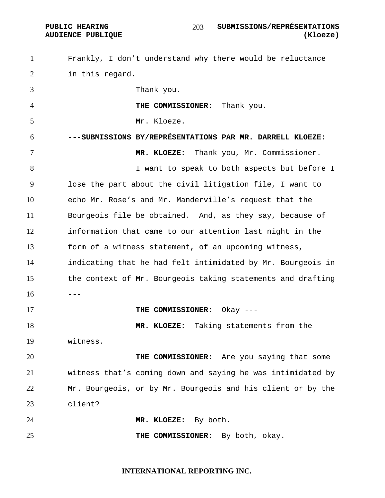Frankly, I don't understand why there would be reluctance in this regard. Thank you. **THE COMMISSIONER:** Thank you. Mr. Kloeze. **---SUBMISSIONS BY/REPRÉSENTATIONS PAR MR. DARRELL KLOEZE: MR. KLOEZE:** Thank you, Mr. Commissioner. **I** want to speak to both aspects but before I lose the part about the civil litigation file, I want to echo Mr. Rose's and Mr. Manderville's request that the Bourgeois file be obtained. And, as they say, because of information that came to our attention last night in the form of a witness statement, of an upcoming witness, indicating that he had felt intimidated by Mr. Bourgeois in the context of Mr. Bourgeois taking statements and drafting  $16 - -$ **THE COMMISSIONER:** Okay --- **MR. KLOEZE:** Taking statements from the witness. **THE COMMISSIONER:** Are you saying that some witness that's coming down and saying he was intimidated by Mr. Bourgeois, or by Mr. Bourgeois and his client or by the client? **MR. KLOEZE:** By both. **THE COMMISSIONER:** By both, okay.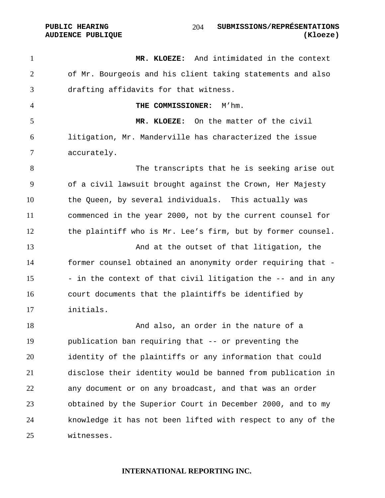**MR. KLOEZE:** And intimidated in the context of Mr. Bourgeois and his client taking statements and also drafting affidavits for that witness. **THE COMMISSIONER:** M'hm. **MR. KLOEZE:** On the matter of the civil litigation, Mr. Manderville has characterized the issue accurately. The transcripts that he is seeking arise out of a civil lawsuit brought against the Crown, Her Majesty the Queen, by several individuals. This actually was commenced in the year 2000, not by the current counsel for the plaintiff who is Mr. Lee's firm, but by former counsel. 13 And at the outset of that litigation, the former counsel obtained an anonymity order requiring that - 15 - in the context of that civil litigation the  $-$ - and in any court documents that the plaintiffs be identified by initials. And also, an order in the nature of a publication ban requiring that -- or preventing the identity of the plaintiffs or any information that could disclose their identity would be banned from publication in any document or on any broadcast, and that was an order obtained by the Superior Court in December 2000, and to my knowledge it has not been lifted with respect to any of the witnesses.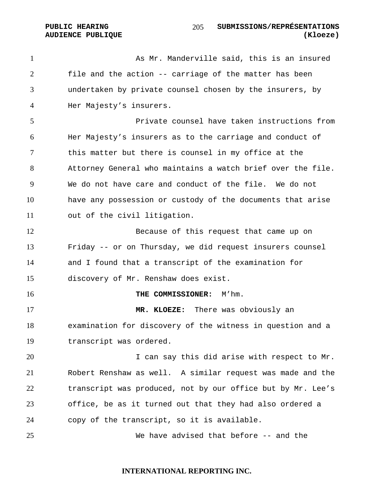**PUBLIC HEARING SUBMISSIONS/REPRÉSENTATIONS AUDIENCE PUBLIQUE (Kloeze)**  

As Mr. Manderville said, this is an insured file and the action -- carriage of the matter has been undertaken by private counsel chosen by the insurers, by Her Majesty's insurers.

Private counsel have taken instructions from Her Majesty's insurers as to the carriage and conduct of this matter but there is counsel in my office at the Attorney General who maintains a watch brief over the file. We do not have care and conduct of the file. We do not have any possession or custody of the documents that arise out of the civil litigation.

Because of this request that came up on Friday -- or on Thursday, we did request insurers counsel and I found that a transcript of the examination for discovery of Mr. Renshaw does exist.

**THE COMMISSIONER:** M'hm.

**MR. KLOEZE:** There was obviously an examination for discovery of the witness in question and a transcript was ordered.

I can say this did arise with respect to Mr. Robert Renshaw as well. A similar request was made and the 22 transcript was produced, not by our office but by Mr. Lee's office, be as it turned out that they had also ordered a copy of the transcript, so it is available.

We have advised that before -- and the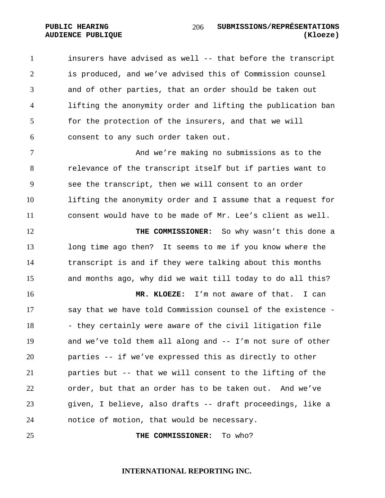insurers have advised as well -- that before the transcript is produced, and we've advised this of Commission counsel and of other parties, that an order should be taken out lifting the anonymity order and lifting the publication ban for the protection of the insurers, and that we will consent to any such order taken out.

And we're making no submissions as to the relevance of the transcript itself but if parties want to see the transcript, then we will consent to an order lifting the anonymity order and I assume that a request for consent would have to be made of Mr. Lee's client as well.

**THE COMMISSIONER:** So why wasn't this done a long time ago then? It seems to me if you know where the transcript is and if they were talking about this months and months ago, why did we wait till today to do all this?

**MR. KLOEZE:** I'm not aware of that. I can say that we have told Commission counsel of the existence - 18 - they certainly were aware of the civil litigation file and we've told them all along and -- I'm not sure of other parties -- if we've expressed this as directly to other parties but -- that we will consent to the lifting of the order, but that an order has to be taken out. And we've given, I believe, also drafts -- draft proceedings, like a notice of motion, that would be necessary.

**THE COMMISSIONER:** To who?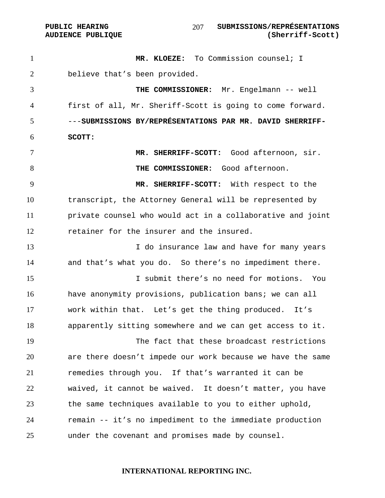PUBLIC HEARING SUBMISSIONS/REPRÉSENTATIONS **AUDIENCE PUBLIQUE (Sherriff-Scott)**  

**MR. KLOEZE:** To Commission counsel; I believe that's been provided. **THE COMMISSIONER:** Mr. Engelmann -- well first of all, Mr. Sheriff-Scott is going to come forward. ---**SUBMISSIONS BY/REPRÉSENTATIONS PAR MR. DAVID SHERRIFF-SCOTT: MR. SHERRIFF-SCOTT:** Good afternoon, sir. **THE COMMISSIONER:** Good afternoon. **MR. SHERRIFF-SCOTT:** With respect to the transcript, the Attorney General will be represented by private counsel who would act in a collaborative and joint retainer for the insurer and the insured. 13 13 I do insurance law and have for many years and that's what you do. So there's no impediment there. I submit there's no need for motions. You have anonymity provisions, publication bans; we can all work within that. Let's get the thing produced. It's apparently sitting somewhere and we can get access to it. The fact that these broadcast restrictions are there doesn't impede our work because we have the same remedies through you. If that's warranted it can be waived, it cannot be waived. It doesn't matter, you have the same techniques available to you to either uphold, remain -- it's no impediment to the immediate production under the covenant and promises made by counsel.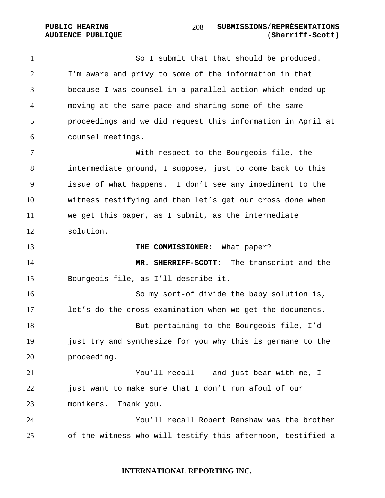**PUBLIC HEARING SUBMISSIONS/REPRÉSENTATIONS AUDIENCE PUBLIQUE (Sherriff-Scott)**  

1 So I submit that that should be produced. I'm aware and privy to some of the information in that because I was counsel in a parallel action which ended up moving at the same pace and sharing some of the same proceedings and we did request this information in April at counsel meetings. With respect to the Bourgeois file, the

intermediate ground, I suppose, just to come back to this issue of what happens. I don't see any impediment to the witness testifying and then let's get our cross done when we get this paper, as I submit, as the intermediate solution.

**THE COMMISSIONER:** What paper? **MR. SHERRIFF-SCOTT:** The transcript and the Bourgeois file, as I'll describe it. So my sort-of divide the baby solution is, let's do the cross-examination when we get the documents. But pertaining to the Bourgeois file, I'd just try and synthesize for you why this is germane to the

proceeding. You'll recall -- and just bear with me, I 22 just want to make sure that I don't run afoul of our monikers. Thank you.

You'll recall Robert Renshaw was the brother of the witness who will testify this afternoon, testified a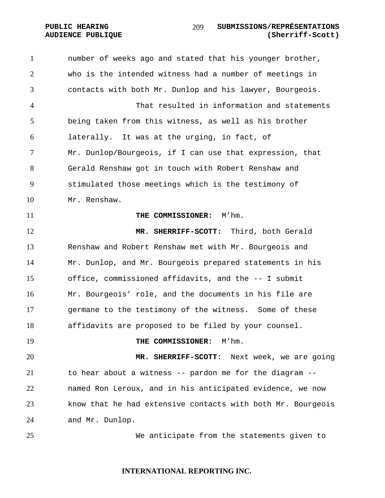# who is the intended witness had a number of meetings in contacts with both Mr. Dunlop and his lawyer, Bourgeois. That resulted in information and statements being taken from this witness, as well as his brother laterally. It was at the urging, in fact, of Mr. Dunlop/Bourgeois, if I can use that expression, that Gerald Renshaw got in touch with Robert Renshaw and stimulated those meetings which is the testimony of Mr. Renshaw. **THE COMMISSIONER:** M'hm. **MR. SHERRIFF-SCOTT:** Third, both Gerald Renshaw and Robert Renshaw met with Mr. Bourgeois and Mr. Dunlop, and Mr. Bourgeois prepared statements in his office, commissioned affidavits, and the -- I submit Mr. Bourgeois' role, and the documents in his file are germane to the testimony of the witness. Some of these affidavits are proposed to be filed by your counsel. **THE COMMISSIONER:** M'hm. **MR. SHERRIFF-SCOTT:** Next week, we are going to hear about a witness -- pardon me for the diagram -- named Ron Leroux, and in his anticipated evidence, we now know that he had extensive contacts with both Mr. Bourgeois and Mr. Dunlop. We anticipate from the statements given to

number of weeks ago and stated that his younger brother,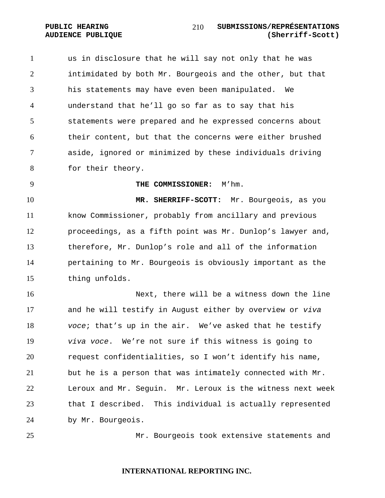us in disclosure that he will say not only that he was intimidated by both Mr. Bourgeois and the other, but that his statements may have even been manipulated. We understand that he'll go so far as to say that his statements were prepared and he expressed concerns about their content, but that the concerns were either brushed aside, ignored or minimized by these individuals driving for their theory.

**THE COMMISSIONER:** M'hm.

**MR. SHERRIFF-SCOTT:** Mr. Bourgeois, as you know Commissioner, probably from ancillary and previous proceedings, as a fifth point was Mr. Dunlop's lawyer and, therefore, Mr. Dunlop's role and all of the information pertaining to Mr. Bourgeois is obviously important as the thing unfolds.

Next, there will be a witness down the line and he will testify in August either by overview or *viva voce*; that's up in the air. We've asked that he testify *viva voce*. We're not sure if this witness is going to request confidentialities, so I won't identify his name, but he is a person that was intimately connected with Mr. Leroux and Mr. Seguin. Mr. Leroux is the witness next week that I described. This individual is actually represented by Mr. Bourgeois.

Mr. Bourgeois took extensive statements and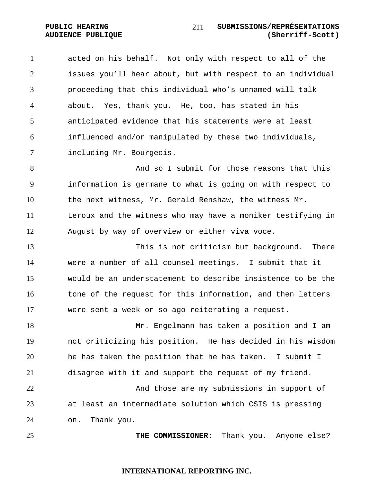acted on his behalf. Not only with respect to all of the issues you'll hear about, but with respect to an individual proceeding that this individual who's unnamed will talk about. Yes, thank you. He, too, has stated in his anticipated evidence that his statements were at least influenced and/or manipulated by these two individuals, including Mr. Bourgeois.

8 And so I submit for those reasons that this information is germane to what is going on with respect to the next witness, Mr. Gerald Renshaw, the witness Mr. Leroux and the witness who may have a moniker testifying in August by way of overview or either viva voce.

This is not criticism but background. There were a number of all counsel meetings. I submit that it would be an understatement to describe insistence to be the 16 tone of the request for this information, and then letters were sent a week or so ago reiterating a request.

Mr. Engelmann has taken a position and I am not criticizing his position. He has decided in his wisdom he has taken the position that he has taken. I submit I disagree with it and support the request of my friend. And those are my submissions in support of at least an intermediate solution which CSIS is pressing

on. Thank you.

**THE COMMISSIONER:** Thank you. Anyone else?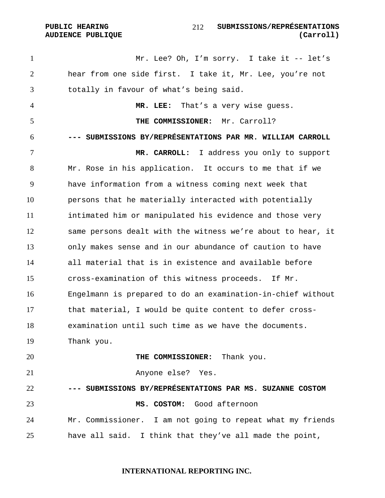1 Mr. Lee? Oh, I'm sorry. I take it -- let's hear from one side first. I take it, Mr. Lee, you're not totally in favour of what's being said. **MR. LEE:** That's a very wise guess. **THE COMMISSIONER:** Mr. Carroll? **--- SUBMISSIONS BY/REPRÉSENTATIONS PAR MR. WILLIAM CARROLL MR. CARROLL:** I address you only to support Mr. Rose in his application. It occurs to me that if we have information from a witness coming next week that persons that he materially interacted with potentially intimated him or manipulated his evidence and those very same persons dealt with the witness we're about to hear, it only makes sense and in our abundance of caution to have all material that is in existence and available before cross-examination of this witness proceeds. If Mr. Engelmann is prepared to do an examination-in-chief without that material, I would be quite content to defer cross-examination until such time as we have the documents. Thank you. **THE COMMISSIONER:** Thank you. Anyone else? Yes. **--- SUBMISSIONS BY/REPRÉSENTATIONS PAR MS. SUZANNE COSTOM MS. COSTOM:** Good afternoon Mr. Commissioner. I am not going to repeat what my friends have all said. I think that they've all made the point,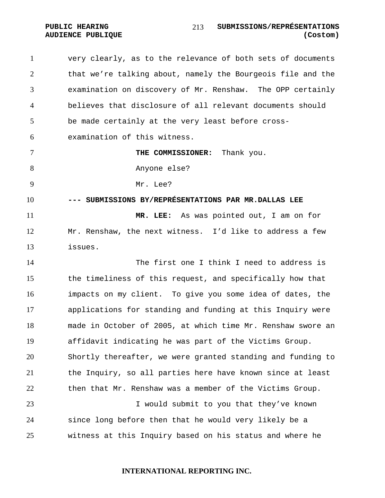very clearly, as to the relevance of both sets of documents that we're talking about, namely the Bourgeois file and the examination on discovery of Mr. Renshaw. The OPP certainly believes that disclosure of all relevant documents should be made certainly at the very least before cross-examination of this witness. **THE COMMISSIONER:** Thank you. Anyone else? Mr. Lee? **--- SUBMISSIONS BY/REPRÉSENTATIONS PAR MR.DALLAS LEE MR. LEE:** As was pointed out, I am on for Mr. Renshaw, the next witness. I'd like to address a few issues. The first one I think I need to address is the timeliness of this request, and specifically how that impacts on my client. To give you some idea of dates, the applications for standing and funding at this Inquiry were made in October of 2005, at which time Mr. Renshaw swore an affidavit indicating he was part of the Victims Group. Shortly thereafter, we were granted standing and funding to the Inquiry, so all parties here have known since at least then that Mr. Renshaw was a member of the Victims Group. I would submit to you that they've known since long before then that he would very likely be a witness at this Inquiry based on his status and where he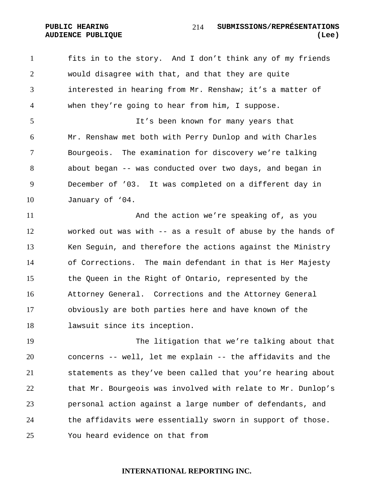fits in to the story. And I don't think any of my friends would disagree with that, and that they are quite interested in hearing from Mr. Renshaw; it's a matter of when they're going to hear from him, I suppose.

It's been known for many years that Mr. Renshaw met both with Perry Dunlop and with Charles Bourgeois. The examination for discovery we're talking about began -- was conducted over two days, and began in December of '03. It was completed on a different day in January of '04.

And the action we're speaking of, as you worked out was with -- as a result of abuse by the hands of Ken Seguin, and therefore the actions against the Ministry of Corrections. The main defendant in that is Her Majesty the Queen in the Right of Ontario, represented by the Attorney General. Corrections and the Attorney General obviously are both parties here and have known of the lawsuit since its inception.

The litigation that we're talking about that concerns -- well, let me explain -- the affidavits and the statements as they've been called that you're hearing about that Mr. Bourgeois was involved with relate to Mr. Dunlop's personal action against a large number of defendants, and 24 the affidavits were essentially sworn in support of those. You heard evidence on that from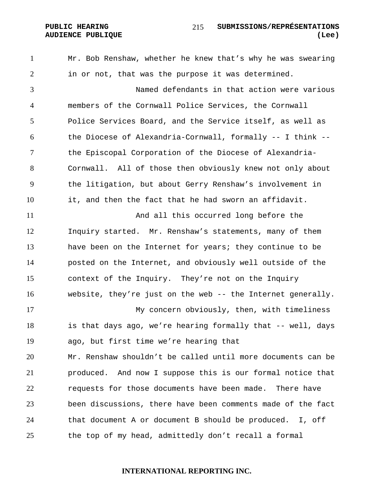Mr. Bob Renshaw, whether he knew that's why he was swearing in or not, that was the purpose it was determined.

Named defendants in that action were various members of the Cornwall Police Services, the Cornwall Police Services Board, and the Service itself, as well as the Diocese of Alexandria-Cornwall, formally -- I think -- the Episcopal Corporation of the Diocese of Alexandria-Cornwall. All of those then obviously knew not only about the litigation, but about Gerry Renshaw's involvement in it, and then the fact that he had sworn an affidavit.

And all this occurred long before the Inquiry started. Mr. Renshaw's statements, many of them have been on the Internet for years; they continue to be posted on the Internet, and obviously well outside of the context of the Inquiry. They're not on the Inquiry website, they're just on the web -- the Internet generally.

My concern obviously, then, with timeliness is that days ago, we're hearing formally that -- well, days ago, but first time we're hearing that

Mr. Renshaw shouldn't be called until more documents can be produced. And now I suppose this is our formal notice that 22 requests for those documents have been made. There have been discussions, there have been comments made of the fact that document A or document B should be produced. I, off the top of my head, admittedly don't recall a formal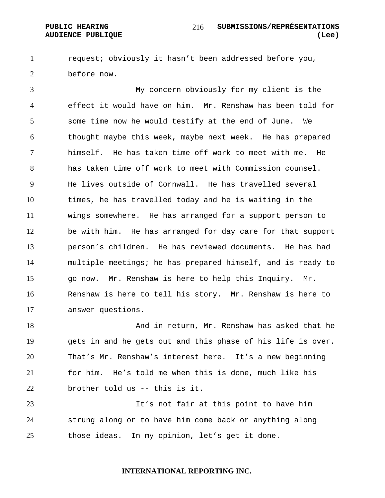request; obviously it hasn't been addressed before you, before now.

My concern obviously for my client is the effect it would have on him. Mr. Renshaw has been told for some time now he would testify at the end of June. We thought maybe this week, maybe next week. He has prepared himself. He has taken time off work to meet with me. He has taken time off work to meet with Commission counsel. He lives outside of Cornwall. He has travelled several times, he has travelled today and he is waiting in the wings somewhere. He has arranged for a support person to be with him. He has arranged for day care for that support person's children. He has reviewed documents. He has had multiple meetings; he has prepared himself, and is ready to go now. Mr. Renshaw is here to help this Inquiry. Mr. Renshaw is here to tell his story. Mr. Renshaw is here to answer questions.

18 And in return, Mr. Renshaw has asked that he gets in and he gets out and this phase of his life is over. That's Mr. Renshaw's interest here. It's a new beginning for him. He's told me when this is done, much like his brother told us -- this is it.

It's not fair at this point to have him strung along or to have him come back or anything along those ideas. In my opinion, let's get it done.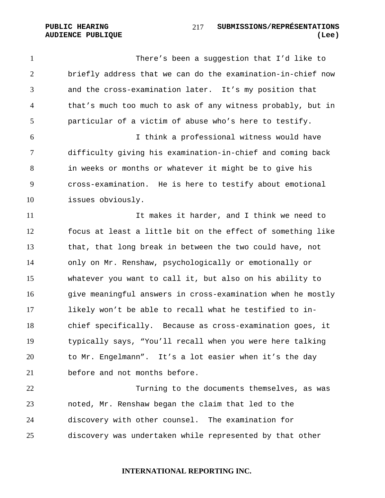There's been a suggestion that I'd like to briefly address that we can do the examination-in-chief now and the cross-examination later. It's my position that that's much too much to ask of any witness probably, but in particular of a victim of abuse who's here to testify. I think a professional witness would have difficulty giving his examination-in-chief and coming back

in weeks or months or whatever it might be to give his cross-examination. He is here to testify about emotional issues obviously.

It makes it harder, and I think we need to focus at least a little bit on the effect of something like that, that long break in between the two could have, not only on Mr. Renshaw, psychologically or emotionally or whatever you want to call it, but also on his ability to give meaningful answers in cross-examination when he mostly likely won't be able to recall what he testified to in-chief specifically. Because as cross-examination goes, it typically says, "You'll recall when you were here talking to Mr. Engelmann". It's a lot easier when it's the day before and not months before.

Turning to the documents themselves, as was noted, Mr. Renshaw began the claim that led to the discovery with other counsel. The examination for discovery was undertaken while represented by that other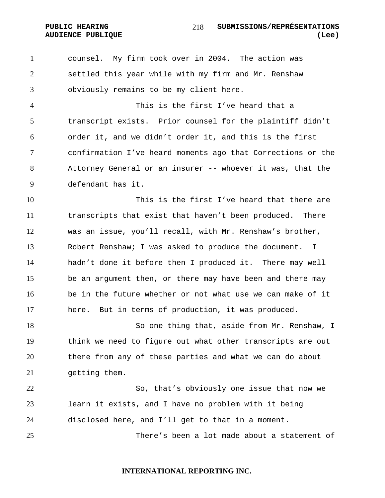counsel. My firm took over in 2004. The action was settled this year while with my firm and Mr. Renshaw obviously remains to be my client here.

This is the first I've heard that a transcript exists. Prior counsel for the plaintiff didn't order it, and we didn't order it, and this is the first confirmation I've heard moments ago that Corrections or the Attorney General or an insurer -- whoever it was, that the defendant has it.

This is the first I've heard that there are transcripts that exist that haven't been produced. There was an issue, you'll recall, with Mr. Renshaw's brother, Robert Renshaw; I was asked to produce the document. I hadn't done it before then I produced it. There may well be an argument then, or there may have been and there may be in the future whether or not what use we can make of it here. But in terms of production, it was produced.

So one thing that, aside from Mr. Renshaw, I think we need to figure out what other transcripts are out there from any of these parties and what we can do about getting them.

So, that's obviously one issue that now we learn it exists, and I have no problem with it being disclosed here, and I'll get to that in a moment.

There's been a lot made about a statement of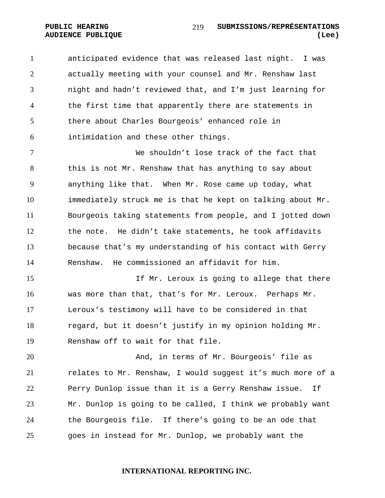anticipated evidence that was released last night. I was actually meeting with your counsel and Mr. Renshaw last night and hadn't reviewed that, and I'm just learning for the first time that apparently there are statements in there about Charles Bourgeois' enhanced role in intimidation and these other things.

We shouldn't lose track of the fact that this is not Mr. Renshaw that has anything to say about anything like that. When Mr. Rose came up today, what immediately struck me is that he kept on talking about Mr. Bourgeois taking statements from people, and I jotted down the note. He didn't take statements, he took affidavits because that's my understanding of his contact with Gerry Renshaw. He commissioned an affidavit for him.

If Mr. Leroux is going to allege that there was more than that, that's for Mr. Leroux. Perhaps Mr. Leroux's testimony will have to be considered in that regard, but it doesn't justify in my opinion holding Mr. Renshaw off to wait for that file.

And, in terms of Mr. Bourgeois' file as relates to Mr. Renshaw, I would suggest it's much more of a Perry Dunlop issue than it is a Gerry Renshaw issue. If Mr. Dunlop is going to be called, I think we probably want the Bourgeois file. If there's going to be an ode that goes in instead for Mr. Dunlop, we probably want the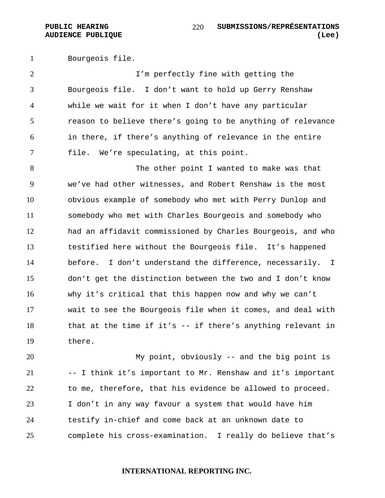Bourgeois file.

I'm perfectly fine with getting the Bourgeois file. I don't want to hold up Gerry Renshaw while we wait for it when I don't have any particular reason to believe there's going to be anything of relevance in there, if there's anything of relevance in the entire file. We're speculating, at this point.

The other point I wanted to make was that we've had other witnesses, and Robert Renshaw is the most obvious example of somebody who met with Perry Dunlop and somebody who met with Charles Bourgeois and somebody who had an affidavit commissioned by Charles Bourgeois, and who testified here without the Bourgeois file. It's happened before. I don't understand the difference, necessarily. I don't get the distinction between the two and I don't know why it's critical that this happen now and why we can't wait to see the Bourgeois file when it comes, and deal with that at the time if it's -- if there's anything relevant in there.

My point, obviously -- and the big point is -- I think it's important to Mr. Renshaw and it's important to me, therefore, that his evidence be allowed to proceed. I don't in any way favour a system that would have him testify in-chief and come back at an unknown date to complete his cross-examination. I really do believe that's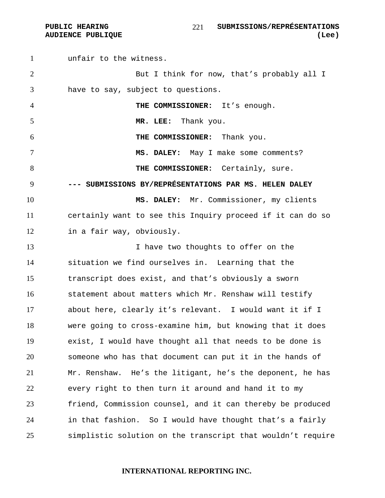unfair to the witness. 2 But I think for now, that's probably all I have to say, subject to questions. **THE COMMISSIONER:** It's enough. **MR. LEE:** Thank you. **THE COMMISSIONER:** Thank you. **MS. DALEY:** May I make some comments? **THE COMMISSIONER:** Certainly, sure. **--- SUBMISSIONS BY/REPRÉSENTATIONS PAR MS. HELEN DALEY MS. DALEY:** Mr. Commissioner, my clients certainly want to see this Inquiry proceed if it can do so in a fair way, obviously. 13 13 I have two thoughts to offer on the situation we find ourselves in. Learning that the transcript does exist, and that's obviously a sworn statement about matters which Mr. Renshaw will testify about here, clearly it's relevant. I would want it if I were going to cross-examine him, but knowing that it does exist, I would have thought all that needs to be done is someone who has that document can put it in the hands of Mr. Renshaw. He's the litigant, he's the deponent, he has every right to then turn it around and hand it to my friend, Commission counsel, and it can thereby be produced in that fashion. So I would have thought that's a fairly simplistic solution on the transcript that wouldn't require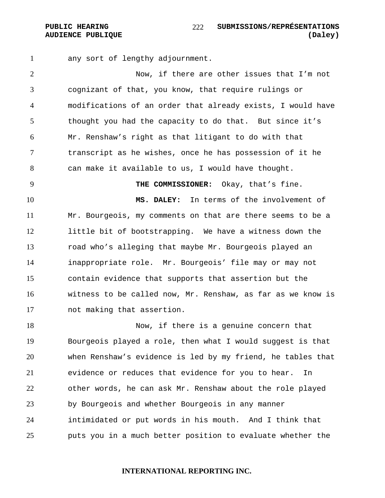any sort of lengthy adjournment.

Now, if there are other issues that I'm not cognizant of that, you know, that require rulings or modifications of an order that already exists, I would have thought you had the capacity to do that. But since it's Mr. Renshaw's right as that litigant to do with that transcript as he wishes, once he has possession of it he can make it available to us, I would have thought.

**THE COMMISSIONER:** Okay, that's fine. **MS. DALEY:** In terms of the involvement of Mr. Bourgeois, my comments on that are there seems to be a little bit of bootstrapping. We have a witness down the road who's alleging that maybe Mr. Bourgeois played an inappropriate role. Mr. Bourgeois' file may or may not contain evidence that supports that assertion but the witness to be called now, Mr. Renshaw, as far as we know is not making that assertion.

Now, if there is a genuine concern that Bourgeois played a role, then what I would suggest is that when Renshaw's evidence is led by my friend, he tables that evidence or reduces that evidence for you to hear. In other words, he can ask Mr. Renshaw about the role played by Bourgeois and whether Bourgeois in any manner intimidated or put words in his mouth. And I think that puts you in a much better position to evaluate whether the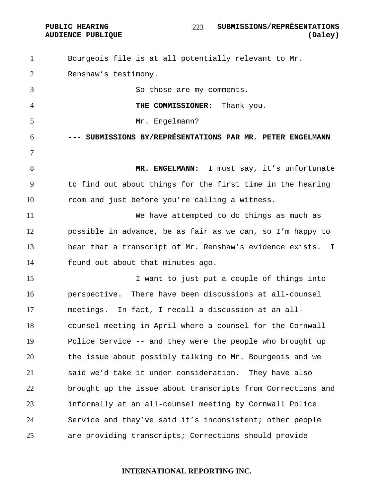Bourgeois file is at all potentially relevant to Mr. Renshaw's testimony. 3 So those are my comments. **THE COMMISSIONER:** Thank you. 5 Mr. Engelmann? **--- SUBMISSIONS BY/REPRÉSENTATIONS PAR MR. PETER ENGELMANN MR. ENGELMANN:** I must say, it's unfortunate to find out about things for the first time in the hearing room and just before you're calling a witness. We have attempted to do things as much as possible in advance, be as fair as we can, so I'm happy to hear that a transcript of Mr. Renshaw's evidence exists. I found out about that minutes ago. I want to just put a couple of things into perspective. There have been discussions at all-counsel meetings. In fact, I recall a discussion at an all-counsel meeting in April where a counsel for the Cornwall Police Service -- and they were the people who brought up the issue about possibly talking to Mr. Bourgeois and we said we'd take it under consideration. They have also brought up the issue about transcripts from Corrections and informally at an all-counsel meeting by Cornwall Police Service and they've said it's inconsistent; other people are providing transcripts; Corrections should provide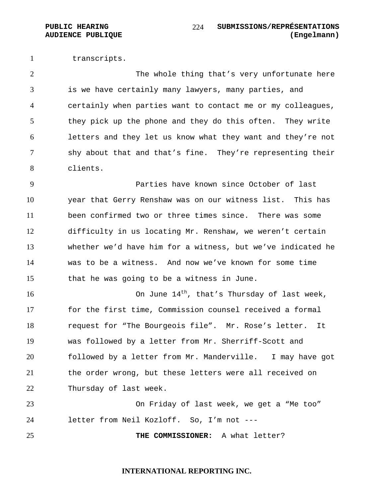transcripts.

The whole thing that's very unfortunate here is we have certainly many lawyers, many parties, and certainly when parties want to contact me or my colleagues, they pick up the phone and they do this often. They write letters and they let us know what they want and they're not shy about that and that's fine. They're representing their clients.

Parties have known since October of last year that Gerry Renshaw was on our witness list. This has been confirmed two or three times since. There was some difficulty in us locating Mr. Renshaw, we weren't certain whether we'd have him for a witness, but we've indicated he was to be a witness. And now we've known for some time that he was going to be a witness in June.

16 16 16 16 16 16 16 17 16 14<sup>th</sup>, that's Thursday of last week, for the first time, Commission counsel received a formal request for "The Bourgeois file". Mr. Rose's letter. It was followed by a letter from Mr. Sherriff-Scott and followed by a letter from Mr. Manderville. I may have got the order wrong, but these letters were all received on Thursday of last week.

On Friday of last week, we get a "Me too" letter from Neil Kozloff. So, I'm not ---

**THE COMMISSIONER:** A what letter?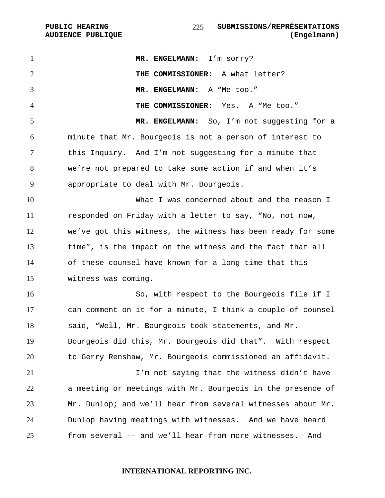**AUDIENCE PUBLIQUE** 

| $\mathbf{1}$   | MR. ENGELMANN: I'm sorry?                                   |
|----------------|-------------------------------------------------------------|
| $\overline{2}$ | THE COMMISSIONER: A what letter?                            |
| 3              | MR. ENGELMANN: A "Me too."                                  |
| $\overline{4}$ | THE COMMISSIONER: Yes. A "Me too."                          |
| 5              | MR. ENGELMANN: So, I'm not suggesting for a                 |
| 6              | minute that Mr. Bourgeois is not a person of interest to    |
| 7              | this Inquiry. And I'm not suggesting for a minute that      |
| 8              | we're not prepared to take some action if and when it's     |
| 9              | appropriate to deal with Mr. Bourgeois.                     |
| 10             | What I was concerned about and the reason I                 |
| 11             | responded on Friday with a letter to say, "No, not now,     |
| 12             | we've got this witness, the witness has been ready for some |
| 13             | time", is the impact on the witness and the fact that all   |
| 14             | of these counsel have known for a long time that this       |
| 15             | witness was coming.                                         |
| 16             | So, with respect to the Bourgeois file if I                 |
| 17             | can comment on it for a minute, I think a couple of counsel |
| 18             | said, "Well, Mr. Bourgeois took statements, and Mr.         |
| 19             | Bourgeois did this, Mr. Bourgeois did that". With respect   |
| 20             | to Gerry Renshaw, Mr. Bourgeois commissioned an affidavit.  |
| 21             | I'm not saying that the witness didn't have                 |
| 22             | a meeting or meetings with Mr. Bourgeois in the presence of |
| 23             | Mr. Dunlop; and we'll hear from several witnesses about Mr. |
| 24             | Dunlop having meetings with witnesses. And we have heard    |
| 25             | from several -- and we'll hear from more witnesses.<br>And  |
|                |                                                             |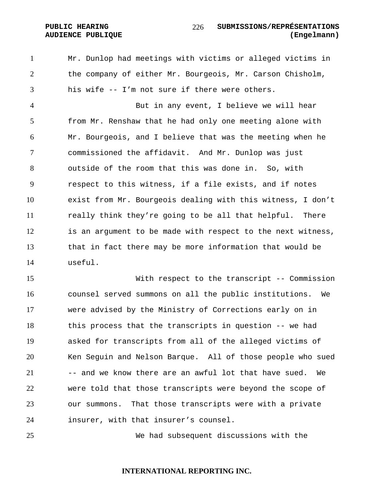Mr. Dunlop had meetings with victims or alleged victims in the company of either Mr. Bourgeois, Mr. Carson Chisholm, his wife -- I'm not sure if there were others.

But in any event, I believe we will hear from Mr. Renshaw that he had only one meeting alone with Mr. Bourgeois, and I believe that was the meeting when he commissioned the affidavit. And Mr. Dunlop was just outside of the room that this was done in. So, with respect to this witness, if a file exists, and if notes exist from Mr. Bourgeois dealing with this witness, I don't really think they're going to be all that helpful. There is an argument to be made with respect to the next witness, that in fact there may be more information that would be useful.

With respect to the transcript -- Commission counsel served summons on all the public institutions. We were advised by the Ministry of Corrections early on in this process that the transcripts in question -- we had asked for transcripts from all of the alleged victims of Ken Seguin and Nelson Barque. All of those people who sued -- and we know there are an awful lot that have sued. We were told that those transcripts were beyond the scope of our summons. That those transcripts were with a private insurer, with that insurer's counsel.

We had subsequent discussions with the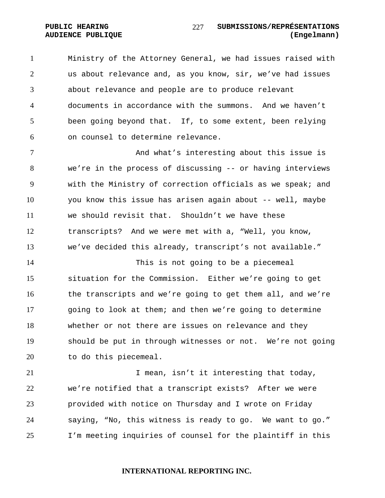Ministry of the Attorney General, we had issues raised with us about relevance and, as you know, sir, we've had issues about relevance and people are to produce relevant

documents in accordance with the summons. And we haven't been going beyond that. If, to some extent, been relying on counsel to determine relevance.

7 And what's interesting about this issue is we're in the process of discussing -- or having interviews with the Ministry of correction officials as we speak; and you know this issue has arisen again about -- well, maybe we should revisit that. Shouldn't we have these transcripts? And we were met with a, "Well, you know, we've decided this already, transcript's not available."

This is not going to be a piecemeal situation for the Commission. Either we're going to get the transcripts and we're going to get them all, and we're going to look at them; and then we're going to determine whether or not there are issues on relevance and they should be put in through witnesses or not. We're not going to do this piecemeal.

**I** mean, isn't it interesting that today, we're notified that a transcript exists? After we were provided with notice on Thursday and I wrote on Friday saying, "No, this witness is ready to go. We want to go." I'm meeting inquiries of counsel for the plaintiff in this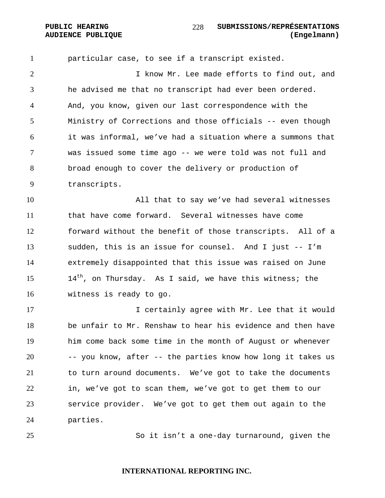particular case, to see if a transcript existed. I know Mr. Lee made efforts to find out, and he advised me that no transcript had ever been ordered. And, you know, given our last correspondence with the Ministry of Corrections and those officials -- even though it was informal, we've had a situation where a summons that was issued some time ago -- we were told was not full and broad enough to cover the delivery or production of transcripts.

All that to say we've had several witnesses that have come forward. Several witnesses have come forward without the benefit of those transcripts. All of a sudden, this is an issue for counsel. And I just -- I'm extremely disappointed that this issue was raised on June  $14<sup>th</sup>$ , on Thursday. As I said, we have this witness; the witness is ready to go.

I certainly agree with Mr. Lee that it would be unfair to Mr. Renshaw to hear his evidence and then have him come back some time in the month of August or whenever -- you know, after -- the parties know how long it takes us to turn around documents. We've got to take the documents in, we've got to scan them, we've got to get them to our service provider. We've got to get them out again to the parties.

So it isn't a one-day turnaround, given the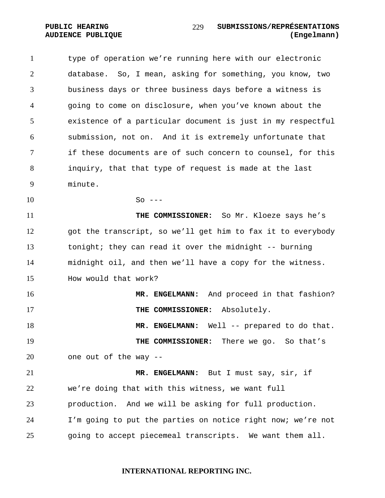type of operation we're running here with our electronic database. So, I mean, asking for something, you know, two business days or three business days before a witness is going to come on disclosure, when you've known about the existence of a particular document is just in my respectful submission, not on. And it is extremely unfortunate that if these documents are of such concern to counsel, for this inquiry, that that type of request is made at the last minute.  $10 \quad S$ o ---**THE COMMISSIONER:** So Mr. Kloeze says he's got the transcript, so we'll get him to fax it to everybody tonight; they can read it over the midnight -- burning midnight oil, and then we'll have a copy for the witness. How would that work? **MR. ENGELMANN:** And proceed in that fashion? **THE COMMISSIONER:** Absolutely. **MR. ENGELMANN:** Well -- prepared to do that. **THE COMMISSIONER:** There we go. So that's one out of the way -- **MR. ENGELMANN:** But I must say, sir, if we're doing that with this witness, we want full production. And we will be asking for full production. I'm going to put the parties on notice right now; we're not going to accept piecemeal transcripts. We want them all.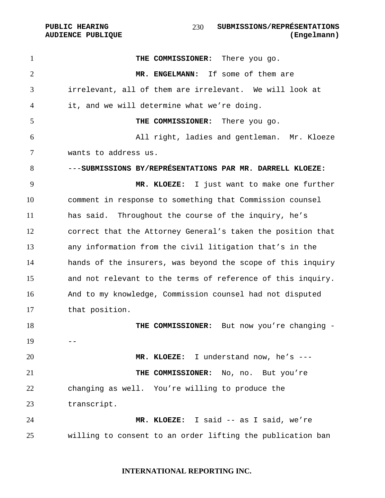**PUBLIC HEARING SUBMISSIONS/REPRÉSENTATIONS AUDIENCE PUBLIQUE (Engelmann)**  

**THE COMMISSIONER:** There you go. **MR. ENGELMANN:** If some of them are irrelevant, all of them are irrelevant. We will look at it, and we will determine what we're doing. **THE COMMISSIONER:** There you go. All right, ladies and gentleman. Mr. Kloeze wants to address us. ---**SUBMISSIONS BY/REPRÉSENTATIONS PAR MR. DARRELL KLOEZE: MR. KLOEZE:** I just want to make one further comment in response to something that Commission counsel has said. Throughout the course of the inquiry, he's correct that the Attorney General's taken the position that any information from the civil litigation that's in the hands of the insurers, was beyond the scope of this inquiry and not relevant to the terms of reference of this inquiry. And to my knowledge, Commission counsel had not disputed that position. **THE COMMISSIONER:** But now you're changing -  $19 - -$ **MR. KLOEZE:** I understand now, he's --- **THE COMMISSIONER:** No, no. But you're changing as well. You're willing to produce the transcript. **MR. KLOEZE:** I said -- as I said, we're willing to consent to an order lifting the publication ban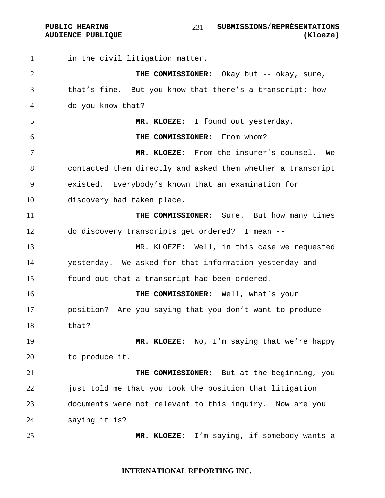PUBLIC HEARING SUBMISSIONS/REPRÉSENTATIONS **AUDIENCE PUBLIQUE (Kloeze)**  

1 in the civil litigation matter. **THE COMMISSIONER:** Okay but -- okay, sure, that's fine. But you know that there's a transcript; how do you know that? **MR. KLOEZE:** I found out yesterday. **THE COMMISSIONER:** From whom? **MR. KLOEZE:** From the insurer's counsel. We contacted them directly and asked them whether a transcript existed. Everybody's known that an examination for discovery had taken place. **THE COMMISSIONER:** Sure. But how many times do discovery transcripts get ordered? I mean -- MR. KLOEZE:Well, in this case we requested yesterday. We asked for that information yesterday and found out that a transcript had been ordered. **THE COMMISSIONER:** Well, what's your position? Are you saying that you don't want to produce that? **MR. KLOEZE:** No, I'm saying that we're happy to produce it. **THE COMMISSIONER:** But at the beginning, you just told me that you took the position that litigation documents were not relevant to this inquiry. Now are you saying it is? **MR. KLOEZE:** I'm saying, if somebody wants a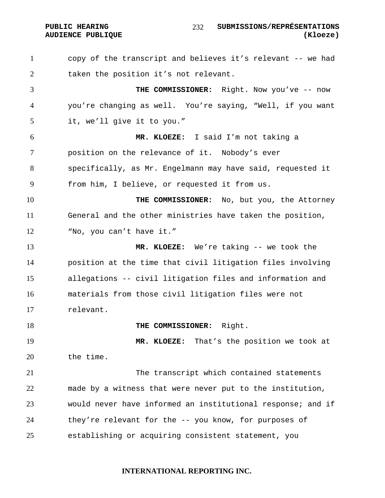#### PUBLIC HEARING  $\frac{232}{1000}$  submissions/représentations **AUDIENCE PUBLIQUE (Kloeze)**

copy of the transcript and believes it's relevant -- we had taken the position it's not relevant. **THE COMMISSIONER:** Right. Now you've -- now you're changing as well. You're saying, "Well, if you want it, we'll give it to you." **MR. KLOEZE:** I said I'm not taking a position on the relevance of it. Nobody's ever specifically, as Mr. Engelmann may have said, requested it from him, I believe, or requested it from us. **THE COMMISSIONER:** No, but you, the Attorney General and the other ministries have taken the position, "No, you can't have it." **MR. KLOEZE:** We're taking -- we took the position at the time that civil litigation files involving allegations -- civil litigation files and information and materials from those civil litigation files were not relevant. **THE COMMISSIONER:** Right. **MR. KLOEZE:** That's the position we took at the time. The transcript which contained statements made by a witness that were never put to the institution, would never have informed an institutional response; and if they're relevant for the -- you know, for purposes of establishing or acquiring consistent statement, you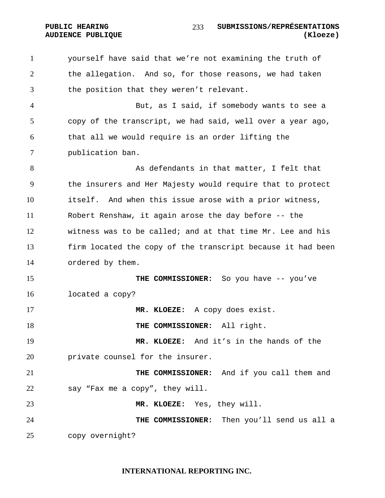the allegation. And so, for those reasons, we had taken the position that they weren't relevant. But, as I said, if somebody wants to see a copy of the transcript, we had said, well over a year ago, that all we would require is an order lifting the publication ban. 8 As defendants in that matter, I felt that the insurers and Her Majesty would require that to protect itself. And when this issue arose with a prior witness, Robert Renshaw, it again arose the day before -- the witness was to be called; and at that time Mr. Lee and his firm located the copy of the transcript because it had been ordered by them. **THE COMMISSIONER:** So you have -- you've located a copy? **MR. KLOEZE:** A copy does exist. **THE COMMISSIONER:** All right. **MR. KLOEZE:** And it's in the hands of the **private counsel for the insurer. THE COMMISSIONER:** And if you call them and say "Fax me a copy", they will. **MR. KLOEZE:** Yes, they will. **THE COMMISSIONER:** Then you'll send us all a copy overnight?

yourself have said that we're not examining the truth of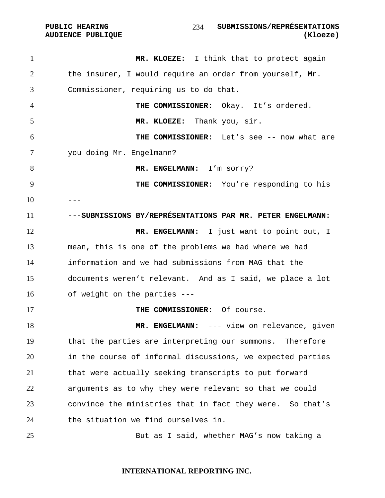1 MR. KLOEZE: I think that to protect again the insurer, I would require an order from yourself, Mr. Commissioner, requiring us to do that. **THE COMMISSIONER:** Okay. It's ordered. **MR. KLOEZE:** Thank you, sir. **THE COMMISSIONER:** Let's see -- now what are you doing Mr. Engelmann? **MR. ENGELMANN:** I'm sorry? **THE COMMISSIONER:** You're responding to his ------**SUBMISSIONS BY/REPRÉSENTATIONS PAR MR. PETER ENGELMANN: MR. ENGELMANN:** I just want to point out, I mean, this is one of the problems we had where we had information and we had submissions from MAG that the documents weren't relevant. And as I said, we place a lot of weight on the parties --- **THE COMMISSIONER:** Of course. **MR. ENGELMANN:** --- view on relevance, given that the parties are interpreting our summons. Therefore in the course of informal discussions, we expected parties that were actually seeking transcripts to put forward arguments as to why they were relevant so that we could convince the ministries that in fact they were. So that's the situation we find ourselves in. But as I said, whether MAG's now taking a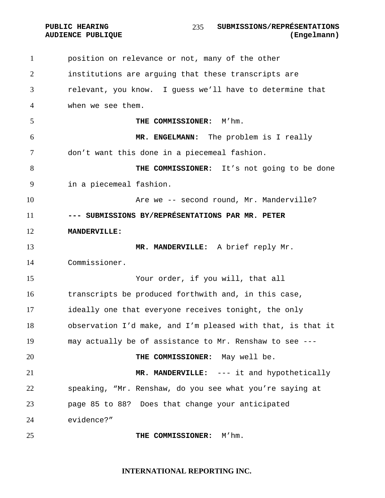position on relevance or not, many of the other institutions are arguing that these transcripts are relevant, you know. I guess we'll have to determine that when we see them. **THE COMMISSIONER:** M'hm. **MR. ENGELMANN:** The problem is I really don't want this done in a piecemeal fashion. **THE COMMISSIONER:** It's not going to be done in a piecemeal fashion. **Are we -- second round, Mr. Manderville? --- SUBMISSIONS BY/REPRÉSENTATIONS PAR MR. PETER MANDERVILLE: MR. MANDERVILLE:** A brief reply Mr. Commissioner. Your order, if you will, that all transcripts be produced forthwith and, in this case, ideally one that everyone receives tonight, the only observation I'd make, and I'm pleased with that, is that it may actually be of assistance to Mr. Renshaw to see --- **THE COMMISSIONER:** May well be. **MR. MANDERVILLE:** --- it and hypothetically speaking, "Mr. Renshaw, do you see what you're saying at page 85 to 88? Does that change your anticipated evidence?" **THE COMMISSIONER:** M'hm.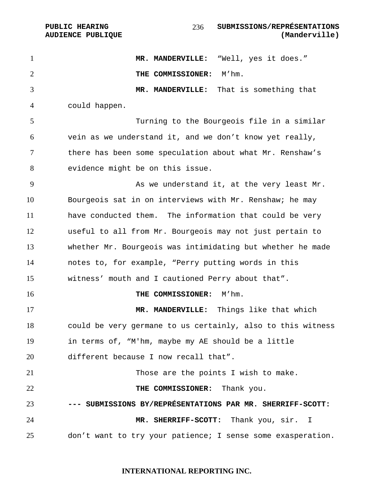**MR. MANDERVILLE:** "Well, yes it does." **THE COMMISSIONER:** M'hm. **MR. MANDERVILLE:** That is something that could happen. Turning to the Bourgeois file in a similar vein as we understand it, and we don't know yet really, there has been some speculation about what Mr. Renshaw's evidence might be on this issue. 9 As we understand it, at the very least Mr. Bourgeois sat in on interviews with Mr. Renshaw; he may have conducted them. The information that could be very useful to all from Mr. Bourgeois may not just pertain to whether Mr. Bourgeois was intimidating but whether he made notes to, for example, "Perry putting words in this witness' mouth and I cautioned Perry about that". **THE COMMISSIONER:** M'hm. **MR. MANDERVILLE:** Things like that which could be very germane to us certainly, also to this witness in terms of, "M'hm, maybe my AE should be a little different because I now recall that". Those are the points I wish to make. **THE COMMISSIONER:** Thank you. **--- SUBMISSIONS BY/REPRÉSENTATIONS PAR MR. SHERRIFF-SCOTT: MR. SHERRIFF-SCOTT:** Thank you, sir. I don't want to try your patience; I sense some exasperation.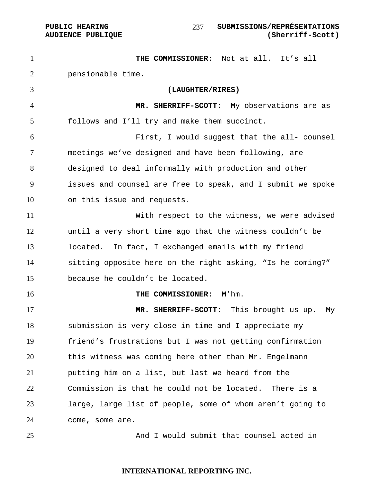**THE COMMISSIONER:** Not at all. It's all pensionable time. **(LAUGHTER/RIRES) MR. SHERRIFF-SCOTT:** My observations are as follows and I'll try and make them succinct. First, I would suggest that the all- counsel meetings we've designed and have been following, are designed to deal informally with production and other issues and counsel are free to speak, and I submit we spoke on this issue and requests. With respect to the witness, we were advised until a very short time ago that the witness couldn't be located. In fact, I exchanged emails with my friend sitting opposite here on the right asking, "Is he coming?" because he couldn't be located. **THE COMMISSIONER:** M'hm. **MR. SHERRIFF-SCOTT:** This brought us up. My submission is very close in time and I appreciate my friend's frustrations but I was not getting confirmation this witness was coming here other than Mr. Engelmann putting him on a list, but last we heard from the Commission is that he could not be located. There is a large, large list of people, some of whom aren't going to come, some are. And I would submit that counsel acted in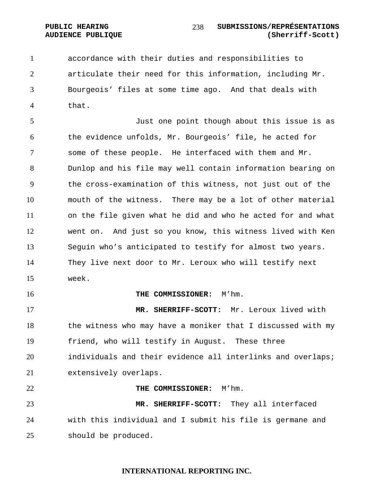accordance with their duties and responsibilities to articulate their need for this information, including Mr. Bourgeois' files at some time ago. And that deals with that.

Just one point though about this issue is as the evidence unfolds, Mr. Bourgeois' file, he acted for some of these people. He interfaced with them and Mr. Dunlop and his file may well contain information bearing on the cross-examination of this witness, not just out of the mouth of the witness. There may be a lot of other material on the file given what he did and who he acted for and what went on. And just so you know, this witness lived with Ken Seguin who's anticipated to testify for almost two years. They live next door to Mr. Leroux who will testify next week.

#### **THE COMMISSIONER:** M'hm.

**MR. SHERRIFF-SCOTT:** Mr. Leroux lived with the witness who may have a moniker that I discussed with my friend, who will testify in August. These three individuals and their evidence all interlinks and overlaps; extensively overlaps.

#### **THE COMMISSIONER:** M'hm.

**MR. SHERRIFF-SCOTT:** They all interfaced with this individual and I submit his file is germane and should be produced.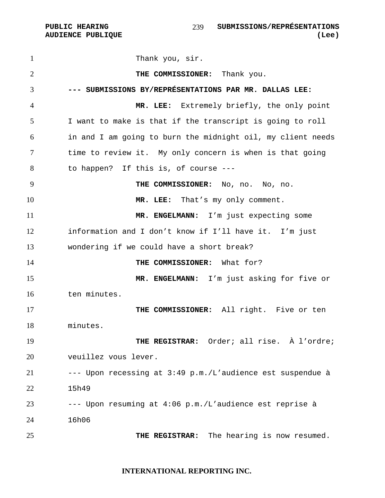1 Thank you, sir. **THE COMMISSIONER:** Thank you. **--- SUBMISSIONS BY/REPRÉSENTATIONS PAR MR. DALLAS LEE: MR. LEE:** Extremely briefly, the only point I want to make is that if the transcript is going to roll in and I am going to burn the midnight oil, my client needs time to review it. My only concern is when is that going to happen? If this is, of course --- **THE COMMISSIONER:** No, no. No, no. **MR. LEE:** That's my only comment. **MR. ENGELMANN:** I'm just expecting some information and I don't know if I'll have it. I'm just wondering if we could have a short break? **THE COMMISSIONER:** What for? **MR. ENGELMANN:** I'm just asking for five or ten minutes. **THE COMMISSIONER:** All right. Five or ten minutes. **THE REGISTRAR:** Order; all rise. À l'ordre; veuillez vous lever. --- Upon recessing at 3:49 p.m./L'audience est suspendue à 15h49 --- Upon resuming at 4:06 p.m./L'audience est reprise à 16h06 **THE REGISTRAR:** The hearing is now resumed.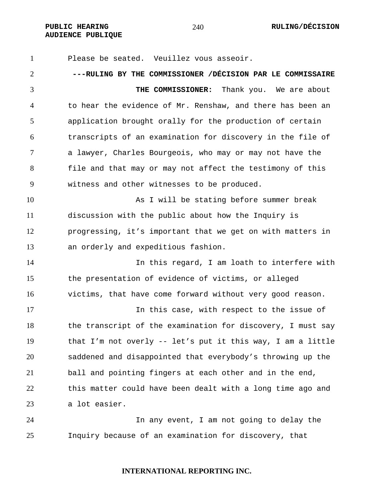Please be seated. Veuillez vous asseoir. **---RULING BY THE COMMISSIONER /DÉCISION PAR LE COMMISSAIRE THE COMMISSIONER:** Thank you. We are about to hear the evidence of Mr. Renshaw, and there has been an application brought orally for the production of certain transcripts of an examination for discovery in the file of a lawyer, Charles Bourgeois, who may or may not have the file and that may or may not affect the testimony of this witness and other witnesses to be produced. As I will be stating before summer break discussion with the public about how the Inquiry is progressing, it's important that we get on with matters in an orderly and expeditious fashion. 14 In this regard, I am loath to interfere with the presentation of evidence of victims, or alleged victims, that have come forward without very good reason. In this case, with respect to the issue of 18 the transcript of the examination for discovery, I must say that I'm not overly -- let's put it this way, I am a little saddened and disappointed that everybody's throwing up the ball and pointing fingers at each other and in the end, this matter could have been dealt with a long time ago and a lot easier. In any event, I am not going to delay the Inquiry because of an examination for discovery, that

# **INTERNATIONAL REPORTING INC.**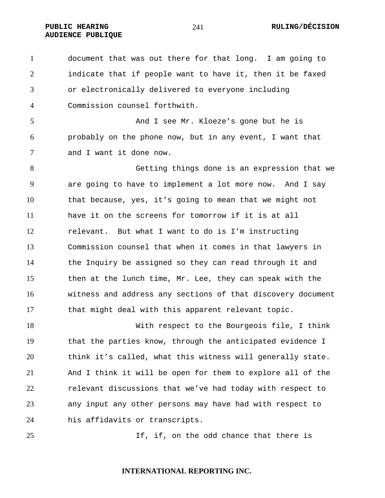**AUDIENCE PUBLIQUE** 

document that was out there for that long. I am going to indicate that if people want to have it, then it be faxed or electronically delivered to everyone including Commission counsel forthwith.

And I see Mr. Kloeze's gone but he is probably on the phone now, but in any event, I want that and I want it done now.

Getting things done is an expression that we are going to have to implement a lot more now. And I say that because, yes, it's going to mean that we might not have it on the screens for tomorrow if it is at all relevant. But what I want to do is I'm instructing Commission counsel that when it comes in that lawyers in the Inquiry be assigned so they can read through it and then at the lunch time, Mr. Lee, they can speak with the witness and address any sections of that discovery document that might deal with this apparent relevant topic.

With respect to the Bourgeois file, I think that the parties know, through the anticipated evidence I think it's called, what this witness will generally state. And I think it will be open for them to explore all of the relevant discussions that we've had today with respect to any input any other persons may have had with respect to his affidavits or transcripts.

25 15, if, on the odd chance that there is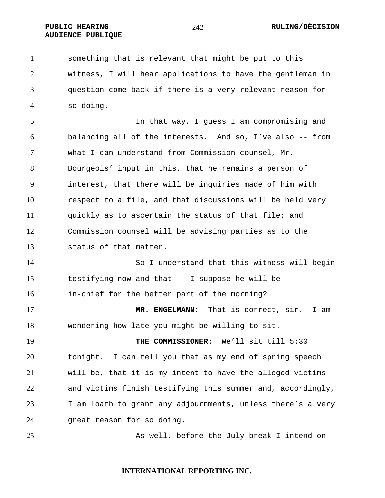**AUDIENCE PUBLIQUE** 

something that is relevant that might be put to this witness, I will hear applications to have the gentleman in question come back if there is a very relevant reason for so doing.

5 12 In that way, I guess I am compromising and balancing all of the interests. And so, I've also -- from what I can understand from Commission counsel, Mr. Bourgeois' input in this, that he remains a person of interest, that there will be inquiries made of him with respect to a file, and that discussions will be held very quickly as to ascertain the status of that file; and Commission counsel will be advising parties as to the status of that matter.

So I understand that this witness will begin testifying now and that -- I suppose he will be in-chief for the better part of the morning?

**MR. ENGELMANN:** That is correct, sir. I am wondering how late you might be willing to sit.

**THE COMMISSIONER:** We'll sit till 5:30 tonight. I can tell you that as my end of spring speech will be, that it is my intent to have the alleged victims and victims finish testifying this summer and, accordingly, I am loath to grant any adjournments, unless there's a very great reason for so doing.

As well, before the July break I intend on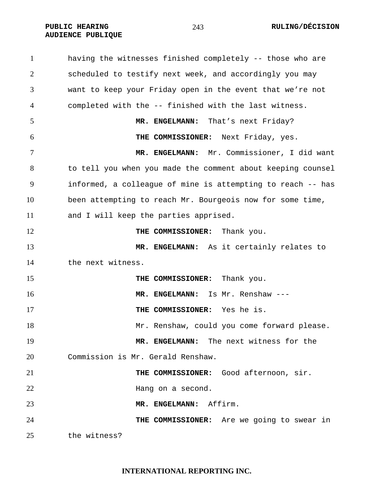PUBLIC HEARING  $243$  RULING/DÉCISION

**AUDIENCE PUBLIQUE** 

having the witnesses finished completely -- those who are scheduled to testify next week, and accordingly you may want to keep your Friday open in the event that we're not completed with the -- finished with the last witness. 5 MR. ENGELMANN: That's next Friday? **THE COMMISSIONER:** Next Friday, yes. **MR. ENGELMANN:** Mr. Commissioner, I did want to tell you when you made the comment about keeping counsel informed, a colleague of mine is attempting to reach -- has been attempting to reach Mr. Bourgeois now for some time, and I will keep the parties apprised. **THE COMMISSIONER:** Thank you. **MR. ENGELMANN:** As it certainly relates to the next witness. **THE COMMISSIONER:** Thank you. **MR. ENGELMANN:** Is Mr. Renshaw --- **THE COMMISSIONER:** Yes he is. Mr. Renshaw, could you come forward please. **MR. ENGELMANN:** The next witness for the Commission is Mr. Gerald Renshaw. **THE COMMISSIONER:** Good afternoon, sir. Hang on a second. **MR. ENGELMANN:** Affirm. **THE COMMISSIONER:** Are we going to swear in the witness?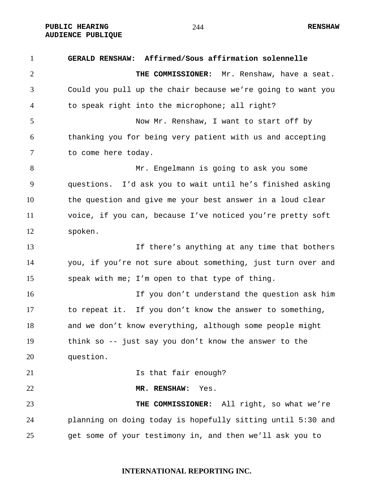**PUBLIC HEARING RENSHAW AUDIENCE PUBLIQUE** 

**GERALD RENSHAW: Affirmed/Sous affirmation solennelle THE COMMISSIONER:** Mr. Renshaw, have a seat. Could you pull up the chair because we're going to want you to speak right into the microphone; all right? Now Mr. Renshaw, I want to start off by thanking you for being very patient with us and accepting to come here today. Mr. Engelmann is going to ask you some questions. I'd ask you to wait until he's finished asking the question and give me your best answer in a loud clear voice, if you can, because I've noticed you're pretty soft spoken. If there's anything at any time that bothers you, if you're not sure about something, just turn over and speak with me; I'm open to that type of thing. If you don't understand the question ask him to repeat it. If you don't know the answer to something, and we don't know everything, although some people might think so -- just say you don't know the answer to the question. **Is that fair enough? MR. RENSHAW:** Yes. **THE COMMISSIONER:** All right, so what we're planning on doing today is hopefully sitting until 5:30 and get some of your testimony in, and then we'll ask you to

**INTERNATIONAL REPORTING INC.**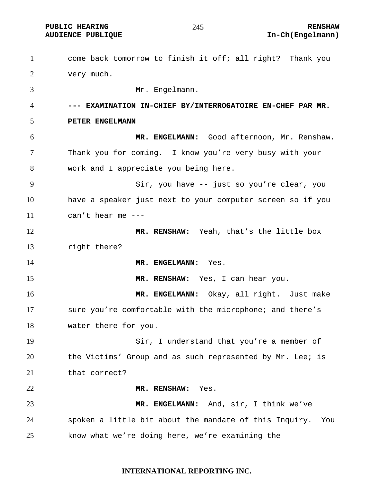**PUBLIC HEARING 245** 245 RENSHAW

**AUDIENCE PUBLIQUE International Contract Contract Contract Contract Contract Contract Contract Contract Contract Contract Contract Contract Contract Contract Contract Contract Contract Contract Contract Contract Contract** 

come back tomorrow to finish it off; all right? Thank you very much. Mr. Engelmann. **--- EXAMINATION IN-CHIEF BY/INTERROGATOIRE EN-CHEF PAR MR. PETER ENGELMANN MR. ENGELMANN:** Good afternoon, Mr. Renshaw. Thank you for coming. I know you're very busy with your work and I appreciate you being here. Sir, you have -- just so you're clear, you have a speaker just next to your computer screen so if you can't hear me --- **MR. RENSHAW:** Yeah, that's the little box right there? **MR. ENGELMANN:** Yes. **MR. RENSHAW:** Yes, I can hear you. **MR. ENGELMANN:** Okay, all right. Just make sure you're comfortable with the microphone; and there's water there for you. Sir, I understand that you're a member of the Victims' Group and as such represented by Mr. Lee; is that correct? **MR. RENSHAW:** Yes. **MR. ENGELMANN:** And, sir, I think we've spoken a little bit about the mandate of this Inquiry. You know what we're doing here, we're examining the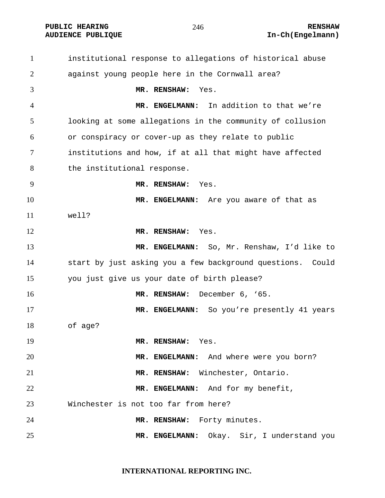**PUBLIC HEARING 246** 246 RENSHAW

# **AUDIENCE PUBLIQUE International Contract Contract Contract Contract Contract Contract Contract Contract Contract Contract Contract Contract Contract Contract Contract Contract Contract Contract Contract Contract Contract**

institutional response to allegations of historical abuse against young people here in the Cornwall area? **MR. RENSHAW:** Yes. **MR. ENGELMANN:** In addition to that we're looking at some allegations in the community of collusion or conspiracy or cover-up as they relate to public institutions and how, if at all that might have affected 8 the institutional response. **MR. RENSHAW:** Yes. **MR. ENGELMANN:** Are you aware of that as well? **MR. RENSHAW:** Yes. **MR. ENGELMANN:** So, Mr. Renshaw, I'd like to start by just asking you a few background questions. Could you just give us your date of birth please? **MR. RENSHAW:** December 6, '65. **MR. ENGELMANN:** So you're presently 41 years of age? **MR. RENSHAW:** Yes. **MR. ENGELMANN:** And where were you born? **MR. RENSHAW:** Winchester, Ontario. **MR. ENGELMANN:** And for my benefit, Winchester is not too far from here? **MR. RENSHAW:** Forty minutes. **MR. ENGELMANN:** Okay. Sir, I understand you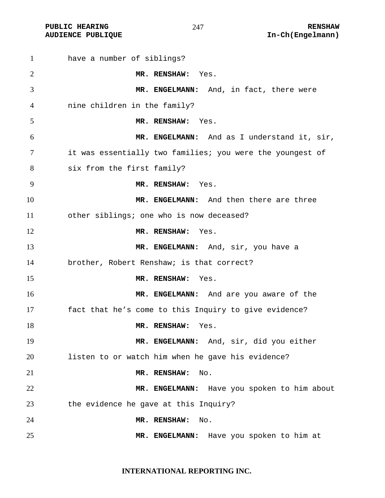have a number of siblings? **MR. RENSHAW:** Yes. **MR. ENGELMANN:** And, in fact, there were nine children in the family? **MR. RENSHAW:** Yes. **MR. ENGELMANN:** And as I understand it, sir, it was essentially two families; you were the youngest of six from the first family? **MR. RENSHAW:** Yes. **MR. ENGELMANN:** And then there are three other siblings; one who is now deceased? **MR. RENSHAW:** Yes. **MR. ENGELMANN:** And, sir, you have a brother, Robert Renshaw; is that correct? **MR. RENSHAW:** Yes. **MR. ENGELMANN:** And are you aware of the fact that he's come to this Inquiry to give evidence? 18 MR. RENSHAW: Yes. **MR. ENGELMANN:** And, sir, did you either listen to or watch him when he gave his evidence? **MR. RENSHAW:** No. **MR. ENGELMANN:** Have you spoken to him about the evidence he gave at this Inquiry? **MR. RENSHAW:** No. **MR. ENGELMANN:** Have you spoken to him at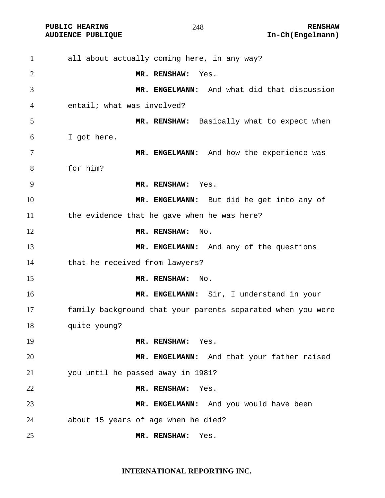all about actually coming here, in any way? **MR. RENSHAW:** Yes. **MR. ENGELMANN:** And what did that discussion entail; what was involved? **MR. RENSHAW:** Basically what to expect when I got here. 7 MR. ENGELMANN: And how the experience was for him? **MR. RENSHAW:** Yes. **MR. ENGELMANN:** But did he get into any of the evidence that he gave when he was here? 12 MR. RENSHAW: No. **MR. ENGELMANN:** And any of the questions that he received from lawyers? **MR. RENSHAW:** No. **MR. ENGELMANN:** Sir, I understand in your family background that your parents separated when you were quite young? **MR. RENSHAW:** Yes. **MR. ENGELMANN:** And that your father raised you until he passed away in 1981? **MR. RENSHAW:** Yes. **MR. ENGELMANN:** And you would have been about 15 years of age when he died? **MR. RENSHAW:** Yes.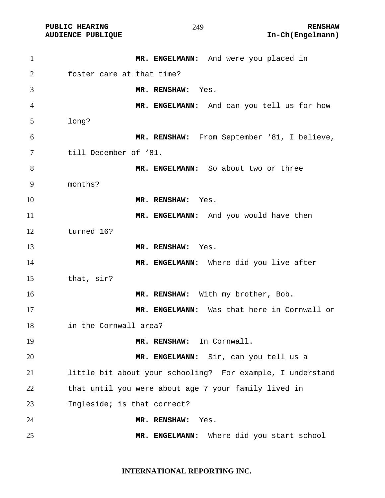## 

PUBLIC HEARING **RENSHAW** 249 **RENSHAW** RENSHAW **RENSHAW RENSHAW RENSHAW RENSHAW RENSHAW** 

| $\mathbf{1}$ | MR. ENGELMANN: And were you placed in                      |
|--------------|------------------------------------------------------------|
| 2            | foster care at that time?                                  |
| 3            | MR. RENSHAW: Yes.                                          |
| 4            | MR. ENGELMANN: And can you tell us for how                 |
| 5            | long?                                                      |
| 6            | MR. RENSHAW: From September '81, I believe,                |
| 7            | till December of '81.                                      |
| 8            | MR. ENGELMANN: So about two or three                       |
| 9            | months?                                                    |
| 10           | MR. RENSHAW: Yes.                                          |
| 11           | MR. ENGELMANN: And you would have then                     |
| 12           | turned 16?                                                 |
| 13           | MR. RENSHAW: Yes.                                          |
| 14           | MR. ENGELMANN: Where did you live after                    |
| 15           | that, sir?                                                 |
| 16           | MR. RENSHAW: With my brother, Bob.                         |
| 17           | MR. ENGELMANN: Was that here in Cornwall or                |
| 18           | in the Cornwall area?                                      |
| 19           | In Cornwall.<br>MR. RENSHAW:                               |
| 20           | MR. ENGELMANN: Sir, can you tell us a                      |
| 21           | little bit about your schooling? For example, I understand |
| 22           | that until you were about age 7 your family lived in       |
| 23           | Ingleside; is that correct?                                |
| 24           | MR. RENSHAW:<br>Yes.                                       |
| 25           | Where did you start school<br>MR. ENGELMANN:               |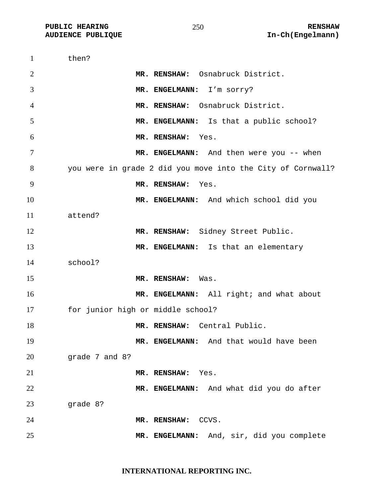| $\mathbf{1}$   | then?                                                       |
|----------------|-------------------------------------------------------------|
| $\overline{2}$ | MR. RENSHAW: Osnabruck District.                            |
| 3              | MR. ENGELMANN: I'm sorry?                                   |
| $\overline{4}$ | MR. RENSHAW: Osnabruck District.                            |
| 5              | MR. ENGELMANN: Is that a public school?                     |
| 6              | MR. RENSHAW: Yes.                                           |
| 7              | MR. ENGELMANN: And then were you -- when                    |
| 8              | you were in grade 2 did you move into the City of Cornwall? |
| 9              | MR. RENSHAW:<br>Yes.                                        |
| 10             | MR. ENGELMANN: And which school did you                     |
| 11             | attend?                                                     |
| 12             | MR. RENSHAW: Sidney Street Public.                          |
| 13             | MR. ENGELMANN: Is that an elementary                        |
| 14             | school?                                                     |
| 15             | MR. RENSHAW:<br>Was.                                        |
| 16             | MR. ENGELMANN: All right; and what about                    |
| 17             | for junior high or middle school?                           |
| 18             | MR. RENSHAW: Central Public.                                |
| 19             | MR. ENGELMANN: And that would have been                     |
| 20             | grade 7 and 8?                                              |
| 21             | MR. RENSHAW:<br>Yes.                                        |
| 22             | MR. ENGELMANN: And what did you do after                    |
| 23             | grade 8?                                                    |
| 24             | CCVS.<br>MR. RENSHAW:                                       |
| 25             | MR. ENGELMANN: And, sir, did you complete                   |

**INTERNATIONAL REPORTING INC.**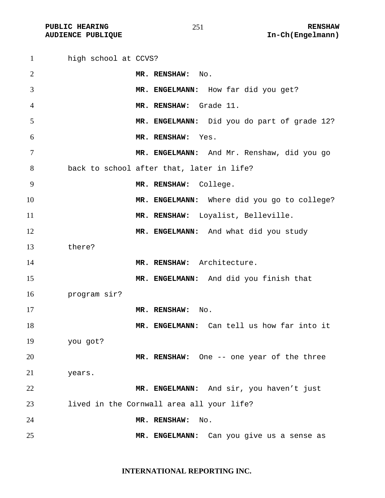**PUBLIC HEARING**  $\begin{array}{ccc} 251 & 251 \end{array}$  **RENSHAW** 

high school at CCVS? **MR. RENSHAW:** No. **MR. ENGELMANN:** How far did you get? **MR. RENSHAW:** Grade 11. **MR. ENGELMANN:** Did you do part of grade 12? **MR. RENSHAW:** Yes. **MR. ENGELMANN:** And Mr. Renshaw, did you go back to school after that, later in life? **MR. RENSHAW:** College. **MR. ENGELMANN:** Where did you go to college? **MR. RENSHAW:** Loyalist, Belleville. **MR. ENGELMANN:** And what did you study there? 14 MR. RENSHAW: Architecture. **MR. ENGELMANN:** And did you finish that program sir? **MR. RENSHAW:** No. **MR. ENGELMANN:** Can tell us how far into it you got? **MR. RENSHAW:** One -- one year of the three years. **MR. ENGELMANN:** And sir, you haven't just lived in the Cornwall area all your life? **MR. RENSHAW:** No. **MR. ENGELMANN:** Can you give us a sense as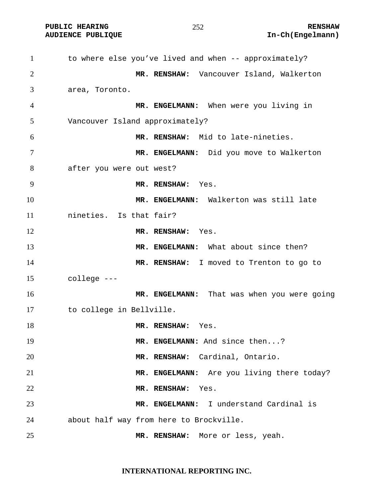PUBLIC HEARING **RENSHAW** 252 **RENSHAW** RENSHAW **RENSHAW** 252

| $\mathbf{1}$ | to where else you've lived and when -- approximately? |
|--------------|-------------------------------------------------------|
| 2            | MR. RENSHAW: Vancouver Island, Walkerton              |
| 3            | area, Toronto.                                        |
| 4            | MR. ENGELMANN: When were you living in                |
| 5            | Vancouver Island approximately?                       |
| 6            | MR. RENSHAW: Mid to late-nineties.                    |
| 7            | MR. ENGELMANN: Did you move to Walkerton              |
| 8            | after you were out west?                              |
| 9            | MR. RENSHAW: Yes.                                     |
| 10           | MR. ENGELMANN: Walkerton was still late               |
| 11           | nineties. Is that fair?                               |
| 12           | MR. RENSHAW: Yes.                                     |
| 13           | MR. ENGELMANN: What about since then?                 |
| 14           | MR. RENSHAW: I moved to Trenton to go to              |
| 15           | college ---                                           |
| 16           | MR. ENGELMANN: That was when you were going           |
| 17           | to college in Bellville.                              |
| 18           | MR. RENSHAW:<br>Yes.                                  |
| 19           | MR. ENGELMANN: And since then?                        |
| 20           | MR. RENSHAW: Cardinal, Ontario.                       |
| 21           | MR. ENGELMANN: Are you living there today?            |
| 22           | MR. RENSHAW:<br>Yes.                                  |
| 23           | MR. ENGELMANN: I understand Cardinal is               |
| 24           | about half way from here to Brockville.               |
| 25           | MR. RENSHAW: More or less, yeah.                      |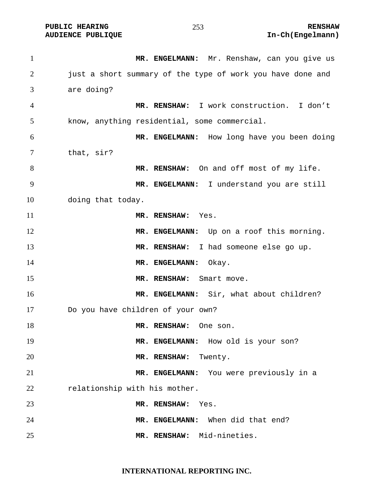1 MR. ENGELMANN: Mr. Renshaw, can you give us 2 just a short summary of the type of work you have done and are doing? **MR. RENSHAW:** I work construction. I don't know, anything residential, some commercial. **MR. ENGELMANN:** How long have you been doing that, sir? **MR. RENSHAW:** On and off most of my life. **MR. ENGELMANN:** I understand you are still doing that today. **MR. RENSHAW:** Yes. 12 MR. ENGELMANN: Up on a roof this morning. **MR. RENSHAW:** I had someone else go up. 14 MR. ENGELMANN: Okay. **MR. RENSHAW:** Smart move. **MR. ENGELMANN:** Sir, what about children? Do you have children of your own? **MR. RENSHAW:** One son. 19 MR. ENGELMANN: How old is your son? **MR. RENSHAW:** Twenty. **MR. ENGELMANN:** You were previously in a 22 relationship with his mother. **MR. RENSHAW:** Yes. **MR. ENGELMANN:** When did that end? **MR. RENSHAW:** Mid-nineties.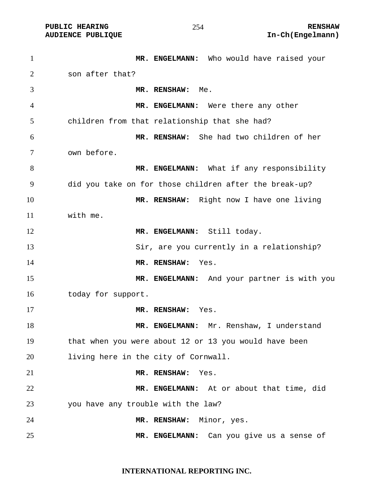| $\mathbf{1}$   | MR. ENGELMANN: Who would have raised your              |
|----------------|--------------------------------------------------------|
| 2              | son after that?                                        |
| 3              | MR. RENSHAW:<br>Me.                                    |
| $\overline{4}$ | MR. ENGELMANN: Were there any other                    |
| 5              | children from that relationship that she had?          |
| 6              | MR. RENSHAW: She had two children of her               |
| 7              | own before.                                            |
| 8              | MR. ENGELMANN: What if any responsibility              |
| 9              | did you take on for those children after the break-up? |
| 10             | MR. RENSHAW: Right now I have one living               |
| 11             | with me.                                               |
| 12             | MR. ENGELMANN: Still today.                            |
| 13             | Sir, are you currently in a relationship?              |
| 14             | MR. RENSHAW:<br>Yes.                                   |
| 15             | MR. ENGELMANN: And your partner is with you            |
| 16             | today for support.                                     |
| 17             | MR. RENSHAW:<br>Yes.                                   |
| 18             | MR. ENGELMANN: Mr. Renshaw, I understand               |
| 19             | that when you were about 12 or 13 you would have been  |
| 20             | living here in the city of Cornwall.                   |
| 21             | MR. RENSHAW:<br>Yes.                                   |
| 22             | MR. ENGELMANN: At or about that time, did              |
| 23             | you have any trouble with the law?                     |
| 24             | Minor, yes.<br>MR. RENSHAW:                            |
| 25             | Can you give us a sense of<br>MR. ENGELMANN:           |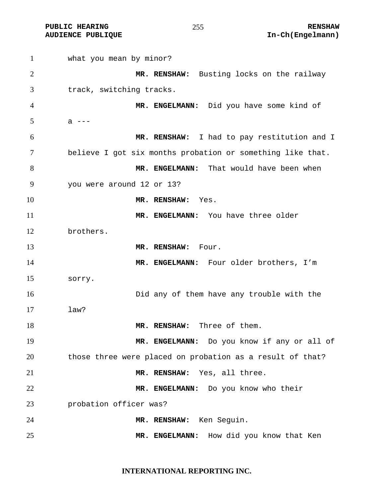**PUBLIC HEARING 255** 255 RENSHAW **AUDIENCE PUBLIQUE International Contract Contract Contract Contract Contract Contract Contract Contract Contract Contract Contract Contract Contract Contract Contract Contract Contract Contract Contract Contract Contract** 

what you mean by minor? **MR. RENSHAW:** Busting locks on the railway track, switching tracks. **MR. ENGELMANN:** Did you have some kind of  $5 \t a \t - -$ **MR. RENSHAW:** I had to pay restitution and I believe I got six months probation or something like that. **MR. ENGELMANN:** That would have been when you were around 12 or 13? **MR. RENSHAW:** Yes. **MR. ENGELMANN:** You have three older brothers. **MR. RENSHAW:** Four. 14 MR. ENGELMANN: Four older brothers, I'm sorry. Did any of them have any trouble with the law? **MR. RENSHAW:** Three of them. **MR. ENGELMANN:** Do you know if any or all of those three were placed on probation as a result of that? **MR. RENSHAW:** Yes, all three. **MR. ENGELMANN:** Do you know who their probation officer was? **MR. RENSHAW:** Ken Seguin. **MR. ENGELMANN:** How did you know that Ken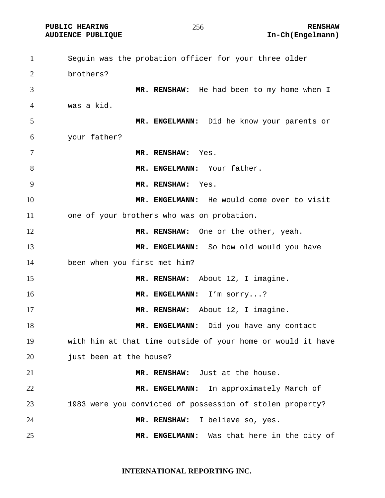Seguin was the probation officer for your three older brothers? **MR. RENSHAW:** He had been to my home when I was a kid. **MR. ENGELMANN:** Did he know your parents or your father? **MR. RENSHAW:** Yes. 8 MR. ENGELMANN: Your father. **MR. RENSHAW:** Yes. **MR. ENGELMANN:** He would come over to visit one of your brothers who was on probation. **MR. RENSHAW:** One or the other, yeah. **MR. ENGELMANN:** So how old would you have been when you first met him? **MR. RENSHAW:** About 12, I imagine. **MR. ENGELMANN:** I'm sorry...? **MR. RENSHAW:** About 12, I imagine. 18 MR. ENGELMANN: Did you have any contact with him at that time outside of your home or would it have 20 just been at the house? **MR. RENSHAW:** Just at the house. **MR. ENGELMANN:** In approximately March of 1983 were you convicted of possession of stolen property? **MR. RENSHAW:** I believe so, yes. **MR. ENGELMANN:** Was that here in the city of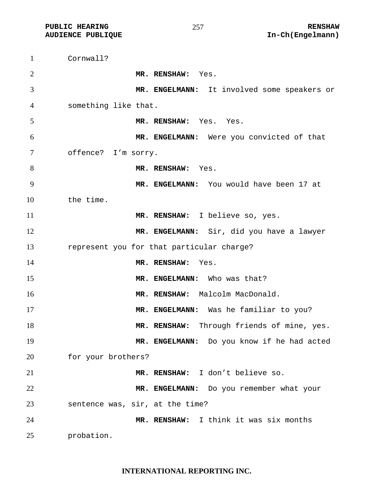| $\mathbf{1}$   | Cornwall?                                   |
|----------------|---------------------------------------------|
| 2              | MR. RENSHAW: Yes.                           |
| 3              | MR. ENGELMANN: It involved some speakers or |
| $\overline{4}$ | something like that.                        |
| 5              | MR. RENSHAW: Yes. Yes.                      |
| 6              | MR. ENGELMANN: Were you convicted of that   |
| 7              | offence? I'm sorry.                         |
| 8              | MR. RENSHAW: Yes.                           |
| 9              | MR. ENGELMANN: You would have been 17 at    |
| 10             | the time.                                   |
| 11             | MR. RENSHAW: I believe so, yes.             |
| 12             | MR. ENGELMANN: Sir, did you have a lawyer   |
| 13             | represent you for that particular charge?   |
| 14             | MR. RENSHAW:<br>Yes.                        |
| 15             | MR. ENGELMANN: Who was that?                |
| 16             | MR. RENSHAW: Malcolm MacDonald.             |
| 17             | MR. ENGELMANN: Was he familiar to you?      |
| 18             | MR. RENSHAW: Through friends of mine, yes.  |
| 19             | MR. ENGELMANN: Do you know if he had acted  |
| 20             | for your brothers?                          |
| 21             | MR. RENSHAW: I don't believe so.            |
| 22             | MR. ENGELMANN: Do you remember what your    |
| 23             | sentence was, sir, at the time?             |
| 24             | MR. RENSHAW: I think it was six months      |
| $\sim$ $\sim$  |                                             |

probation.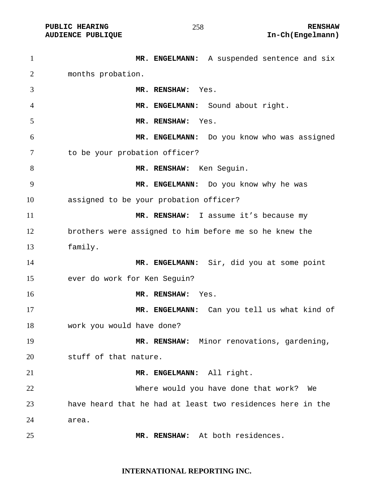PUBLIC HEARING **RENSHAW** 258 **RENSHAW** 258 **RENSHAW RENSHAW AUDIENCE PUBLIQUE AUDIENCE PUBLIQUE** 

| $\mathbf{1}$   | MR. ENGELMANN: A suspended sentence and six                |
|----------------|------------------------------------------------------------|
| 2              | months probation.                                          |
| 3              | MR. RENSHAW:<br>Yes.                                       |
| $\overline{4}$ | MR. ENGELMANN: Sound about right.                          |
| 5              | MR. RENSHAW:<br>Yes.                                       |
| 6              | MR. ENGELMANN: Do you know who was assigned                |
| 7              | to be your probation officer?                              |
| 8              | MR. RENSHAW: Ken Seguin.                                   |
| 9              | MR. ENGELMANN: Do you know why he was                      |
| 10             | assigned to be your probation officer?                     |
| 11             | MR. RENSHAW: I assume it's because my                      |
| 12             | brothers were assigned to him before me so he knew the     |
| 13             | family.                                                    |
| 14             | MR. ENGELMANN: Sir, did you at some point                  |
| 15             | ever do work for Ken Seguin?                               |
| 16             | MR. RENSHAW:<br>Yes.                                       |
| 17             | MR. ENGELMANN: Can you tell us what kind of                |
| 18             | work you would have done?                                  |
| 19             | MR. RENSHAW: Minor renovations, gardening,                 |
| 20             | stuff of that nature.                                      |
| 21             | MR. ENGELMANN: All right.                                  |
| 22             | Where would you have done that work?<br>We                 |
| 23             | have heard that he had at least two residences here in the |
| 24             | area.                                                      |
| 25             | MR. RENSHAW: At both residences.                           |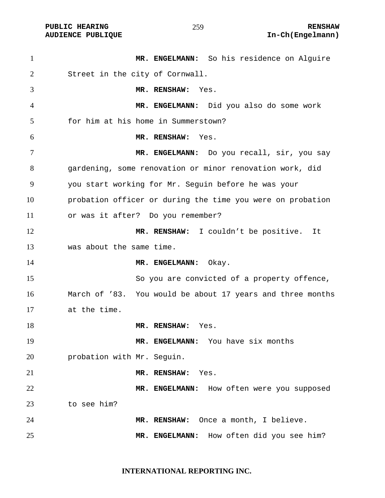**PUBLIC HEARING**  $\frac{1}{259}$  **259** RENSHAW

**MR. ENGELMANN:** So his residence on Alguire Street in the city of Cornwall. **MR. RENSHAW:** Yes. **MR. ENGELMANN:** Did you also do some work for him at his home in Summerstown? **MR. RENSHAW:** Yes. **MR. ENGELMANN:** Do you recall, sir, you say gardening, some renovation or minor renovation work, did you start working for Mr. Seguin before he was your probation officer or during the time you were on probation or was it after? Do you remember? **MR. RENSHAW:** I couldn't be positive. It was about the same time. 14 MR. ENGELMANN: Okay. So you are convicted of a property offence, March of '83. You would be about 17 years and three months at the time. **MR. RENSHAW:** Yes. **MR. ENGELMANN:** You have six months probation with Mr. Seguin. **MR. RENSHAW:** Yes. **MR. ENGELMANN:** How often were you supposed to see him? **MR. RENSHAW:** Once a month, I believe. **MR. ENGELMANN:** How often did you see him?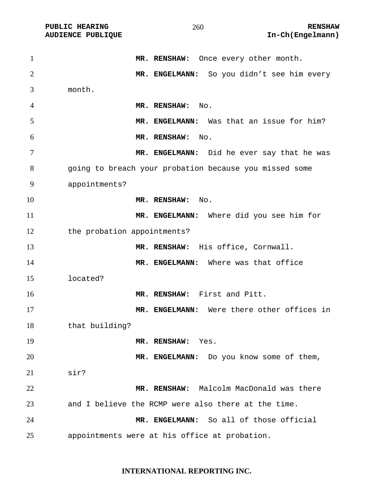PUBLIC HEARING **RENSHAW** 260 **RENSHAW** RENSHAW **RENSHAW** 260 **RENSHAW** 260 **RENSHAW** 260 **RENSHAW** 

| $\mathbf{1}$   | MR. RENSHAW: Once every other month.                   |
|----------------|--------------------------------------------------------|
| $\overline{2}$ | MR. ENGELMANN: So you didn't see him every             |
| 3              | month.                                                 |
| 4              | MR. RENSHAW:<br>No.                                    |
| 5              | MR. ENGELMANN: Was that an issue for him?              |
| 6              | MR. RENSHAW:<br>No.                                    |
| 7              | MR. ENGELMANN: Did he ever say that he was             |
| 8              | going to breach your probation because you missed some |
| 9              | appointments?                                          |
| 10             | MR. RENSHAW:<br>No.                                    |
| 11             | MR. ENGELMANN: Where did you see him for               |
| 12             | the probation appointments?                            |
| 13             | MR. RENSHAW: His office, Cornwall.                     |
| 14             | MR. ENGELMANN: Where was that office                   |
| 15             | located?                                               |
| 16             | MR. RENSHAW: First and Pitt.                           |
| 17             | MR. ENGELMANN: Were there other offices in             |
| 18             | that building?                                         |
| 19             | MR. RENSHAW:<br>Yes.                                   |
| 20             | Do you know some of them,<br>MR. ENGELMANN:            |
| 21             | sir?                                                   |
| 22             | MR. RENSHAW: Malcolm MacDonald was there               |
| 23             | and I believe the RCMP were also there at the time.    |
| 24             | MR. ENGELMANN: So all of those official                |
| 25             | appointments were at his office at probation.          |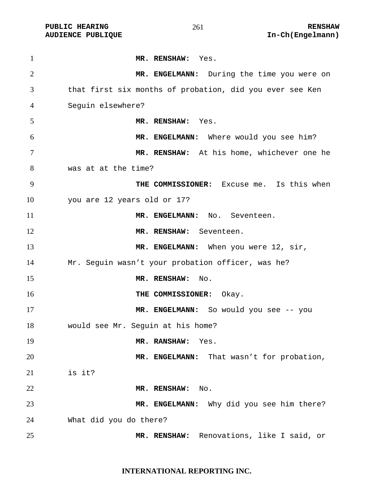| $\mathbf{1}$   | MR. RENSHAW: Yes.                                        |
|----------------|----------------------------------------------------------|
| $\overline{2}$ | MR. ENGELMANN: During the time you were on               |
| 3              | that first six months of probation, did you ever see Ken |
| 4              | Seguin elsewhere?                                        |
| 5              | MR. RENSHAW: Yes.                                        |
| 6              | MR. ENGELMANN: Where would you see him?                  |
| 7              | MR. RENSHAW: At his home, whichever one he               |
| 8              | was at at the time?                                      |
| 9              | THE COMMISSIONER: Excuse me. Is this when                |
| 10             | you are 12 years old or 17?                              |
| 11             | MR. ENGELMANN: No. Seventeen.                            |
| 12             | MR. RENSHAW: Seventeen.                                  |
| 13             | MR. ENGELMANN: When you were 12, sir,                    |
| 14             | Mr. Seguin wasn't your probation officer, was he?        |
| 15             | MR. RENSHAW:<br>No.                                      |
| 16             | THE COMMISSIONER: Okay.                                  |
| 17             | MR. ENGELMANN: So would you see -- you                   |
| 18             | would see Mr. Sequin at his home?                        |
| 19             | MR. RANSHAW:<br>Yes.                                     |
| 20             | That wasn't for probation,<br><b>MR. ENGELMANN:</b>      |
| 21             | is it?                                                   |
| 22             | MR. RENSHAW:<br>No.                                      |
| 23             | MR. ENGELMANN: Why did you see him there?                |
| 24             | What did you do there?                                   |
| 25             | Renovations, like I said, or<br>MR. RENSHAW:             |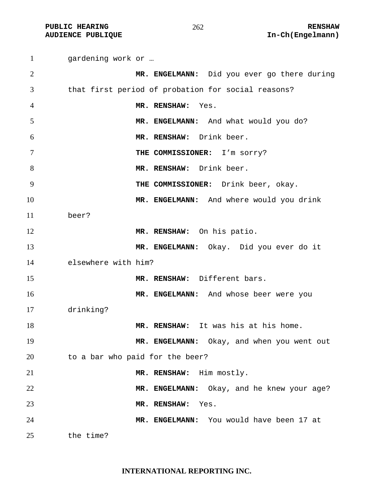**PUBLIC HEARING**  $\frac{262}{100}$  **262** 

gardening work or … **MR. ENGELMANN:** Did you ever go there during that first period of probation for social reasons? **MR. RENSHAW:** Yes. **MR. ENGELMANN:** And what would you do? **MR. RENSHAW:** Drink beer. **THE COMMISSIONER:** I'm sorry? **MR. RENSHAW:** Drink beer. **THE COMMISSIONER:** Drink beer, okay. **MR. ENGELMANN:** And where would you drink beer? **MR. RENSHAW:** On his patio. **MR. ENGELMANN:** Okay. Did you ever do it elsewhere with him? **MR. RENSHAW:** Different bars. **MR. ENGELMANN:** And whose beer were you drinking? **MR. RENSHAW:** It was his at his home. 19 MR. ENGELMANN: Okay, and when you went out to a bar who paid for the beer? **MR. RENSHAW:** Him mostly. **MR. ENGELMANN:** Okay, and he knew your age? **MR. RENSHAW:** Yes. **MR. ENGELMANN:** You would have been 17 at the time?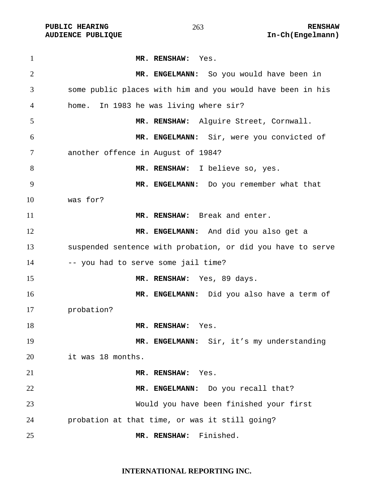**PUBLIC HEARING**  $\frac{263}{1000}$  **RENSHAW** 

**MR. RENSHAW:** Yes. **MR. ENGELMANN:** So you would have been in some public places with him and you would have been in his home. In 1983 he was living where sir? **MR. RENSHAW:** Alguire Street, Cornwall. **MR. ENGELMANN:** Sir, were you convicted of another offence in August of 1984? **MR. RENSHAW:** I believe so, yes. **MR. ENGELMANN:** Do you remember what that was for? **MR. RENSHAW:** Break and enter. **MR. ENGELMANN:** And did you also get a suspended sentence with probation, or did you have to serve 14 -- you had to serve some jail time? **MR. RENSHAW:** Yes, 89 days. **MR. ENGELMANN:** Did you also have a term of probation? 18 MR. RENSHAW: Yes. **MR. ENGELMANN:** Sir, it's my understanding it was 18 months. **MR. RENSHAW:** Yes. **MR. ENGELMANN:** Do you recall that? Would you have been finished your first probation at that time, or was it still going? **MR. RENSHAW:** Finished.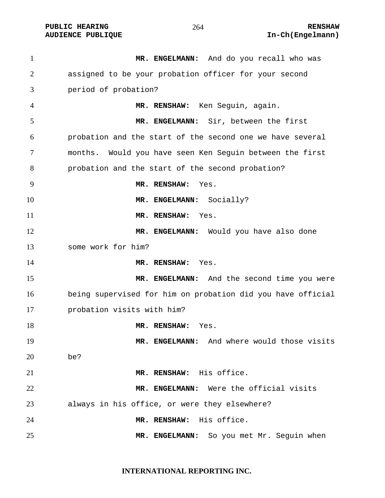**PUBLIC HEARING**  $264$  264 RENSHAW **AUDIENCE PUBLIQUE International Contract Contract Contract Contract Contract Contract Contract Contract Contract Contract Contract Contract Contract Contract Contract Contract Contract Contract Contract Contract Contract** 

1 MR. ENGELMANN: And do you recall who was assigned to be your probation officer for your second period of probation? **MR. RENSHAW:** Ken Seguin, again. **MR. ENGELMANN:** Sir, between the first probation and the start of the second one we have several months. Would you have seen Ken Seguin between the first probation and the start of the second probation? **MR. RENSHAW:** Yes. **MR. ENGELMANN:** Socially? **MR. RENSHAW:** Yes. **MR. ENGELMANN:** Would you have also done some work for him? **MR. RENSHAW:** Yes. **MR. ENGELMANN:** And the second time you were being supervised for him on probation did you have official probation visits with him? 18 MR. RENSHAW: Yes. **MR. ENGELMANN:** And where would those visits be? **MR. RENSHAW:** His office. **MR. ENGELMANN:** Were the official visits always in his office, or were they elsewhere? **MR. RENSHAW:** His office. **MR. ENGELMANN:** So you met Mr. Seguin when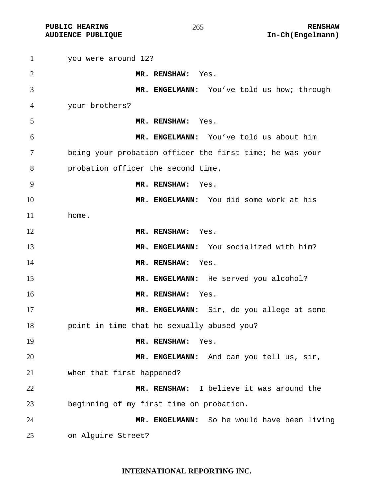PUBLIC HEARING **RENSHAW** 265 **RENSHAW** RENSHAW **RENSHAW RENSHAW RENSHAW RENSHAW RENSHAW RENSHAW RENSHAM** 

| $\mathbf{1}$   | you were around 12?                                      |
|----------------|----------------------------------------------------------|
| $\overline{2}$ | MR. RENSHAW: Yes.                                        |
| 3              | MR. ENGELMANN: You've told us how; through               |
| 4              | your brothers?                                           |
| 5              | MR. RENSHAW: Yes.                                        |
| 6              | MR. ENGELMANN: You've told us about him                  |
| 7              | being your probation officer the first time; he was your |
| 8              | probation officer the second time.                       |
| 9              | MR. RENSHAW:<br>Yes.                                     |
| 10             | MR. ENGELMANN: You did some work at his                  |
| 11             | home.                                                    |
| 12             | MR. RENSHAW: Yes.                                        |
| 13             | MR. ENGELMANN: You socialized with him?                  |
| 14             | MR. RENSHAW:<br>Yes.                                     |
| 15             | MR. ENGELMANN: He served you alcohol?                    |
| 16             | MR. RENSHAW:<br>Yes.                                     |
| 17             | MR. ENGELMANN: Sir, do you allege at some                |
| 18             | point in time that he sexually abused you?               |
| 19             | MR. RENSHAW:<br>Yes.                                     |
| 20             | MR. ENGELMANN: And can you tell us, sir,                 |
| 21             | when that first happened?                                |
| 22             | I believe it was around the<br>MR. RENSHAW:              |
| 23             | beginning of my first time on probation.                 |
| 24             | MR. ENGELMANN: So he would have been living              |
| 25             | on Alguire Street?                                       |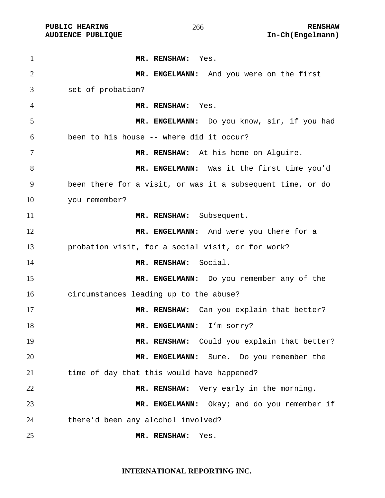**MR. RENSHAW:** Yes. **MR. ENGELMANN:** And you were on the first set of probation? **MR. RENSHAW:** Yes. **MR. ENGELMANN:** Do you know, sir, if you had been to his house -- where did it occur? **MR. RENSHAW:** At his home on Alguire. **MR. ENGELMANN:** Was it the first time you'd been there for a visit, or was it a subsequent time, or do you remember? 11 MR. RENSHAW: Subsequent. 12 MR. ENGELMANN: And were you there for a probation visit, for a social visit, or for work? **MR. RENSHAW:** Social. **MR. ENGELMANN:** Do you remember any of the circumstances leading up to the abuse? **MR. RENSHAW:** Can you explain that better? **MR. ENGELMANN:** I'm sorry? **MR. RENSHAW:** Could you explain that better? **MR. ENGELMANN:** Sure. Do you remember the time of day that this would have happened? **MR. RENSHAW:** Very early in the morning. **MR. ENGELMANN:** Okay; and do you remember if there'd been any alcohol involved? **MR. RENSHAW:** Yes.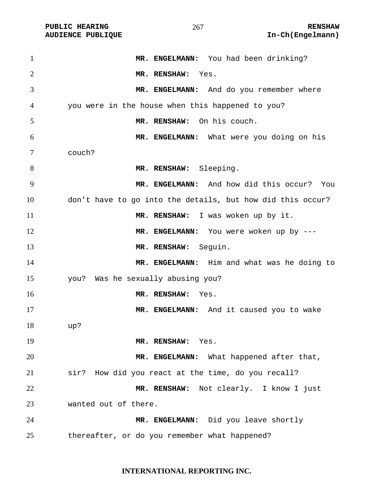| $\mathbf{1}$   | MR. ENGELMANN: You had been drinking?                      |
|----------------|------------------------------------------------------------|
| $\overline{2}$ | MR. RENSHAW: Yes.                                          |
| 3              | MR. ENGELMANN: And do you remember where                   |
| 4              | you were in the house when this happened to you?           |
| 5              | On his couch.<br>MR. RENSHAW:                              |
| 6              | MR. ENGELMANN: What were you doing on his                  |
| 7              | couch?                                                     |
| 8              | MR. RENSHAW: Sleeping.                                     |
| 9              | MR. ENGELMANN: And how did this occur? You                 |
| 10             | don't have to go into the details, but how did this occur? |
| 11             | MR. RENSHAW: I was woken up by it.                         |
| 12             | MR. ENGELMANN: You were woken up by ---                    |
| 13             | MR. RENSHAW: Seguin.                                       |
| 14             | MR. ENGELMANN: Him and what was he doing to                |
| 15             | you? Was he sexually abusing you?                          |
| 16             | MR. RENSHAW:<br>Yes.                                       |
| 17             | MR. ENGELMANN: And it caused you to wake                   |
| 18             | up?                                                        |
| 19             | MR. RENSHAW:<br>Yes.                                       |
| 20             | MR. ENGELMANN: What happened after that,                   |
| 21             | sir? How did you react at the time, do you recall?         |
| 22             | MR. RENSHAW: Not clearly. I know I just                    |
| 23             | wanted out of there.                                       |
| 24             | MR. ENGELMANN: Did you leave shortly                       |
| 25             | thereafter, or do you remember what happened?              |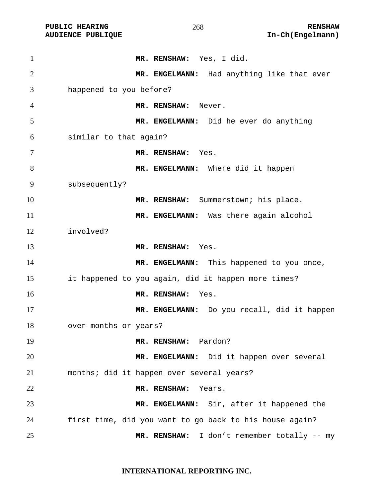| $\mathbf{1}$   | MR. RENSHAW: Yes, I did.                                |
|----------------|---------------------------------------------------------|
| $\overline{2}$ | MR. ENGELMANN: Had anything like that ever              |
| 3              | happened to you before?                                 |
| $\overline{4}$ | MR. RENSHAW: Never.                                     |
| 5              | MR. ENGELMANN: Did he ever do anything                  |
| 6              | similar to that again?                                  |
| 7              | MR. RENSHAW: Yes.                                       |
| 8              | MR. ENGELMANN: Where did it happen                      |
| 9              | subsequently?                                           |
| 10             | MR. RENSHAW: Summerstown; his place.                    |
| 11             | MR. ENGELMANN: Was there again alcohol                  |
| 12             | involved?                                               |
| 13             | MR. RENSHAW: Yes.                                       |
| 14             | MR. ENGELMANN: This happened to you once,               |
| 15             | it happened to you again, did it happen more times?     |
| 16             | MR. RENSHAW:<br>Yes.                                    |
| 17             | MR. ENGELMANN: Do you recall, did it happen             |
| 18             | over months or years?                                   |
| 19             | MR. RENSHAW: Pardon?                                    |
| 20             | MR. ENGELMANN: Did it happen over several               |
| 21             | months; did it happen over several years?               |
| 22             | MR. RENSHAW:<br>Years.                                  |
| 23             | MR. ENGELMANN: Sir, after it happened the               |
| 24             | first time, did you want to go back to his house again? |
| 25             | MR. RENSHAW: I don't remember totally -- my             |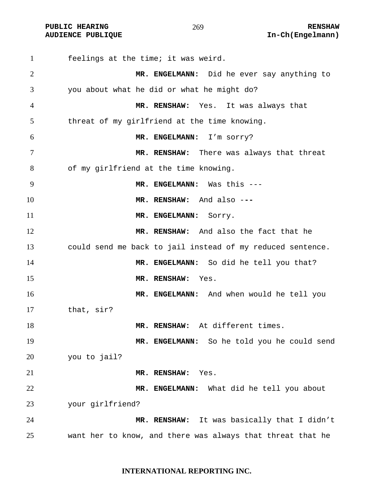**PUBLIC HEARING**  $\frac{269}{ }$  **269** RENSHAW

feelings at the time; it was weird. **MR. ENGELMANN:** Did he ever say anything to you about what he did or what he might do? **MR. RENSHAW:** Yes.It was always that threat of my girlfriend at the time knowing. **MR. ENGELMANN:** I'm sorry? **MR. RENSHAW:** There was always that threat of my girlfriend at the time knowing. **MR. ENGELMANN:** Was this --- **MR. RENSHAW:** And also -**-- MR. ENGELMANN:** SOYY. **MR. RENSHAW:** And also the fact that he could send me back to jail instead of my reduced sentence. **MR. ENGELMANN:** So did he tell you that? **MR. RENSHAW:** Yes. **MR. ENGELMANN:** And when would he tell you that, sir? **MR. RENSHAW:** At different times. **MR. ENGELMANN:** So he told you he could send you to jail? **MR. RENSHAW:** Yes. **MR. ENGELMANN:** What did he tell you about your girlfriend? **MR. RENSHAW:** It was basically that I didn't want her to know, and there was always that threat that he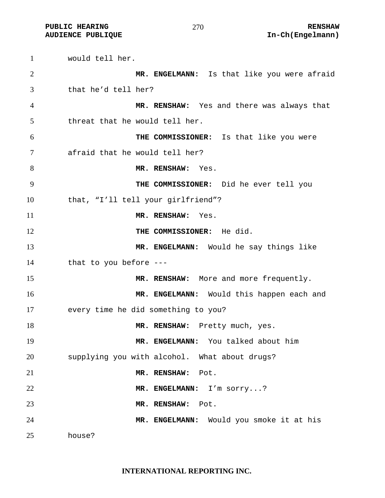would tell her. **MR. ENGELMANN:** Is that like you were afraid that he'd tell her? **MR. RENSHAW:** Yes and there was always that threat that he would tell her. **THE COMMISSIONER:** Is that like you were afraid that he would tell her? **MR. RENSHAW:** Yes. **THE COMMISSIONER:** Did he ever tell you that, "I'll tell your girlfriend"? **MR. RENSHAW:** Yes. 12 THE COMMISSIONER: He did. **MR. ENGELMANN:** Would he say things like that to you before --- 15 MR. RENSHAW: More and more frequently. **MR. ENGELMANN:** Would this happen each and every time he did something to you? **MR. RENSHAW:** Pretty much, yes. **MR. ENGELMANN:** You talked about him supplying you with alcohol. What about drugs? **MR. RENSHAW:** Pot. **MR. ENGELMANN:** I'm sorry...? **MR. RENSHAW:** Pot. **MR. ENGELMANN:** Would you smoke it at his house?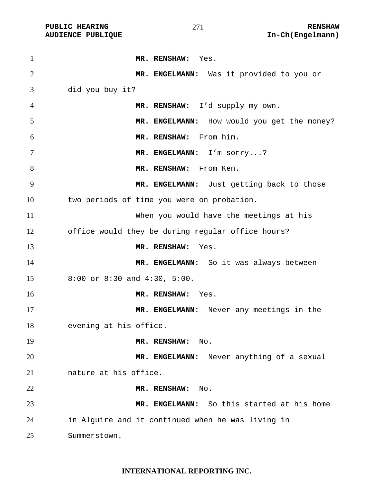| $\mathbf{1}$   | MR. RENSHAW: Yes.                                 |
|----------------|---------------------------------------------------|
| $\overline{2}$ | MR. ENGELMANN: Was it provided to you or          |
| 3              | did you buy it?                                   |
| 4              | MR. RENSHAW: I'd supply my own.                   |
| 5              | MR. ENGELMANN: How would you get the money?       |
| 6              | MR. RENSHAW: From him.                            |
| 7              | MR. ENGELMANN: I'm sorry?                         |
| 8              | MR. RENSHAW: From Ken.                            |
| 9              | MR. ENGELMANN: Just getting back to those         |
| 10             | two periods of time you were on probation.        |
| 11             | When you would have the meetings at his           |
| 12             | office would they be during regular office hours? |
| 13             | MR. RENSHAW:<br>Yes.                              |
| 14             | MR. ENGELMANN: So it was always between           |
| 15             | 8:00 or 8:30 and 4:30, 5:00.                      |
| 16             | MR. RENSHAW:<br>Yes.                              |
| 17             | MR. ENGELMANN: Never any meetings in the          |
| 18             | evening at his office.                            |
| 19             | MR. RENSHAW:<br>No.                               |
| 20             | MR. ENGELMANN: Never anything of a sexual         |
| 21             | nature at his office.                             |
| 22             | MR. RENSHAW:<br>No.                               |
| 23             | MR. ENGELMANN: So this started at his home        |
| 24             | in Alguire and it continued when he was living in |
| 25             | Summerstown.                                      |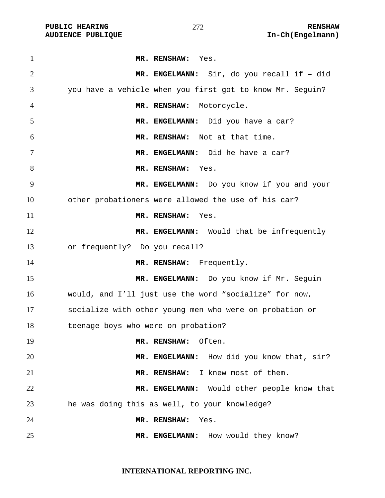| $\mathbf{1}$   | MR. RENSHAW: Yes.                                         |
|----------------|-----------------------------------------------------------|
| $\overline{2}$ | MR. ENGELMANN: Sir, do you recall if - did                |
| 3              | you have a vehicle when you first got to know Mr. Seguin? |
| 4              | MR. RENSHAW: Motorcycle.                                  |
| 5              | MR. ENGELMANN: Did you have a car?                        |
| 6              | MR. RENSHAW: Not at that time.                            |
| 7              | MR. ENGELMANN: Did he have a car?                         |
| 8              | MR. RENSHAW: Yes.                                         |
| 9              | MR. ENGELMANN: Do you know if you and your                |
| 10             | other probationers were allowed the use of his car?       |
| 11             | MR. RENSHAW: Yes.                                         |
| 12             | MR. ENGELMANN: Would that be infrequently                 |
| 13             | or frequently? Do you recall?                             |
| 14             | MR. RENSHAW: Frequently.                                  |
| 15             | MR. ENGELMANN: Do you know if Mr. Seguin                  |
| 16             | would, and I'll just use the word "socialize" for now,    |
| 17             | socialize with other young men who were on probation or   |
| 18             | teenage boys who were on probation?                       |
| 19             | Often.<br>MR. RENSHAW:                                    |
| 20             | MR. ENGELMANN: How did you know that, sir?                |
| 21             | MR. RENSHAW: I knew most of them.                         |
| 22             | MR. ENGELMANN: Would other people know that               |
| 23             | he was doing this as well, to your knowledge?             |
| 24             | MR. RENSHAW:<br>Yes.                                      |
| 25             | How would they know?<br>MR. ENGELMANN:                    |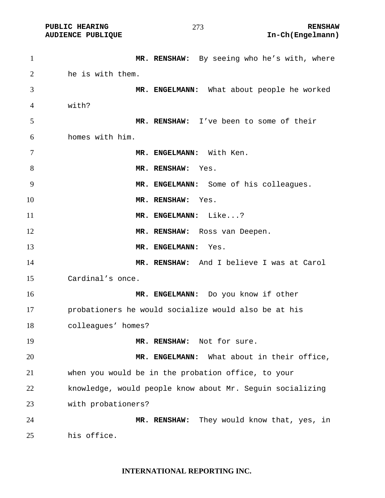**MR. RENSHAW:** By seeing who he's with, where he is with them. **MR. ENGELMANN:** What about people he worked with? **MR. RENSHAW:** I've been to some of their homes with him. **MR. ENGELMANN:** With Ken. **MR. RENSHAW:** Yes. **MR. ENGELMANN:** Some of his colleagues. **MR. RENSHAW:** Yes. **MR. ENGELMANN:** Like...? **MR. RENSHAW:** Ross van Deepen. **MR. ENGELMANN:** Yes. **MR. RENSHAW:** And I believe I was at Carol Cardinal's once. **MR. ENGELMANN:** Do you know if other probationers he would socialize would also be at his colleagues' homes? **MR. RENSHAW:** Not for sure. **MR. ENGELMANN:** What about in their office, when you would be in the probation office, to your knowledge, would people know about Mr. Seguin socializing with probationers? **MR. RENSHAW:** They would know that, yes, in his office.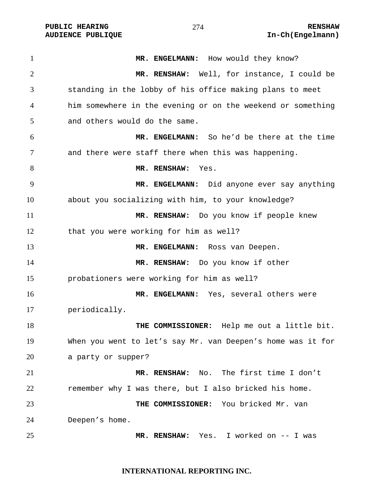1 MR. ENGELMANN: How would they know? **MR. RENSHAW:** Well, for instance, I could be standing in the lobby of his office making plans to meet him somewhere in the evening or on the weekend or something and others would do the same. **MR. ENGELMANN:** So he'd be there at the time and there were staff there when this was happening. **MR. RENSHAW:** Yes. **MR. ENGELMANN:** Did anyone ever say anything about you socializing with him, to your knowledge? **MR. RENSHAW:** Do you know if people knew that you were working for him as well? **MR. ENGELMANN:** Ross van Deepen. **MR. RENSHAW:** Do you know if other probationers were working for him as well? **MR. ENGELMANN:** Yes, several others were periodically. **THE COMMISSIONER:** Help me out a little bit. When you went to let's say Mr. van Deepen's home was it for a party or supper? **MR. RENSHAW:** No. The first time I don't remember why I was there, but I also bricked his home. **THE COMMISSIONER:** You bricked Mr. van Deepen's home. **MR. RENSHAW:** Yes. I worked on -- I was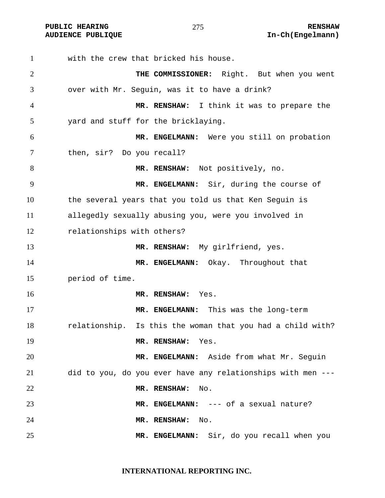with the crew that bricked his house. **THE COMMISSIONER:** Right. But when you went over with Mr. Seguin, was it to have a drink? **MR. RENSHAW:** I think it was to prepare the yard and stuff for the bricklaying. **MR. ENGELMANN:** Were you still on probation then, sir? Do you recall? **MR. RENSHAW:** Not positively, no. **MR. ENGELMANN:** Sir, during the course of the several years that you told us that Ken Seguin is allegedly sexually abusing you, were you involved in relationships with others? **MR. RENSHAW:** My girlfriend, yes. **MR. ENGELMANN:** Okay. Throughout that period of time. **MR. RENSHAW:** Yes. **MR. ENGELMANN:** This was the long-term relationship. Is this the woman that you had a child with? **MR. RENSHAW:** Yes. **MR. ENGELMANN:** Aside from what Mr. Seguin did to you, do you ever have any relationships with men --- **MR. RENSHAW:** No. **MR. ENGELMANN:** --- of a sexual nature? **MR. RENSHAW:** No. **MR. ENGELMANN:** Sir, do you recall when you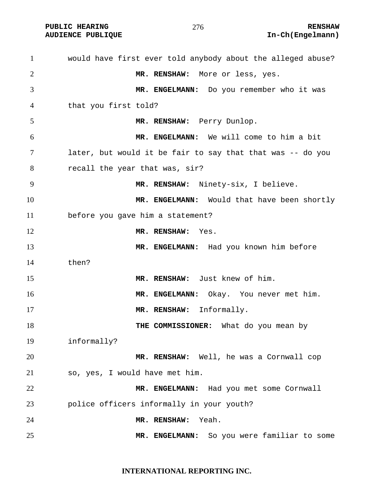**PUBLIC HEARING**  $\frac{276}{5}$  **276** RENSHAW

would have first ever told anybody about the alleged abuse? **MR. RENSHAW:** More or less, yes. **MR. ENGELMANN:** Do you remember who it was that you first told? **MR. RENSHAW:** Perry Dunlop. **MR. ENGELMANN:** We will come to him a bit later, but would it be fair to say that that was -- do you recall the year that was, sir? **MR. RENSHAW:** Ninety-six, I believe. **MR. ENGELMANN:** Would that have been shortly before you gave him a statement? **MR. RENSHAW:** Yes. **MR. ENGELMANN:** Had you known him before then? **MR. RENSHAW:** Just knew of him. **MR. ENGELMANN:** Okay. You never met him. 17 MR. RENSHAW: Informally. **THE COMMISSIONER:** What do you mean by informally? **MR. RENSHAW:** Well, he was a Cornwall cop so, yes, I would have met him. **MR. ENGELMANN:** Had you met some Cornwall police officers informally in your youth? **MR. RENSHAW:** Yeah. **MR. ENGELMANN:** So you were familiar to some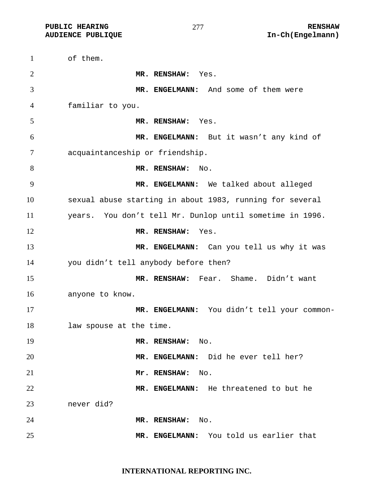of them. **MR. RENSHAW:** Yes. **MR. ENGELMANN:** And some of them were familiar to you. **MR. RENSHAW:** Yes. **MR. ENGELMANN:** But it wasn't any kind of acquaintanceship or friendship. 8 MR. RENSHAW: No. **MR. ENGELMANN:** We talked about alleged sexual abuse starting in about 1983, running for several years. You don't tell Mr. Dunlop until sometime in 1996. **MR. RENSHAW:** Yes. **MR. ENGELMANN:** Can you tell us why it was you didn't tell anybody before then? **MR. RENSHAW:** Fear. Shame. Didn't want anyone to know. **MR. ENGELMANN:** You didn't tell your common-law spouse at the time. **MR. RENSHAW:** No. **MR. ENGELMANN:** Did he ever tell her? **Mr. RENSHAW:** No. **MR. ENGELMANN:** He threatened to but he never did? **MR. RENSHAW:** No. **MR. ENGELMANN:** You told us earlier that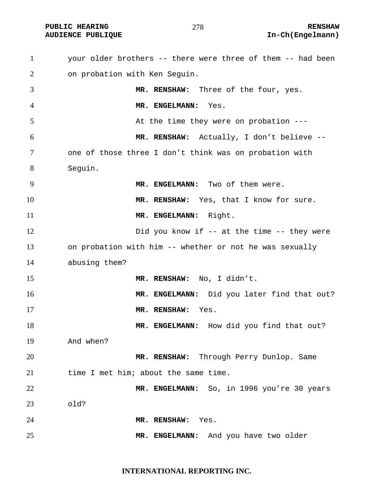**PUBLIC HEARING**  $\frac{278}{278}$  **RENSHAW** 

## **AUDIENCE PUBLIQUE International Contract Contract Contract Contract Contract Contract Contract Contract Contract Contract Contract Contract Contract Contract Contract Contract Contract Contract Contract Contract Contract**

your older brothers -- there were three of them -- had been on probation with Ken Seguin. **MR. RENSHAW:** Three of the four, yes. **MR. ENGELMANN:** Yes. At the time they were on probation --- **MR. RENSHAW:** Actually, I don't believe -- one of those three I don't think was on probation with Seguin. **MR. ENGELMANN:** Two of them were. **MR. RENSHAW:** Yes, that I know for sure. 11 MR. ENGELMANN: Right. 12 Did you know if -- at the time -- they were on probation with him -- whether or not he was sexually abusing them? **MR. RENSHAW:** No, I didn't. **MR. ENGELMANN:** Did you later find that out? **MR. RENSHAW:** Yes. **MR. ENGELMANN:** How did you find that out? And when? **MR. RENSHAW:** Through Perry Dunlop. Same 21 time I met him; about the same time. **MR. ENGELMANN:** So, in 1996 you're 30 years old? **MR. RENSHAW:** Yes. **MR. ENGELMANN:** And you have two older

**INTERNATIONAL REPORTING INC.**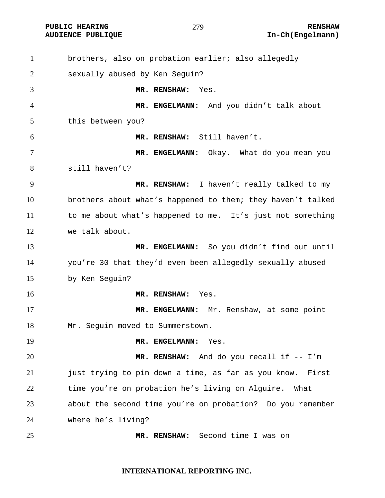**PUBLIC HEARING**  $\frac{279}{ }$  279

brothers, also on probation earlier; also allegedly sexually abused by Ken Seguin? **MR. RENSHAW:** Yes. **MR. ENGELMANN:** And you didn't talk about this between you? **MR. RENSHAW:** Still haven't. **MR. ENGELMANN:** Okay. What do you mean you still haven't? **MR. RENSHAW:** I haven't really talked to my brothers about what's happened to them; they haven't talked to me about what's happened to me. It's just not something we talk about. **MR. ENGELMANN:** So you didn't find out until you're 30 that they'd even been allegedly sexually abused by Ken Seguin? **MR. RENSHAW:** Yes. **MR. ENGELMANN:** Mr. Renshaw, at some point 18 Mr. Seguin moved to Summerstown. **MR. ENGELMANN:** Yes. **MR. RENSHAW:** And do you recall if -- I'm just trying to pin down a time, as far as you know. First time you're on probation he's living on Alguire. What about the second time you're on probation? Do you remember where he's living? **MR. RENSHAW:** Second time I was on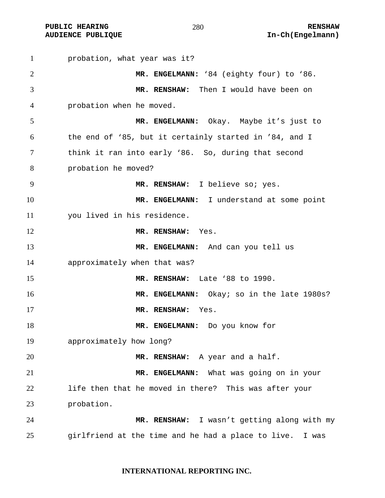probation, what year was it? **MR. ENGELMANN:** '84 (eighty four) to '86. **MR. RENSHAW:** Then I would have been on probation when he moved. **MR. ENGELMANN:** Okay. Maybe it's just to the end of '85, but it certainly started in '84, and I think it ran into early '86. So, during that second probation he moved? **MR. RENSHAW:** I believe so; yes. **MR. ENGELMANN:** I understand at some point you lived in his residence. **MR. RENSHAW:** Yes. **MR. ENGELMANN:** And can you tell us approximately when that was? **MR. RENSHAW:** Late '88 to 1990. **MR. ENGELMANN:** Okay; so in the late 1980s? **MR. RENSHAW:** Yes. **MR. ENGELMANN:** Do you know for approximately how long? **MR. RENSHAW:** A year and a half. **MR. ENGELMANN:** What was going on in your life then that he moved in there? This was after your probation. **MR. RENSHAW:** I wasn't getting along with my girlfriend at the time and he had a place to live. I was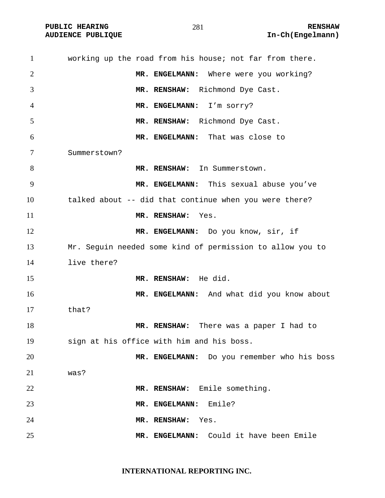| $\mathbf{1}$   | working up the road from his house; not far from there.   |
|----------------|-----------------------------------------------------------|
| $\overline{2}$ | MR. ENGELMANN: Where were you working?                    |
| 3              | MR. RENSHAW: Richmond Dye Cast.                           |
| 4              | MR. ENGELMANN: I'm sorry?                                 |
| 5              | MR. RENSHAW: Richmond Dye Cast.                           |
| 6              | MR. ENGELMANN: That was close to                          |
| 7              | Summerstown?                                              |
| 8              | MR. RENSHAW: In Summerstown.                              |
| 9              | MR. ENGELMANN: This sexual abuse you've                   |
| 10             | talked about -- did that continue when you were there?    |
| 11             | MR. RENSHAW:<br>Yes.                                      |
| 12             | MR. ENGELMANN: Do you know, sir, if                       |
| 13             | Mr. Seguin needed some kind of permission to allow you to |
| 14             | live there?                                               |
| 15             | MR. RENSHAW: He did.                                      |
| 16             | MR. ENGELMANN: And what did you know about                |
| 17             | that?                                                     |
| 18             | MR. RENSHAW: There was a paper I had to                   |
| 19             | sign at his office with him and his boss.                 |
| 20             | MR. ENGELMANN: Do you remember who his boss               |
| 21             | was?                                                      |
| 22             | MR. RENSHAW: Emile something.                             |
| 23             | Emile?<br>MR. ENGELMANN:                                  |
| 24             | MR. RENSHAW:<br>Yes.                                      |
| 25             | MR. ENGELMANN: Could it have been Emile                   |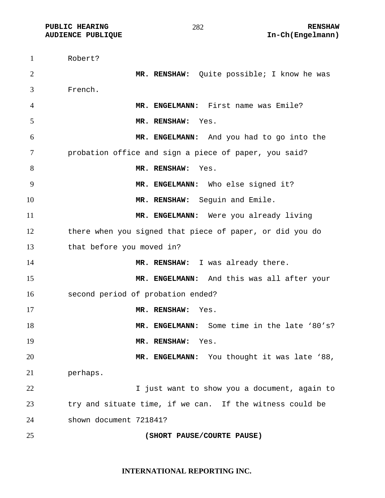Robert? **MR. RENSHAW:** Quite possible; I know he was French. **MR. ENGELMANN:** First name was Emile? **MR. RENSHAW:** Yes. **MR. ENGELMANN:** And you had to go into the probation office and sign a piece of paper, you said? **MR. RENSHAW:** Yes. 9 MR. ENGELMANN: Who else signed it? **MR. RENSHAW:** Seguin and Emile. **MR. ENGELMANN:** Were you already living there when you signed that piece of paper, or did you do that before you moved in? 14 MR. RENSHAW: I was already there. **MR. ENGELMANN:** And this was all after your second period of probation ended? **MR. RENSHAW:** Yes. **MR. ENGELMANN:** Some time in the late '80's? **MR. RENSHAW:** Yes. **MR. ENGELMANN:** You thought it was late '88, perhaps. I just want to show you a document, again to try and situate time, if we can. If the witness could be shown document 721841? **(SHORT PAUSE/COURTE PAUSE)**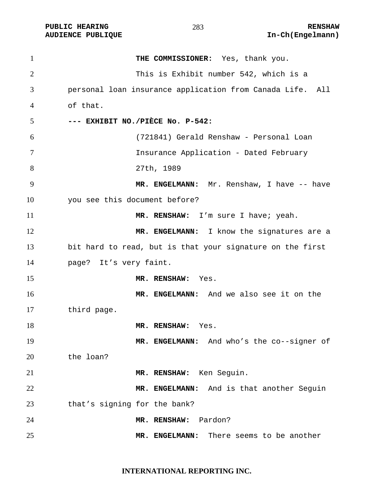PUBLIC HEARING **RENSHAW** 283 RENSHAW RENSHAW RENSHAW **RENSHAW** 283

| $\mathbf{1}$   | THE COMMISSIONER: Yes, thank you.                         |
|----------------|-----------------------------------------------------------|
| $\overline{2}$ | This is Exhibit number 542, which is a                    |
| 3              | personal loan insurance application from Canada Life. All |
| 4              | of that.                                                  |
| 5              | --- EXHIBIT NO./PIÈCE No. P-542:                          |
| 6              | (721841) Gerald Renshaw - Personal Loan                   |
| 7              | Insurance Application - Dated February                    |
| 8              | 27th, 1989                                                |
| 9              | MR. ENGELMANN: Mr. Renshaw, I have -- have                |
| 10             | you see this document before?                             |
| 11             | MR. RENSHAW: I'm sure I have; yeah.                       |
| 12             | MR. ENGELMANN: I know the signatures are a                |
| 13             | bit hard to read, but is that your signature on the first |
| 14             | page? It's very faint.                                    |
| 15             | MR. RENSHAW: Yes.                                         |
| 16             | MR. ENGELMANN: And we also see it on the                  |
| 17             | third page.                                               |
| 18             | MR. RENSHAW: Yes.                                         |
| 19             | MR. ENGELMANN: And who's the co--signer of                |
| 20             | the loan?                                                 |
| 21             | MR. RENSHAW: Ken Seguin.                                  |
| 22             | MR. ENGELMANN: And is that another Seguin                 |
| 23             | that's signing for the bank?                              |
| 24             | Pardon?<br>MR. RENSHAW:                                   |
| 25             | MR. ENGELMANN: There seems to be another                  |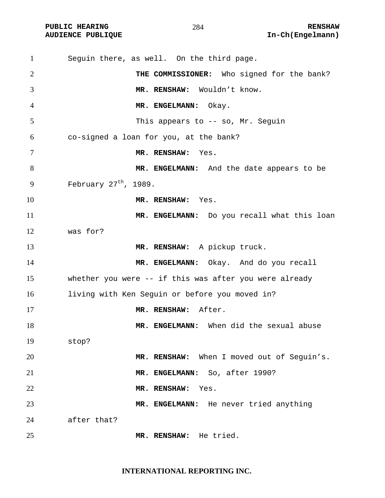| $\mathbf{1}$ | Seguin there, as well. On the third page.                 |
|--------------|-----------------------------------------------------------|
| 2            | THE COMMISSIONER: Who signed for the bank?                |
| 3            | MR. RENSHAW: Wouldn't know.                               |
| 4            | MR. ENGELMANN: Okay.                                      |
| 5            | This appears to $-$ so, Mr. Seguin                        |
| 6            | co-signed a loan for you, at the bank?                    |
| 7            | MR. RENSHAW: Yes.                                         |
| 8            | MR. ENGELMANN: And the date appears to be                 |
| 9            | February $27th$ , 1989.                                   |
| 10           | MR. RENSHAW: Yes.                                         |
| 11           | MR. ENGELMANN: Do you recall what this loan               |
| 12           | was for?                                                  |
| 13           | MR. RENSHAW: A pickup truck.                              |
| 14           | MR. ENGELMANN: Okay. And do you recall                    |
| 15           | whether you were $-$ - if this was after you were already |
| 16           | living with Ken Seguin or before you moved in?            |
| 17           | MR. RENSHAW: After.                                       |
| 18           | MR. ENGELMANN: When did the sexual abuse                  |
| 19           | stop?                                                     |
| 20           | MR. RENSHAW: When I moved out of Seguin's.                |
| 21           | MR. ENGELMANN: So, after 1990?                            |
| 22           | MR. RENSHAW:<br>Yes.                                      |
| 23           | MR. ENGELMANN: He never tried anything                    |
| 24           | after that?                                               |
| 25           | He tried.<br>MR. RENSHAW:                                 |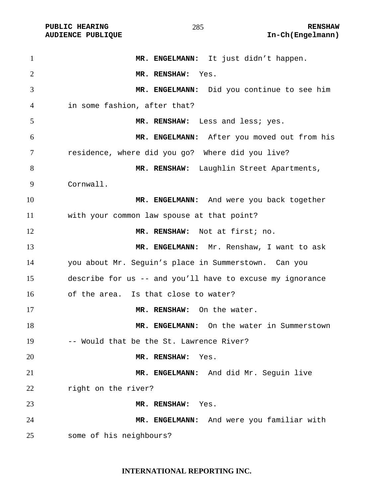PUBLIC HEARING **RENSHAW** 285 **RENSHAW** RENSHAW **RENSHAW RENSHAW RENSHAW RENSHAW RENSHAW RENSHAW RENSHAW** 

| $\mathbf{1}$   | MR. ENGELMANN: It just didn't happen.                     |
|----------------|-----------------------------------------------------------|
| $\overline{2}$ | MR. RENSHAW: Yes.                                         |
| 3              | MR. ENGELMANN: Did you continue to see him                |
| 4              | in some fashion, after that?                              |
| 5              | MR. RENSHAW: Less and less; yes.                          |
| 6              | MR. ENGELMANN: After you moved out from his               |
| 7              | residence, where did you go? Where did you live?          |
| 8              | MR. RENSHAW: Laughlin Street Apartments,                  |
| 9              | Cornwall.                                                 |
| 10             | MR. ENGELMANN: And were you back together                 |
| 11             | with your common law spouse at that point?                |
| 12             | MR. RENSHAW: Not at first; no.                            |
| 13             | MR. ENGELMANN: Mr. Renshaw, I want to ask                 |
| 14             | you about Mr. Seguin's place in Summerstown. Can you      |
| 15             | describe for us -- and you'll have to excuse my ignorance |
| 16             | of the area. Is that close to water?                      |
| 17             | MR. RENSHAW: On the water.                                |
| 18             | MR. ENGELMANN: On the water in Summerstown                |
| 19             | -- Would that be the St. Lawrence River?                  |
| 20             | MR. RENSHAW:<br>Yes.                                      |
| 21             | MR. ENGELMANN: And did Mr. Seguin live                    |
| 22             | right on the river?                                       |
| 23             | MR. RENSHAW:<br>Yes.                                      |
| 24             | MR. ENGELMANN: And were you familiar with                 |
| 25             | some of his neighbours?                                   |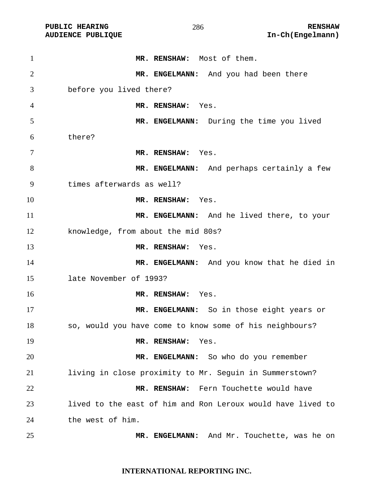**PUBLIC HEARING 286** 286 RENSHAW

**MR. RENSHAW:** Most of them. **MR. ENGELMANN:** And you had been there before you lived there? **MR. RENSHAW:** Yes. **MR. ENGELMANN:** During the time you lived there? **MR. RENSHAW:** Yes. **MR. ENGELMANN:** And perhaps certainly a few times afterwards as well? **MR. RENSHAW:** Yes. **MR. ENGELMANN:** And he lived there, to your knowledge, from about the mid 80s? **MR. RENSHAW:** Yes. **MR. ENGELMANN:** And you know that he died in late November of 1993? **MR. RENSHAW:** Yes. **MR. ENGELMANN:** So in those eight years or so, would you have come to know some of his neighbours? **MR. RENSHAW:** Yes. **MR. ENGELMANN:** So who do you remember living in close proximity to Mr. Seguin in Summerstown? **MR. RENSHAW:** Fern Touchette would have lived to the east of him and Ron Leroux would have lived to the west of him. **MR. ENGELMANN:** And Mr. Touchette, was he on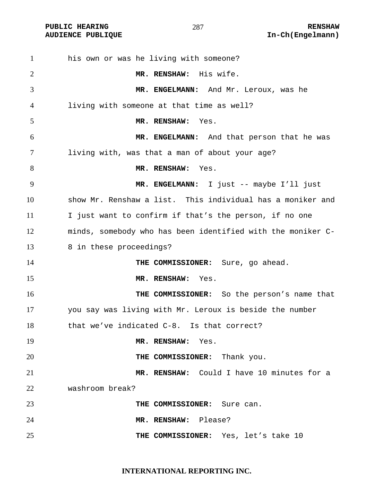his own or was he living with someone? **MR. RENSHAW:** His wife. **MR. ENGELMANN:** And Mr. Leroux, was he living with someone at that time as well? **MR. RENSHAW:** Yes. **MR. ENGELMANN:** And that person that he was living with, was that a man of about your age? 8 MR. RENSHAW: Yes. **MR. ENGELMANN:** I just -- maybe I'll just show Mr. Renshaw a list. This individual has a moniker and I just want to confirm if that's the person, if no one minds, somebody who has been identified with the moniker C-13 8 in these proceedings? **THE COMMISSIONER:** Sure, go ahead. **MR. RENSHAW:** Yes. **THE COMMISSIONER:** So the person's name that you say was living with Mr. Leroux is beside the number that we've indicated C-8. Is that correct? **MR. RENSHAW:** Yes. **THE COMMISSIONER:** Thank you. **MR. RENSHAW:** Could I have 10 minutes for a washroom break? **THE COMMISSIONER:** Sure can. **MR. RENSHAW:** Please? **THE COMMISSIONER:** Yes, let's take 10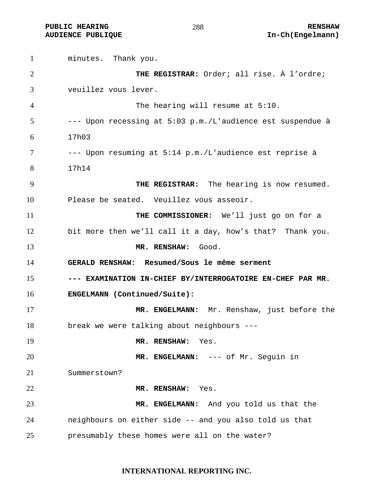**PUBLIC HEARING**  $\begin{array}{ccc} 288 & \multicolumn{1}{c}{} & \multicolumn{1}{c} \\ \end{array}$  **RENSHAW AUDIENCE PUBLIQUE International Contract Contract Contract Contract Contract Contract Contract Contract Contract Contract Contract Contract Contract Contract Contract Contract Contract Contract Contract Contract Contract** 

minutes. Thank you. **THE REGISTRAR:** Order; all rise. À l'ordre; veuillez vous lever. The hearing will resume at 5:10. --- Upon recessing at 5:03 p.m./L'audience est suspendue à 17h03 --- Upon resuming at 5:14 p.m./L'audience est reprise à 17h14 **THE REGISTRAR:** The hearing is now resumed. Please be seated. Veuillez vous asseoir. **THE COMMISSIONER:** We'll just go on for a bit more then we'll call it a day, how's that? Thank you. **MR. RENSHAW:** Good. **GERALD RENSHAW: Resumed/Sous le même serment --- EXAMINATION IN-CHIEF BY/INTERROGATOIRE EN-CHEF PAR MR. ENGELMANN (Continued/Suite): MR. ENGELMANN:** Mr. Renshaw, just before the break we were talking about neighbours --- **MR. RENSHAW:** Yes. **MR. ENGELMANN:** --- of Mr. Seguin in Summerstown? **MR. RENSHAW:** Yes. **MR. ENGELMANN:** And you told us that the neighbours on either side -- and you also told us that presumably these homes were all on the water?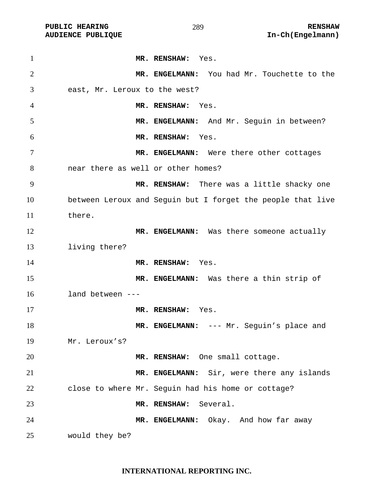**MR. RENSHAW:** Yes. **MR. ENGELMANN:** You had Mr. Touchette to the east, Mr. Leroux to the west? **MR. RENSHAW:** Yes. **MR. ENGELMANN:** And Mr. Seguin in between? **MR. RENSHAW:** Yes. 7 MR. ENGELMANN: Were there other cottages near there as well or other homes? **MR. RENSHAW:** There was a little shacky one between Leroux and Seguin but I forget the people that live there. 12 MR. ENGELMANN: Was there someone actually living there? **MR. RENSHAW:** Yes. **MR. ENGELMANN:** Was there a thin strip of land between --- **MR. RENSHAW:** Yes. 18 MR. ENGELMANN: --- Mr. Seguin's place and Mr. Leroux's? **MR. RENSHAW:** One small cottage. **MR. ENGELMANN:** Sir, were there any islands close to where Mr. Seguin had his home or cottage? **MR. RENSHAW:** Several. **MR. ENGELMANN:** Okay. And how far away would they be?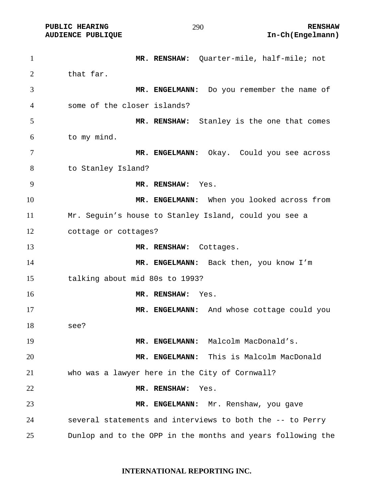**PUBLIC HEARING**  $\begin{array}{ccc} 290 & \text{RENSHAW} \end{array}$ **AUDIENCE PUBLIQUE International Contract Contract Contract Contract Contract Contract Contract Contract Contract Contract Contract Contract Contract Contract Contract Contract Contract Contract Contract Contract Contract** 

**MR. RENSHAW:** Quarter-mile, half-mile; not 2 that far. **MR. ENGELMANN:** Do you remember the name of some of the closer islands? **MR. RENSHAW:** Stanley is the one that comes to my mind. **MR. ENGELMANN:** Okay. Could you see across to Stanley Island? **MR. RENSHAW:** Yes. **MR. ENGELMANN:** When you looked across from Mr. Seguin's house to Stanley Island, could you see a cottage or cottages? **MR. RENSHAW:** Cottages. 14 MR. ENGELMANN: Back then, you know I'm talking about mid 80s to 1993? **MR. RENSHAW:** Yes. **MR. ENGELMANN:** And whose cottage could you see? **MR. ENGELMANN:** Malcolm MacDonald's. **MR. ENGELMANN:** This is Malcolm MacDonald who was a lawyer here in the City of Cornwall? **MR. RENSHAW:** Yes. **MR. ENGELMANN:** Mr. Renshaw, you gave several statements and interviews to both the -- to Perry Dunlop and to the OPP in the months and years following the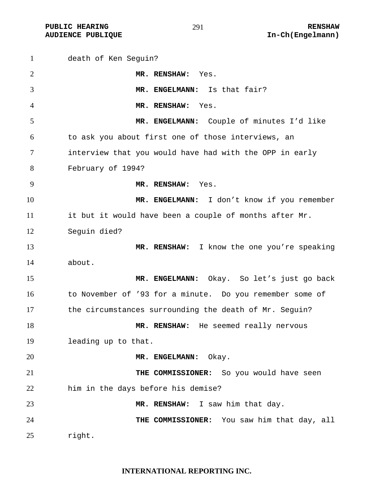**PUBLIC HEARING RENSHAW** 

## 

death of Ken Seguin? **MR. RENSHAW:** Yes. **MR. ENGELMANN:** Is that fair? **MR. RENSHAW:** Yes. **MR. ENGELMANN:** Couple of minutes I'd like to ask you about first one of those interviews, an interview that you would have had with the OPP in early February of 1994? **MR. RENSHAW:** Yes. **MR. ENGELMANN:** I don't know if you remember it but it would have been a couple of months after Mr. Seguin died? **MR. RENSHAW:** I know the one you're speaking about. **MR. ENGELMANN:** Okay. So let's just go back to November of '93 for a minute. Do you remember some of the circumstances surrounding the death of Mr. Seguin? **MR. RENSHAW:** He seemed really nervous leading up to that. **MR. ENGELMANN:** Okay. **THE COMMISSIONER:** So you would have seen him in the days before his demise? **MR. RENSHAW:** I saw him that day. **THE COMMISSIONER:** You saw him that day, all right.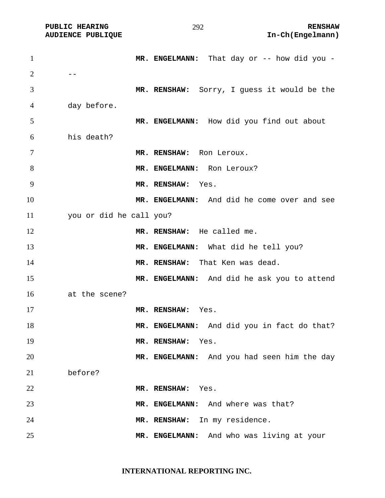| $\mathbf{1}$   |                         |                                             |
|----------------|-------------------------|---------------------------------------------|
|                |                         | MR. ENGELMANN: That day or -- how did you - |
| $\overline{2}$ |                         |                                             |
| 3              |                         | MR. RENSHAW: Sorry, I guess it would be the |
| 4              | day before.             |                                             |
| 5              |                         | MR. ENGELMANN: How did you find out about   |
| 6              | his death?              |                                             |
| 7              |                         | MR. RENSHAW: Ron Leroux.                    |
| 8              |                         | MR. ENGELMANN: Ron Leroux?                  |
|                |                         |                                             |
| 9              |                         | MR. RENSHAW:<br>Yes.                        |
| 10             |                         | MR. ENGELMANN: And did he come over and see |
| 11             | you or did he call you? |                                             |
| 12             |                         | MR. RENSHAW: He called me.                  |
| 13             |                         | MR. ENGELMANN: What did he tell you?        |
| 14             |                         | MR. RENSHAW: That Ken was dead.             |
| 15             |                         | MR. ENGELMANN: And did he ask you to attend |
| 16             | at the scene?           |                                             |
| 17             |                         | MR. RENSHAW:<br>Yes.                        |
| 18             |                         | MR. ENGELMANN: And did you in fact do that? |
| 19             |                         | MR. RENSHAW: Yes.                           |
| 20             |                         | MR. ENGELMANN: And you had seen him the day |
| 21             | before?                 |                                             |
| 22             |                         | MR. RENSHAW:<br>Yes.                        |
| 23             |                         | MR. ENGELMANN: And where was that?          |
| 24             |                         | MR. RENSHAW: In my residence.               |
| 25             |                         | MR. ENGELMANN: And who was living at your   |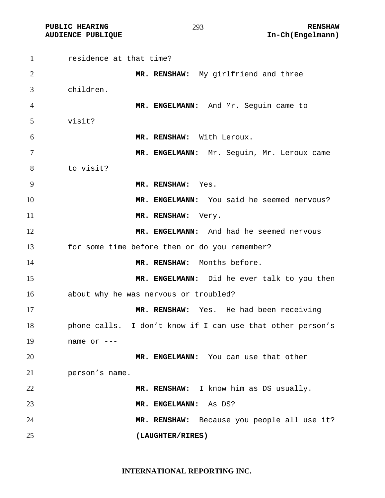PUBLIC HEARING **RENSHAW** 293 **RENSHAW** RENSHAW **RENSHAW RENSHAW RENSHAW RENSHAW RENSHAW** 

| $\mathbf{1}$   | residence at that time?                                    |
|----------------|------------------------------------------------------------|
| $\overline{2}$ | MR. RENSHAW: My girlfriend and three                       |
| 3              | children.                                                  |
| $\overline{4}$ | MR. ENGELMANN: And Mr. Seguin came to                      |
| 5              | visit?                                                     |
| 6              | MR. RENSHAW: With Leroux.                                  |
| 7              | MR. ENGELMANN: Mr. Seguin, Mr. Leroux came                 |
| 8              | to visit?                                                  |
| 9              | MR. RENSHAW: Yes.                                          |
| 10             | MR. ENGELMANN: You said he seemed nervous?                 |
| 11             | MR. RENSHAW:<br>Very.                                      |
| 12             | MR. ENGELMANN: And had he seemed nervous                   |
| 13             | for some time before then or do you remember?              |
| 14             | MR. RENSHAW: Months before.                                |
| 15             | MR. ENGELMANN: Did he ever talk to you then                |
| 16             | about why he was nervous or troubled?                      |
| 17             | MR. RENSHAW: Yes. He had been receiving                    |
| 18             | phone calls. I don't know if I can use that other person's |
| 19             | name or $---$                                              |
| 20             | MR. ENGELMANN: You can use that other                      |
| 21             | person's name.                                             |
| 22             | MR. RENSHAW: I know him as DS usually.                     |
| 23             | MR. ENGELMANN:<br>As DS?                                   |
| 24             | MR. RENSHAW: Because you people all use it?                |
| 25             | (LAUGHTER/RIRES)                                           |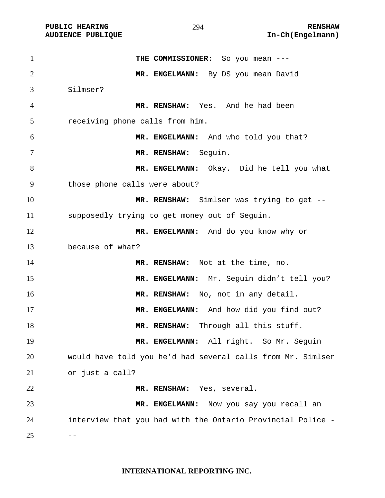PUBLIC HEARING **RENSHAW** 294 **RENSHAW RENSHAW** RENSHAW **RENSHAW** 294 **RENSHAW RENSHAW** 294 **In-Ch(Engelmann)** 

| $\mathbf{1}$   | THE COMMISSIONER: So you mean ---                           |
|----------------|-------------------------------------------------------------|
| $\overline{2}$ | MR. ENGELMANN: By DS you mean David                         |
| 3              | Silmser?                                                    |
| $\overline{4}$ | MR. RENSHAW: Yes. And he had been                           |
| 5              | receiving phone calls from him.                             |
| 6              | MR. ENGELMANN: And who told you that?                       |
| 7              | MR. RENSHAW: Seguin.                                        |
| 8              | MR. ENGELMANN: Okay. Did he tell you what                   |
| 9              | those phone calls were about?                               |
| 10             | MR. RENSHAW: Simlser was trying to get --                   |
| 11             | supposedly trying to get money out of Seguin.               |
| 12             | MR. ENGELMANN: And do you know why or                       |
| 13             | because of what?                                            |
| 14             | MR. RENSHAW: Not at the time, no.                           |
| 15             | MR. ENGELMANN: Mr. Seguin didn't tell you?                  |
| 16             | MR. RENSHAW: No, not in any detail.                         |
| 17             | MR. ENGELMANN: And how did you find out?                    |
| 18             | MR. RENSHAW: Through all this stuff.                        |
| 19             | MR. ENGELMANN: All right. So Mr. Seguin                     |
| 20             | would have told you he'd had several calls from Mr. Simlser |
| 21             | or just a call?                                             |
| 22             | MR. RENSHAW: Yes, several.                                  |
| 23             | Now you say you recall an<br>MR. ENGELMANN:                 |
| 24             | interview that you had with the Ontario Provincial Police - |
| 25             |                                                             |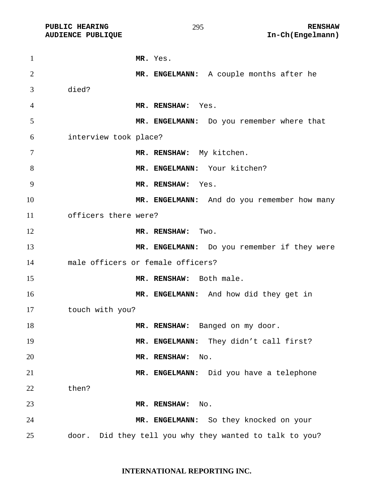**MR.** Yes. **MR. ENGELMANN:** A couple months after he died? **MR. RENSHAW:** Yes. **MR. ENGELMANN:** Do you remember where that interview took place? **MR. RENSHAW:** My kitchen. 8 MR. ENGELMANN: Your kitchen? **MR. RENSHAW:** Yes. **MR. ENGELMANN:** And do you remember how many officers there were? **MR. RENSHAW:** Two. **MR. ENGELMANN:** Do you remember if they were male officers or female officers? 15 MR. RENSHAW: Both male. **MR. ENGELMANN:** And how did they get in touch with you? **MR. RENSHAW:** Banged on my door. 19 MR. ENGELMANN: They didn't call first? **MR. RENSHAW:** No. **MR. ENGELMANN:** Did you have a telephone then? **MR. RENSHAW:** No. **MR. ENGELMANN:** So they knocked on your door. Did they tell you why they wanted to talk to you?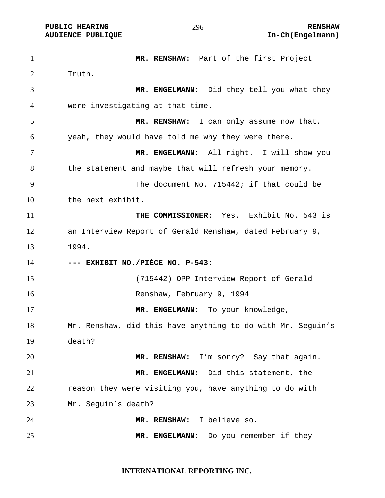**MR. RENSHAW:** Part of the first Project Truth. **MR. ENGELMANN:** Did they tell you what they were investigating at that time. **MR. RENSHAW:** I can only assume now that, yeah, they would have told me why they were there. **MR. ENGELMANN:** All right. I will show you 8 the statement and maybe that will refresh your memory. The document No. 715442; if that could be the next exhibit. **THE COMMISSIONER:** Yes. Exhibit No. 543 is an Interview Report of Gerald Renshaw, dated February 9, 1994. **--- EXHIBIT NO./PIÈCE NO. P-543**: (715442) OPP Interview Report of Gerald Renshaw, February 9, 1994 **MR. ENGELMANN:** To your knowledge, Mr. Renshaw, did this have anything to do with Mr. Seguin's death? **MR. RENSHAW:** I'm sorry? Say that again. **MR. ENGELMANN:** Did this statement, the 22 reason they were visiting you, have anything to do with Mr. Seguin's death? **MR. RENSHAW:** I believe so. **MR. ENGELMANN:** Do you remember if they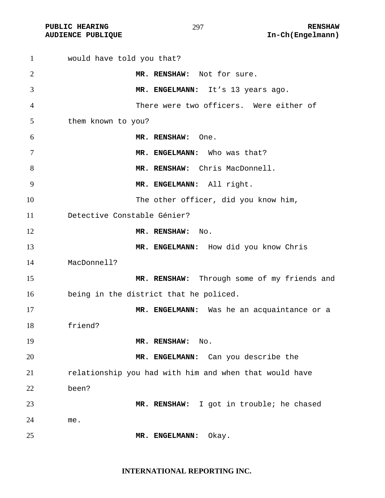PUBLIC HEARING **RENSHAW** 297 **RENSHAW** RENSHAW **RENSHAW RENSHAW RENSHAW RENSHAW RENSHAW** 

| $\mathbf{1}$ | would have told you that?                              |
|--------------|--------------------------------------------------------|
| 2            | MR. RENSHAW: Not for sure.                             |
| 3            | MR. ENGELMANN: It's 13 years ago.                      |
| 4            | There were two officers. Were either of                |
| 5            | them known to you?                                     |
| 6            | MR. RENSHAW:<br>One.                                   |
| 7            | MR. ENGELMANN: Who was that?                           |
| 8            | MR. RENSHAW: Chris MacDonnell.                         |
| 9            | MR. ENGELMANN: All right.                              |
| 10           | The other officer, did you know him,                   |
| 11           | Detective Constable Génier?                            |
| 12           | MR. RENSHAW:<br>$\mathop{\rm No}\nolimits.$            |
| 13           | MR. ENGELMANN: How did you know Chris                  |
| 14           | MacDonnell?                                            |
| 15           | MR. RENSHAW: Through some of my friends and            |
| 16           | being in the district that he policed.                 |
| 17           | MR. ENGELMANN: Was he an acquaintance or a             |
| 18           | friend?                                                |
| 19           | MR. RENSHAW:<br>No.                                    |
| 20           | MR. ENGELMANN: Can you describe the                    |
| 21           | relationship you had with him and when that would have |
| 22           | been?                                                  |
| 23           | MR. RENSHAW: I got in trouble; he chased               |
| 24           | me.                                                    |
| 25           | Okay.<br>MR. ENGELMANN:                                |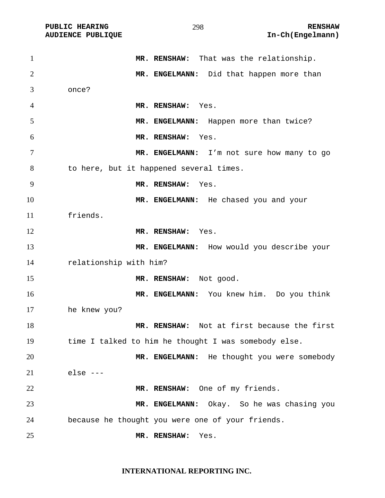PUBLIC HEARING **RENSHAW** 298 **RENSHAW** RENSHAW **RENSHAW RENSHAW RENSHAW RENSHAW RENSHAW** 

| $\mathbf{1}$   | MR. RENSHAW: That was the relationship.              |
|----------------|------------------------------------------------------|
| $\overline{2}$ | MR. ENGELMANN: Did that happen more than             |
| 3              | once?                                                |
| 4              | MR. RENSHAW: Yes.                                    |
| 5              | MR. ENGELMANN: Happen more than twice?               |
| 6              | MR. RENSHAW:<br>Yes.                                 |
| 7              | MR. ENGELMANN: I'm not sure how many to go           |
| 8              | to here, but it happened several times.              |
| 9              | MR. RENSHAW:<br>Yes.                                 |
| 10             | MR. ENGELMANN: He chased you and your                |
| 11             | friends.                                             |
| 12             | MR. RENSHAW: Yes.                                    |
| 13             | MR. ENGELMANN: How would you describe your           |
| 14             | relationship with him?                               |
| 15             | MR. RENSHAW: Not good.                               |
| 16             | MR. ENGELMANN: You knew him. Do you think            |
| 17             | he knew you?                                         |
| 18             | MR. RENSHAW: Not at first because the first          |
| 19             | time I talked to him he thought I was somebody else. |
| 20             | MR. ENGELMANN: He thought you were somebody          |
| 21             | $else ---$                                           |
| 22             | MR. RENSHAW: One of my friends.                      |
| 23             | MR. ENGELMANN: Okay. So he was chasing you           |
| 24             | because he thought you were one of your friends.     |
| 25             | MR. RENSHAW:<br>Yes.                                 |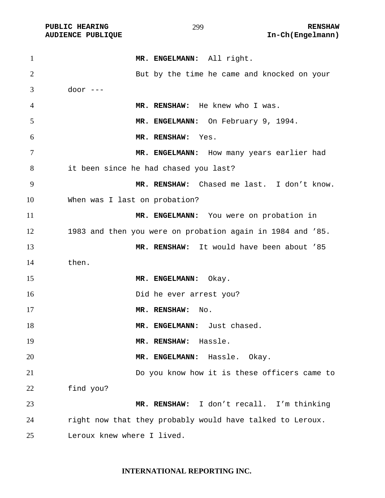| $\mathbf{1}$   | MR. ENGELMANN: All right.                                  |
|----------------|------------------------------------------------------------|
| $\overline{2}$ | But by the time he came and knocked on your                |
| 3              | door $---$                                                 |
| $\overline{4}$ | MR. RENSHAW: He knew who I was.                            |
| 5              | MR. ENGELMANN: On February 9, 1994.                        |
| 6              | MR. RENSHAW:<br>Yes.                                       |
| 7              | MR. ENGELMANN: How many years earlier had                  |
| 8              | it been since he had chased you last?                      |
| 9              | MR. RENSHAW: Chased me last. I don't know.                 |
| 10             | When was I last on probation?                              |
| 11             | MR. ENGELMANN: You were on probation in                    |
| 12             | 1983 and then you were on probation again in 1984 and '85. |
| 13             | MR. RENSHAW: It would have been about '85                  |
| 14             | then.                                                      |
| 15             | MR. ENGELMANN: Okay.                                       |
| 16             | Did he ever arrest you?                                    |
| 17             | MR. RENSHAW:<br>No.                                        |
| 18             | MR. ENGELMANN: Just chased.                                |
| 19             | Hassle.<br>MR. RENSHAW:                                    |
| 20             | MR. ENGELMANN: Hassle. Okay.                               |
| 21             | Do you know how it is these officers came to               |
| 22             | find you?                                                  |
| 23             | MR. RENSHAW: I don't recall. I'm thinking                  |
| 24             | right now that they probably would have talked to Leroux.  |
| 25             | Leroux knew where I lived.                                 |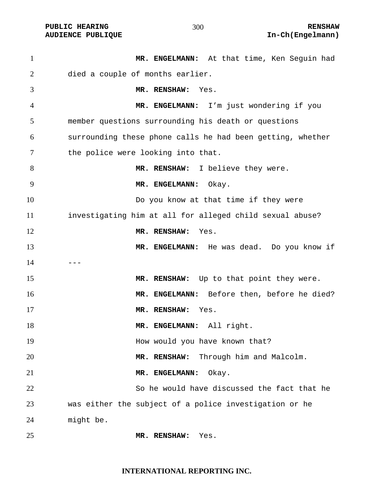| $\mathbf{1}$   | MR. ENGELMANN: At that time, Ken Seguin had                |
|----------------|------------------------------------------------------------|
| 2              | died a couple of months earlier.                           |
| 3              | MR. RENSHAW: Yes.                                          |
| $\overline{4}$ | MR. ENGELMANN: I'm just wondering if you                   |
| 5              | member questions surrounding his death or questions        |
| 6              | surrounding these phone calls he had been getting, whether |
| 7              | the police were looking into that.                         |
| 8              | MR. RENSHAW: I believe they were.                          |
| 9              | MR. ENGELMANN:<br>Okay.                                    |
| 10             | Do you know at that time if they were                      |
| 11             | investigating him at all for alleged child sexual abuse?   |
| 12             | MR. RENSHAW:<br>Yes.                                       |
| 13             | MR. ENGELMANN: He was dead. Do you know if                 |
| 14             |                                                            |
| 15             | MR. RENSHAW: Up to that point they were.                   |
| 16             | MR. ENGELMANN: Before then, before he died?                |
| 17             | MR. RENSHAW:<br>Yes.                                       |
| 18             | MR. ENGELMANN: All right.                                  |
| 19             | How would you have known that?                             |
| 20             | Through him and Malcolm.<br>MR. RENSHAW:                   |
| 21             | MR. ENGELMANN:<br>Okay.                                    |
| 22             | So he would have discussed the fact that he                |
| 23             | was either the subject of a police investigation or he     |
| 24             | might be.                                                  |
|                |                                                            |

**MR. RENSHAW:** Yes.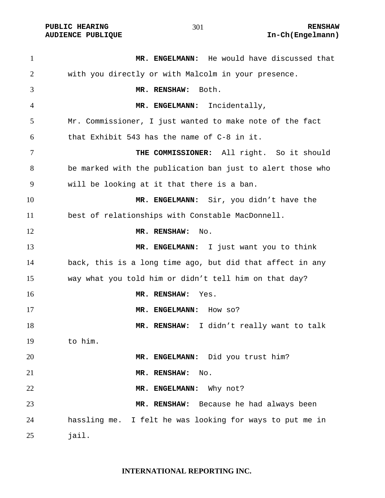**PUBLIC HEARING**  $\frac{1}{201}$  **and**  $\frac{1}{201}$  **renshaw** 

**MR. ENGELMANN:** He would have discussed that with you directly or with Malcolm in your presence. **MR. RENSHAW:** Both. **MR. ENGELMANN:** Incidentally, Mr. Commissioner, I just wanted to make note of the fact that Exhibit 543 has the name of C-8 in it. **THE COMMISSIONER:** All right. So it should be marked with the publication ban just to alert those who will be looking at it that there is a ban. **MR. ENGELMANN:** Sir, you didn't have the best of relationships with Constable MacDonnell. **MR. RENSHAW:** No. **MR. ENGELMANN:** I just want you to think back, this is a long time ago, but did that affect in any way what you told him or didn't tell him on that day? **MR. RENSHAW:** Yes. **MR. ENGELMANN:** How so? **MR. RENSHAW:** I didn't really want to talk to him. **MR. ENGELMANN:** Did you trust him? **MR. RENSHAW:** No. **MR. ENGELMANN:** Why not? **MR. RENSHAW:** Because he had always been hassling me. I felt he was looking for ways to put me in jail.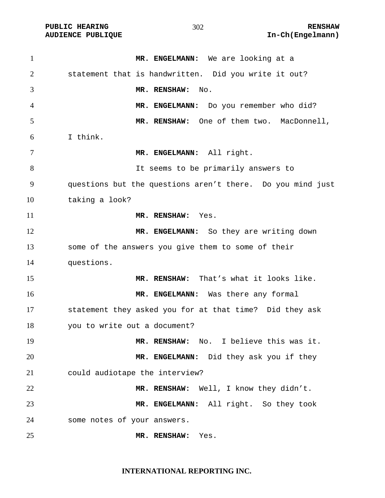| $\mathbf{1}$   | MR. ENGELMANN: We are looking at a                         |
|----------------|------------------------------------------------------------|
| $\overline{2}$ | statement that is handwritten. Did you write it out?       |
| 3              | MR. RENSHAW:<br>No.                                        |
| 4              | MR. ENGELMANN: Do you remember who did?                    |
| 5              | MR. RENSHAW: One of them two. MacDonnell,                  |
| 6              | I think.                                                   |
| $\tau$         | MR. ENGELMANN: All right.                                  |
| 8              | It seems to be primarily answers to                        |
| 9              | questions but the questions aren't there. Do you mind just |
| 10             | taking a look?                                             |
| 11             | MR. RENSHAW: Yes.                                          |
| 12             | MR. ENGELMANN: So they are writing down                    |
| 13             | some of the answers you give them to some of their         |
| 14             | questions.                                                 |
| 15             | MR. RENSHAW: That's what it looks like.                    |
| 16             | MR. ENGELMANN: Was there any formal                        |
| 17             | statement they asked you for at that time? Did they ask    |
| 18             | you to write out a document?                               |
| 19             | MR. RENSHAW: No. I believe this was it.                    |
| 20             | MR. ENGELMANN: Did they ask you if they                    |
| 21             | could audiotape the interview?                             |
| 22             | MR. RENSHAW: Well, I know they didn't.                     |
| 23             | MR. ENGELMANN: All right. So they took                     |
| 24             | some notes of your answers.                                |
| 25             | MR. RENSHAW:<br>Yes.                                       |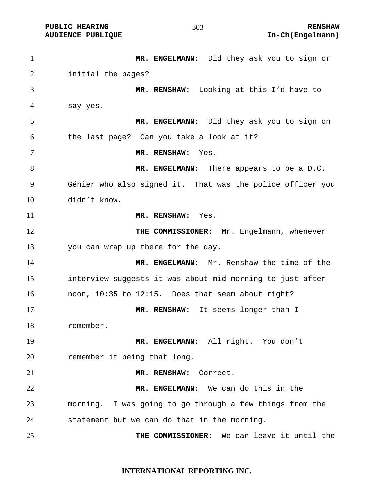**MR. ENGELMANN:** Did they ask you to sign or initial the pages? **MR. RENSHAW:** Looking at this I'd have to say yes. **MR. ENGELMANN:** Did they ask you to sign on the last page? Can you take a look at it? **MR. RENSHAW:** Yes. **MR. ENGELMANN:** There appears to be a D.C. Génier who also signed it. That was the police officer you didn't know. **MR. RENSHAW:** Yes. **THE COMMISSIONER:** Mr. Engelmann, whenever you can wrap up there for the day. **MR. ENGELMANN:** Mr. Renshaw the time of the interview suggests it was about mid morning to just after noon, 10:35 to 12:15. Does that seem about right? **MR. RENSHAW:** It seems longer than I remember. **MR. ENGELMANN:** All right. You don't remember it being that long. **MR. RENSHAW:** Correct. **MR. ENGELMANN:** We can do this in the morning. I was going to go through a few things from the statement but we can do that in the morning. **THE COMMISSIONER:** We can leave it until the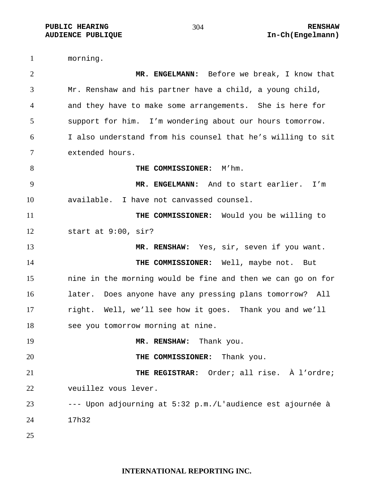morning. **MR. ENGELMANN:** Before we break, I know that Mr. Renshaw and his partner have a child, a young child, and they have to make some arrangements. She is here for support for him. I'm wondering about our hours tomorrow. I also understand from his counsel that he's willing to sit extended hours. **THE COMMISSIONER:**  $M'$ hm. **MR. ENGELMANN:** And to start earlier. I'm available. I have not canvassed counsel. **THE COMMISSIONER:** Would you be willing to start at 9:00, sir? **MR. RENSHAW:** Yes, sir, seven if you want. **THE COMMISSIONER:** Well, maybe not. But nine in the morning would be fine and then we can go on for later. Does anyone have any pressing plans tomorrow? All right. Well, we'll see how it goes. Thank you and we'll see you tomorrow morning at nine. **MR. RENSHAW:** Thank you. **THE COMMISSIONER:** Thank you. **THE REGISTRAR:** Order; all rise. À l'ordre; veuillez vous lever. --- Upon adjourning at 5:32 p.m./L'audience est ajournée à 17h32